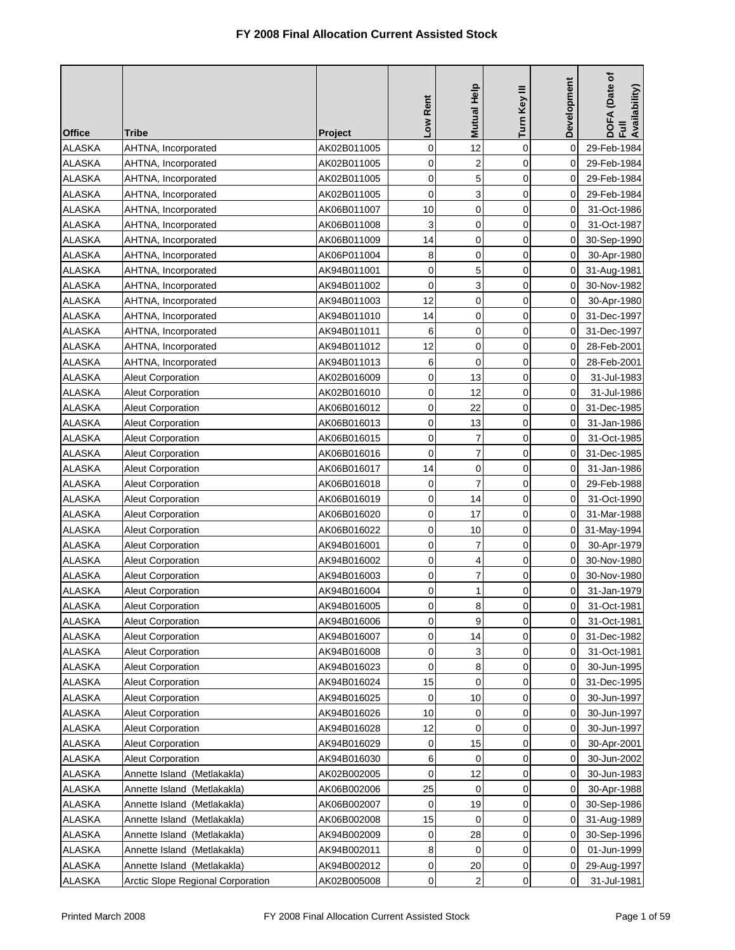| <b>Office</b> | Tribe                             | <b>Project</b> | Low Rent    | <b>Mutual Help</b> | Turn Key III   | Development | DOFA (Date of<br>Full<br>Availability) |
|---------------|-----------------------------------|----------------|-------------|--------------------|----------------|-------------|----------------------------------------|
| <b>ALASKA</b> | AHTNA, Incorporated               | AK02B011005    | 0           | 12                 | $\mathbf 0$    | 0           | 29-Feb-1984                            |
| <b>ALASKA</b> | AHTNA, Incorporated               | AK02B011005    | 0           | $\overline{2}$     | 0              | 0           | 29-Feb-1984                            |
| <b>ALASKA</b> | AHTNA, Incorporated               | AK02B011005    | $\mathbf 0$ | 5                  | 0              | 0           | 29-Feb-1984                            |
| <b>ALASKA</b> | AHTNA, Incorporated               | AK02B011005    | $\mathbf 0$ | 3                  | $\mathbf 0$    | 0           | 29-Feb-1984                            |
| <b>ALASKA</b> | AHTNA, Incorporated               | AK06B011007    | 10          | $\mathbf 0$        | $\mathbf 0$    | 0           | 31-Oct-1986                            |
| <b>ALASKA</b> | AHTNA, Incorporated               | AK06B011008    | 3           | $\mathbf 0$        | $\mathbf 0$    | 0           | 31-Oct-1987                            |
| <b>ALASKA</b> | AHTNA, Incorporated               | AK06B011009    | 14          | $\mathbf 0$        | 0              | 0           | 30-Sep-1990                            |
| <b>ALASKA</b> | AHTNA, Incorporated               | AK06P011004    | 8           | 0                  | $\mathbf 0$    | 0           | 30-Apr-1980                            |
| <b>ALASKA</b> | AHTNA, Incorporated               | AK94B011001    | 0           | 5                  | $\overline{0}$ | 0           | 31-Aug-1981                            |
| <b>ALASKA</b> | AHTNA, Incorporated               | AK94B011002    | 0           | 3                  | 0              | 0           | 30-Nov-1982                            |
| <b>ALASKA</b> | AHTNA, Incorporated               | AK94B011003    | 12          | $\mathbf 0$        | 0              | 0           | 30-Apr-1980                            |
| <b>ALASKA</b> | AHTNA, Incorporated               | AK94B011010    | 14          | 0                  | 0              | 0           | 31-Dec-1997                            |
| <b>ALASKA</b> | AHTNA, Incorporated               | AK94B011011    | 6           | 0                  | $\overline{0}$ | 0           | 31-Dec-1997                            |
| <b>ALASKA</b> | AHTNA, Incorporated               | AK94B011012    | 12          | 0                  | 0              | 0           | 28-Feb-2001                            |
| <b>ALASKA</b> | AHTNA, Incorporated               | AK94B011013    | 6           | $\mathbf 0$        | 0              | 0           | 28-Feb-2001                            |
| <b>ALASKA</b> | <b>Aleut Corporation</b>          | AK02B016009    | 0           | 13                 | 0              | 0           | 31-Jul-1983                            |
| <b>ALASKA</b> | <b>Aleut Corporation</b>          | AK02B016010    | 0           | 12                 | $\mathbf 0$    | 0           | 31-Jul-1986                            |
| <b>ALASKA</b> | <b>Aleut Corporation</b>          | AK06B016012    | 0           | 22                 | 0              | 0           | 31-Dec-1985                            |
| <b>ALASKA</b> | <b>Aleut Corporation</b>          | AK06B016013    | $\mathbf 0$ | 13                 | 0              | 0           | 31-Jan-1986                            |
| <b>ALASKA</b> | <b>Aleut Corporation</b>          | AK06B016015    | 0           | $\overline{7}$     | 0              | 0           | 31-Oct-1985                            |
| <b>ALASKA</b> | Aleut Corporation                 | AK06B016016    | $\mathbf 0$ | $\overline{7}$     | $\mathbf 0$    | 0           | 31-Dec-1985                            |
| <b>ALASKA</b> | <b>Aleut Corporation</b>          | AK06B016017    | 14          | $\mathbf 0$        | $\mathbf 0$    | 0           | 31-Jan-1986                            |
| <b>ALASKA</b> | Aleut Corporation                 | AK06B016018    | 0           | $\overline{7}$     | $\mathbf 0$    | 0           | 29-Feb-1988                            |
| <b>ALASKA</b> | <b>Aleut Corporation</b>          | AK06B016019    | 0           | 14                 | 0              | 0           | 31-Oct-1990                            |
| <b>ALASKA</b> | <b>Aleut Corporation</b>          | AK06B016020    | 0           | 17                 | 0              | 0           | 31-Mar-1988                            |
| <b>ALASKA</b> | Aleut Corporation                 | AK06B016022    | 0           | 10                 | 0              | 0           | 31-May-1994                            |
| <b>ALASKA</b> | Aleut Corporation                 | AK94B016001    | 0           | $\overline{7}$     | 0              | 0           | 30-Apr-1979                            |
| <b>ALASKA</b> | Aleut Corporation                 | AK94B016002    | 0           | 4                  | 0              | 0           | 30-Nov-1980                            |
| <b>ALASKA</b> | <b>Aleut Corporation</b>          | AK94B016003    | 0           | 7                  | 0              | 0           | 30-Nov-1980                            |
| <b>ALASKA</b> | <b>Aleut Corporation</b>          | AK94B016004    | 0           | 1                  | 0              | 0           | 31-Jan-1979                            |
| <b>ALASKA</b> | <b>Aleut Corporation</b>          | AK94B016005    | 0           | 8                  | 0              | $\pmb{0}$   | 31-Oct-1981                            |
| <b>ALASKA</b> | <b>Aleut Corporation</b>          | AK94B016006    | $\mathbf 0$ | 9                  | 0              | 0           | 31-Oct-1981                            |
| ALASKA        | <b>Aleut Corporation</b>          | AK94B016007    | 0           | 14                 | 0              | 0           | 31-Dec-1982                            |
| ALASKA        | <b>Aleut Corporation</b>          | AK94B016008    | 0           | 3                  | 0              | 0           | 31-Oct-1981                            |
| <b>ALASKA</b> | <b>Aleut Corporation</b>          | AK94B016023    | 0           | 8                  | 0              | 0           | 30-Jun-1995                            |
| <b>ALASKA</b> | <b>Aleut Corporation</b>          | AK94B016024    | 15          | 0                  | 0              | 0           | 31-Dec-1995                            |
| ALASKA        | <b>Aleut Corporation</b>          | AK94B016025    | 0           | 10                 | 0              | 0           | 30-Jun-1997                            |
| <b>ALASKA</b> | Aleut Corporation                 | AK94B016026    | 10          | 0                  | 0              | 0           | 30-Jun-1997                            |
| <b>ALASKA</b> | <b>Aleut Corporation</b>          | AK94B016028    | 12          | 0                  | 0              | 0           | 30-Jun-1997                            |
| <b>ALASKA</b> | <b>Aleut Corporation</b>          | AK94B016029    | 0           | 15                 | 0              | 0           | 30-Apr-2001                            |
| ALASKA        | <b>Aleut Corporation</b>          | AK94B016030    | 6           | 0                  | 0              | 0           | 30-Jun-2002                            |
| <b>ALASKA</b> | Annette Island (Metlakakla)       | AK02B002005    | 0           | 12                 | 0              | 0           | 30-Jun-1983                            |
| <b>ALASKA</b> | Annette Island (Metlakakla)       | AK06B002006    | 25          | 0                  | 0              | 0           | 30-Apr-1988                            |
| <b>ALASKA</b> | Annette Island (Metlakakla)       | AK06B002007    | 0           | 19                 | 0              | 0           | 30-Sep-1986                            |
| ALASKA        | Annette Island (Metlakakla)       | AK06B002008    | 15          | 0                  | 0              | 0           | 31-Aug-1989                            |
| ALASKA        | Annette Island (Metlakakla)       | AK94B002009    | 0           | 28                 | 0              | 0           | 30-Sep-1996                            |
| ALASKA        | Annette Island (Metlakakla)       | AK94B002011    | 8           | 0                  | 0              | 0           | 01-Jun-1999                            |
| ALASKA        | Annette Island (Metlakakla)       | AK94B002012    | 0           | 20                 | 0              | 0           | 29-Aug-1997                            |
| <b>ALASKA</b> | Arctic Slope Regional Corporation | AK02B005008    | 0           | 2                  | 0              | 0           | 31-Jul-1981                            |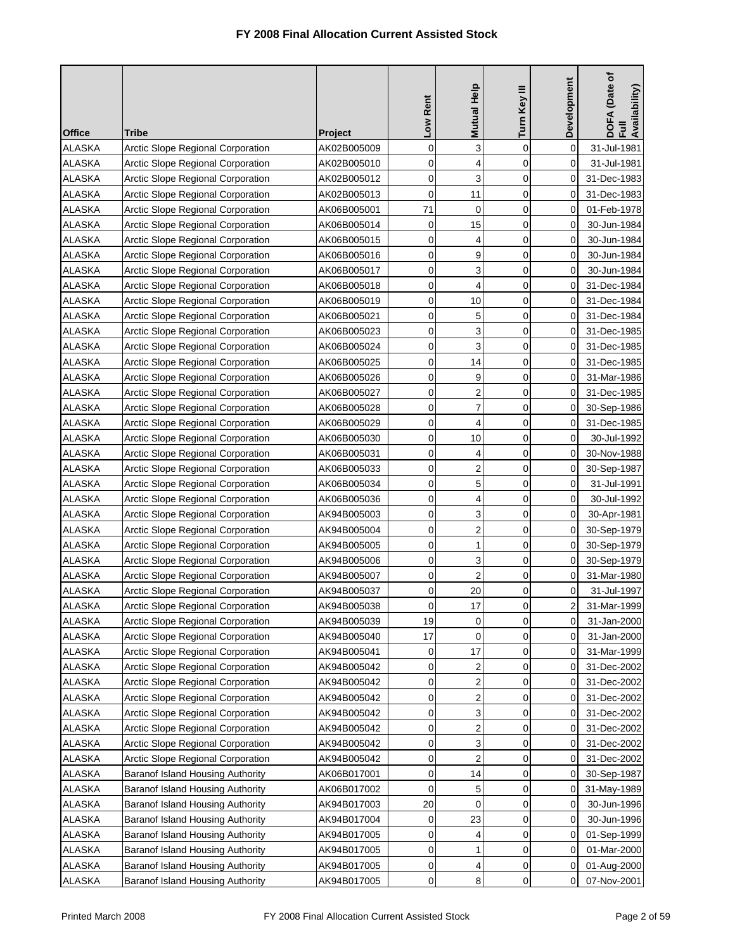| 3<br>$\mathbf 0$<br>$\mathbf 0$<br>0<br><b>ALASKA</b><br>Arctic Slope Regional Corporation<br>AK02B005009<br>31-Jul-1981<br><b>ALASKA</b><br>0<br>4<br>0<br>Arctic Slope Regional Corporation<br>AK02B005010<br>0<br>31-Jul-1981<br>$\mathbf 0$<br>3<br>0<br><b>ALASKA</b><br>Arctic Slope Regional Corporation<br>0<br>AK02B005012<br>31-Dec-1983<br>0<br>11<br>$\mathbf 0$<br><b>ALASKA</b><br>Arctic Slope Regional Corporation<br>AK02B005013<br>0<br>31-Dec-1983<br>71<br>0<br>0<br><b>ALASKA</b><br>Arctic Slope Regional Corporation<br>0<br>AK06B005001<br>01-Feb-1978<br>15<br>$\mathbf 0$<br><b>ALASKA</b><br>Arctic Slope Regional Corporation<br>AK06B005014<br>0<br>30-Jun-1984<br>0<br>0<br>0<br><b>ALASKA</b><br>4<br>Arctic Slope Regional Corporation<br>AK06B005015<br>0<br>30-Jun-1984<br>0<br>9<br>$\overline{0}$<br><b>ALASKA</b><br>Arctic Slope Regional Corporation<br>AK06B005016<br>0<br>30-Jun-1984<br>0<br>3<br><b>ALASKA</b><br>Arctic Slope Regional Corporation<br>0<br>AK06B005017<br>0<br>30-Jun-1984<br>4<br>0<br>$\mathbf 0$<br><b>ALASKA</b><br>Arctic Slope Regional Corporation<br>AK06B005018<br>31-Dec-1984<br>0<br>0<br>10<br>0<br><b>ALASKA</b><br>Arctic Slope Regional Corporation<br>AK06B005019<br>0<br>31-Dec-1984<br>5<br>0<br>$\mathbf 0$<br><b>ALASKA</b><br>Arctic Slope Regional Corporation<br>AK06B005021<br>0<br>31-Dec-1984<br>0<br>3<br><b>ALASKA</b><br>Arctic Slope Regional Corporation<br>0<br>AK06B005023<br>0<br>31-Dec-1985<br>3<br>0<br><b>ALASKA</b><br>Arctic Slope Regional Corporation<br>AK06B005024<br>0<br>31-Dec-1985<br>0<br>14<br>0<br><b>ALASKA</b><br>Arctic Slope Regional Corporation<br>0<br>31-Dec-1985<br>AK06B005025<br>0<br>0<br>9<br>$\overline{0}$<br><b>ALASKA</b><br>Arctic Slope Regional Corporation<br>AK06B005026<br>0<br>31-Mar-1986<br>$\overline{c}$<br><b>ALASKA</b><br>Arctic Slope Regional Corporation<br>0<br>$\mathbf 0$<br>AK06B005027<br>0<br>31-Dec-1985<br>$\overline{7}$<br>$\mathbf 0$<br>0<br><b>ALASKA</b><br>Arctic Slope Regional Corporation<br>AK06B005028<br>0<br>30-Sep-1986<br>0<br>4<br>0<br><b>ALASKA</b><br>Arctic Slope Regional Corporation<br>AK06B005029<br>0<br>31-Dec-1985<br>10<br>0<br>0<br>$\mathbf 0$<br><b>ALASKA</b><br>Arctic Slope Regional Corporation<br>30-Jul-1992<br>AK06B005030<br>0<br>0<br><b>ALASKA</b><br>Arctic Slope Regional Corporation<br>4<br>0<br>AK06B005031<br>30-Nov-1988<br>$\overline{c}$<br>0<br>0<br><b>ALASKA</b><br>Arctic Slope Regional Corporation<br>AK06B005033<br>0<br>30-Sep-1987<br>5<br>0<br>0<br><b>ALASKA</b><br>Arctic Slope Regional Corporation<br>31-Jul-1991<br>AK06B005034<br>0<br>0<br>0<br><b>ALASKA</b><br>Arctic Slope Regional Corporation<br>4<br>0<br>AK06B005036<br>30-Jul-1992<br>0<br>3<br>0<br><b>ALASKA</b><br>Arctic Slope Regional Corporation<br>0<br>AK94B005003<br>30-Apr-1981<br>2<br>0<br>0<br><b>ALASKA</b><br>Arctic Slope Regional Corporation<br>0<br>AK94B005004<br>30-Sep-1979<br>Arctic Slope Regional Corporation<br>0<br>1<br>0<br><b>ALASKA</b><br>AK94B005005<br>0<br>30-Sep-1979<br>0<br>3<br>0<br><b>ALASKA</b><br>Arctic Slope Regional Corporation<br>AK94B005006<br>0<br>30-Sep-1979<br>$\overline{2}$<br><b>ALASKA</b><br>Arctic Slope Regional Corporation<br>AK94B005007<br>0<br>0<br>0<br>31-Mar-1980<br>20<br>0<br><b>ALASKA</b><br>Arctic Slope Regional Corporation<br>AK94B005037<br>0<br>0<br>31-Jul-1997<br><b>ALASKA</b><br>AK94B005038<br>31-Mar-1999<br>Arctic Slope Regional Corporation<br>$\overline{\mathbf{c}}$<br>17<br>0<br><sub>0</sub><br>19<br>0<br>$\mathbf 0$<br>ALASKA<br>Arctic Slope Regional Corporation<br>AK94B005039<br>0<br>31-Jan-2000<br><b>ALASKA</b><br>Arctic Slope Regional Corporation<br>17<br>0<br>AK94B005040<br>0<br>31-Jan-2000<br>0<br><b>ALASKA</b><br>Arctic Slope Regional Corporation<br>0<br>17<br>0<br>AK94B005041<br>0<br>31-Mar-1999<br>$\boldsymbol{2}$<br>0<br><b>ALASKA</b><br>Arctic Slope Regional Corporation<br>AK94B005042<br>0<br>31-Dec-2002<br>0<br>2<br><b>ALASKA</b><br>Arctic Slope Regional Corporation<br>0<br>0<br>AK94B005042<br>0<br>31-Dec-2002<br>2<br><b>ALASKA</b><br>Arctic Slope Regional Corporation<br>0<br>0<br>AK94B005042<br>0<br>31-Dec-2002<br>0<br>3<br><b>ALASKA</b><br>Arctic Slope Regional Corporation<br>0<br>AK94B005042<br>0<br>31-Dec-2002<br>$\overline{2}$<br><b>ALASKA</b><br>Arctic Slope Regional Corporation<br>0<br>AK94B005042<br>0<br>31-Dec-2002<br>0<br><b>ALASKA</b><br>Arctic Slope Regional Corporation<br>0<br>3<br>AK94B005042<br>0<br>31-Dec-2002<br>0<br>2<br><b>ALASKA</b><br>0<br>Arctic Slope Regional Corporation<br>AK94B005042<br>0<br>0<br>31-Dec-2002<br><b>ALASKA</b><br>Baranof Island Housing Authority<br>0<br>14<br>0<br>AK06B017001<br>0<br>30-Sep-1987<br>0<br>5<br><b>ALASKA</b><br>Baranof Island Housing Authority<br>AK06B017002<br>0<br>0<br>31-May-1989<br><b>ALASKA</b><br>Baranof Island Housing Authority<br>AK94B017003<br>20<br>0<br>0<br>30-Jun-1996<br>0<br>0<br>23<br><b>ALASKA</b><br>Baranof Island Housing Authority<br>0<br>0<br>AK94B017004<br>30-Jun-1996<br><b>ALASKA</b><br>Baranof Island Housing Authority<br>0<br>0<br>AK94B017005<br>4<br>0<br>01-Sep-1999<br>0<br><b>ALASKA</b><br>Baranof Island Housing Authority<br>1<br>0<br>AK94B017005<br>0<br>01-Mar-2000<br><b>ALASKA</b><br>Baranof Island Housing Authority<br>AK94B017005<br>0<br>01-Aug-2000<br>0<br>4<br>0<br>0<br><b>ALASKA</b><br>8<br>0<br>Baranof Island Housing Authority<br>AK94B017005<br>0<br>07-Nov-2001 | <b>Office</b> | Tribe | <b>Project</b> | Low Rent | Mutual Help | Turn Key III | Development | DOFA (Date of<br>Full<br>Availability) |
|--------------------------------------------------------------------------------------------------------------------------------------------------------------------------------------------------------------------------------------------------------------------------------------------------------------------------------------------------------------------------------------------------------------------------------------------------------------------------------------------------------------------------------------------------------------------------------------------------------------------------------------------------------------------------------------------------------------------------------------------------------------------------------------------------------------------------------------------------------------------------------------------------------------------------------------------------------------------------------------------------------------------------------------------------------------------------------------------------------------------------------------------------------------------------------------------------------------------------------------------------------------------------------------------------------------------------------------------------------------------------------------------------------------------------------------------------------------------------------------------------------------------------------------------------------------------------------------------------------------------------------------------------------------------------------------------------------------------------------------------------------------------------------------------------------------------------------------------------------------------------------------------------------------------------------------------------------------------------------------------------------------------------------------------------------------------------------------------------------------------------------------------------------------------------------------------------------------------------------------------------------------------------------------------------------------------------------------------------------------------------------------------------------------------------------------------------------------------------------------------------------------------------------------------------------------------------------------------------------------------------------------------------------------------------------------------------------------------------------------------------------------------------------------------------------------------------------------------------------------------------------------------------------------------------------------------------------------------------------------------------------------------------------------------------------------------------------------------------------------------------------------------------------------------------------------------------------------------------------------------------------------------------------------------------------------------------------------------------------------------------------------------------------------------------------------------------------------------------------------------------------------------------------------------------------------------------------------------------------------------------------------------------------------------------------------------------------------------------------------------------------------------------------------------------------------------------------------------------------------------------------------------------------------------------------------------------------------------------------------------------------------------------------------------------------------------------------------------------------------------------------------------------------------------------------------------------------------------------------------------------------------------------------------------------------------------------------------------------------------------------------------------------------------------------------------------------------------------------------------------------------------------------------------------------------------------------------------------------------------------------------------------------------------------------------------------------------------------------------------------------------------------------------------------------------------------------------------------------------------------------------------------------------------------------------------------------------------------------------------------------------------------------------------------------------------------------------------------------------------------------------------------------------------------------------------------------------------------------------------------------------------------------------------------------------------------------------------------------------------------------------------------------------------------------------------------------------------------------------------------------------------------------------------------------------------|---------------|-------|----------------|----------|-------------|--------------|-------------|----------------------------------------|
|                                                                                                                                                                                                                                                                                                                                                                                                                                                                                                                                                                                                                                                                                                                                                                                                                                                                                                                                                                                                                                                                                                                                                                                                                                                                                                                                                                                                                                                                                                                                                                                                                                                                                                                                                                                                                                                                                                                                                                                                                                                                                                                                                                                                                                                                                                                                                                                                                                                                                                                                                                                                                                                                                                                                                                                                                                                                                                                                                                                                                                                                                                                                                                                                                                                                                                                                                                                                                                                                                                                                                                                                                                                                                                                                                                                                                                                                                                                                                                                                                                                                                                                                                                                                                                                                                                                                                                                                                                                                                                                                                                                                                                                                                                                                                                                                                                                                                                                                                                                                                                                                                                                                                                                                                                                                                                                                                                                                                                                                                                                                                              |               |       |                |          |             |              |             |                                        |
|                                                                                                                                                                                                                                                                                                                                                                                                                                                                                                                                                                                                                                                                                                                                                                                                                                                                                                                                                                                                                                                                                                                                                                                                                                                                                                                                                                                                                                                                                                                                                                                                                                                                                                                                                                                                                                                                                                                                                                                                                                                                                                                                                                                                                                                                                                                                                                                                                                                                                                                                                                                                                                                                                                                                                                                                                                                                                                                                                                                                                                                                                                                                                                                                                                                                                                                                                                                                                                                                                                                                                                                                                                                                                                                                                                                                                                                                                                                                                                                                                                                                                                                                                                                                                                                                                                                                                                                                                                                                                                                                                                                                                                                                                                                                                                                                                                                                                                                                                                                                                                                                                                                                                                                                                                                                                                                                                                                                                                                                                                                                                              |               |       |                |          |             |              |             |                                        |
|                                                                                                                                                                                                                                                                                                                                                                                                                                                                                                                                                                                                                                                                                                                                                                                                                                                                                                                                                                                                                                                                                                                                                                                                                                                                                                                                                                                                                                                                                                                                                                                                                                                                                                                                                                                                                                                                                                                                                                                                                                                                                                                                                                                                                                                                                                                                                                                                                                                                                                                                                                                                                                                                                                                                                                                                                                                                                                                                                                                                                                                                                                                                                                                                                                                                                                                                                                                                                                                                                                                                                                                                                                                                                                                                                                                                                                                                                                                                                                                                                                                                                                                                                                                                                                                                                                                                                                                                                                                                                                                                                                                                                                                                                                                                                                                                                                                                                                                                                                                                                                                                                                                                                                                                                                                                                                                                                                                                                                                                                                                                                              |               |       |                |          |             |              |             |                                        |
|                                                                                                                                                                                                                                                                                                                                                                                                                                                                                                                                                                                                                                                                                                                                                                                                                                                                                                                                                                                                                                                                                                                                                                                                                                                                                                                                                                                                                                                                                                                                                                                                                                                                                                                                                                                                                                                                                                                                                                                                                                                                                                                                                                                                                                                                                                                                                                                                                                                                                                                                                                                                                                                                                                                                                                                                                                                                                                                                                                                                                                                                                                                                                                                                                                                                                                                                                                                                                                                                                                                                                                                                                                                                                                                                                                                                                                                                                                                                                                                                                                                                                                                                                                                                                                                                                                                                                                                                                                                                                                                                                                                                                                                                                                                                                                                                                                                                                                                                                                                                                                                                                                                                                                                                                                                                                                                                                                                                                                                                                                                                                              |               |       |                |          |             |              |             |                                        |
|                                                                                                                                                                                                                                                                                                                                                                                                                                                                                                                                                                                                                                                                                                                                                                                                                                                                                                                                                                                                                                                                                                                                                                                                                                                                                                                                                                                                                                                                                                                                                                                                                                                                                                                                                                                                                                                                                                                                                                                                                                                                                                                                                                                                                                                                                                                                                                                                                                                                                                                                                                                                                                                                                                                                                                                                                                                                                                                                                                                                                                                                                                                                                                                                                                                                                                                                                                                                                                                                                                                                                                                                                                                                                                                                                                                                                                                                                                                                                                                                                                                                                                                                                                                                                                                                                                                                                                                                                                                                                                                                                                                                                                                                                                                                                                                                                                                                                                                                                                                                                                                                                                                                                                                                                                                                                                                                                                                                                                                                                                                                                              |               |       |                |          |             |              |             |                                        |
|                                                                                                                                                                                                                                                                                                                                                                                                                                                                                                                                                                                                                                                                                                                                                                                                                                                                                                                                                                                                                                                                                                                                                                                                                                                                                                                                                                                                                                                                                                                                                                                                                                                                                                                                                                                                                                                                                                                                                                                                                                                                                                                                                                                                                                                                                                                                                                                                                                                                                                                                                                                                                                                                                                                                                                                                                                                                                                                                                                                                                                                                                                                                                                                                                                                                                                                                                                                                                                                                                                                                                                                                                                                                                                                                                                                                                                                                                                                                                                                                                                                                                                                                                                                                                                                                                                                                                                                                                                                                                                                                                                                                                                                                                                                                                                                                                                                                                                                                                                                                                                                                                                                                                                                                                                                                                                                                                                                                                                                                                                                                                              |               |       |                |          |             |              |             |                                        |
|                                                                                                                                                                                                                                                                                                                                                                                                                                                                                                                                                                                                                                                                                                                                                                                                                                                                                                                                                                                                                                                                                                                                                                                                                                                                                                                                                                                                                                                                                                                                                                                                                                                                                                                                                                                                                                                                                                                                                                                                                                                                                                                                                                                                                                                                                                                                                                                                                                                                                                                                                                                                                                                                                                                                                                                                                                                                                                                                                                                                                                                                                                                                                                                                                                                                                                                                                                                                                                                                                                                                                                                                                                                                                                                                                                                                                                                                                                                                                                                                                                                                                                                                                                                                                                                                                                                                                                                                                                                                                                                                                                                                                                                                                                                                                                                                                                                                                                                                                                                                                                                                                                                                                                                                                                                                                                                                                                                                                                                                                                                                                              |               |       |                |          |             |              |             |                                        |
|                                                                                                                                                                                                                                                                                                                                                                                                                                                                                                                                                                                                                                                                                                                                                                                                                                                                                                                                                                                                                                                                                                                                                                                                                                                                                                                                                                                                                                                                                                                                                                                                                                                                                                                                                                                                                                                                                                                                                                                                                                                                                                                                                                                                                                                                                                                                                                                                                                                                                                                                                                                                                                                                                                                                                                                                                                                                                                                                                                                                                                                                                                                                                                                                                                                                                                                                                                                                                                                                                                                                                                                                                                                                                                                                                                                                                                                                                                                                                                                                                                                                                                                                                                                                                                                                                                                                                                                                                                                                                                                                                                                                                                                                                                                                                                                                                                                                                                                                                                                                                                                                                                                                                                                                                                                                                                                                                                                                                                                                                                                                                              |               |       |                |          |             |              |             |                                        |
|                                                                                                                                                                                                                                                                                                                                                                                                                                                                                                                                                                                                                                                                                                                                                                                                                                                                                                                                                                                                                                                                                                                                                                                                                                                                                                                                                                                                                                                                                                                                                                                                                                                                                                                                                                                                                                                                                                                                                                                                                                                                                                                                                                                                                                                                                                                                                                                                                                                                                                                                                                                                                                                                                                                                                                                                                                                                                                                                                                                                                                                                                                                                                                                                                                                                                                                                                                                                                                                                                                                                                                                                                                                                                                                                                                                                                                                                                                                                                                                                                                                                                                                                                                                                                                                                                                                                                                                                                                                                                                                                                                                                                                                                                                                                                                                                                                                                                                                                                                                                                                                                                                                                                                                                                                                                                                                                                                                                                                                                                                                                                              |               |       |                |          |             |              |             |                                        |
|                                                                                                                                                                                                                                                                                                                                                                                                                                                                                                                                                                                                                                                                                                                                                                                                                                                                                                                                                                                                                                                                                                                                                                                                                                                                                                                                                                                                                                                                                                                                                                                                                                                                                                                                                                                                                                                                                                                                                                                                                                                                                                                                                                                                                                                                                                                                                                                                                                                                                                                                                                                                                                                                                                                                                                                                                                                                                                                                                                                                                                                                                                                                                                                                                                                                                                                                                                                                                                                                                                                                                                                                                                                                                                                                                                                                                                                                                                                                                                                                                                                                                                                                                                                                                                                                                                                                                                                                                                                                                                                                                                                                                                                                                                                                                                                                                                                                                                                                                                                                                                                                                                                                                                                                                                                                                                                                                                                                                                                                                                                                                              |               |       |                |          |             |              |             |                                        |
|                                                                                                                                                                                                                                                                                                                                                                                                                                                                                                                                                                                                                                                                                                                                                                                                                                                                                                                                                                                                                                                                                                                                                                                                                                                                                                                                                                                                                                                                                                                                                                                                                                                                                                                                                                                                                                                                                                                                                                                                                                                                                                                                                                                                                                                                                                                                                                                                                                                                                                                                                                                                                                                                                                                                                                                                                                                                                                                                                                                                                                                                                                                                                                                                                                                                                                                                                                                                                                                                                                                                                                                                                                                                                                                                                                                                                                                                                                                                                                                                                                                                                                                                                                                                                                                                                                                                                                                                                                                                                                                                                                                                                                                                                                                                                                                                                                                                                                                                                                                                                                                                                                                                                                                                                                                                                                                                                                                                                                                                                                                                                              |               |       |                |          |             |              |             |                                        |
|                                                                                                                                                                                                                                                                                                                                                                                                                                                                                                                                                                                                                                                                                                                                                                                                                                                                                                                                                                                                                                                                                                                                                                                                                                                                                                                                                                                                                                                                                                                                                                                                                                                                                                                                                                                                                                                                                                                                                                                                                                                                                                                                                                                                                                                                                                                                                                                                                                                                                                                                                                                                                                                                                                                                                                                                                                                                                                                                                                                                                                                                                                                                                                                                                                                                                                                                                                                                                                                                                                                                                                                                                                                                                                                                                                                                                                                                                                                                                                                                                                                                                                                                                                                                                                                                                                                                                                                                                                                                                                                                                                                                                                                                                                                                                                                                                                                                                                                                                                                                                                                                                                                                                                                                                                                                                                                                                                                                                                                                                                                                                              |               |       |                |          |             |              |             |                                        |
|                                                                                                                                                                                                                                                                                                                                                                                                                                                                                                                                                                                                                                                                                                                                                                                                                                                                                                                                                                                                                                                                                                                                                                                                                                                                                                                                                                                                                                                                                                                                                                                                                                                                                                                                                                                                                                                                                                                                                                                                                                                                                                                                                                                                                                                                                                                                                                                                                                                                                                                                                                                                                                                                                                                                                                                                                                                                                                                                                                                                                                                                                                                                                                                                                                                                                                                                                                                                                                                                                                                                                                                                                                                                                                                                                                                                                                                                                                                                                                                                                                                                                                                                                                                                                                                                                                                                                                                                                                                                                                                                                                                                                                                                                                                                                                                                                                                                                                                                                                                                                                                                                                                                                                                                                                                                                                                                                                                                                                                                                                                                                              |               |       |                |          |             |              |             |                                        |
|                                                                                                                                                                                                                                                                                                                                                                                                                                                                                                                                                                                                                                                                                                                                                                                                                                                                                                                                                                                                                                                                                                                                                                                                                                                                                                                                                                                                                                                                                                                                                                                                                                                                                                                                                                                                                                                                                                                                                                                                                                                                                                                                                                                                                                                                                                                                                                                                                                                                                                                                                                                                                                                                                                                                                                                                                                                                                                                                                                                                                                                                                                                                                                                                                                                                                                                                                                                                                                                                                                                                                                                                                                                                                                                                                                                                                                                                                                                                                                                                                                                                                                                                                                                                                                                                                                                                                                                                                                                                                                                                                                                                                                                                                                                                                                                                                                                                                                                                                                                                                                                                                                                                                                                                                                                                                                                                                                                                                                                                                                                                                              |               |       |                |          |             |              |             |                                        |
|                                                                                                                                                                                                                                                                                                                                                                                                                                                                                                                                                                                                                                                                                                                                                                                                                                                                                                                                                                                                                                                                                                                                                                                                                                                                                                                                                                                                                                                                                                                                                                                                                                                                                                                                                                                                                                                                                                                                                                                                                                                                                                                                                                                                                                                                                                                                                                                                                                                                                                                                                                                                                                                                                                                                                                                                                                                                                                                                                                                                                                                                                                                                                                                                                                                                                                                                                                                                                                                                                                                                                                                                                                                                                                                                                                                                                                                                                                                                                                                                                                                                                                                                                                                                                                                                                                                                                                                                                                                                                                                                                                                                                                                                                                                                                                                                                                                                                                                                                                                                                                                                                                                                                                                                                                                                                                                                                                                                                                                                                                                                                              |               |       |                |          |             |              |             |                                        |
|                                                                                                                                                                                                                                                                                                                                                                                                                                                                                                                                                                                                                                                                                                                                                                                                                                                                                                                                                                                                                                                                                                                                                                                                                                                                                                                                                                                                                                                                                                                                                                                                                                                                                                                                                                                                                                                                                                                                                                                                                                                                                                                                                                                                                                                                                                                                                                                                                                                                                                                                                                                                                                                                                                                                                                                                                                                                                                                                                                                                                                                                                                                                                                                                                                                                                                                                                                                                                                                                                                                                                                                                                                                                                                                                                                                                                                                                                                                                                                                                                                                                                                                                                                                                                                                                                                                                                                                                                                                                                                                                                                                                                                                                                                                                                                                                                                                                                                                                                                                                                                                                                                                                                                                                                                                                                                                                                                                                                                                                                                                                                              |               |       |                |          |             |              |             |                                        |
|                                                                                                                                                                                                                                                                                                                                                                                                                                                                                                                                                                                                                                                                                                                                                                                                                                                                                                                                                                                                                                                                                                                                                                                                                                                                                                                                                                                                                                                                                                                                                                                                                                                                                                                                                                                                                                                                                                                                                                                                                                                                                                                                                                                                                                                                                                                                                                                                                                                                                                                                                                                                                                                                                                                                                                                                                                                                                                                                                                                                                                                                                                                                                                                                                                                                                                                                                                                                                                                                                                                                                                                                                                                                                                                                                                                                                                                                                                                                                                                                                                                                                                                                                                                                                                                                                                                                                                                                                                                                                                                                                                                                                                                                                                                                                                                                                                                                                                                                                                                                                                                                                                                                                                                                                                                                                                                                                                                                                                                                                                                                                              |               |       |                |          |             |              |             |                                        |
|                                                                                                                                                                                                                                                                                                                                                                                                                                                                                                                                                                                                                                                                                                                                                                                                                                                                                                                                                                                                                                                                                                                                                                                                                                                                                                                                                                                                                                                                                                                                                                                                                                                                                                                                                                                                                                                                                                                                                                                                                                                                                                                                                                                                                                                                                                                                                                                                                                                                                                                                                                                                                                                                                                                                                                                                                                                                                                                                                                                                                                                                                                                                                                                                                                                                                                                                                                                                                                                                                                                                                                                                                                                                                                                                                                                                                                                                                                                                                                                                                                                                                                                                                                                                                                                                                                                                                                                                                                                                                                                                                                                                                                                                                                                                                                                                                                                                                                                                                                                                                                                                                                                                                                                                                                                                                                                                                                                                                                                                                                                                                              |               |       |                |          |             |              |             |                                        |
|                                                                                                                                                                                                                                                                                                                                                                                                                                                                                                                                                                                                                                                                                                                                                                                                                                                                                                                                                                                                                                                                                                                                                                                                                                                                                                                                                                                                                                                                                                                                                                                                                                                                                                                                                                                                                                                                                                                                                                                                                                                                                                                                                                                                                                                                                                                                                                                                                                                                                                                                                                                                                                                                                                                                                                                                                                                                                                                                                                                                                                                                                                                                                                                                                                                                                                                                                                                                                                                                                                                                                                                                                                                                                                                                                                                                                                                                                                                                                                                                                                                                                                                                                                                                                                                                                                                                                                                                                                                                                                                                                                                                                                                                                                                                                                                                                                                                                                                                                                                                                                                                                                                                                                                                                                                                                                                                                                                                                                                                                                                                                              |               |       |                |          |             |              |             |                                        |
|                                                                                                                                                                                                                                                                                                                                                                                                                                                                                                                                                                                                                                                                                                                                                                                                                                                                                                                                                                                                                                                                                                                                                                                                                                                                                                                                                                                                                                                                                                                                                                                                                                                                                                                                                                                                                                                                                                                                                                                                                                                                                                                                                                                                                                                                                                                                                                                                                                                                                                                                                                                                                                                                                                                                                                                                                                                                                                                                                                                                                                                                                                                                                                                                                                                                                                                                                                                                                                                                                                                                                                                                                                                                                                                                                                                                                                                                                                                                                                                                                                                                                                                                                                                                                                                                                                                                                                                                                                                                                                                                                                                                                                                                                                                                                                                                                                                                                                                                                                                                                                                                                                                                                                                                                                                                                                                                                                                                                                                                                                                                                              |               |       |                |          |             |              |             |                                        |
|                                                                                                                                                                                                                                                                                                                                                                                                                                                                                                                                                                                                                                                                                                                                                                                                                                                                                                                                                                                                                                                                                                                                                                                                                                                                                                                                                                                                                                                                                                                                                                                                                                                                                                                                                                                                                                                                                                                                                                                                                                                                                                                                                                                                                                                                                                                                                                                                                                                                                                                                                                                                                                                                                                                                                                                                                                                                                                                                                                                                                                                                                                                                                                                                                                                                                                                                                                                                                                                                                                                                                                                                                                                                                                                                                                                                                                                                                                                                                                                                                                                                                                                                                                                                                                                                                                                                                                                                                                                                                                                                                                                                                                                                                                                                                                                                                                                                                                                                                                                                                                                                                                                                                                                                                                                                                                                                                                                                                                                                                                                                                              |               |       |                |          |             |              |             |                                        |
|                                                                                                                                                                                                                                                                                                                                                                                                                                                                                                                                                                                                                                                                                                                                                                                                                                                                                                                                                                                                                                                                                                                                                                                                                                                                                                                                                                                                                                                                                                                                                                                                                                                                                                                                                                                                                                                                                                                                                                                                                                                                                                                                                                                                                                                                                                                                                                                                                                                                                                                                                                                                                                                                                                                                                                                                                                                                                                                                                                                                                                                                                                                                                                                                                                                                                                                                                                                                                                                                                                                                                                                                                                                                                                                                                                                                                                                                                                                                                                                                                                                                                                                                                                                                                                                                                                                                                                                                                                                                                                                                                                                                                                                                                                                                                                                                                                                                                                                                                                                                                                                                                                                                                                                                                                                                                                                                                                                                                                                                                                                                                              |               |       |                |          |             |              |             |                                        |
|                                                                                                                                                                                                                                                                                                                                                                                                                                                                                                                                                                                                                                                                                                                                                                                                                                                                                                                                                                                                                                                                                                                                                                                                                                                                                                                                                                                                                                                                                                                                                                                                                                                                                                                                                                                                                                                                                                                                                                                                                                                                                                                                                                                                                                                                                                                                                                                                                                                                                                                                                                                                                                                                                                                                                                                                                                                                                                                                                                                                                                                                                                                                                                                                                                                                                                                                                                                                                                                                                                                                                                                                                                                                                                                                                                                                                                                                                                                                                                                                                                                                                                                                                                                                                                                                                                                                                                                                                                                                                                                                                                                                                                                                                                                                                                                                                                                                                                                                                                                                                                                                                                                                                                                                                                                                                                                                                                                                                                                                                                                                                              |               |       |                |          |             |              |             |                                        |
|                                                                                                                                                                                                                                                                                                                                                                                                                                                                                                                                                                                                                                                                                                                                                                                                                                                                                                                                                                                                                                                                                                                                                                                                                                                                                                                                                                                                                                                                                                                                                                                                                                                                                                                                                                                                                                                                                                                                                                                                                                                                                                                                                                                                                                                                                                                                                                                                                                                                                                                                                                                                                                                                                                                                                                                                                                                                                                                                                                                                                                                                                                                                                                                                                                                                                                                                                                                                                                                                                                                                                                                                                                                                                                                                                                                                                                                                                                                                                                                                                                                                                                                                                                                                                                                                                                                                                                                                                                                                                                                                                                                                                                                                                                                                                                                                                                                                                                                                                                                                                                                                                                                                                                                                                                                                                                                                                                                                                                                                                                                                                              |               |       |                |          |             |              |             |                                        |
|                                                                                                                                                                                                                                                                                                                                                                                                                                                                                                                                                                                                                                                                                                                                                                                                                                                                                                                                                                                                                                                                                                                                                                                                                                                                                                                                                                                                                                                                                                                                                                                                                                                                                                                                                                                                                                                                                                                                                                                                                                                                                                                                                                                                                                                                                                                                                                                                                                                                                                                                                                                                                                                                                                                                                                                                                                                                                                                                                                                                                                                                                                                                                                                                                                                                                                                                                                                                                                                                                                                                                                                                                                                                                                                                                                                                                                                                                                                                                                                                                                                                                                                                                                                                                                                                                                                                                                                                                                                                                                                                                                                                                                                                                                                                                                                                                                                                                                                                                                                                                                                                                                                                                                                                                                                                                                                                                                                                                                                                                                                                                              |               |       |                |          |             |              |             |                                        |
|                                                                                                                                                                                                                                                                                                                                                                                                                                                                                                                                                                                                                                                                                                                                                                                                                                                                                                                                                                                                                                                                                                                                                                                                                                                                                                                                                                                                                                                                                                                                                                                                                                                                                                                                                                                                                                                                                                                                                                                                                                                                                                                                                                                                                                                                                                                                                                                                                                                                                                                                                                                                                                                                                                                                                                                                                                                                                                                                                                                                                                                                                                                                                                                                                                                                                                                                                                                                                                                                                                                                                                                                                                                                                                                                                                                                                                                                                                                                                                                                                                                                                                                                                                                                                                                                                                                                                                                                                                                                                                                                                                                                                                                                                                                                                                                                                                                                                                                                                                                                                                                                                                                                                                                                                                                                                                                                                                                                                                                                                                                                                              |               |       |                |          |             |              |             |                                        |
|                                                                                                                                                                                                                                                                                                                                                                                                                                                                                                                                                                                                                                                                                                                                                                                                                                                                                                                                                                                                                                                                                                                                                                                                                                                                                                                                                                                                                                                                                                                                                                                                                                                                                                                                                                                                                                                                                                                                                                                                                                                                                                                                                                                                                                                                                                                                                                                                                                                                                                                                                                                                                                                                                                                                                                                                                                                                                                                                                                                                                                                                                                                                                                                                                                                                                                                                                                                                                                                                                                                                                                                                                                                                                                                                                                                                                                                                                                                                                                                                                                                                                                                                                                                                                                                                                                                                                                                                                                                                                                                                                                                                                                                                                                                                                                                                                                                                                                                                                                                                                                                                                                                                                                                                                                                                                                                                                                                                                                                                                                                                                              |               |       |                |          |             |              |             |                                        |
|                                                                                                                                                                                                                                                                                                                                                                                                                                                                                                                                                                                                                                                                                                                                                                                                                                                                                                                                                                                                                                                                                                                                                                                                                                                                                                                                                                                                                                                                                                                                                                                                                                                                                                                                                                                                                                                                                                                                                                                                                                                                                                                                                                                                                                                                                                                                                                                                                                                                                                                                                                                                                                                                                                                                                                                                                                                                                                                                                                                                                                                                                                                                                                                                                                                                                                                                                                                                                                                                                                                                                                                                                                                                                                                                                                                                                                                                                                                                                                                                                                                                                                                                                                                                                                                                                                                                                                                                                                                                                                                                                                                                                                                                                                                                                                                                                                                                                                                                                                                                                                                                                                                                                                                                                                                                                                                                                                                                                                                                                                                                                              |               |       |                |          |             |              |             |                                        |
|                                                                                                                                                                                                                                                                                                                                                                                                                                                                                                                                                                                                                                                                                                                                                                                                                                                                                                                                                                                                                                                                                                                                                                                                                                                                                                                                                                                                                                                                                                                                                                                                                                                                                                                                                                                                                                                                                                                                                                                                                                                                                                                                                                                                                                                                                                                                                                                                                                                                                                                                                                                                                                                                                                                                                                                                                                                                                                                                                                                                                                                                                                                                                                                                                                                                                                                                                                                                                                                                                                                                                                                                                                                                                                                                                                                                                                                                                                                                                                                                                                                                                                                                                                                                                                                                                                                                                                                                                                                                                                                                                                                                                                                                                                                                                                                                                                                                                                                                                                                                                                                                                                                                                                                                                                                                                                                                                                                                                                                                                                                                                              |               |       |                |          |             |              |             |                                        |
|                                                                                                                                                                                                                                                                                                                                                                                                                                                                                                                                                                                                                                                                                                                                                                                                                                                                                                                                                                                                                                                                                                                                                                                                                                                                                                                                                                                                                                                                                                                                                                                                                                                                                                                                                                                                                                                                                                                                                                                                                                                                                                                                                                                                                                                                                                                                                                                                                                                                                                                                                                                                                                                                                                                                                                                                                                                                                                                                                                                                                                                                                                                                                                                                                                                                                                                                                                                                                                                                                                                                                                                                                                                                                                                                                                                                                                                                                                                                                                                                                                                                                                                                                                                                                                                                                                                                                                                                                                                                                                                                                                                                                                                                                                                                                                                                                                                                                                                                                                                                                                                                                                                                                                                                                                                                                                                                                                                                                                                                                                                                                              |               |       |                |          |             |              |             |                                        |
|                                                                                                                                                                                                                                                                                                                                                                                                                                                                                                                                                                                                                                                                                                                                                                                                                                                                                                                                                                                                                                                                                                                                                                                                                                                                                                                                                                                                                                                                                                                                                                                                                                                                                                                                                                                                                                                                                                                                                                                                                                                                                                                                                                                                                                                                                                                                                                                                                                                                                                                                                                                                                                                                                                                                                                                                                                                                                                                                                                                                                                                                                                                                                                                                                                                                                                                                                                                                                                                                                                                                                                                                                                                                                                                                                                                                                                                                                                                                                                                                                                                                                                                                                                                                                                                                                                                                                                                                                                                                                                                                                                                                                                                                                                                                                                                                                                                                                                                                                                                                                                                                                                                                                                                                                                                                                                                                                                                                                                                                                                                                                              |               |       |                |          |             |              |             |                                        |
|                                                                                                                                                                                                                                                                                                                                                                                                                                                                                                                                                                                                                                                                                                                                                                                                                                                                                                                                                                                                                                                                                                                                                                                                                                                                                                                                                                                                                                                                                                                                                                                                                                                                                                                                                                                                                                                                                                                                                                                                                                                                                                                                                                                                                                                                                                                                                                                                                                                                                                                                                                                                                                                                                                                                                                                                                                                                                                                                                                                                                                                                                                                                                                                                                                                                                                                                                                                                                                                                                                                                                                                                                                                                                                                                                                                                                                                                                                                                                                                                                                                                                                                                                                                                                                                                                                                                                                                                                                                                                                                                                                                                                                                                                                                                                                                                                                                                                                                                                                                                                                                                                                                                                                                                                                                                                                                                                                                                                                                                                                                                                              |               |       |                |          |             |              |             |                                        |
|                                                                                                                                                                                                                                                                                                                                                                                                                                                                                                                                                                                                                                                                                                                                                                                                                                                                                                                                                                                                                                                                                                                                                                                                                                                                                                                                                                                                                                                                                                                                                                                                                                                                                                                                                                                                                                                                                                                                                                                                                                                                                                                                                                                                                                                                                                                                                                                                                                                                                                                                                                                                                                                                                                                                                                                                                                                                                                                                                                                                                                                                                                                                                                                                                                                                                                                                                                                                                                                                                                                                                                                                                                                                                                                                                                                                                                                                                                                                                                                                                                                                                                                                                                                                                                                                                                                                                                                                                                                                                                                                                                                                                                                                                                                                                                                                                                                                                                                                                                                                                                                                                                                                                                                                                                                                                                                                                                                                                                                                                                                                                              |               |       |                |          |             |              |             |                                        |
|                                                                                                                                                                                                                                                                                                                                                                                                                                                                                                                                                                                                                                                                                                                                                                                                                                                                                                                                                                                                                                                                                                                                                                                                                                                                                                                                                                                                                                                                                                                                                                                                                                                                                                                                                                                                                                                                                                                                                                                                                                                                                                                                                                                                                                                                                                                                                                                                                                                                                                                                                                                                                                                                                                                                                                                                                                                                                                                                                                                                                                                                                                                                                                                                                                                                                                                                                                                                                                                                                                                                                                                                                                                                                                                                                                                                                                                                                                                                                                                                                                                                                                                                                                                                                                                                                                                                                                                                                                                                                                                                                                                                                                                                                                                                                                                                                                                                                                                                                                                                                                                                                                                                                                                                                                                                                                                                                                                                                                                                                                                                                              |               |       |                |          |             |              |             |                                        |
|                                                                                                                                                                                                                                                                                                                                                                                                                                                                                                                                                                                                                                                                                                                                                                                                                                                                                                                                                                                                                                                                                                                                                                                                                                                                                                                                                                                                                                                                                                                                                                                                                                                                                                                                                                                                                                                                                                                                                                                                                                                                                                                                                                                                                                                                                                                                                                                                                                                                                                                                                                                                                                                                                                                                                                                                                                                                                                                                                                                                                                                                                                                                                                                                                                                                                                                                                                                                                                                                                                                                                                                                                                                                                                                                                                                                                                                                                                                                                                                                                                                                                                                                                                                                                                                                                                                                                                                                                                                                                                                                                                                                                                                                                                                                                                                                                                                                                                                                                                                                                                                                                                                                                                                                                                                                                                                                                                                                                                                                                                                                                              |               |       |                |          |             |              |             |                                        |
|                                                                                                                                                                                                                                                                                                                                                                                                                                                                                                                                                                                                                                                                                                                                                                                                                                                                                                                                                                                                                                                                                                                                                                                                                                                                                                                                                                                                                                                                                                                                                                                                                                                                                                                                                                                                                                                                                                                                                                                                                                                                                                                                                                                                                                                                                                                                                                                                                                                                                                                                                                                                                                                                                                                                                                                                                                                                                                                                                                                                                                                                                                                                                                                                                                                                                                                                                                                                                                                                                                                                                                                                                                                                                                                                                                                                                                                                                                                                                                                                                                                                                                                                                                                                                                                                                                                                                                                                                                                                                                                                                                                                                                                                                                                                                                                                                                                                                                                                                                                                                                                                                                                                                                                                                                                                                                                                                                                                                                                                                                                                                              |               |       |                |          |             |              |             |                                        |
|                                                                                                                                                                                                                                                                                                                                                                                                                                                                                                                                                                                                                                                                                                                                                                                                                                                                                                                                                                                                                                                                                                                                                                                                                                                                                                                                                                                                                                                                                                                                                                                                                                                                                                                                                                                                                                                                                                                                                                                                                                                                                                                                                                                                                                                                                                                                                                                                                                                                                                                                                                                                                                                                                                                                                                                                                                                                                                                                                                                                                                                                                                                                                                                                                                                                                                                                                                                                                                                                                                                                                                                                                                                                                                                                                                                                                                                                                                                                                                                                                                                                                                                                                                                                                                                                                                                                                                                                                                                                                                                                                                                                                                                                                                                                                                                                                                                                                                                                                                                                                                                                                                                                                                                                                                                                                                                                                                                                                                                                                                                                                              |               |       |                |          |             |              |             |                                        |
|                                                                                                                                                                                                                                                                                                                                                                                                                                                                                                                                                                                                                                                                                                                                                                                                                                                                                                                                                                                                                                                                                                                                                                                                                                                                                                                                                                                                                                                                                                                                                                                                                                                                                                                                                                                                                                                                                                                                                                                                                                                                                                                                                                                                                                                                                                                                                                                                                                                                                                                                                                                                                                                                                                                                                                                                                                                                                                                                                                                                                                                                                                                                                                                                                                                                                                                                                                                                                                                                                                                                                                                                                                                                                                                                                                                                                                                                                                                                                                                                                                                                                                                                                                                                                                                                                                                                                                                                                                                                                                                                                                                                                                                                                                                                                                                                                                                                                                                                                                                                                                                                                                                                                                                                                                                                                                                                                                                                                                                                                                                                                              |               |       |                |          |             |              |             |                                        |
|                                                                                                                                                                                                                                                                                                                                                                                                                                                                                                                                                                                                                                                                                                                                                                                                                                                                                                                                                                                                                                                                                                                                                                                                                                                                                                                                                                                                                                                                                                                                                                                                                                                                                                                                                                                                                                                                                                                                                                                                                                                                                                                                                                                                                                                                                                                                                                                                                                                                                                                                                                                                                                                                                                                                                                                                                                                                                                                                                                                                                                                                                                                                                                                                                                                                                                                                                                                                                                                                                                                                                                                                                                                                                                                                                                                                                                                                                                                                                                                                                                                                                                                                                                                                                                                                                                                                                                                                                                                                                                                                                                                                                                                                                                                                                                                                                                                                                                                                                                                                                                                                                                                                                                                                                                                                                                                                                                                                                                                                                                                                                              |               |       |                |          |             |              |             |                                        |
|                                                                                                                                                                                                                                                                                                                                                                                                                                                                                                                                                                                                                                                                                                                                                                                                                                                                                                                                                                                                                                                                                                                                                                                                                                                                                                                                                                                                                                                                                                                                                                                                                                                                                                                                                                                                                                                                                                                                                                                                                                                                                                                                                                                                                                                                                                                                                                                                                                                                                                                                                                                                                                                                                                                                                                                                                                                                                                                                                                                                                                                                                                                                                                                                                                                                                                                                                                                                                                                                                                                                                                                                                                                                                                                                                                                                                                                                                                                                                                                                                                                                                                                                                                                                                                                                                                                                                                                                                                                                                                                                                                                                                                                                                                                                                                                                                                                                                                                                                                                                                                                                                                                                                                                                                                                                                                                                                                                                                                                                                                                                                              |               |       |                |          |             |              |             |                                        |
|                                                                                                                                                                                                                                                                                                                                                                                                                                                                                                                                                                                                                                                                                                                                                                                                                                                                                                                                                                                                                                                                                                                                                                                                                                                                                                                                                                                                                                                                                                                                                                                                                                                                                                                                                                                                                                                                                                                                                                                                                                                                                                                                                                                                                                                                                                                                                                                                                                                                                                                                                                                                                                                                                                                                                                                                                                                                                                                                                                                                                                                                                                                                                                                                                                                                                                                                                                                                                                                                                                                                                                                                                                                                                                                                                                                                                                                                                                                                                                                                                                                                                                                                                                                                                                                                                                                                                                                                                                                                                                                                                                                                                                                                                                                                                                                                                                                                                                                                                                                                                                                                                                                                                                                                                                                                                                                                                                                                                                                                                                                                                              |               |       |                |          |             |              |             |                                        |
|                                                                                                                                                                                                                                                                                                                                                                                                                                                                                                                                                                                                                                                                                                                                                                                                                                                                                                                                                                                                                                                                                                                                                                                                                                                                                                                                                                                                                                                                                                                                                                                                                                                                                                                                                                                                                                                                                                                                                                                                                                                                                                                                                                                                                                                                                                                                                                                                                                                                                                                                                                                                                                                                                                                                                                                                                                                                                                                                                                                                                                                                                                                                                                                                                                                                                                                                                                                                                                                                                                                                                                                                                                                                                                                                                                                                                                                                                                                                                                                                                                                                                                                                                                                                                                                                                                                                                                                                                                                                                                                                                                                                                                                                                                                                                                                                                                                                                                                                                                                                                                                                                                                                                                                                                                                                                                                                                                                                                                                                                                                                                              |               |       |                |          |             |              |             |                                        |
|                                                                                                                                                                                                                                                                                                                                                                                                                                                                                                                                                                                                                                                                                                                                                                                                                                                                                                                                                                                                                                                                                                                                                                                                                                                                                                                                                                                                                                                                                                                                                                                                                                                                                                                                                                                                                                                                                                                                                                                                                                                                                                                                                                                                                                                                                                                                                                                                                                                                                                                                                                                                                                                                                                                                                                                                                                                                                                                                                                                                                                                                                                                                                                                                                                                                                                                                                                                                                                                                                                                                                                                                                                                                                                                                                                                                                                                                                                                                                                                                                                                                                                                                                                                                                                                                                                                                                                                                                                                                                                                                                                                                                                                                                                                                                                                                                                                                                                                                                                                                                                                                                                                                                                                                                                                                                                                                                                                                                                                                                                                                                              |               |       |                |          |             |              |             |                                        |
|                                                                                                                                                                                                                                                                                                                                                                                                                                                                                                                                                                                                                                                                                                                                                                                                                                                                                                                                                                                                                                                                                                                                                                                                                                                                                                                                                                                                                                                                                                                                                                                                                                                                                                                                                                                                                                                                                                                                                                                                                                                                                                                                                                                                                                                                                                                                                                                                                                                                                                                                                                                                                                                                                                                                                                                                                                                                                                                                                                                                                                                                                                                                                                                                                                                                                                                                                                                                                                                                                                                                                                                                                                                                                                                                                                                                                                                                                                                                                                                                                                                                                                                                                                                                                                                                                                                                                                                                                                                                                                                                                                                                                                                                                                                                                                                                                                                                                                                                                                                                                                                                                                                                                                                                                                                                                                                                                                                                                                                                                                                                                              |               |       |                |          |             |              |             |                                        |
|                                                                                                                                                                                                                                                                                                                                                                                                                                                                                                                                                                                                                                                                                                                                                                                                                                                                                                                                                                                                                                                                                                                                                                                                                                                                                                                                                                                                                                                                                                                                                                                                                                                                                                                                                                                                                                                                                                                                                                                                                                                                                                                                                                                                                                                                                                                                                                                                                                                                                                                                                                                                                                                                                                                                                                                                                                                                                                                                                                                                                                                                                                                                                                                                                                                                                                                                                                                                                                                                                                                                                                                                                                                                                                                                                                                                                                                                                                                                                                                                                                                                                                                                                                                                                                                                                                                                                                                                                                                                                                                                                                                                                                                                                                                                                                                                                                                                                                                                                                                                                                                                                                                                                                                                                                                                                                                                                                                                                                                                                                                                                              |               |       |                |          |             |              |             |                                        |
|                                                                                                                                                                                                                                                                                                                                                                                                                                                                                                                                                                                                                                                                                                                                                                                                                                                                                                                                                                                                                                                                                                                                                                                                                                                                                                                                                                                                                                                                                                                                                                                                                                                                                                                                                                                                                                                                                                                                                                                                                                                                                                                                                                                                                                                                                                                                                                                                                                                                                                                                                                                                                                                                                                                                                                                                                                                                                                                                                                                                                                                                                                                                                                                                                                                                                                                                                                                                                                                                                                                                                                                                                                                                                                                                                                                                                                                                                                                                                                                                                                                                                                                                                                                                                                                                                                                                                                                                                                                                                                                                                                                                                                                                                                                                                                                                                                                                                                                                                                                                                                                                                                                                                                                                                                                                                                                                                                                                                                                                                                                                                              |               |       |                |          |             |              |             |                                        |
|                                                                                                                                                                                                                                                                                                                                                                                                                                                                                                                                                                                                                                                                                                                                                                                                                                                                                                                                                                                                                                                                                                                                                                                                                                                                                                                                                                                                                                                                                                                                                                                                                                                                                                                                                                                                                                                                                                                                                                                                                                                                                                                                                                                                                                                                                                                                                                                                                                                                                                                                                                                                                                                                                                                                                                                                                                                                                                                                                                                                                                                                                                                                                                                                                                                                                                                                                                                                                                                                                                                                                                                                                                                                                                                                                                                                                                                                                                                                                                                                                                                                                                                                                                                                                                                                                                                                                                                                                                                                                                                                                                                                                                                                                                                                                                                                                                                                                                                                                                                                                                                                                                                                                                                                                                                                                                                                                                                                                                                                                                                                                              |               |       |                |          |             |              |             |                                        |
|                                                                                                                                                                                                                                                                                                                                                                                                                                                                                                                                                                                                                                                                                                                                                                                                                                                                                                                                                                                                                                                                                                                                                                                                                                                                                                                                                                                                                                                                                                                                                                                                                                                                                                                                                                                                                                                                                                                                                                                                                                                                                                                                                                                                                                                                                                                                                                                                                                                                                                                                                                                                                                                                                                                                                                                                                                                                                                                                                                                                                                                                                                                                                                                                                                                                                                                                                                                                                                                                                                                                                                                                                                                                                                                                                                                                                                                                                                                                                                                                                                                                                                                                                                                                                                                                                                                                                                                                                                                                                                                                                                                                                                                                                                                                                                                                                                                                                                                                                                                                                                                                                                                                                                                                                                                                                                                                                                                                                                                                                                                                                              |               |       |                |          |             |              |             |                                        |
|                                                                                                                                                                                                                                                                                                                                                                                                                                                                                                                                                                                                                                                                                                                                                                                                                                                                                                                                                                                                                                                                                                                                                                                                                                                                                                                                                                                                                                                                                                                                                                                                                                                                                                                                                                                                                                                                                                                                                                                                                                                                                                                                                                                                                                                                                                                                                                                                                                                                                                                                                                                                                                                                                                                                                                                                                                                                                                                                                                                                                                                                                                                                                                                                                                                                                                                                                                                                                                                                                                                                                                                                                                                                                                                                                                                                                                                                                                                                                                                                                                                                                                                                                                                                                                                                                                                                                                                                                                                                                                                                                                                                                                                                                                                                                                                                                                                                                                                                                                                                                                                                                                                                                                                                                                                                                                                                                                                                                                                                                                                                                              |               |       |                |          |             |              |             |                                        |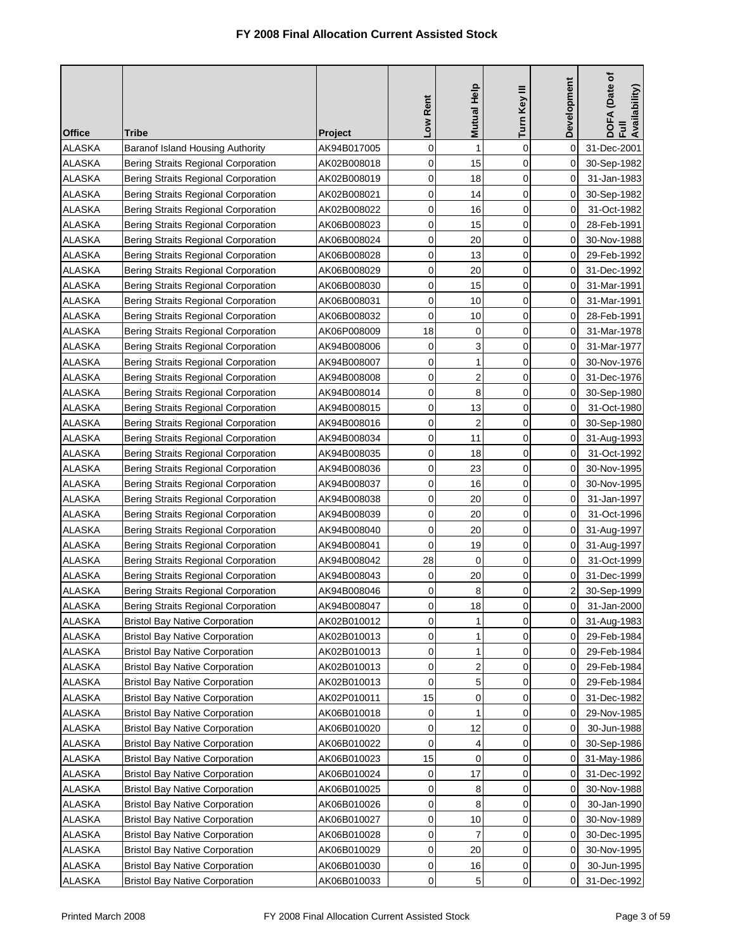| <b>Office</b> | Tribe                                      | <b>Project</b>             | Low Rent       | Mutual Help      | Turn Key III   | Development | DOFA (Date of<br>Full<br>Availability) |
|---------------|--------------------------------------------|----------------------------|----------------|------------------|----------------|-------------|----------------------------------------|
| <b>ALASKA</b> | Baranof Island Housing Authority           |                            | 0              | $\mathbf{1}$     | $\mathbf 0$    | 0           | 31-Dec-2001                            |
| <b>ALASKA</b> | Bering Straits Regional Corporation        | AK94B017005<br>AK02B008018 | 0              | 15               | 0              | 0           | 30-Sep-1982                            |
| <b>ALASKA</b> | Bering Straits Regional Corporation        | AK02B008019                | 0              | 18               | 0              | 0           | 31-Jan-1983                            |
| <b>ALASKA</b> | Bering Straits Regional Corporation        | AK02B008021                | 0              | 14               | $\overline{0}$ | 0           | 30-Sep-1982                            |
| <b>ALASKA</b> | Bering Straits Regional Corporation        | AK02B008022                | 0              | 16               | 0              | 0           | 31-Oct-1982                            |
| <b>ALASKA</b> | Bering Straits Regional Corporation        | AK06B008023                | 0              | 15               | $\mathbf 0$    | 0           | 28-Feb-1991                            |
| <b>ALASKA</b> | Bering Straits Regional Corporation        | AK06B008024                | 0              | 20               | 0              | 0           | 30-Nov-1988                            |
| <b>ALASKA</b> | Bering Straits Regional Corporation        | AK06B008028                | 0              | 13               | 0              | 0           | 29-Feb-1992                            |
| <b>ALASKA</b> | Bering Straits Regional Corporation        | AK06B008029                | 0              | 20               | $\mathbf 0$    | 0           | 31-Dec-1992                            |
| <b>ALASKA</b> | Bering Straits Regional Corporation        | AK06B008030                | 0              | 15               | 0              | 0           | 31-Mar-1991                            |
| <b>ALASKA</b> | Bering Straits Regional Corporation        | AK06B008031                | 0              | 10               | 0              | 0           | 31-Mar-1991                            |
| <b>ALASKA</b> | Bering Straits Regional Corporation        | AK06B008032                | 0              | 10               | 0              | 0           | 28-Feb-1991                            |
| <b>ALASKA</b> | Bering Straits Regional Corporation        | AK06P008009                | 18             | 0                | 0              | 0           | 31-Mar-1978                            |
| <b>ALASKA</b> | Bering Straits Regional Corporation        | AK94B008006                | 0              | 3                | 0              | 0           | 31-Mar-1977                            |
| <b>ALASKA</b> | Bering Straits Regional Corporation        | AK94B008007                | $\mathbf 0$    | $\mathbf{1}$     | 0              | 0           | 30-Nov-1976                            |
| <b>ALASKA</b> | Bering Straits Regional Corporation        | AK94B008008                | 0              | $\overline{c}$   | 0              | 0           | 31-Dec-1976                            |
| <b>ALASKA</b> | Bering Straits Regional Corporation        | AK94B008014                | 0              | 8                | $\mathbf 0$    | 0           | 30-Sep-1980                            |
| <b>ALASKA</b> | Bering Straits Regional Corporation        | AK94B008015                | 0              | 13               | 0              | 0           | 31-Oct-1980                            |
| <b>ALASKA</b> | Bering Straits Regional Corporation        | AK94B008016                | $\mathbf 0$    | $\overline{2}$   | 0              | 0           | 30-Sep-1980                            |
| <b>ALASKA</b> | Bering Straits Regional Corporation        | AK94B008034                | 0              | 11               | 0              | 0           | 31-Aug-1993                            |
| <b>ALASKA</b> | <b>Bering Straits Regional Corporation</b> | AK94B008035                | 0              | 18               | 0              | 0           | 31-Oct-1992                            |
| <b>ALASKA</b> | Bering Straits Regional Corporation        | AK94B008036                | 0              | 23               | 0              | 0           | 30-Nov-1995                            |
| <b>ALASKA</b> | Bering Straits Regional Corporation        | AK94B008037                | 0              | 16               | 0              | 0           | 30-Nov-1995                            |
| <b>ALASKA</b> | Bering Straits Regional Corporation        | AK94B008038                | 0              | 20               | 0              | 0           | 31-Jan-1997                            |
| <b>ALASKA</b> | Bering Straits Regional Corporation        | AK94B008039                | 0              | 20               | 0              | 0           | 31-Oct-1996                            |
| <b>ALASKA</b> | Bering Straits Regional Corporation        | AK94B008040                | 0              | 20               | 0              | 0           | 31-Aug-1997                            |
| <b>ALASKA</b> | Bering Straits Regional Corporation        | AK94B008041                | $\mathbf 0$    | 19               | 0              | 0           | 31-Aug-1997                            |
| <b>ALASKA</b> | Bering Straits Regional Corporation        | AK94B008042                | 28             | 0                | 0              | 0           | 31-Oct-1999                            |
| <b>ALASKA</b> | Bering Straits Regional Corporation        | AK94B008043                | 0              | 20               | 0              | 0           | 31-Dec-1999                            |
| <b>ALASKA</b> | Bering Straits Regional Corporation        | AK94B008046                | 0              | 8                | 0              | 2           | 30-Sep-1999                            |
| <b>ALASKA</b> | Bering Straits Regional Corporation        | AK94B008047                | $\overline{0}$ | 18               | 0              | $\mathbf 0$ | 31-Jan-2000                            |
| ALASKA        | <b>Bristol Bay Native Corporation</b>      | AK02B010012                | 0              | 1                | 0              | 0           | 31-Aug-1983                            |
| <b>ALASKA</b> | <b>Bristol Bay Native Corporation</b>      | AK02B010013                | 0              | 1                | 0              | 0           | 29-Feb-1984                            |
| <b>ALASKA</b> | <b>Bristol Bay Native Corporation</b>      | AK02B010013                | 0              | 1                | 0              | 0           | 29-Feb-1984                            |
| <b>ALASKA</b> | <b>Bristol Bay Native Corporation</b>      | AK02B010013                | 0              | $\boldsymbol{2}$ | 0              | 0           | 29-Feb-1984                            |
| <b>ALASKA</b> | <b>Bristol Bay Native Corporation</b>      | AK02B010013                | 0              | 5                | 0              | 0           | 29-Feb-1984                            |
| <b>ALASKA</b> | <b>Bristol Bay Native Corporation</b>      | AK02P010011                | 15             | 0                | 0              | 0           | 31-Dec-1982                            |
| <b>ALASKA</b> | <b>Bristol Bay Native Corporation</b>      | AK06B010018                | 0              | 1                | 0              | 0           | 29-Nov-1985                            |
| <b>ALASKA</b> | <b>Bristol Bay Native Corporation</b>      | AK06B010020                | 0              | 12               | 0              | 0           | 30-Jun-1988                            |
| <b>ALASKA</b> | <b>Bristol Bay Native Corporation</b>      | AK06B010022                | 0              | 4                | 0              | 0           | 30-Sep-1986                            |
| <b>ALASKA</b> | <b>Bristol Bay Native Corporation</b>      | AK06B010023                | 15             | 0                | 0              | 0           | 31-May-1986                            |
| <b>ALASKA</b> | <b>Bristol Bay Native Corporation</b>      | AK06B010024                | 0              | 17               | 0              | 0           | 31-Dec-1992                            |
| <b>ALASKA</b> | <b>Bristol Bay Native Corporation</b>      | AK06B010025                | 0              | 8                | 0              | 0           | 30-Nov-1988                            |
| <b>ALASKA</b> | <b>Bristol Bay Native Corporation</b>      | AK06B010026                | 0              | 8                | 0              | 0           | 30-Jan-1990                            |
| <b>ALASKA</b> | <b>Bristol Bay Native Corporation</b>      | AK06B010027                | 0              | 10               | 0              | 0           | 30-Nov-1989                            |
| <b>ALASKA</b> | <b>Bristol Bay Native Corporation</b>      | AK06B010028                | 0              | $\overline{7}$   | 0              | 0           | 30-Dec-1995                            |
| <b>ALASKA</b> | <b>Bristol Bay Native Corporation</b>      | AK06B010029                | 0              | 20               | 0              | 0           | 30-Nov-1995                            |
| <b>ALASKA</b> | <b>Bristol Bay Native Corporation</b>      | AK06B010030                | 0              | 16               | 0              | 0           | 30-Jun-1995                            |
| <b>ALASKA</b> | <b>Bristol Bay Native Corporation</b>      | AK06B010033                | 0              | 5                | 0              | 0           | 31-Dec-1992                            |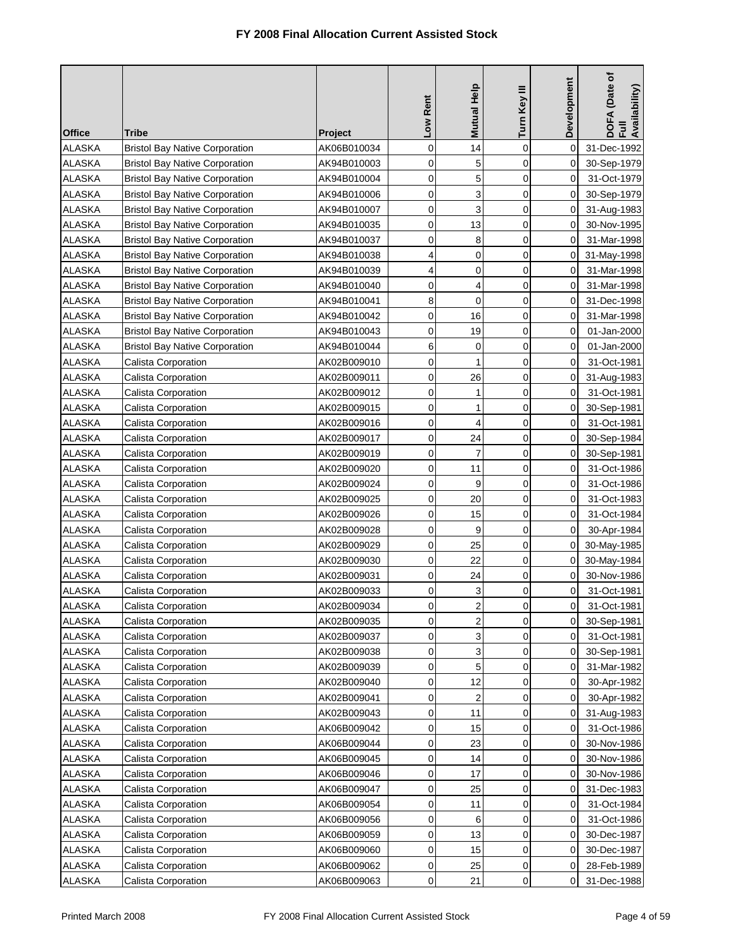|                                |                                                                                |                            | Low Rent    | Mutual Help             | Turn Key III               | <b>Development</b> | DOFA (Date of<br>Full<br>Availability) |
|--------------------------------|--------------------------------------------------------------------------------|----------------------------|-------------|-------------------------|----------------------------|--------------------|----------------------------------------|
| <b>Office</b>                  | <b>Tribe</b>                                                                   | <b>Project</b>             |             |                         |                            |                    |                                        |
| <b>ALASKA</b><br><b>ALASKA</b> | <b>Bristol Bay Native Corporation</b><br><b>Bristol Bay Native Corporation</b> | AK06B010034<br>AK94B010003 | 0<br>0      | 14<br>5                 | $\mathbf 0$<br>$\mathbf 0$ | 0<br>0             | 31-Dec-1992                            |
| <b>ALASKA</b>                  | <b>Bristol Bay Native Corporation</b>                                          | AK94B010004                | 0           | 5                       | $\mathbf 0$                | $\Omega$           | 30-Sep-1979<br>31-Oct-1979             |
| <b>ALASKA</b>                  | <b>Bristol Bay Native Corporation</b>                                          | AK94B010006                | 0           | 3                       | $\overline{0}$             | $\Omega$           | 30-Sep-1979                            |
| <b>ALASKA</b>                  | <b>Bristol Bay Native Corporation</b>                                          | AK94B010007                | 0           | 3                       | $\mathbf 0$                | 0                  | 31-Aug-1983                            |
| <b>ALASKA</b>                  | <b>Bristol Bay Native Corporation</b>                                          | AK94B010035                | 0           | 13                      | $\mathbf 0$                | 0                  | 30-Nov-1995                            |
| <b>ALASKA</b>                  | <b>Bristol Bay Native Corporation</b>                                          | AK94B010037                | 0           | 8                       | 0                          | 0                  | 31-Mar-1998                            |
| <b>ALASKA</b>                  | <b>Bristol Bay Native Corporation</b>                                          | AK94B010038                | 4           | $\mathbf 0$             | $\mathbf 0$                | 0                  | 31-May-1998                            |
| <b>ALASKA</b>                  | <b>Bristol Bay Native Corporation</b>                                          | AK94B010039                | 4           | 0                       | $\mathbf 0$                | 0                  | 31-Mar-1998                            |
| <b>ALASKA</b>                  | <b>Bristol Bay Native Corporation</b>                                          | AK94B010040                | 0           | 4                       | $\mathbf 0$                | 0                  | 31-Mar-1998                            |
| <b>ALASKA</b>                  | <b>Bristol Bay Native Corporation</b>                                          | AK94B010041                | 8           | 0                       | $\mathbf 0$                | 0                  | 31-Dec-1998                            |
| <b>ALASKA</b>                  | <b>Bristol Bay Native Corporation</b>                                          | AK94B010042                | 0           | 16                      | 0                          | 0                  | 31-Mar-1998                            |
| <b>ALASKA</b>                  | <b>Bristol Bay Native Corporation</b>                                          | AK94B010043                | 0           | 19                      | 0                          | 0                  | 01-Jan-2000                            |
| <b>ALASKA</b>                  | <b>Bristol Bay Native Corporation</b>                                          | AK94B010044                | 6           | 0                       | $\mathbf 0$                | 0                  | 01-Jan-2000                            |
| <b>ALASKA</b>                  | Calista Corporation                                                            | AK02B009010                | $\mathbf 0$ | 1                       | $\mathbf 0$                | 0                  | 31-Oct-1981                            |
| <b>ALASKA</b>                  | Calista Corporation                                                            | AK02B009011                | 0           | 26                      | $\mathbf 0$                | 0                  | 31-Aug-1983                            |
| <b>ALASKA</b>                  | Calista Corporation                                                            | AK02B009012                | 0           | 1                       | $\mathbf 0$                | 0                  | 31-Oct-1981                            |
| <b>ALASKA</b>                  | Calista Corporation                                                            | AK02B009015                | 0           | $\mathbf{1}$            | $\mathbf 0$                | 0                  | 30-Sep-1981                            |
| <b>ALASKA</b>                  | Calista Corporation                                                            | AK02B009016                | 0           | $\overline{4}$          | $\mathbf 0$                | $\Omega$           | 31-Oct-1981                            |
| <b>ALASKA</b>                  | Calista Corporation                                                            | AK02B009017                | 0           | 24                      | $\mathbf 0$                | 0                  | 30-Sep-1984                            |
| <b>ALASKA</b>                  | <b>Calista Corporation</b>                                                     | AK02B009019                | 0           | $\overline{7}$          | $\mathbf 0$                | 0                  | 30-Sep-1981                            |
| <b>ALASKA</b>                  | Calista Corporation                                                            | AK02B009020                | 0           | 11                      | $\mathbf 0$                | 0                  | 31-Oct-1986                            |
| <b>ALASKA</b>                  | Calista Corporation                                                            | AK02B009024                | 0           | 9                       | $\mathbf 0$                | 0                  | 31-Oct-1986                            |
| <b>ALASKA</b>                  | Calista Corporation                                                            | AK02B009025                | 0           | 20                      | $\mathbf 0$                | 0                  | 31-Oct-1983                            |
| <b>ALASKA</b>                  | Calista Corporation                                                            | AK02B009026                | 0           | 15                      | $\mathbf 0$                | 0                  | 31-Oct-1984                            |
| <b>ALASKA</b>                  | <b>Calista Corporation</b>                                                     | AK02B009028                | 0           | 9                       | $\mathbf 0$                | 0                  | 30-Apr-1984                            |
| <b>ALASKA</b>                  | <b>Calista Corporation</b>                                                     | AK02B009029                | 0           | 25                      | $\mathbf 0$                | 0                  | 30-May-1985                            |
| <b>ALASKA</b>                  | Calista Corporation                                                            | AK02B009030                | 0           | 22                      | 0                          | 0                  | 30-May-1984                            |
| <b>ALASKA</b>                  | Calista Corporation                                                            | AK02B009031                | 0           | 24                      | 0                          | 0                  | 30-Nov-1986                            |
| <b>ALASKA</b>                  | Calista Corporation                                                            | AK02B009033                | 0           | 3                       | 0                          | 0                  | 31-Oct-1981                            |
| <b>ALASKA</b>                  | Calista Corporation                                                            | AK02B009034                | 0           | $\overline{\mathbf{c}}$ | 0                          | $\pmb{0}$          | 31-Oct-1981                            |
| <b>ALASKA</b>                  | Calista Corporation                                                            | AK02B009035                | 0           | $\overline{2}$          | $\mathbf 0$                | 0                  | 30-Sep-1981                            |
| <b>ALASKA</b>                  | <b>Calista Corporation</b>                                                     | AK02B009037                | 0           | 3                       | 0                          | 0                  | 31-Oct-1981                            |
| <b>ALASKA</b>                  | Calista Corporation                                                            | AK02B009038                | 0           | 3                       | $\mathbf 0$                | 0                  | 30-Sep-1981                            |
| <b>ALASKA</b>                  | <b>Calista Corporation</b>                                                     | AK02B009039                | 0           | 5                       | $\mathbf 0$                | 0                  | 31-Mar-1982                            |
| <b>ALASKA</b>                  | Calista Corporation                                                            | AK02B009040                | 0           | 12                      | 0                          | 0                  | 30-Apr-1982                            |
| <b>ALASKA</b>                  | <b>Calista Corporation</b>                                                     | AK02B009041                | 0           | $\overline{c}$          | $\mathbf 0$                | 0                  | 30-Apr-1982                            |
| <b>ALASKA</b>                  | Calista Corporation                                                            | AK02B009043                | 0           | 11                      | 0                          | 0                  | 31-Aug-1983                            |
| <b>ALASKA</b>                  | Calista Corporation                                                            | AK06B009042                | 0           | 15                      | $\mathbf 0$                | 0                  | 31-Oct-1986                            |
| <b>ALASKA</b>                  | Calista Corporation                                                            | AK06B009044                | 0           | 23                      | 0                          | 0                  | 30-Nov-1986                            |
| <b>ALASKA</b>                  | Calista Corporation                                                            | AK06B009045                | 0           | 14                      | 0                          | 0                  | 30-Nov-1986                            |
| <b>ALASKA</b>                  | Calista Corporation                                                            | AK06B009046                | 0           | 17                      | 0                          | 0                  | 30-Nov-1986                            |
| <b>ALASKA</b>                  | <b>Calista Corporation</b>                                                     | AK06B009047                | 0           | 25                      | 0                          | 0                  | 31-Dec-1983                            |
| <b>ALASKA</b>                  | Calista Corporation                                                            | AK06B009054                | $\mathbf 0$ | 11                      | $\mathbf 0$                | 0                  | 31-Oct-1984                            |
| <b>ALASKA</b>                  | <b>Calista Corporation</b>                                                     | AK06B009056                | 0           | 6                       | $\mathbf 0$                | 0                  | 31-Oct-1986                            |
| <b>ALASKA</b>                  | <b>Calista Corporation</b>                                                     | AK06B009059                | 0           | 13                      | 0                          | 0                  | 30-Dec-1987                            |
| <b>ALASKA</b>                  | Calista Corporation                                                            | AK06B009060                | 0           | 15                      | 0                          | 0                  | 30-Dec-1987                            |
| <b>ALASKA</b>                  | Calista Corporation                                                            | AK06B009062                | 0           | 25                      | 0                          | 0                  | 28-Feb-1989                            |
| <b>ALASKA</b>                  | Calista Corporation                                                            | AK06B009063                | 0           | 21                      | 0                          | 0                  | 31-Dec-1988                            |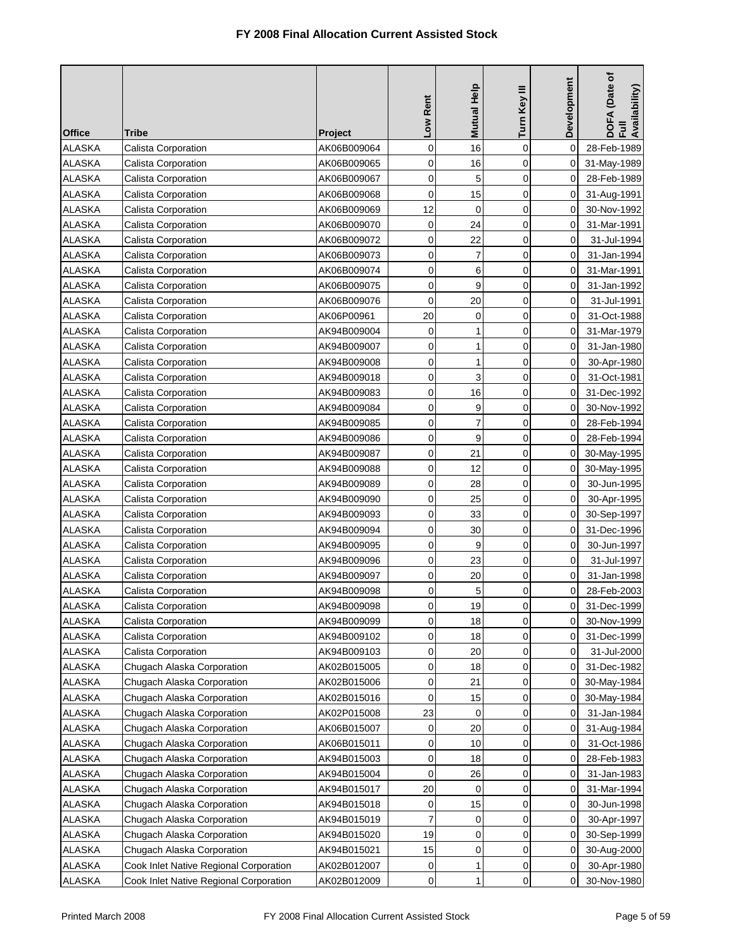| <b>Office</b> | Tribe                                  | <b>Project</b> | Low Rent    | <b>Mutual Help</b> | Turn Key III   | Development    | DOFA (Date of<br>Full<br>Availability) |
|---------------|----------------------------------------|----------------|-------------|--------------------|----------------|----------------|----------------------------------------|
| <b>ALASKA</b> | Calista Corporation                    | AK06B009064    | 0           | 16                 | $\mathbf 0$    | 0              | 28-Feb-1989                            |
| <b>ALASKA</b> | Calista Corporation                    | AK06B009065    | 0           | 16                 | $\mathbf 0$    | 0              | 31-May-1989                            |
| <b>ALASKA</b> | Calista Corporation                    | AK06B009067    | $\mathbf 0$ | 5                  | $\mathbf 0$    | 0              | 28-Feb-1989                            |
| <b>ALASKA</b> | Calista Corporation                    | AK06B009068    | $\mathbf 0$ | 15                 | $\mathbf 0$    | 0              | 31-Aug-1991                            |
| <b>ALASKA</b> | <b>Calista Corporation</b>             | AK06B009069    | 12          | $\mathbf 0$        | $\mathbf 0$    | 0              | 30-Nov-1992                            |
| <b>ALASKA</b> | <b>Calista Corporation</b>             | AK06B009070    | 0           | 24                 | 0              | 0              | 31-Mar-1991                            |
| <b>ALASKA</b> | Calista Corporation                    | AK06B009072    | 0           | 22                 | $\mathbf 0$    | 0              | 31-Jul-1994                            |
| <b>ALASKA</b> | Calista Corporation                    | AK06B009073    | 0           | 7                  | $\mathbf 0$    | 0              | 31-Jan-1994                            |
| <b>ALASKA</b> | Calista Corporation                    | AK06B009074    | 0           | 6                  | $\overline{0}$ | 0              | 31-Mar-1991                            |
| <b>ALASKA</b> | Calista Corporation                    | AK06B009075    | 0           | 9                  | 0              | 0              | 31-Jan-1992                            |
| <b>ALASKA</b> | <b>Calista Corporation</b>             | AK06B009076    | 0           | 20                 | 0              | 0              | 31-Jul-1991                            |
| <b>ALASKA</b> | Calista Corporation                    | AK06P00961     | 20          | $\mathbf 0$        | 0              | 0              | 31-Oct-1988                            |
| <b>ALASKA</b> | <b>Calista Corporation</b>             | AK94B009004    | 0           | 1                  | 0              | 0              | 31-Mar-1979                            |
| <b>ALASKA</b> | Calista Corporation                    | AK94B009007    | 0           | 1                  | 0              | 0              | 31-Jan-1980                            |
| <b>ALASKA</b> | Calista Corporation                    | AK94B009008    | $\mathbf 0$ | 1                  | $\mathbf 0$    | 0              | 30-Apr-1980                            |
| <b>ALASKA</b> | Calista Corporation                    | AK94B009018    | 0           | 3                  | 0              | 0              | 31-Oct-1981                            |
| <b>ALASKA</b> | Calista Corporation                    | AK94B009083    | $\mathbf 0$ | 16                 | $\mathbf 0$    | 0              | 31-Dec-1992                            |
| <b>ALASKA</b> | Calista Corporation                    | AK94B009084    | 0           | 9                  | $\mathbf 0$    | 0              | 30-Nov-1992                            |
| <b>ALASKA</b> | <b>Calista Corporation</b>             | AK94B009085    | $\mathbf 0$ | $\overline{7}$     | $\mathbf 0$    | 0              | 28-Feb-1994                            |
| <b>ALASKA</b> | <b>Calista Corporation</b>             | AK94B009086    | 0           | 9                  | 0              | 0              | 28-Feb-1994                            |
| <b>ALASKA</b> | Calista Corporation                    | AK94B009087    | 0           | 21                 | $\mathbf 0$    | 0              | 30-May-1995                            |
| <b>ALASKA</b> | Calista Corporation                    | AK94B009088    | 0           | 12                 | 0              | 0              | 30-May-1995                            |
| <b>ALASKA</b> | Calista Corporation                    | AK94B009089    | $\mathbf 0$ | 28                 | 0              | 0              | 30-Jun-1995                            |
| <b>ALASKA</b> | Calista Corporation                    | AK94B009090    | 0           | 25                 | 0              | 0              | 30-Apr-1995                            |
| <b>ALASKA</b> | Calista Corporation                    | AK94B009093    | 0           | 33                 | 0              | 0              | 30-Sep-1997                            |
| <b>ALASKA</b> | Calista Corporation                    | AK94B009094    | 0           | 30                 | 0              | 0              | 31-Dec-1996                            |
| <b>ALASKA</b> | Calista Corporation                    | AK94B009095    | 0           | 9                  | $\mathbf 0$    | 0              | 30-Jun-1997                            |
| <b>ALASKA</b> | Calista Corporation                    | AK94B009096    | 0           | 23                 | 0              | 0              | 31-Jul-1997                            |
| <b>ALASKA</b> | Calista Corporation                    | AK94B009097    | 0           | 20                 | 0              | 0              | 31-Jan-1998                            |
| <b>ALASKA</b> | Calista Corporation                    | AK94B009098    | 0           | 5                  | 0              | 0              | 28-Feb-2003                            |
| <b>ALASKA</b> | Calista Corporation                    | AK94B009098    | 0           | 19                 | 0              | $\overline{0}$ | 31-Dec-1999                            |
| <b>ALASKA</b> | Calista Corporation                    | AK94B009099    | $\mathbf 0$ | 18                 | 0              | 0              | 30-Nov-1999                            |
| ALASKA        | Calista Corporation                    | AK94B009102    | 0           | 18                 | 0              | 0              | 31-Dec-1999                            |
| ALASKA        | Calista Corporation                    | AK94B009103    | 0           | 20                 | 0              | 0              | 31-Jul-2000                            |
| <b>ALASKA</b> | Chugach Alaska Corporation             | AK02B015005    | 0           | 18                 | 0              | 0              | 31-Dec-1982                            |
| <b>ALASKA</b> | Chugach Alaska Corporation             | AK02B015006    | 0           | 21                 | 0              | 0              | 30-May-1984                            |
| ALASKA        | Chugach Alaska Corporation             | AK02B015016    | 0           | 15                 | 0              | 0              | 30-May-1984                            |
| <b>ALASKA</b> | Chugach Alaska Corporation             | AK02P015008    | 23          | 0                  | 0              | 0              | 31-Jan-1984                            |
| <b>ALASKA</b> | Chugach Alaska Corporation             | AK06B015007    | 0           | 20                 | 0              | 0              | 31-Aug-1984                            |
| <b>ALASKA</b> | Chugach Alaska Corporation             | AK06B015011    | 0           | 10                 | 0              | 0              | 31-Oct-1986                            |
| ALASKA        | Chugach Alaska Corporation             | AK94B015003    | 0           | 18                 | 0              | 0              | 28-Feb-1983                            |
| <b>ALASKA</b> | Chugach Alaska Corporation             | AK94B015004    | 0           | 26                 | 0              | 0              | 31-Jan-1983                            |
| <b>ALASKA</b> | Chugach Alaska Corporation             | AK94B015017    | 20          | 0                  | $\mathbf 0$    | 0              | 31-Mar-1994                            |
| <b>ALASKA</b> | Chugach Alaska Corporation             | AK94B015018    | 0           | 15                 | 0              | 0              | 30-Jun-1998                            |
| ALASKA        | Chugach Alaska Corporation             | AK94B015019    | 7           | 0                  | 0              | 0              | 30-Apr-1997                            |
| ALASKA        | Chugach Alaska Corporation             | AK94B015020    | 19          | 0                  | 0              | 0              | 30-Sep-1999                            |
| ALASKA        | Chugach Alaska Corporation             | AK94B015021    | 15          | 0                  | 0              | 0              | 30-Aug-2000                            |
| ALASKA        | Cook Inlet Native Regional Corporation | AK02B012007    | 0           | 1                  | 0              | 0              | 30-Apr-1980                            |
| <b>ALASKA</b> | Cook Inlet Native Regional Corporation | AK02B012009    | 0           | 1                  | 0              | 0              | 30-Nov-1980                            |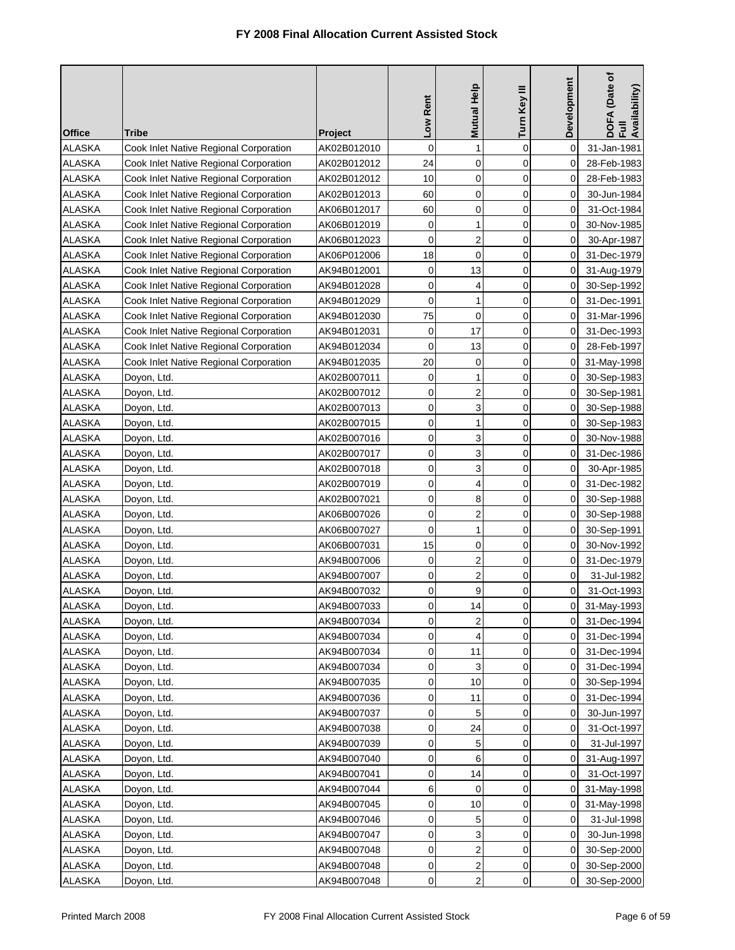|                                |                                                                                  |                            | Low Rent            | Mutual Help             | Turn Key III     | Development | DOFA (Date of<br>Full<br>Availability) |
|--------------------------------|----------------------------------------------------------------------------------|----------------------------|---------------------|-------------------------|------------------|-------------|----------------------------------------|
| <b>Office</b>                  | Tribe                                                                            | <b>Project</b>             |                     |                         |                  |             |                                        |
| <b>ALASKA</b>                  | Cook Inlet Native Regional Corporation                                           | AK02B012010                | $\mathbf 0$<br>24   | 1<br>0                  | $\mathbf 0$<br>0 | 0           | 31-Jan-1981                            |
| <b>ALASKA</b><br><b>ALASKA</b> | Cook Inlet Native Regional Corporation<br>Cook Inlet Native Regional Corporation | AK02B012012<br>AK02B012012 | 10                  | 0                       | 0                | 0<br>0      | 28-Feb-1983<br>28-Feb-1983             |
| <b>ALASKA</b>                  | Cook Inlet Native Regional Corporation                                           | AK02B012013                | 60                  | $\mathbf 0$             | $\mathbf 0$      | 0           | 30-Jun-1984                            |
| <b>ALASKA</b>                  | Cook Inlet Native Regional Corporation                                           | AK06B012017                | 60                  | 0                       | 0                | 0           | 31-Oct-1984                            |
| <b>ALASKA</b>                  | Cook Inlet Native Regional Corporation                                           | AK06B012019                | 0                   | 1                       | $\mathbf 0$      | 0           | 30-Nov-1985                            |
| ALASKA                         | Cook Inlet Native Regional Corporation                                           | AK06B012023                | 0                   | $\overline{2}$          | $\mathbf 0$      | 0           | 30-Apr-1987                            |
| <b>ALASKA</b>                  | Cook Inlet Native Regional Corporation                                           | AK06P012006                | 18                  | $\mathbf 0$             | $\mathbf 0$      | 0           | 31-Dec-1979                            |
| <b>ALASKA</b>                  | Cook Inlet Native Regional Corporation                                           | AK94B012001                | 0                   | 13                      | $\mathbf 0$      | 0           | 31-Aug-1979                            |
| <b>ALASKA</b>                  | Cook Inlet Native Regional Corporation                                           | AK94B012028                | 0                   | 4                       | 0                | 0           | 30-Sep-1992                            |
| <b>ALASKA</b>                  | Cook Inlet Native Regional Corporation                                           | AK94B012029                | 0                   | 1                       | 0                | 0           | 31-Dec-1991                            |
| <b>ALASKA</b>                  | Cook Inlet Native Regional Corporation                                           | AK94B012030                | 75                  | $\mathbf 0$             | 0                | 0           | 31-Mar-1996                            |
| <b>ALASKA</b>                  | Cook Inlet Native Regional Corporation                                           | AK94B012031                | 0                   | 17                      | $\mathbf 0$      | 0           | 31-Dec-1993                            |
| <b>ALASKA</b>                  | Cook Inlet Native Regional Corporation                                           | AK94B012034                | $\mathbf 0$         | 13                      | $\mathbf 0$      | 0           | 28-Feb-1997                            |
| <b>ALASKA</b>                  | Cook Inlet Native Regional Corporation                                           | AK94B012035                | 20                  | 0                       | 0                | 0           | 31-May-1998                            |
| <b>ALASKA</b>                  | Doyon, Ltd.                                                                      | AK02B007011                | 0                   | 1                       | 0                | 0           | 30-Sep-1983                            |
| <b>ALASKA</b>                  | Doyon, Ltd.                                                                      | AK02B007012                | 0                   | $\overline{\mathbf{c}}$ | $\mathbf 0$      | 0           | 30-Sep-1981                            |
| <b>ALASKA</b>                  | Doyon, Ltd.                                                                      | AK02B007013                | 0                   | 3                       | 0                | 0           | 30-Sep-1988                            |
| <b>ALASKA</b>                  | Doyon, Ltd.                                                                      | AK02B007015                | 0                   | 1                       | 0                | 0           | 30-Sep-1983                            |
| ALASKA                         | Doyon, Ltd.                                                                      | AK02B007016                | 0                   | 3                       | 0                | 0           | 30-Nov-1988                            |
| <b>ALASKA</b>                  | Doyon, Ltd.                                                                      | AK02B007017                | 0                   | 3                       | $\mathbf 0$      | 0           | 31-Dec-1986                            |
| <b>ALASKA</b>                  | Doyon, Ltd.                                                                      | AK02B007018                | 0                   | 3                       | 0                | 0           | 30-Apr-1985                            |
| <b>ALASKA</b>                  | Doyon, Ltd.                                                                      | AK02B007019                | 0                   | 4                       | 0                | 0           | 31-Dec-1982                            |
| ALASKA                         | Doyon, Ltd.                                                                      | AK02B007021                | 0                   | 8                       | 0                | 0           | 30-Sep-1988                            |
| <b>ALASKA</b>                  | Doyon, Ltd.                                                                      | AK06B007026                | 0                   | $\boldsymbol{2}$        | 0                | 0           | 30-Sep-1988                            |
| <b>ALASKA</b>                  | Doyon, Ltd.                                                                      | AK06B007027                | 0                   | 1                       | 0                | 0           | 30-Sep-1991                            |
| <b>ALASKA</b>                  | Doyon, Ltd.                                                                      | AK06B007031                | 15                  | $\mathbf 0$             | 0                | 0           | 30-Nov-1992                            |
| <b>ALASKA</b>                  | Doyon, Ltd.                                                                      | AK94B007006                | 0                   | $\overline{2}$          | 0                | 0           | 31-Dec-1979                            |
| <b>ALASKA</b>                  | Doyon, Ltd.                                                                      | AK94B007007                | 0                   | $\overline{2}$          | $\mathbf 0$      | 0           | 31-Jul-1982                            |
| <b>ALASKA</b>                  | Doyon, Ltd.                                                                      | AK94B007032                | 0                   | 9                       | 0                | 0           | 31-Oct-1993                            |
| <b>ALASKA</b>                  | Doyon, Ltd.                                                                      | AK94B007033                | $\mathsf{O}\xspace$ | 14                      | $\pmb{0}$        | 0           | 31-May-1993                            |
| <b>ALASKA</b>                  | Doyon, Ltd.                                                                      | AK94B007034                | 0                   | 2                       | $\Omega$         | 0           | 31-Dec-1994                            |
| ALASKA                         | Doyon, Ltd.                                                                      | AK94B007034                | 0                   | 4                       | 0                | 0           | 31-Dec-1994                            |
| ALASKA                         | Doyon, Ltd.                                                                      | AK94B007034                | 0                   | 11                      | 0                | 0           | 31-Dec-1994                            |
| ALASKA                         | Doyon, Ltd.                                                                      | AK94B007034                | 0                   | 3                       | 0                | 0           | 31-Dec-1994                            |
| <b>ALASKA</b>                  | Doyon, Ltd.                                                                      | AK94B007035                | 0                   | 10                      | 0                | 0           | 30-Sep-1994                            |
| <b>ALASKA</b>                  | Doyon, Ltd.                                                                      | AK94B007036                | 0                   | 11                      | 0                | 0           | 31-Dec-1994                            |
| <b>ALASKA</b>                  | Doyon, Ltd.                                                                      | AK94B007037                | 0                   | 5                       | 0                | 0           | 30-Jun-1997                            |
| <b>ALASKA</b>                  | Doyon, Ltd.                                                                      | AK94B007038                | 0                   | 24                      | 0                | 0           | 31-Oct-1997                            |
| ALASKA                         | Doyon, Ltd.                                                                      | AK94B007039                | 0                   | 5                       | $\mathbf 0$      | 0           | 31-Jul-1997                            |
| ALASKA                         | Doyon, Ltd.                                                                      | AK94B007040                | 0                   | 6                       | 0                | 0           | 31-Aug-1997                            |
| ALASKA                         | Doyon, Ltd.                                                                      | AK94B007041                | 0                   | 14                      | 0                | 0           | 31-Oct-1997                            |
| <b>ALASKA</b>                  | Doyon, Ltd.                                                                      | AK94B007044                | 6                   | 0                       | 0                | 0           | 31-May-1998                            |
| <b>ALASKA</b>                  | Doyon, Ltd.                                                                      | AK94B007045                | 0                   | 10                      | 0                | 0           | 31-May-1998                            |
| <b>ALASKA</b>                  | Doyon, Ltd.                                                                      | AK94B007046                | 0                   | 5                       | 0                | 0           | 31-Jul-1998                            |
| ALASKA                         | Doyon, Ltd.                                                                      | AK94B007047                | 0                   | 3                       | $\mathbf 0$      | 0           | 30-Jun-1998                            |
| ALASKA                         | Doyon, Ltd.                                                                      | AK94B007048                | 0                   | $\overline{\mathbf{c}}$ | 0                | 0           | 30-Sep-2000                            |
| ALASKA                         | Doyon, Ltd.                                                                      | AK94B007048                | 0                   | $\boldsymbol{2}$        | 0                | 0           | 30-Sep-2000                            |
| ALASKA                         | Doyon, Ltd.                                                                      | AK94B007048                | 0                   | $\boldsymbol{2}$        | 0                | 0           | 30-Sep-2000                            |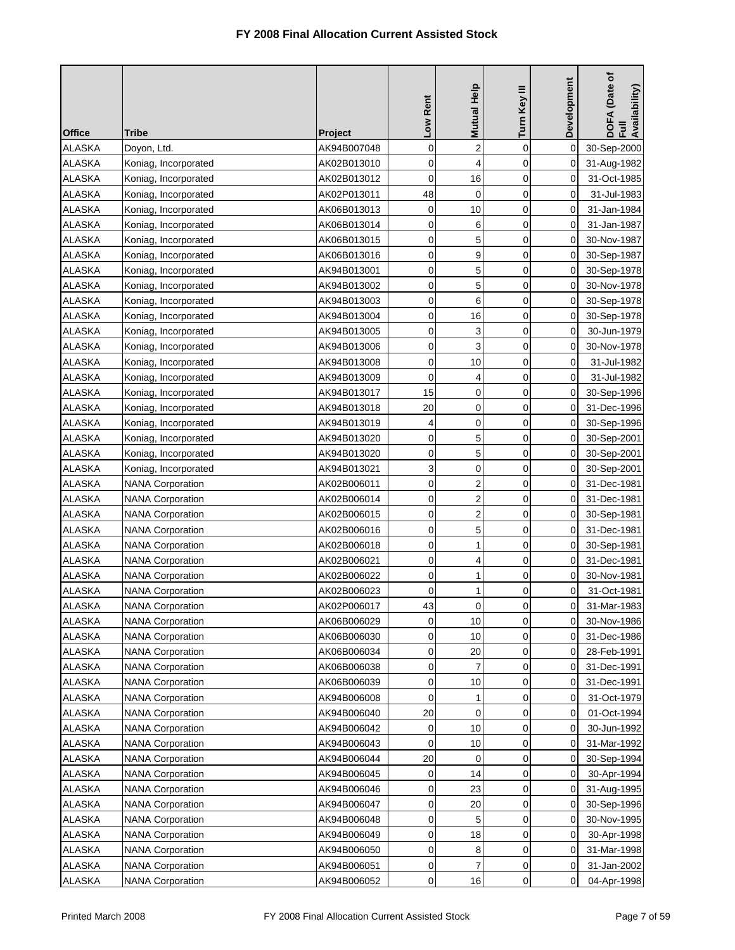| <b>Office</b> | Tribe                   | <b>Project</b> | Low Rent    | <b>Mutual Help</b>      | Turn Key III   | Development    | DOFA (Date of<br>Full<br>Availability) |
|---------------|-------------------------|----------------|-------------|-------------------------|----------------|----------------|----------------------------------------|
| <b>ALASKA</b> | Doyon, Ltd.             | AK94B007048    | 0           | $\overline{c}$          | $\mathbf 0$    | 0              | 30-Sep-2000                            |
| <b>ALASKA</b> | Koniag, Incorporated    | AK02B013010    | 0           | 4                       | 0              | 0              | 31-Aug-1982                            |
| <b>ALASKA</b> | Koniag, Incorporated    | AK02B013012    | $\mathbf 0$ | 16                      | 0              | 0              | 31-Oct-1985                            |
| <b>ALASKA</b> | Koniag, Incorporated    | AK02P013011    | 48          | $\mathbf 0$             | $\mathbf 0$    | 0              | 31-Jul-1983                            |
| <b>ALASKA</b> | Koniag, Incorporated    | AK06B013013    | 0           | 10                      | $\mathbf 0$    | 0              | 31-Jan-1984                            |
| <b>ALASKA</b> | Koniag, Incorporated    | AK06B013014    | 0           | 6                       | $\mathbf 0$    | 0              | 31-Jan-1987                            |
| <b>ALASKA</b> | Koniag, Incorporated    | AK06B013015    | 0           | 5                       | 0              | 0              | 30-Nov-1987                            |
| <b>ALASKA</b> | Koniag, Incorporated    | AK06B013016    | 0           | 9                       | 0              | 0              | 30-Sep-1987                            |
| <b>ALASKA</b> | Koniag, Incorporated    | AK94B013001    | 0           | 5                       | $\overline{0}$ | 0              | 30-Sep-1978                            |
| <b>ALASKA</b> | Koniag, Incorporated    | AK94B013002    | 0           | 5                       | 0              | 0              | 30-Nov-1978                            |
| <b>ALASKA</b> | Koniag, Incorporated    | AK94B013003    | $\mathbf 0$ | 6                       | 0              | 0              | 30-Sep-1978                            |
| <b>ALASKA</b> | Koniag, Incorporated    | AK94B013004    | 0           | 16                      | 0              | 0              | 30-Sep-1978                            |
| <b>ALASKA</b> | Koniag, Incorporated    | AK94B013005    | 0           | 3                       | $\overline{0}$ | 0              | 30-Jun-1979                            |
| ALASKA        | Koniag, Incorporated    | AK94B013006    | 0           | 3                       | 0              | 0              | 30-Nov-1978                            |
| ALASKA        | Koniag, Incorporated    | AK94B013008    | $\mathbf 0$ | 10                      | 0              | 0              | 31-Jul-1982                            |
| ALASKA        | Koniag, Incorporated    | AK94B013009    | 0           | 4                       | 0              | 0              | 31-Jul-1982                            |
| <b>ALASKA</b> | Koniag, Incorporated    | AK94B013017    | 15          | 0                       | $\overline{0}$ | 0              | 30-Sep-1996                            |
| <b>ALASKA</b> | Koniag, Incorporated    | AK94B013018    | 20          | 0                       | $\overline{0}$ | 0              | 31-Dec-1996                            |
| <b>ALASKA</b> | Koniag, Incorporated    | AK94B013019    | 4           | 0                       | 0              | 0              | 30-Sep-1996                            |
| <b>ALASKA</b> | Koniag, Incorporated    | AK94B013020    | 0           | 5                       | 0              | 0              | 30-Sep-2001                            |
| <b>ALASKA</b> | Koniag, Incorporated    | AK94B013020    | 0           | 5                       | $\mathbf 0$    | 0              | 30-Sep-2001                            |
| <b>ALASKA</b> | Koniag, Incorporated    | AK94B013021    | 3           | 0                       | $\mathbf 0$    | 0              | 30-Sep-2001                            |
| ALASKA        | <b>NANA Corporation</b> | AK02B006011    | $\mathbf 0$ | $\overline{\mathbf{c}}$ | $\mathbf 0$    | 0              | 31-Dec-1981                            |
| ALASKA        | <b>NANA Corporation</b> | AK02B006014    | 0           | $\overline{2}$          | 0              | 0              | 31-Dec-1981                            |
| <b>ALASKA</b> | <b>NANA Corporation</b> | AK02B006015    | 0           | $\overline{\mathbf{c}}$ | 0              | 0              | 30-Sep-1981                            |
| <b>ALASKA</b> | <b>NANA Corporation</b> | AK02B006016    | 0           | 5                       | $\mathbf 0$    | 0              | 31-Dec-1981                            |
| <b>ALASKA</b> | <b>NANA Corporation</b> | AK02B006018    | 0           | 1                       | 0              | 0              | 30-Sep-1981                            |
| <b>ALASKA</b> | <b>NANA Corporation</b> | AK02B006021    | 0           | 4                       | 0              | 0              | 31-Dec-1981                            |
| <b>ALASKA</b> | <b>NANA Corporation</b> | AK02B006022    | 0           | 1                       | 0              | 0              | 30-Nov-1981                            |
| <b>ALASKA</b> | <b>NANA Corporation</b> | AK02B006023    | 0           | 1                       | $\overline{0}$ | 0              | 31-Oct-1981                            |
| <b>ALASKA</b> | <b>NANA Corporation</b> | AK02P006017    | 43          | 0                       | 0              | $\overline{0}$ | 31-Mar-1983                            |
| <b>ALASKA</b> | <b>NANA Corporation</b> | AK06B006029    | 0           | 10                      | 0              | 0              | 30-Nov-1986                            |
| ALASKA        | <b>NANA Corporation</b> | AK06B006030    | 0           | 10                      | 0              | 0              | 31-Dec-1986                            |
| ALASKA        | <b>NANA Corporation</b> | AK06B006034    | 0           | 20                      | 0              | 0              | 28-Feb-1991                            |
| <b>ALASKA</b> | <b>NANA Corporation</b> | AK06B006038    | 0           | 7                       | 0              | 0              | 31-Dec-1991                            |
| <b>ALASKA</b> | <b>NANA Corporation</b> | AK06B006039    | 0           | 10                      | 0              | 0              | 31-Dec-1991                            |
| ALASKA        | <b>NANA Corporation</b> | AK94B006008    | 0           | 1                       | 0              | 0              | 31-Oct-1979                            |
| <b>ALASKA</b> | <b>NANA Corporation</b> | AK94B006040    | 20          | $\mathbf 0$             | 0              | 0              | 01-Oct-1994                            |
| <b>ALASKA</b> | <b>NANA Corporation</b> | AK94B006042    | 0           | 10                      | 0              | 0              | 30-Jun-1992                            |
| <b>ALASKA</b> | <b>NANA Corporation</b> | AK94B006043    | $\mathbf 0$ | 10                      | 0              | 0              | 31-Mar-1992                            |
| ALASKA        | <b>NANA Corporation</b> | AK94B006044    | 20          | 0                       | 0              | 0              | 30-Sep-1994                            |
| <b>ALASKA</b> | <b>NANA Corporation</b> | AK94B006045    | 0           | 14                      | 0              | 0              | 30-Apr-1994                            |
| <b>ALASKA</b> | <b>NANA Corporation</b> | AK94B006046    | 0           | 23                      | $\mathbf 0$    | 0              | 31-Aug-1995                            |
| <b>ALASKA</b> | <b>NANA Corporation</b> | AK94B006047    | 0           | 20                      | 0              | 0              | 30-Sep-1996                            |
| ALASKA        | <b>NANA Corporation</b> | AK94B006048    | 0           | 5                       | 0              | 0              | 30-Nov-1995                            |
| ALASKA        | <b>NANA Corporation</b> | AK94B006049    | 0           | 18                      | 0              | 0              | 30-Apr-1998                            |
| ALASKA        | <b>NANA Corporation</b> | AK94B006050    | 0           | 8                       | 0              | 0              | 31-Mar-1998                            |
| ALASKA        | <b>NANA Corporation</b> | AK94B006051    | 0           | $\overline{7}$          | 0              | 0              | 31-Jan-2002                            |
| <b>ALASKA</b> | <b>NANA Corporation</b> | AK94B006052    | 0           | 16                      | 0              | 0              | 04-Apr-1998                            |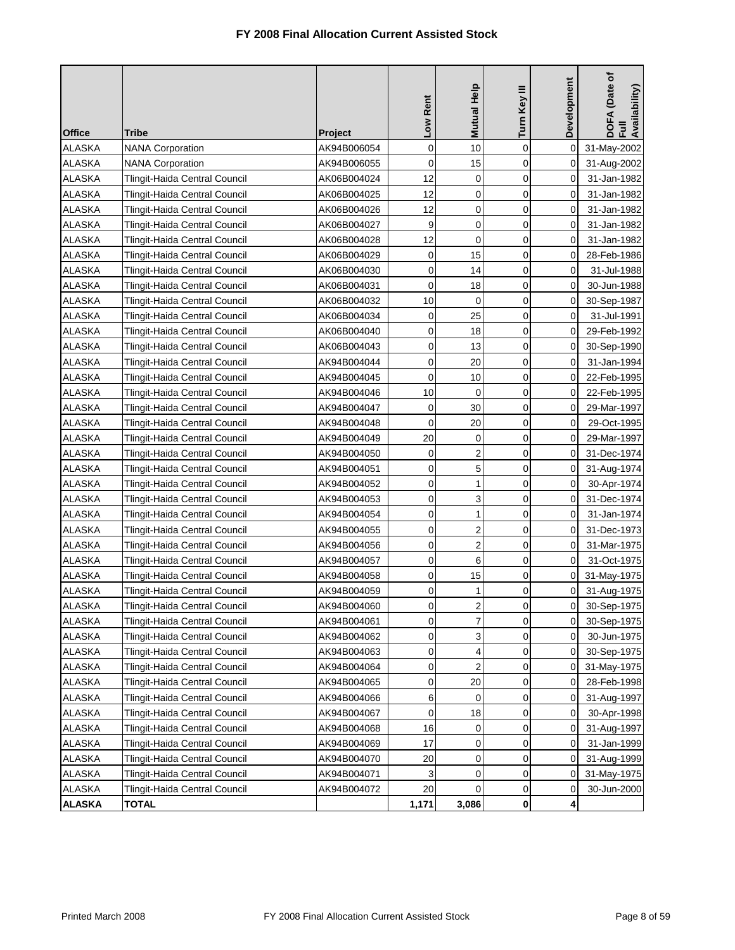|               |                               |                | Low Rent    | Mutual Help             | Turn Key III | Development    | DOFA (Date of<br>Full<br>Availability) |
|---------------|-------------------------------|----------------|-------------|-------------------------|--------------|----------------|----------------------------------------|
| <b>Office</b> | Tribe                         | <b>Project</b> |             |                         |              |                |                                        |
| <b>ALASKA</b> | <b>NANA Corporation</b>       | AK94B006054    | $\mathbf 0$ | 10                      | $\mathbf 0$  | 0              | 31-May-2002                            |
| <b>ALASKA</b> | <b>NANA Corporation</b>       | AK94B006055    | 0           | 15                      | $\mathbf 0$  | 0              | 31-Aug-2002                            |
| <b>ALASKA</b> | Tlingit-Haida Central Council | AK06B004024    | 12          | $\mathbf 0$             | 0            | 0              | 31-Jan-1982                            |
| <b>ALASKA</b> | Tlingit-Haida Central Council | AK06B004025    | 12          | $\mathbf 0$             | $\mathbf 0$  | 0              | 31-Jan-1982                            |
| <b>ALASKA</b> | Tlingit-Haida Central Council | AK06B004026    | 12          | $\mathbf 0$             | $\mathbf 0$  | 0              | 31-Jan-1982                            |
| <b>ALASKA</b> | Tlingit-Haida Central Council | AK06B004027    | 9           | $\mathbf 0$             | 0            | 0              | 31-Jan-1982                            |
| ALASKA        | Tlingit-Haida Central Council | AK06B004028    | 12          | $\mathbf 0$             | 0            | 0              | 31-Jan-1982                            |
| <b>ALASKA</b> | Tlingit-Haida Central Council | AK06B004029    | 0           | 15                      | 0            | 0              | 28-Feb-1986                            |
| <b>ALASKA</b> | Tlingit-Haida Central Council | AK06B004030    | 0           | 14                      | 0            | 0              | 31-Jul-1988                            |
| <b>ALASKA</b> | Tlingit-Haida Central Council | AK06B004031    | $\mathbf 0$ | 18                      | $\mathbf 0$  | 0              | 30-Jun-1988                            |
| ALASKA        | Tlingit-Haida Central Council | AK06B004032    | 10          | $\mathbf 0$             | 0            | 0              | 30-Sep-1987                            |
| <b>ALASKA</b> | Tlingit-Haida Central Council | AK06B004034    | 0           | 25                      | $\mathbf 0$  | 0              | 31-Jul-1991                            |
| <b>ALASKA</b> | Tlingit-Haida Central Council | AK06B004040    | 0           | 18                      | 0            | 0              | 29-Feb-1992                            |
| <b>ALASKA</b> | Tlingit-Haida Central Council | AK06B004043    | 0           | 13                      | 0            | 0              | 30-Sep-1990                            |
| ALASKA        | Tlingit-Haida Central Council | AK94B004044    | 0           | 20                      | 0            | 0              | 31-Jan-1994                            |
| <b>ALASKA</b> | Tlingit-Haida Central Council | AK94B004045    | $\mathbf 0$ | 10                      | 0            | 0              | 22-Feb-1995                            |
| <b>ALASKA</b> | Tlingit-Haida Central Council | AK94B004046    | 10          | $\mathbf 0$             | 0            | 0              | 22-Feb-1995                            |
| <b>ALASKA</b> | Tlingit-Haida Central Council | AK94B004047    | $\mathbf 0$ | 30                      | $\mathbf 0$  | 0              | 29-Mar-1997                            |
| <b>ALASKA</b> | Tlingit-Haida Central Council | AK94B004048    | 0           | 20                      | 0            | 0              | 29-Oct-1995                            |
| <b>ALASKA</b> | Tlingit-Haida Central Council | AK94B004049    | 20          | $\mathbf 0$             | $\mathbf 0$  | 0              | 29-Mar-1997                            |
| ALASKA        | Tlingit-Haida Central Council | AK94B004050    | 0           | $\overline{2}$          | $\mathbf 0$  | 0              | 31-Dec-1974                            |
| ALASKA        | Tlingit-Haida Central Council | AK94B004051    | 0           | 5                       | $\mathbf 0$  | 0              | 31-Aug-1974                            |
| <b>ALASKA</b> | Tlingit-Haida Central Council | AK94B004052    | 0           | 1                       | 0            | 0              | 30-Apr-1974                            |
| <b>ALASKA</b> | Tlingit-Haida Central Council | AK94B004053    | 0           | 3                       | 0            | 0              | 31-Dec-1974                            |
| <b>ALASKA</b> | Tlingit-Haida Central Council | AK94B004054    | 0           | 1                       | $\mathbf 0$  | 0              | 31-Jan-1974                            |
| <b>ALASKA</b> | Tlingit-Haida Central Council | AK94B004055    | 0           | $\overline{2}$          | 0            | 0              | 31-Dec-1973                            |
| <b>ALASKA</b> | Tlingit-Haida Central Council | AK94B004056    | 0           | $\overline{2}$          | 0            | 0              | 31-Mar-1975                            |
| <b>ALASKA</b> | Tlingit-Haida Central Council | AK94B004057    | 0           | 6                       | 0            | 0              | 31-Oct-1975                            |
| <b>ALASKA</b> | Tlingit-Haida Central Council | AK94B004058    | 0           | 15                      | 0            | 0              | 31-May-1975                            |
| <b>ALASKA</b> | Tlingit-Haida Central Council | AK94B004059    | 0           | 1                       | 0            | $\overline{0}$ | 31-Aug-1975                            |
| <b>ALASKA</b> | Tlingit-Haida Central Council | AK94B004060    | $\cup$      | $\overline{2}$          | 0            | $\pmb{0}$      | 30-Sep-1975                            |
| ALASKA        | Tlingit-Haida Central Council | AK94B004061    | $\mathbf 0$ | $\overline{7}$          | 0            | 0              | 30-Sep-1975                            |
| ALASKA        | Tlingit-Haida Central Council | AK94B004062    | 0           | 3                       | 0            | 0              | 30-Jun-1975                            |
| ALASKA        | Tlingit-Haida Central Council | AK94B004063    | 0           | 4                       | 0            | 0              | 30-Sep-1975                            |
| ALASKA        | Tlingit-Haida Central Council | AK94B004064    | 0           | $\overline{\mathbf{c}}$ | 0            | 0              | 31-May-1975                            |
| <b>ALASKA</b> | Tlingit-Haida Central Council | AK94B004065    | 0           | 20                      | 0            | 0              | 28-Feb-1998                            |
| ALASKA        | Tlingit-Haida Central Council | AK94B004066    | 6           | 0                       | 0            | 0              | 31-Aug-1997                            |
| ALASKA        | Tlingit-Haida Central Council | AK94B004067    | 0           | 18                      | 0            | 0              | 30-Apr-1998                            |
| <b>ALASKA</b> | Tlingit-Haida Central Council | AK94B004068    | 16          | 0                       | 0            | 0              | 31-Aug-1997                            |
| ALASKA        | Tlingit-Haida Central Council | AK94B004069    | 17          | 0                       | 0            | 0              | 31-Jan-1999                            |
| ALASKA        | Tlingit-Haida Central Council | AK94B004070    | 20          | 0                       | 0            | 0              | 31-Aug-1999                            |
| ALASKA        | Tlingit-Haida Central Council | AK94B004071    | 3           | 0                       | 0            | 0              | 31-May-1975                            |
| ALASKA        | Tlingit-Haida Central Council | AK94B004072    | 20          | 0                       | 0            | 0              | 30-Jun-2000                            |
| <b>ALASKA</b> | <b>TOTAL</b>                  |                | 1,171       | 3,086                   | 0            | 4              |                                        |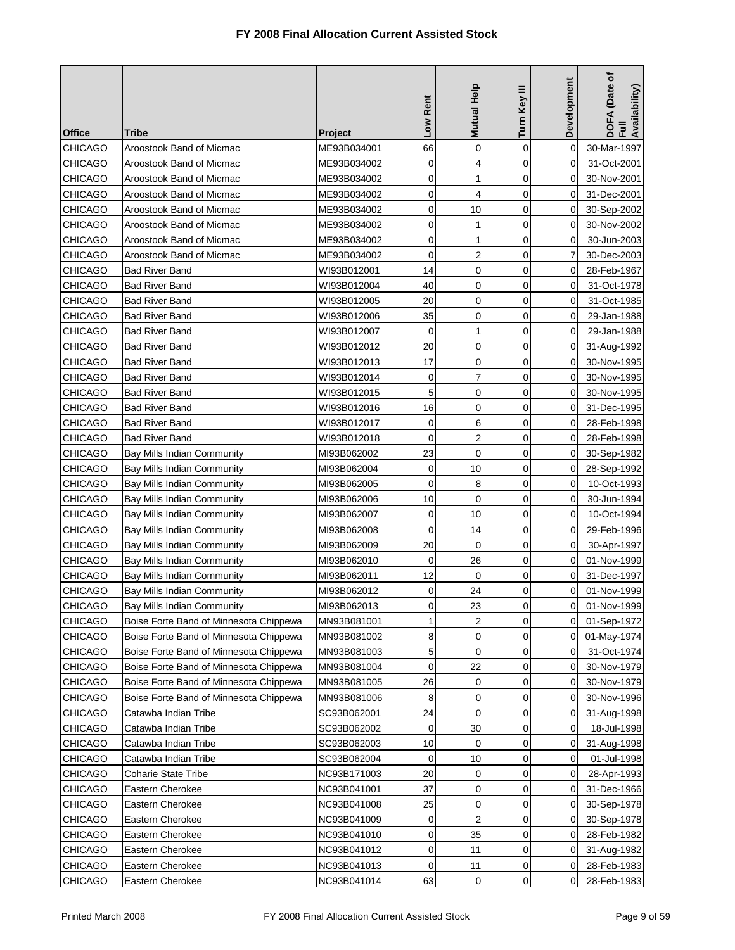| <b>Office</b>  | Tribe                                  | Project     | Low Rent    | Mutual Help             | Turn Key III   | Development    | (Date of<br>DOFA (Date<br>Full<br>Availability) |
|----------------|----------------------------------------|-------------|-------------|-------------------------|----------------|----------------|-------------------------------------------------|
| CHICAGO        | Aroostook Band of Micmac               | ME93B034001 | 66          | 0                       | 0              | 0              | 30-Mar-1997                                     |
| <b>CHICAGO</b> | Aroostook Band of Micmac               | ME93B034002 | 0           | 4                       | 0              | 0              | 31-Oct-2001                                     |
| <b>CHICAGO</b> | Aroostook Band of Micmac               | ME93B034002 | 0           | 1                       | 0              | 0              | 30-Nov-2001                                     |
| CHICAGO        | Aroostook Band of Micmac               | ME93B034002 | $\mathbf 0$ | 4                       | $\overline{0}$ | 0              | 31-Dec-2001                                     |
| <b>CHICAGO</b> | Aroostook Band of Micmac               | ME93B034002 | 0           | 10                      | 0              | 0              | 30-Sep-2002                                     |
| CHICAGO        | Aroostook Band of Micmac               | ME93B034002 | $\mathbf 0$ | 1                       | 0              | 0              | 30-Nov-2002                                     |
| <b>CHICAGO</b> | Aroostook Band of Micmac               | ME93B034002 | 0           | 1                       | 0              | 0              | 30-Jun-2003                                     |
| CHICAGO        | Aroostook Band of Micmac               | ME93B034002 | 0           | $\overline{\mathbf{c}}$ | 0              | 7              | 30-Dec-2003                                     |
| <b>CHICAGO</b> | <b>Bad River Band</b>                  | WI93B012001 | 14          | 0                       | 0              | 0              | 28-Feb-1967                                     |
| <b>CHICAGO</b> | <b>Bad River Band</b>                  | WI93B012004 | 40          | 0                       | 0              | 0              | 31-Oct-1978                                     |
| <b>CHICAGO</b> | <b>Bad River Band</b>                  | WI93B012005 | 20          | 0                       | 0              | 0              | 31-Oct-1985                                     |
| CHICAGO        | <b>Bad River Band</b>                  | WI93B012006 | 35          | 0                       | 0              | 0              | 29-Jan-1988                                     |
| <b>CHICAGO</b> | Bad River Band                         | WI93B012007 | 0           | 1                       | $\overline{0}$ | 0              | 29-Jan-1988                                     |
| <b>CHICAGO</b> | <b>Bad River Band</b>                  | WI93B012012 | 20          | $\mathbf 0$             | 0              | 0              | 31-Aug-1992                                     |
| <b>CHICAGO</b> | <b>Bad River Band</b>                  | WI93B012013 | 17          | 0                       | 0              | 0              | 30-Nov-1995                                     |
| CHICAGO        | Bad River Band                         | WI93B012014 | 0           | 7                       | 0              | 0              | 30-Nov-1995                                     |
| CHICAGO        | Bad River Band                         | WI93B012015 | 5           | $\mathbf 0$             | 0              | 0              | 30-Nov-1995                                     |
| <b>CHICAGO</b> | <b>Bad River Band</b>                  | WI93B012016 | 16          | 0                       | 0              | 0              | 31-Dec-1995                                     |
| <b>CHICAGO</b> | <b>Bad River Band</b>                  | WI93B012017 | $\mathbf 0$ | 6                       | 0              | 0              | 28-Feb-1998                                     |
| <b>CHICAGO</b> | Bad River Band                         | WI93B012018 | 0           | $\overline{2}$          | 0              | 0              | 28-Feb-1998                                     |
| CHICAGO        | Bay Mills Indian Community             | MI93B062002 | 23          | $\mathbf 0$             | $\overline{0}$ | 0              | 30-Sep-1982                                     |
| CHICAGO        | Bay Mills Indian Community             | MI93B062004 | 0           | 10                      | 0              | 0              | 28-Sep-1992                                     |
| CHICAGO        | Bay Mills Indian Community             | MI93B062005 | $\mathbf 0$ | 8                       | 0              | 0              | 10-Oct-1993                                     |
| CHICAGO        | Bay Mills Indian Community             | MI93B062006 | 10          | 0                       | 0              | 0              | 30-Jun-1994                                     |
| CHICAGO        | Bay Mills Indian Community             | MI93B062007 | 0           | 10                      | 0              | 0              | 10-Oct-1994                                     |
| <b>CHICAGO</b> | <b>Bay Mills Indian Community</b>      | MI93B062008 | 0           | 14                      | 0              | 0              | 29-Feb-1996                                     |
| <b>CHICAGO</b> | Bay Mills Indian Community             | MI93B062009 | 20          | $\mathbf 0$             | 0              | 0              | 30-Apr-1997                                     |
| <b>CHICAGO</b> | Bay Mills Indian Community             | MI93B062010 | 0           | 26                      | 0              | 0              | 01-Nov-1999                                     |
| <b>CHICAGO</b> | Bay Mills Indian Community             | MI93B062011 | 12          | $\mathbf 0$             | 0              | 0              | 31-Dec-1997                                     |
| CHICAGO        | Bay Mills Indian Community             | MI93B062012 | 0           | 24                      | 0              | 0              | 01-Nov-1999                                     |
| CHICAGO        | <b>Bay Mills Indian Community</b>      | MI93B062013 | 0           | 23                      | 0              | $\overline{0}$ | 01-Nov-1999                                     |
| CHICAGO        | Boise Forte Band of Minnesota Chippewa | MN93B081001 | 1           | $\overline{2}$          | 0              | 0              | 01-Sep-1972                                     |
| <b>CHICAGO</b> | Boise Forte Band of Minnesota Chippewa | MN93B081002 | 8           | 0                       | 0              | 0              | 01-May-1974                                     |
| CHICAGO        | Boise Forte Band of Minnesota Chippewa | MN93B081003 | 5           | 0                       | 0              | 0              | 31-Oct-1974                                     |
| <b>CHICAGO</b> | Boise Forte Band of Minnesota Chippewa | MN93B081004 | $\mathbf 0$ | 22                      | 0              | 0              | 30-Nov-1979                                     |
| <b>CHICAGO</b> | Boise Forte Band of Minnesota Chippewa | MN93B081005 | 26          | 0                       | 0              | 0              | 30-Nov-1979                                     |
| <b>CHICAGO</b> | Boise Forte Band of Minnesota Chippewa | MN93B081006 | 8           | 0                       | 0              | 0              | 30-Nov-1996                                     |
| <b>CHICAGO</b> | Catawba Indian Tribe                   | SC93B062001 | 24          | $\mathbf 0$             | 0              | 0              | 31-Aug-1998                                     |
| CHICAGO        | Catawba Indian Tribe                   | SC93B062002 | 0           | 30                      | 0              | 0              | 18-Jul-1998                                     |
| CHICAGO        | Catawba Indian Tribe                   | SC93B062003 | 10          | 0                       | $\mathbf 0$    | 0              | 31-Aug-1998                                     |
| CHICAGO        | Catawba Indian Tribe                   | SC93B062004 | 0           | 10                      | 0              | 0              | 01-Jul-1998                                     |
| <b>CHICAGO</b> | <b>Coharie State Tribe</b>             | NC93B171003 | 20          | 0                       | 0              | 0              | 28-Apr-1993                                     |
| CHICAGO        | Eastern Cherokee                       | NC93B041001 | 37          | 0                       | 0              | 0              | 31-Dec-1966                                     |
| <b>CHICAGO</b> | Eastern Cherokee                       | NC93B041008 | 25          | 0                       | 0              | 0              | 30-Sep-1978                                     |
| <b>CHICAGO</b> | Eastern Cherokee                       | NC93B041009 | 0           | $\overline{2}$          | 0              | 0              | 30-Sep-1978                                     |
| <b>CHICAGO</b> | Eastern Cherokee                       | NC93B041010 | 0           | 35                      | 0              | 0              | 28-Feb-1982                                     |
| CHICAGO        | Eastern Cherokee                       | NC93B041012 | 0           | 11                      | 0              | 0              | 31-Aug-1982                                     |
| <b>CHICAGO</b> | Eastern Cherokee                       | NC93B041013 | $\mathbf 0$ | 11                      | 0              | 0              | 28-Feb-1983                                     |
| <b>CHICAGO</b> | Eastern Cherokee                       | NC93B041014 | 63          | 0                       | 0              | 0              | 28-Feb-1983                                     |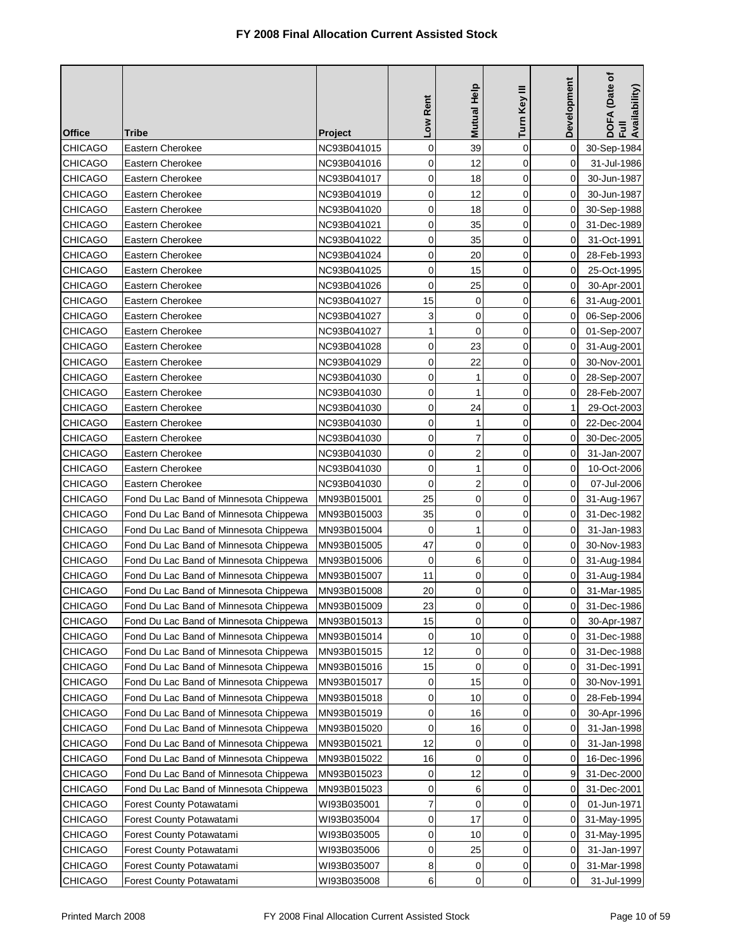| <b>Office</b>  | Tribe                                  | Project     | Low Rent    | Mutual Help             | Turn Key III | <b>Development</b> | DOFA (Date of<br>Full<br>Availability) |
|----------------|----------------------------------------|-------------|-------------|-------------------------|--------------|--------------------|----------------------------------------|
| <b>CHICAGO</b> | Eastern Cherokee                       | NC93B041015 | 0           | 39                      | $\mathbf 0$  | 0                  | 30-Sep-1984                            |
| <b>CHICAGO</b> | Eastern Cherokee                       | NC93B041016 | 0           | 12                      | $\mathbf 0$  | 0                  | 31-Jul-1986                            |
| <b>CHICAGO</b> | Eastern Cherokee                       | NC93B041017 | 0           | 18                      | $\mathbf 0$  | 0                  | 30-Jun-1987                            |
| <b>CHICAGO</b> | Eastern Cherokee                       | NC93B041019 | 0           | 12                      | $\mathbf 0$  | 0                  | 30-Jun-1987                            |
| <b>CHICAGO</b> | Eastern Cherokee                       | NC93B041020 | 0           | 18                      | $\mathbf 0$  | 0                  | 30-Sep-1988                            |
| <b>CHICAGO</b> | Eastern Cherokee                       | NC93B041021 | 0           | 35                      | $\mathbf 0$  | 0                  | 31-Dec-1989                            |
| <b>CHICAGO</b> | Eastern Cherokee                       | NC93B041022 | 0           | 35                      | $\mathbf 0$  | 0                  | 31-Oct-1991                            |
| <b>CHICAGO</b> | Eastern Cherokee                       | NC93B041024 | 0           | 20                      | $\mathbf 0$  | 0                  | 28-Feb-1993                            |
| <b>CHICAGO</b> | Eastern Cherokee                       | NC93B041025 | 0           | 15                      | $\mathbf 0$  | 0                  | 25-Oct-1995                            |
| <b>CHICAGO</b> | Eastern Cherokee                       | NC93B041026 | 0           | 25                      | 0            | 0                  | 30-Apr-2001                            |
| <b>CHICAGO</b> | Eastern Cherokee                       | NC93B041027 | 15          | 0                       | $\mathbf 0$  | 6                  | 31-Aug-2001                            |
| <b>CHICAGO</b> | Eastern Cherokee                       | NC93B041027 | 3           | 0                       | $\mathbf 0$  | 0                  | 06-Sep-2006                            |
| <b>CHICAGO</b> | Eastern Cherokee                       | NC93B041027 | 1           | $\mathbf 0$             | $\mathbf 0$  | $\mathbf 0$        | 01-Sep-2007                            |
| <b>CHICAGO</b> | Eastern Cherokee                       | NC93B041028 | 0           | 23                      | 0            | 0                  | 31-Aug-2001                            |
| <b>CHICAGO</b> | Eastern Cherokee                       | NC93B041029 | 0           | 22                      | $\mathbf 0$  | 0                  | 30-Nov-2001                            |
| <b>CHICAGO</b> | Eastern Cherokee                       | NC93B041030 | 0           | 1                       | $\mathbf 0$  | 0                  | 28-Sep-2007                            |
| <b>CHICAGO</b> | Eastern Cherokee                       | NC93B041030 | 0           | 1                       | $\mathbf 0$  | 0                  | 28-Feb-2007                            |
| <b>CHICAGO</b> | Eastern Cherokee                       | NC93B041030 | 0           | 24                      | $\mathbf 0$  | 1                  | 29-Oct-2003                            |
| <b>CHICAGO</b> | Eastern Cherokee                       | NC93B041030 | 0           | 1                       | $\mathbf 0$  | 0                  | 22-Dec-2004                            |
| <b>CHICAGO</b> | Eastern Cherokee                       | NC93B041030 | 0           | 7                       | $\mathbf 0$  | 0                  | 30-Dec-2005                            |
| <b>CHICAGO</b> | Eastern Cherokee                       | NC93B041030 | 0           | $\overline{\mathbf{c}}$ | $\mathbf 0$  | 0                  | 31-Jan-2007                            |
| <b>CHICAGO</b> | Eastern Cherokee                       | NC93B041030 | 0           | $\mathbf{1}$            | $\mathbf 0$  | 0                  | 10-Oct-2006                            |
| <b>CHICAGO</b> | Eastern Cherokee                       | NC93B041030 | $\mathbf 0$ | $\overline{\mathbf{c}}$ | $\mathbf 0$  | 0                  | 07-Jul-2006                            |
| <b>CHICAGO</b> | Fond Du Lac Band of Minnesota Chippewa | MN93B015001 | 25          | 0                       | $\mathbf 0$  | 0                  | 31-Aug-1967                            |
| <b>CHICAGO</b> | Fond Du Lac Band of Minnesota Chippewa | MN93B015003 | 35          | 0                       | $\mathbf 0$  | 0                  | 31-Dec-1982                            |
| <b>CHICAGO</b> | Fond Du Lac Band of Minnesota Chippewa | MN93B015004 | $\mathbf 0$ | $\mathbf{1}$            | $\mathbf 0$  | 0                  | 31-Jan-1983                            |
| <b>CHICAGO</b> | Fond Du Lac Band of Minnesota Chippewa | MN93B015005 | 47          | $\mathbf 0$             | $\mathbf 0$  | 0                  | 30-Nov-1983                            |
| <b>CHICAGO</b> | Fond Du Lac Band of Minnesota Chippewa | MN93B015006 | $\mathbf 0$ | 6                       | $\mathbf 0$  | 0                  | 31-Aug-1984                            |
| <b>CHICAGO</b> | Fond Du Lac Band of Minnesota Chippewa | MN93B015007 | 11          | 0                       | $\mathbf 0$  | 0                  | 31-Aug-1984                            |
| <b>CHICAGO</b> | Fond Du Lac Band of Minnesota Chippewa | MN93B015008 | 20          | 0                       | 0            | 0                  | 31-Mar-1985                            |
| <b>CHICAGO</b> | Fond Du Lac Band of Minnesota Chippewa | MN93B015009 | 23          | 0                       | 0            | 0                  | 31-Dec-1986                            |
| <b>CHICAGO</b> | Fond Du Lac Band of Minnesota Chippewa | MN93B015013 | 15          | 0                       | 0            | 0                  | 30-Apr-1987                            |
| <b>CHICAGO</b> | Fond Du Lac Band of Minnesota Chippewa | MN93B015014 | 0           | 10                      | 0            | 0                  | 31-Dec-1988                            |
| <b>CHICAGO</b> | Fond Du Lac Band of Minnesota Chippewa | MN93B015015 | 12          | 0                       | 0            | 0                  | 31-Dec-1988                            |
| CHICAGO        | Fond Du Lac Band of Minnesota Chippewa | MN93B015016 | 15          | 0                       | 0            | 0                  | 31-Dec-1991                            |
| <b>CHICAGO</b> | Fond Du Lac Band of Minnesota Chippewa | MN93B015017 | 0           | 15                      | 0            | 0                  | 30-Nov-1991                            |
| CHICAGO        | Fond Du Lac Band of Minnesota Chippewa | MN93B015018 | 0           | 10                      | 0            | 0                  | 28-Feb-1994                            |
| <b>CHICAGO</b> | Fond Du Lac Band of Minnesota Chippewa | MN93B015019 | 0           | 16                      | 0            | 0                  | 30-Apr-1996                            |
| <b>CHICAGO</b> | Fond Du Lac Band of Minnesota Chippewa | MN93B015020 | 0           | 16                      | 0            | 0                  | 31-Jan-1998                            |
| <b>CHICAGO</b> | Fond Du Lac Band of Minnesota Chippewa | MN93B015021 | 12          | 0                       | 0            | 0                  | 31-Jan-1998                            |
| <b>CHICAGO</b> | Fond Du Lac Band of Minnesota Chippewa | MN93B015022 | 16          | 0                       | 0            | 0                  | 16-Dec-1996                            |
| CHICAGO        | Fond Du Lac Band of Minnesota Chippewa | MN93B015023 | 0           | 12                      | 0            | 9                  | 31-Dec-2000                            |
| CHICAGO        | Fond Du Lac Band of Minnesota Chippewa | MN93B015023 | 0           | 6                       | 0            | 0                  | 31-Dec-2001                            |
| <b>CHICAGO</b> | Forest County Potawatami               | WI93B035001 | 7           | 0                       | $\mathbf 0$  | 0                  | 01-Jun-1971                            |
| <b>CHICAGO</b> | Forest County Potawatami               | WI93B035004 | 0           | 17                      | 0            | 0                  | 31-May-1995                            |
| <b>CHICAGO</b> | Forest County Potawatami               | WI93B035005 | 0           | 10                      | 0            | 0                  | 31-May-1995                            |
| <b>CHICAGO</b> | Forest County Potawatami               | WI93B035006 | 0           | 25                      | 0            | 0                  | 31-Jan-1997                            |
| CHICAGO        | <b>Forest County Potawatami</b>        | WI93B035007 | 8           | 0                       | 0            | 0                  | 31-Mar-1998                            |
| <b>CHICAGO</b> | Forest County Potawatami               | WI93B035008 | 6           | 0                       | 0            | 0                  | 31-Jul-1999                            |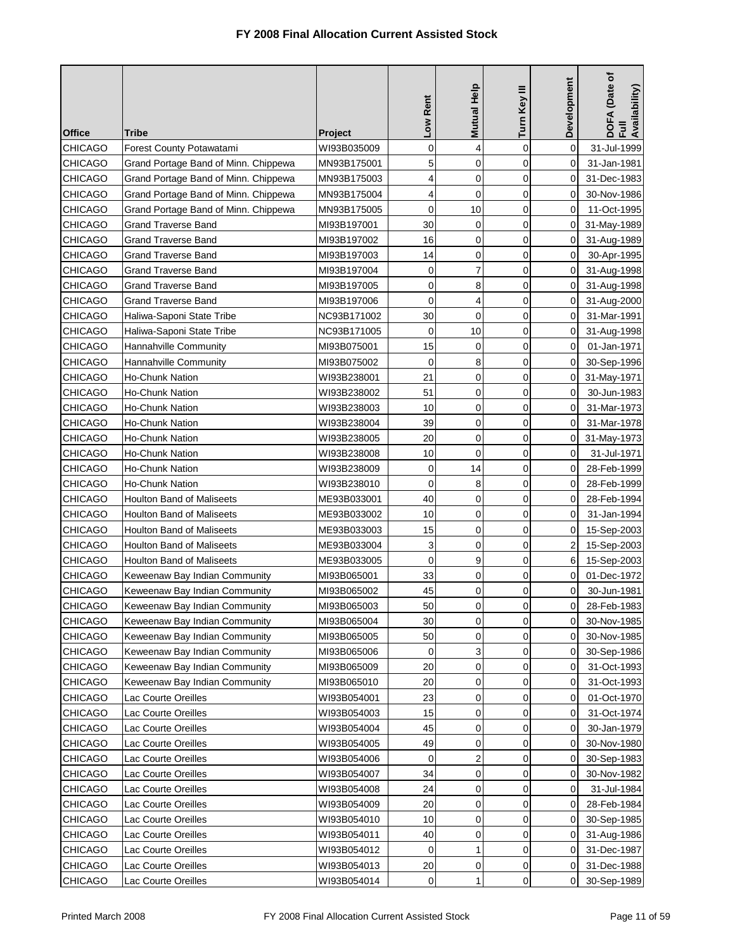| <b>Office</b>  | <b>Tribe</b>                         | Project     | Low Rent    | Mutual Help | Turn Key III | Development    | DOFA (Date of<br>Full<br>Availability) |
|----------------|--------------------------------------|-------------|-------------|-------------|--------------|----------------|----------------------------------------|
| <b>CHICAGO</b> | Forest County Potawatami             | WI93B035009 | 0           | 4           | 0            | 0              | 31-Jul-1999                            |
| <b>CHICAGO</b> | Grand Portage Band of Minn. Chippewa | MN93B175001 | 5           | 0           | 0            | 0              | 31-Jan-1981                            |
| <b>CHICAGO</b> | Grand Portage Band of Minn. Chippewa | MN93B175003 | 4           | 0           | 0            | 0              | 31-Dec-1983                            |
| <b>CHICAGO</b> | Grand Portage Band of Minn. Chippewa | MN93B175004 | 4           | $\mathbf 0$ | $\mathbf 0$  | 0              | 30-Nov-1986                            |
| <b>CHICAGO</b> | Grand Portage Band of Minn. Chippewa | MN93B175005 | $\mathbf 0$ | 10          | 0            | 0              | 11-Oct-1995                            |
| CHICAGO        | <b>Grand Traverse Band</b>           | MI93B197001 | 30          | 0           | 0            | 0              | 31-May-1989                            |
| <b>CHICAGO</b> | <b>Grand Traverse Band</b>           | MI93B197002 | 16          | 0           | 0            | 0              | 31-Aug-1989                            |
| CHICAGO        | Grand Traverse Band                  | MI93B197003 | 14          | 0           | 0            | 0              | 30-Apr-1995                            |
| <b>CHICAGO</b> | <b>Grand Traverse Band</b>           | MI93B197004 | 0           | 7           | 0            | 0              | 31-Aug-1998                            |
| <b>CHICAGO</b> | Grand Traverse Band                  | MI93B197005 | 0           | 8           | 0            | 0              | 31-Aug-1998                            |
| <b>CHICAGO</b> | <b>Grand Traverse Band</b>           | MI93B197006 | 0           | 4           | 0            | 0              | 31-Aug-2000                            |
| CHICAGO        | Haliwa-Saponi State Tribe            | NC93B171002 | 30          | $\mathbf 0$ | 0            | 0              | 31-Mar-1991                            |
| <b>CHICAGO</b> | Haliwa-Saponi State Tribe            | NC93B171005 | 0           | 10          | 0            | 0              | 31-Aug-1998                            |
| <b>CHICAGO</b> | Hannahville Community                | MI93B075001 | 15          | 0           | 0            | 0              | 01-Jan-1971                            |
| <b>CHICAGO</b> | Hannahville Community                | MI93B075002 | $\mathbf 0$ | 8           | 0            | 0              | 30-Sep-1996                            |
| <b>CHICAGO</b> | Ho-Chunk Nation                      | WI93B238001 | 21          | $\mathbf 0$ | 0            | 0              | 31-May-1971                            |
| CHICAGO        | Ho-Chunk Nation                      | WI93B238002 | 51          | $\mathbf 0$ | 0            | 0              | 30-Jun-1983                            |
| <b>CHICAGO</b> | <b>Ho-Chunk Nation</b>               | WI93B238003 | 10          | 0           | 0            | 0              | 31-Mar-1973                            |
| <b>CHICAGO</b> | <b>Ho-Chunk Nation</b>               | WI93B238004 | 39          | $\mathbf 0$ | 0            | 0              | 31-Mar-1978                            |
| <b>CHICAGO</b> | Ho-Chunk Nation                      | WI93B238005 | 20          | 0           | 0            | 0              | 31-May-1973                            |
| <b>CHICAGO</b> | Ho-Chunk Nation                      | WI93B238008 | 10          | $\mathbf 0$ | 0            | 0              | 31-Jul-1971                            |
| CHICAGO        | Ho-Chunk Nation                      | WI93B238009 | 0           | 14          | 0            | 0              | 28-Feb-1999                            |
| CHICAGO        | Ho-Chunk Nation                      | WI93B238010 | $\mathbf 0$ | 8           | 0            | 0              | 28-Feb-1999                            |
| CHICAGO        | Houlton Band of Maliseets            | ME93B033001 | 40          | 0           | 0            | 0              | 28-Feb-1994                            |
| CHICAGO        | <b>Houlton Band of Maliseets</b>     | ME93B033002 | 10          | 0           | 0            | 0              | 31-Jan-1994                            |
| <b>CHICAGO</b> | Houlton Band of Maliseets            | ME93B033003 | 15          | 0           | 0            | 0              | 15-Sep-2003                            |
| <b>CHICAGO</b> | <b>Houlton Band of Maliseets</b>     | ME93B033004 | 3           | $\mathbf 0$ | 0            | 2              | 15-Sep-2003                            |
| <b>CHICAGO</b> | <b>Houlton Band of Maliseets</b>     | ME93B033005 | 0           | 9           | 0            | 6              | 15-Sep-2003                            |
| <b>CHICAGO</b> | Keweenaw Bay Indian Community        | MI93B065001 | 33          | 0           | 0            | 0              | 01-Dec-1972                            |
| CHICAGO        | Keweenaw Bay Indian Community        | MI93B065002 | 45          | 0           | 0            | 0              | 30-Jun-1981                            |
| CHICAGO        | Keweenaw Bay Indian Community        | MI93B065003 | 50          | 0           | 0            | $\overline{0}$ | 28-Feb-1983                            |
| CHICAGO        | Keweenaw Bay Indian Community        | MI93B065004 | 30          | 0           | 0            | 0              | 30-Nov-1985                            |
| CHICAGO        | Keweenaw Bay Indian Community        | MI93B065005 | 50          | 0           | 0            | 0              | 30-Nov-1985                            |
| CHICAGO        | Keweenaw Bay Indian Community        | MI93B065006 | 0           | 3           | 0            | 0              | 30-Sep-1986                            |
| <b>CHICAGO</b> | Keweenaw Bay Indian Community        | MI93B065009 | 20          | 0           | 0            | 0              | 31-Oct-1993                            |
| <b>CHICAGO</b> | Keweenaw Bay Indian Community        | MI93B065010 | 20          | 0           | 0            | 0              | 31-Oct-1993                            |
| <b>CHICAGO</b> | Lac Courte Oreilles                  | WI93B054001 | 23          | 0           | 0            | 0              | 01-Oct-1970                            |
| <b>CHICAGO</b> | Lac Courte Oreilles                  | WI93B054003 | 15          | 0           | 0            | 0              | 31-Oct-1974                            |
| <b>CHICAGO</b> | Lac Courte Oreilles                  | WI93B054004 | 45          | 0           | 0            | 0              | 30-Jan-1979                            |
| <b>CHICAGO</b> | Lac Courte Oreilles                  | WI93B054005 | 49          | 0           | 0            | 0              | 30-Nov-1980                            |
| CHICAGO        | Lac Courte Oreilles                  | WI93B054006 | 0           | 2           | 0            | 0              | 30-Sep-1983                            |
| <b>CHICAGO</b> | Lac Courte Oreilles                  | WI93B054007 | 34          | 0           | 0            | 0              | 30-Nov-1982                            |
| CHICAGO        | Lac Courte Oreilles                  | WI93B054008 | 24          | 0           | 0            | 0              | 31-Jul-1984                            |
| <b>CHICAGO</b> | Lac Courte Oreilles                  | WI93B054009 | 20          | 0           | 0            | 0              | 28-Feb-1984                            |
| <b>CHICAGO</b> | Lac Courte Oreilles                  | WI93B054010 | 10          | $\mathbf 0$ | 0            | 0              | 30-Sep-1985                            |
| CHICAGO        | Lac Courte Oreilles                  | WI93B054011 | 40          | 0           | 0            | 0              | 31-Aug-1986                            |
| CHICAGO        | Lac Courte Oreilles                  | WI93B054012 | 0           | 1           | 0            | 0              | 31-Dec-1987                            |
| <b>CHICAGO</b> | Lac Courte Oreilles                  | WI93B054013 | 20          | 0           | 0            | 0              | 31-Dec-1988                            |
| <b>CHICAGO</b> | Lac Courte Oreilles                  | WI93B054014 | 0           | 1           | 0            | 0              | 30-Sep-1989                            |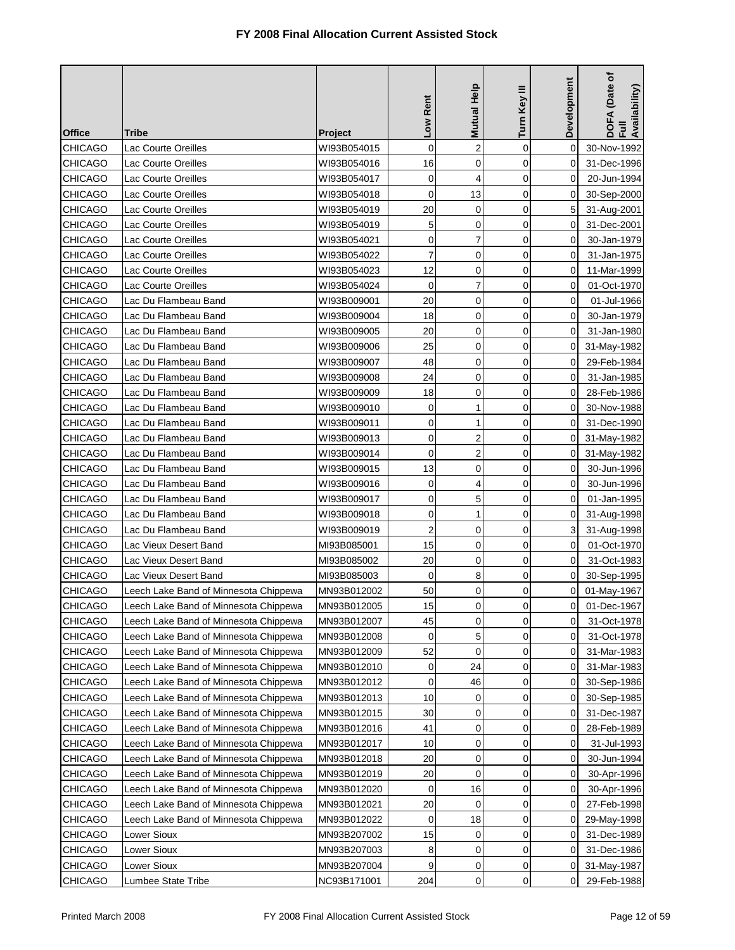| <b>Office</b>  | Tribe                                 | <b>Project</b> | Low Rent    | <b>Mutual Help</b> | Turn Key III   | Development    | DOFA (Date of<br>Full<br>Availability) |
|----------------|---------------------------------------|----------------|-------------|--------------------|----------------|----------------|----------------------------------------|
| CHICAGO        | Lac Courte Oreilles                   | WI93B054015    | $\mathbf 0$ | $\overline{2}$     | $\mathbf 0$    | $\Omega$       | 30-Nov-1992                            |
| <b>CHICAGO</b> | Lac Courte Oreilles                   | WI93B054016    | 16          | 0                  | 0              | 0              | 31-Dec-1996                            |
| <b>CHICAGO</b> | Lac Courte Oreilles                   | WI93B054017    | 0           | 4                  | $\mathbf 0$    | 0              | 20-Jun-1994                            |
| <b>CHICAGO</b> | Lac Courte Oreilles                   | WI93B054018    | $\mathbf 0$ | 13                 | $\mathbf 0$    | 0              | 30-Sep-2000                            |
| CHICAGO        | Lac Courte Oreilles                   | WI93B054019    | 20          | 0                  | $\overline{0}$ | 5              | 31-Aug-2001                            |
| <b>CHICAGO</b> | Lac Courte Oreilles                   | WI93B054019    | 5           | 0                  | 0              | 0              | 31-Dec-2001                            |
| <b>CHICAGO</b> | Lac Courte Oreilles                   | WI93B054021    | 0           | 7                  | 0              | 0              | 30-Jan-1979                            |
| CHICAGO        | Lac Courte Oreilles                   | WI93B054022    | 7           | 0                  | 0              | 0              | 31-Jan-1975                            |
| CHICAGO        | Lac Courte Oreilles                   | WI93B054023    | 12          | 0                  | $\mathbf 0$    | 0              | 11-Mar-1999                            |
| <b>CHICAGO</b> | Lac Courte Oreilles                   | WI93B054024    | 0           | $\overline{7}$     | 0              | 0              | 01-Oct-1970                            |
| <b>CHICAGO</b> | Lac Du Flambeau Band                  | WI93B009001    | 20          | 0                  | $\mathbf 0$    | 0              | 01-Jul-1966                            |
| <b>CHICAGO</b> | Lac Du Flambeau Band                  | WI93B009004    | 18          | 0                  | $\mathbf 0$    | 0              | 30-Jan-1979                            |
| <b>CHICAGO</b> | Lac Du Flambeau Band                  | WI93B009005    | 20          | 0                  | $\mathbf 0$    | 0              | 31-Jan-1980                            |
| <b>CHICAGO</b> | Lac Du Flambeau Band                  | WI93B009006    | 25          | 0                  | 0              | 0              | 31-May-1982                            |
| <b>CHICAGO</b> | Lac Du Flambeau Band                  | WI93B009007    | 48          | 0                  | 0              | 0              | 29-Feb-1984                            |
| <b>CHICAGO</b> | Lac Du Flambeau Band                  | WI93B009008    | 24          | 0                  | $\mathbf 0$    | 0              | 31-Jan-1985                            |
| <b>CHICAGO</b> | Lac Du Flambeau Band                  | WI93B009009    | 18          | 0                  | $\mathbf 0$    | 0              | 28-Feb-1986                            |
| CHICAGO        | Lac Du Flambeau Band                  | WI93B009010    | 0           | 1                  | $\mathbf 0$    | 0              | 30-Nov-1988                            |
| <b>CHICAGO</b> | Lac Du Flambeau Band                  | WI93B009011    | 0           | 1                  | $\mathbf 0$    | $\Omega$       | 31-Dec-1990                            |
| <b>CHICAGO</b> | Lac Du Flambeau Band                  | WI93B009013    | $\mathbf 0$ | $\overline{2}$     | 0              | 0              | 31-May-1982                            |
| <b>CHICAGO</b> | Lac Du Flambeau Band                  | WI93B009014    | 0           | $\overline{2}$     | 0              | 0              | 31-May-1982                            |
| <b>CHICAGO</b> | Lac Du Flambeau Band                  | WI93B009015    | 13          | 0                  | 0              | 0              | 30-Jun-1996                            |
| CHICAGO        | Lac Du Flambeau Band                  | WI93B009016    | 0           | 4                  | 0              | 0              | 30-Jun-1996                            |
| <b>CHICAGO</b> | Lac Du Flambeau Band                  | WI93B009017    | 0           | 5                  | 0              | 0              | 01-Jan-1995                            |
| <b>CHICAGO</b> | Lac Du Flambeau Band                  | WI93B009018    | 0           | 1                  | 0              | 0              | 31-Aug-1998                            |
| <b>CHICAGO</b> | Lac Du Flambeau Band                  | WI93B009019    | 2           | 0                  | 0              | 3              | 31-Aug-1998                            |
| <b>CHICAGO</b> | Lac Vieux Desert Band                 | MI93B085001    | 15          | 0                  | 0              | 0              | 01-Oct-1970                            |
| <b>CHICAGO</b> | Lac Vieux Desert Band                 | MI93B085002    | 20          | 0                  | $\mathbf 0$    | 0              | 31-Oct-1983                            |
| <b>CHICAGO</b> | Lac Vieux Desert Band                 | MI93B085003    | $\mathbf 0$ | 8                  | $\mathbf 0$    | 0              | 30-Sep-1995                            |
| <b>CHICAGO</b> | Leech Lake Band of Minnesota Chippewa | MN93B012002    | 50          | 0                  | 0              | $\mathbf 0$    | 01-May-1967                            |
| CHICAGO        | Leech Lake Band of Minnesota Chippewa | MN93B012005    | 15          | 0                  | 0              | 0 <sup>1</sup> | 01-Dec-1967                            |
| <b>CHICAGO</b> | Leech Lake Band of Minnesota Chippewa | MN93B012007    | 45          | 0                  | 0              | 0              | 31-Oct-1978                            |
| <b>CHICAGO</b> | Leech Lake Band of Minnesota Chippewa | MN93B012008    | 0           | 5                  | 0              | 0              | 31-Oct-1978                            |
| <b>CHICAGO</b> | Leech Lake Band of Minnesota Chippewa | MN93B012009    | 52          | 0                  | 0              | 0              | 31-Mar-1983                            |
| CHICAGO        | Leech Lake Band of Minnesota Chippewa | MN93B012010    | 0           | 24                 | $\mathbf 0$    | 0              | 31-Mar-1983                            |
| <b>CHICAGO</b> | Leech Lake Band of Minnesota Chippewa | MN93B012012    | 0           | 46                 | $\mathbf 0$    | 0              | 30-Sep-1986                            |
| <b>CHICAGO</b> | Leech Lake Band of Minnesota Chippewa | MN93B012013    | 10          | 0                  | $\mathbf 0$    | 0              | 30-Sep-1985                            |
| <b>CHICAGO</b> | Leech Lake Band of Minnesota Chippewa | MN93B012015    | 30          | 0                  | 0              | 0              | 31-Dec-1987                            |
| <b>CHICAGO</b> | Leech Lake Band of Minnesota Chippewa | MN93B012016    | 41          | 0                  | $\mathbf 0$    | 0              | 28-Feb-1989                            |
| <b>CHICAGO</b> | Leech Lake Band of Minnesota Chippewa | MN93B012017    | 10          | 0                  | 0              | 0              | 31-Jul-1993                            |
| CHICAGO        | Leech Lake Band of Minnesota Chippewa | MN93B012018    | 20          | 0                  | 0              | 0              | 30-Jun-1994                            |
| CHICAGO        | Leech Lake Band of Minnesota Chippewa | MN93B012019    | 20          | 0                  | 0              | 0              | 30-Apr-1996                            |
| <b>CHICAGO</b> | Leech Lake Band of Minnesota Chippewa | MN93B012020    | 0           | 16                 | 0              | 0              | 30-Apr-1996                            |
| CHICAGO        | Leech Lake Band of Minnesota Chippewa | MN93B012021    | 20          | 0                  | $\mathbf 0$    | 0              | 27-Feb-1998                            |
| <b>CHICAGO</b> | Leech Lake Band of Minnesota Chippewa | MN93B012022    | 0           | 18                 | $\mathbf 0$    | 0              | 29-May-1998                            |
| <b>CHICAGO</b> | Lower Sioux                           | MN93B207002    | 15          | 0                  | $\mathbf 0$    | 0              | 31-Dec-1989                            |
| CHICAGO        | Lower Sioux                           | MN93B207003    | 8           | 0                  | 0              | 0              | 31-Dec-1986                            |
| CHICAGO        | Lower Sioux                           | MN93B207004    | 9           | 0                  | 0              | 0              | 31-May-1987                            |
| <b>CHICAGO</b> | Lumbee State Tribe                    | NC93B171001    | 204         | $\pmb{0}$          | $\pmb{0}$      | 0              | 29-Feb-1988                            |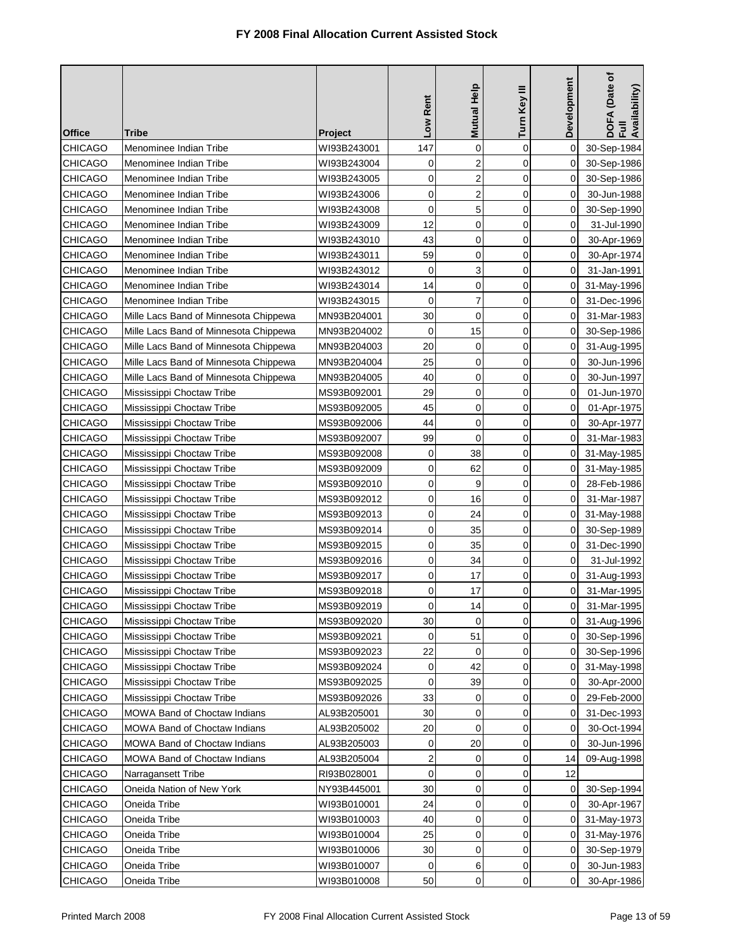| <b>Mutual Help</b><br>Turn Key III<br>Low Rent<br><b>Office</b><br>Tribe<br><b>Project</b>                 | Development    | DOFA (Date of<br>Full<br>Availability) |
|------------------------------------------------------------------------------------------------------------|----------------|----------------------------------------|
| 147<br>$\mathbf 0$<br>$\mathbf 0$<br>CHICAGO<br>Menominee Indian Tribe<br>WI93B243001                      | 0              | 30-Sep-1984                            |
| $\overline{2}$<br><b>CHICAGO</b><br>Menominee Indian Tribe<br>0<br>0<br>WI93B243004                        | 0              | 30-Sep-1986                            |
| $\overline{2}$<br>$\mathbf 0$<br>$\overline{0}$<br>CHICAGO<br>Menominee Indian Tribe<br>WI93B243005        | 0              | 30-Sep-1986                            |
| 0<br>$\overline{2}$<br>$\mathbf 0$<br><b>CHICAGO</b><br>Menominee Indian Tribe<br>WI93B243006              | 0              | 30-Jun-1988                            |
| $\mathbf 0$<br>5<br>$\mathbf 0$<br><b>CHICAGO</b><br>Menominee Indian Tribe<br>WI93B243008                 | 0              | 30-Sep-1990                            |
| 12<br>0<br>CHICAGO<br>Menominee Indian Tribe<br>0<br>WI93B243009                                           | 0              | 31-Jul-1990                            |
| 43<br>$\mathbf 0$<br>$\mathbf 0$<br><b>CHICAGO</b><br>Menominee Indian Tribe<br>WI93B243010                | 0              | 30-Apr-1969                            |
| 59<br>CHICAGO<br>0<br>0<br>Menominee Indian Tribe<br>WI93B243011                                           | 0              | 30-Apr-1974                            |
| 0<br>3<br>$\mathbf 0$<br><b>CHICAGO</b><br>Menominee Indian Tribe<br>WI93B243012                           | 0              | 31-Jan-1991                            |
| 14<br>$\mathbf 0$<br>$\mathbf 0$<br><b>CHICAGO</b><br>Menominee Indian Tribe<br>WI93B243014                | 0              | 31-May-1996                            |
| $\overline{7}$<br>0<br>0<br><b>CHICAGO</b><br>Menominee Indian Tribe<br>WI93B243015                        | 0              | 31-Dec-1996                            |
| 30<br>$\mathbf 0$<br>0<br><b>CHICAGO</b><br>Mille Lacs Band of Minnesota Chippewa<br>MN93B204001           | 0              | 31-Mar-1983                            |
| $\mathbf 0$<br>15<br>$\mathbf 0$<br><b>CHICAGO</b><br>Mille Lacs Band of Minnesota Chippewa<br>MN93B204002 | 0              | 30-Sep-1986                            |
| 20<br>$\mathbf 0$<br>$\mathbf 0$<br><b>CHICAGO</b><br>Mille Lacs Band of Minnesota Chippewa<br>MN93B204003 | 0              | 31-Aug-1995                            |
| 25<br>$\mathbf 0$<br>CHICAGO<br>Mille Lacs Band of Minnesota Chippewa<br>0<br>MN93B204004                  | 0              | 30-Jun-1996                            |
| 40<br>$\mathbf 0$<br>$\mathbf 0$<br><b>CHICAGO</b><br>Mille Lacs Band of Minnesota Chippewa<br>MN93B204005 | 0              | 30-Jun-1997                            |
| 29<br>$\mathbf 0$<br>$\mathbf 0$<br><b>CHICAGO</b><br>Mississippi Choctaw Tribe<br>MS93B092001             | 0              | 01-Jun-1970                            |
| 45<br>$\mathbf 0$<br>$\mathbf 0$<br><b>CHICAGO</b><br>Mississippi Choctaw Tribe<br>MS93B092005             | 0              | 01-Apr-1975                            |
| 44<br>$\mathbf 0$<br>$\mathbf 0$<br><b>CHICAGO</b><br>Mississippi Choctaw Tribe<br>MS93B092006             | 0              | 30-Apr-1977                            |
| 99<br>$\mathbf 0$<br>0<br><b>CHICAGO</b><br>Mississippi Choctaw Tribe<br>MS93B092007                       | 0              | 31-Mar-1983                            |
| 0<br>38<br>$\mathbf 0$<br><b>CHICAGO</b><br>Mississippi Choctaw Tribe<br>MS93B092008                       | 0              | 31-May-1985                            |
| 0<br>62<br>0<br><b>CHICAGO</b><br>Mississippi Choctaw Tribe<br>MS93B092009                                 | 0              | 31-May-1985                            |
| 0<br>9<br>0<br>CHICAGO<br>Mississippi Choctaw Tribe<br>MS93B092010                                         | 0              | 28-Feb-1986                            |
| $\mathbf 0$<br>16<br><b>CHICAGO</b><br>Mississippi Choctaw Tribe<br>0<br>MS93B092012                       | 0              | 31-Mar-1987                            |
| 0<br><b>CHICAGO</b><br>24<br>0<br>Mississippi Choctaw Tribe<br>MS93B092013                                 | 0              | 31-May-1988                            |
| 0<br>35<br>0<br><b>CHICAGO</b><br>Mississippi Choctaw Tribe<br>MS93B092014                                 | 0              | 30-Sep-1989                            |
| 0<br>35<br><b>CHICAGO</b><br>0<br>Mississippi Choctaw Tribe<br>MS93B092015                                 | 0              | 31-Dec-1990                            |
| $\mathbf 0$<br>34<br>$\mathbf 0$<br><b>CHICAGO</b><br>Mississippi Choctaw Tribe<br>MS93B092016             | 0              | 31-Jul-1992                            |
| 0<br>17<br><b>CHICAGO</b><br>Mississippi Choctaw Tribe<br>MS93B092017<br>0                                 | 0              | 31-Aug-1993                            |
| $\mathbf 0$<br>17<br>0<br><b>CHICAGO</b><br>Mississippi Choctaw Tribe<br>MS93B092018                       | 0              | 31-Mar-1995                            |
| 14<br>CHICAGO<br>Mississippi Choctaw Tribe<br>MS93B092019<br>0<br>0                                        | $\overline{0}$ | 31-Mar-1995                            |
| 30<br>$\mathbf 0$<br>0<br>CHICAGO<br>Mississippi Choctaw Tribe<br>MS93B092020                              | 0              | 31-Aug-1996                            |
| 51<br><b>CHICAGO</b><br>0<br>Mississippi Choctaw Tribe<br>MS93B092021<br>0                                 | 0              | 30-Sep-1996                            |
| 22<br><b>CHICAGO</b><br>Mississippi Choctaw Tribe<br>0<br>0<br>MS93B092023                                 | 0              | 30-Sep-1996                            |
| 42<br>0<br><b>CHICAGO</b><br>Mississippi Choctaw Tribe<br>MS93B092024<br>0                                 | 0              | 31-May-1998                            |
| 0<br><b>CHICAGO</b><br>Mississippi Choctaw Tribe<br>39<br>0<br>MS93B092025                                 | 0              | 30-Apr-2000                            |
| 33<br>$\mathbf 0$<br><b>CHICAGO</b><br>Mississippi Choctaw Tribe<br>MS93B092026<br>0                       | 0              | 29-Feb-2000                            |
| 30<br><b>CHICAGO</b><br>MOWA Band of Choctaw Indians<br>0<br>0<br>AL93B205001                              | 0              | 31-Dec-1993                            |
| 20<br>$\mathbf 0$<br><b>CHICAGO</b><br>MOWA Band of Choctaw Indians<br>AL93B205002<br>0                    | 0              | 30-Oct-1994                            |
| 20<br>CHICAGO<br><b>MOWA Band of Choctaw Indians</b><br>0<br>0<br>AL93B205003                              | 0              | 30-Jun-1996                            |
| $\overline{c}$<br><b>CHICAGO</b><br>MOWA Band of Choctaw Indians<br>AL93B205004<br>0<br>0                  | 14             | 09-Aug-1998                            |
| $\mathbf 0$<br><b>CHICAGO</b><br>0<br>Narragansett Tribe<br>RI93B028001<br>0                               | 12             |                                        |
| <b>CHICAGO</b><br>Oneida Nation of New York<br>NY93B445001<br>30<br>0<br>0                                 | 0              | 30-Sep-1994                            |
| CHICAGO<br>Oneida Tribe<br>WI93B010001<br>24<br>0<br>0                                                     | 0              | 30-Apr-1967                            |
| <b>CHICAGO</b><br>$\mathbf 0$<br>Oneida Tribe<br>WI93B010003<br>40<br>0                                    | 0              | 31-May-1973                            |
| CHICAGO<br>25<br>0<br>0<br>Oneida Tribe<br>WI93B010004                                                     | 0              | 31-May-1976                            |
| 30<br>$\mathbf 0$<br>$\mathbf 0$<br>CHICAGO<br>Oneida Tribe<br>WI93B010006                                 | 0              | 30-Sep-1979                            |
| CHICAGO<br>WI93B010007<br>0<br>6<br>0<br>Oneida Tribe                                                      | 0              | 30-Jun-1983                            |
| 50<br>0<br><b>CHICAGO</b><br>WI93B010008<br>0<br>Oneida Tribe                                              | 0              | 30-Apr-1986                            |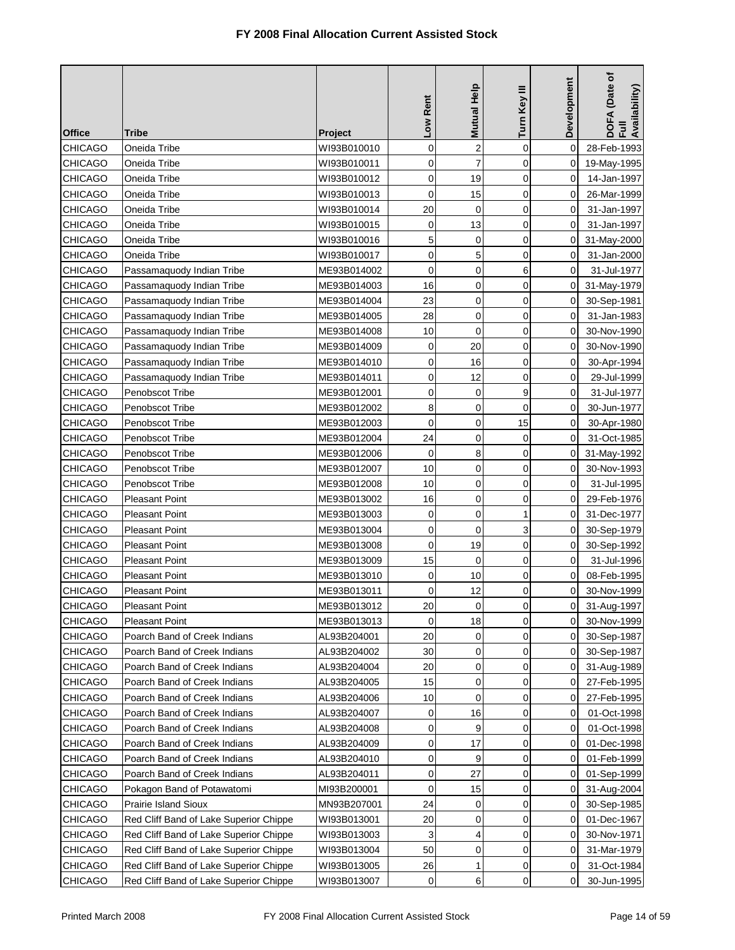| <b>Office</b>                    | Tribe                                                        | Project                    | Low Rent    | <b>Mutual Help</b> | Turn Key III               | Development | DOFA (Date of<br>Full<br>Availability) |
|----------------------------------|--------------------------------------------------------------|----------------------------|-------------|--------------------|----------------------------|-------------|----------------------------------------|
| <b>CHICAGO</b>                   | Oneida Tribe                                                 | WI93B010010                | 0           | $\overline{c}$     | $\mathbf 0$                | $\Omega$    | 28-Feb-1993                            |
| <b>CHICAGO</b>                   | Oneida Tribe                                                 | WI93B010011                | 0           | $\overline{7}$     | 0                          | 0           | 19-May-1995                            |
| <b>CHICAGO</b>                   | Oneida Tribe                                                 | WI93B010012                | 0           | 19                 | $\overline{0}$             | 0           | 14-Jan-1997                            |
| <b>CHICAGO</b>                   | Oneida Tribe                                                 | WI93B010013                | 0           | 15                 | $\mathbf 0$                | $\Omega$    | 26-Mar-1999                            |
| <b>CHICAGO</b>                   | Oneida Tribe                                                 | WI93B010014                | 20          | $\overline{0}$     | $\mathbf 0$                | $\Omega$    | 31-Jan-1997                            |
| CHICAGO                          | Oneida Tribe                                                 | WI93B010015                | 0           | 13                 | 0                          | 0           | 31-Jan-1997                            |
| <b>CHICAGO</b>                   | Oneida Tribe                                                 | WI93B010016                | 5           | 0                  | $\mathbf 0$                | 0           | 31-May-2000                            |
| <b>CHICAGO</b>                   | Oneida Tribe                                                 | WI93B010017                | 0           | 5                  | $\mathbf 0$                | 0           | 31-Jan-2000                            |
| <b>CHICAGO</b>                   | Passamaquody Indian Tribe                                    | ME93B014002                | 0           | $\mathbf 0$        | 6                          | 0           | 31-Jul-1977                            |
| <b>CHICAGO</b>                   | Passamaquody Indian Tribe                                    | ME93B014003                | 16          | 0                  | $\mathbf 0$                | 0           | 31-May-1979                            |
| <b>CHICAGO</b>                   | Passamaquody Indian Tribe                                    | ME93B014004                | 23          | 0                  | $\mathbf 0$                | 0           | 30-Sep-1981                            |
| <b>CHICAGO</b>                   | Passamaquody Indian Tribe                                    | ME93B014005                | 28          | 0                  | $\mathbf 0$                | 0           | 31-Jan-1983                            |
| <b>CHICAGO</b>                   | Passamaquody Indian Tribe                                    | ME93B014008                | 10          | $\mathbf 0$        | $\mathbf 0$                | 0           | 30-Nov-1990                            |
| <b>CHICAGO</b>                   | Passamaquody Indian Tribe                                    | ME93B014009                | $\mathbf 0$ | 20                 | $\mathbf 0$                | 0           | 30-Nov-1990                            |
| CHICAGO                          | Passamaquody Indian Tribe                                    | ME93B014010                | 0           | 16                 | $\mathbf 0$                | 0           | 30-Apr-1994                            |
| <b>CHICAGO</b>                   | Passamaquody Indian Tribe                                    | ME93B014011                | $\mathbf 0$ | 12                 | $\mathbf 0$                | 0           | 29-Jul-1999                            |
| <b>CHICAGO</b>                   | Penobscot Tribe                                              | ME93B012001                | 0           | $\mathbf 0$        | 9                          | 0           | 31-Jul-1977                            |
| <b>CHICAGO</b>                   | Penobscot Tribe                                              | ME93B012002                | 8           | 0                  | $\mathbf 0$                | 0           | 30-Jun-1977                            |
| <b>CHICAGO</b>                   | Penobscot Tribe                                              | ME93B012003                | 0           | 0                  | 15                         | 0           | 30-Apr-1980                            |
| <b>CHICAGO</b>                   | Penobscot Tribe                                              | ME93B012004                | 24          | $\mathbf 0$        | $\mathbf 0$                | $\Omega$    | 31-Oct-1985                            |
| <b>CHICAGO</b>                   | Penobscot Tribe                                              | ME93B012006                | 0           | 8                  | $\mathbf 0$                | 0           | 31-May-1992                            |
| <b>CHICAGO</b>                   | Penobscot Tribe                                              |                            | 10          | 0                  | $\mathbf 0$                | 0           |                                        |
|                                  |                                                              | ME93B012007                |             | 0                  | $\mathbf 0$                | 0           | 30-Nov-1993                            |
| <b>CHICAGO</b>                   | Penobscot Tribe                                              | ME93B012008                | 10          |                    |                            |             | 31-Jul-1995                            |
| <b>CHICAGO</b>                   | <b>Pleasant Point</b>                                        | ME93B013002                | 16          | 0                  | 0                          | 0           | 29-Feb-1976                            |
| <b>CHICAGO</b>                   | Pleasant Point                                               | ME93B013003                | 0           | 0                  | 1                          | 0           | 31-Dec-1977                            |
| <b>CHICAGO</b>                   | <b>Pleasant Point</b>                                        | ME93B013004                | 0           | $\mathbf 0$        | 3                          | 0           | 30-Sep-1979                            |
| <b>CHICAGO</b><br><b>CHICAGO</b> | <b>Pleasant Point</b><br><b>Pleasant Point</b>               | ME93B013008                | 0<br>15     | 19<br>$\mathbf 0$  | $\mathbf 0$<br>$\mathbf 0$ | 0<br>0      | 30-Sep-1992<br>31-Jul-1996             |
| <b>CHICAGO</b>                   | <b>Pleasant Point</b>                                        | ME93B013009<br>ME93B013010 | 0           | 10                 | $\mathbf 0$                | 0           | 08-Feb-1995                            |
|                                  | <b>Pleasant Point</b>                                        |                            | 0           | 12                 | $\mathbf 0$                | 0           |                                        |
| <b>CHICAGO</b>                   |                                                              | ME93B013011                |             |                    |                            |             | 30-Nov-1999                            |
| <b>CHICAGO</b>                   | <b>Pleasant Point</b>                                        | ME93B013012                | 20          | $\overline{0}$     | 0                          | $\pmb{0}$   | 31-Aug-1997                            |
| <b>CHICAGO</b>                   | <b>Pleasant Point</b>                                        | ME93B013013                | 0           | 18                 | $\mathbf 0$                | 0           | 30-Nov-1999                            |
| <b>CHICAGO</b>                   | Poarch Band of Creek Indians                                 | AL93B204001                | 20          | 0                  | 0                          | 0           | 30-Sep-1987                            |
| <b>CHICAGO</b>                   | Poarch Band of Creek Indians                                 | AL93B204002                | 30          | 0                  | 0                          | 0           | 30-Sep-1987                            |
| <b>CHICAGO</b>                   | Poarch Band of Creek Indians                                 | AL93B204004                | 20          | 0                  | $\mathbf 0$                | 0           | 31-Aug-1989                            |
| <b>CHICAGO</b>                   | Poarch Band of Creek Indians                                 | AL93B204005                | 15          | 0<br>0             | $\mathbf 0$<br>0           | 0           | 27-Feb-1995                            |
| <b>CHICAGO</b>                   | Poarch Band of Creek Indians                                 | AL93B204006                | 10          |                    | $\mathbf 0$                | 0           | 27-Feb-1995                            |
| <b>CHICAGO</b>                   | Poarch Band of Creek Indians                                 | AL93B204007                | 0<br>0      | 16<br>9            |                            | 0<br>0      | 01-Oct-1998                            |
| <b>CHICAGO</b>                   | Poarch Band of Creek Indians<br>Poarch Band of Creek Indians | AL93B204008                | 0           | 17                 | 0<br>0                     |             | 01-Oct-1998                            |
| <b>CHICAGO</b>                   |                                                              | AL93B204009                |             |                    |                            | 0           | 01-Dec-1998                            |
| <b>CHICAGO</b>                   | Poarch Band of Creek Indians                                 | AL93B204010                | 0           | 9                  | 0                          | 0           | 01-Feb-1999                            |
| <b>CHICAGO</b>                   | Poarch Band of Creek Indians                                 | AL93B204011                | 0           | 27                 | 0                          | 0           | 01-Sep-1999                            |
| <b>CHICAGO</b>                   | Pokagon Band of Potawatomi                                   | MI93B200001                | 0           | 15                 | 0                          | 0           | 31-Aug-2004                            |
| <b>CHICAGO</b>                   | Prairie Island Sioux                                         | MN93B207001                | 24          | 0                  | 0                          | 0           | 30-Sep-1985                            |
| <b>CHICAGO</b>                   | Red Cliff Band of Lake Superior Chippe                       | WI93B013001                | 20          | 0                  | $\mathbf 0$                | 0           | 01-Dec-1967                            |
| <b>CHICAGO</b>                   | Red Cliff Band of Lake Superior Chippe                       | WI93B013003                | 3           | 4                  | 0                          | 0           | 30-Nov-1971                            |
| <b>CHICAGO</b>                   | Red Cliff Band of Lake Superior Chippe                       | WI93B013004                | 50          | 0                  | $\mathbf 0$                | 0           | 31-Mar-1979                            |
| <b>CHICAGO</b>                   | Red Cliff Band of Lake Superior Chippe                       | WI93B013005                | 26          | 1                  | 0                          | 0           | 31-Oct-1984                            |
| <b>CHICAGO</b>                   | Red Cliff Band of Lake Superior Chippe                       | WI93B013007                | 0           | 6                  | 0                          | 0           | 30-Jun-1995                            |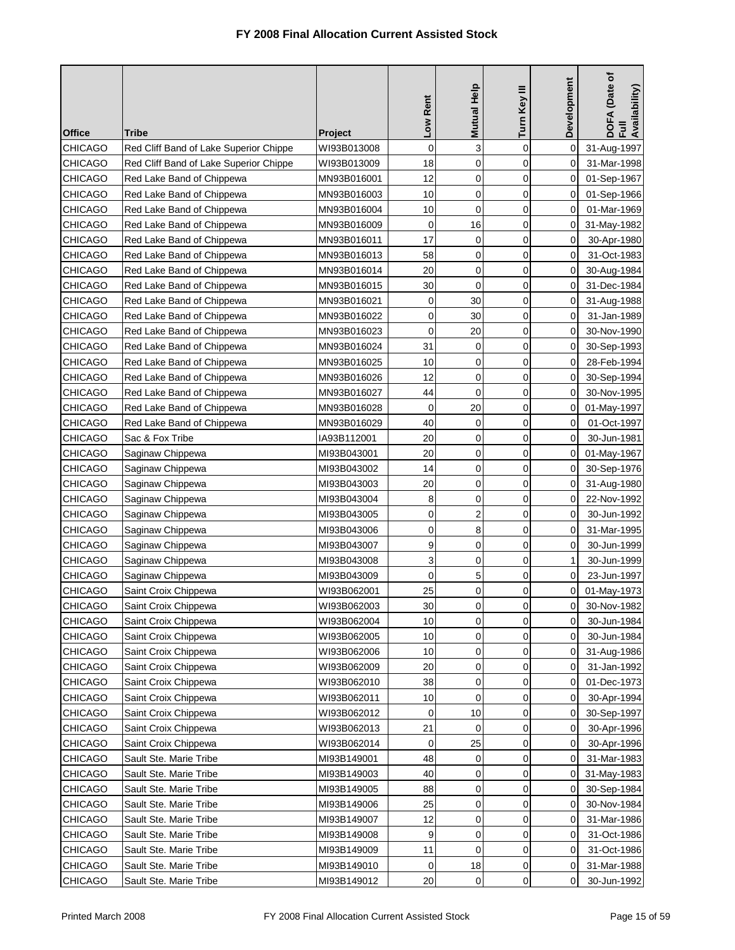| <b>Office</b>  | Tribe                                  |                               | Low Rent    | Mutual Help | Turn Key III | Development         | DOFA (Date of<br>Full<br>Availability) |
|----------------|----------------------------------------|-------------------------------|-------------|-------------|--------------|---------------------|----------------------------------------|
| <b>CHICAGO</b> | Red Cliff Band of Lake Superior Chippe | <b>Project</b><br>WI93B013008 | $\mathbf 0$ | 3           | $\mathbf 0$  | 0                   | 31-Aug-1997                            |
| <b>CHICAGO</b> | Red Cliff Band of Lake Superior Chippe | WI93B013009                   | 18          | $\mathbf 0$ | 0            | 0                   | 31-Mar-1998                            |
| <b>CHICAGO</b> | Red Lake Band of Chippewa              | MN93B016001                   | 12          | $\mathbf 0$ | $\mathbf 0$  | 0                   | 01-Sep-1967                            |
| CHICAGO        | Red Lake Band of Chippewa              | MN93B016003                   | 10          | $\mathbf 0$ | $\mathbf 0$  | 0                   | 01-Sep-1966                            |
| <b>CHICAGO</b> | Red Lake Band of Chippewa              | MN93B016004                   | 10          | $\mathbf 0$ | 0            | 0                   | 01-Mar-1969                            |
| <b>CHICAGO</b> | Red Lake Band of Chippewa              | MN93B016009                   | 0           | 16          | 0            | 0                   | 31-May-1982                            |
| <b>CHICAGO</b> | Red Lake Band of Chippewa              | MN93B016011                   | 17          | 0           | 0            | 0                   | 30-Apr-1980                            |
| CHICAGO        | Red Lake Band of Chippewa              | MN93B016013                   | 58          | 0           | $\mathbf 0$  | 0                   | 31-Oct-1983                            |
| <b>CHICAGO</b> | Red Lake Band of Chippewa              | MN93B016014                   | 20          | $\mathbf 0$ | $\mathbf 0$  | 0                   | 30-Aug-1984                            |
| <b>CHICAGO</b> | Red Lake Band of Chippewa              | MN93B016015                   | 30          | $\mathbf 0$ | 0            | 0                   | 31-Dec-1984                            |
| <b>CHICAGO</b> | Red Lake Band of Chippewa              | MN93B016021                   | 0           | 30          | 0            | 0                   | 31-Aug-1988                            |
| <b>CHICAGO</b> | Red Lake Band of Chippewa              | MN93B016022                   | 0           | 30          | 0            | 0                   | 31-Jan-1989                            |
| <b>CHICAGO</b> | Red Lake Band of Chippewa              | MN93B016023                   | 0           | 20          | $\mathbf 0$  | 0                   | 30-Nov-1990                            |
| <b>CHICAGO</b> | Red Lake Band of Chippewa              | MN93B016024                   | 31          | 0           | 0            | 0                   | 30-Sep-1993                            |
| <b>CHICAGO</b> | Red Lake Band of Chippewa              | MN93B016025                   | 10          | $\mathbf 0$ | 0            | 0                   | 28-Feb-1994                            |
| <b>CHICAGO</b> | Red Lake Band of Chippewa              | MN93B016026                   | 12          | $\mathbf 0$ | $\mathbf 0$  | 0                   | 30-Sep-1994                            |
| CHICAGO        | Red Lake Band of Chippewa              | MN93B016027                   | 44          | $\mathbf 0$ | $\mathbf 0$  | 0                   | 30-Nov-1995                            |
| <b>CHICAGO</b> | Red Lake Band of Chippewa              | MN93B016028                   | 0           | 20          | 0            | 0                   | 01-May-1997                            |
| <b>CHICAGO</b> | Red Lake Band of Chippewa              | MN93B016029                   | 40          | $\mathbf 0$ | 0            | 0                   | 01-Oct-1997                            |
| <b>CHICAGO</b> | Sac & Fox Tribe                        | IA93B112001                   | 20          | $\mathbf 0$ | $\mathbf 0$  | 0                   | 30-Jun-1981                            |
| <b>CHICAGO</b> | Saginaw Chippewa                       | MI93B043001                   | 20          | $\mathbf 0$ | 0            | 0                   | 01-May-1967                            |
| CHICAGO        | Saginaw Chippewa                       | MI93B043002                   | 14          | 0           | 0            | 0                   | 30-Sep-1976                            |
| CHICAGO        | Saginaw Chippewa                       | MI93B043003                   | 20          | $\mathbf 0$ | 0            | 0                   | 31-Aug-1980                            |
| CHICAGO        | Saginaw Chippewa                       | MI93B043004                   | 8           | 0           | 0            | 0                   | 22-Nov-1992                            |
| CHICAGO        | Saginaw Chippewa                       | MI93B043005                   | 0           | 2           | 0            | 0                   | 30-Jun-1992                            |
| <b>CHICAGO</b> | Saginaw Chippewa                       | MI93B043006                   | 0           | 8           | 0            | 0                   | 31-Mar-1995                            |
| <b>CHICAGO</b> | Saginaw Chippewa                       | MI93B043007                   | 9           | $\mathbf 0$ | 0            | 0                   | 30-Jun-1999                            |
| <b>CHICAGO</b> | Saginaw Chippewa                       | MI93B043008                   | 3           | 0           | 0            | 1                   | 30-Jun-1999                            |
| <b>CHICAGO</b> | Saginaw Chippewa                       | MI93B043009                   | $\mathbf 0$ | 5           | $\mathbf 0$  | 0                   | 23-Jun-1997                            |
| CHICAGO        | Saint Croix Chippewa                   | WI93B062001                   | 25          | 0           | 0            | 0                   | 01-May-1973                            |
| CHICAGO        | Saint Croix Chippewa                   | WI93B062003                   | 30          | 0           | 0            | $\mathsf{O}\xspace$ | 30-Nov-1982                            |
| CHICAGO        | Saint Croix Chippewa                   | WI93B062004                   | 10          | 0           | 0            | 0                   | 30-Jun-1984                            |
| CHICAGO        | Saint Croix Chippewa                   | WI93B062005                   | 10          | 0           | $\pmb{0}$    | 0                   | 30-Jun-1984                            |
| CHICAGO        | Saint Croix Chippewa                   | WI93B062006                   | 10          | 0           | 0            | 0                   | 31-Aug-1986                            |
| <b>CHICAGO</b> | Saint Croix Chippewa                   | WI93B062009                   | 20          | 0           | 0            | 0                   | 31-Jan-1992                            |
| <b>CHICAGO</b> | Saint Croix Chippewa                   | WI93B062010                   | 38          | $\mathbf 0$ | 0            | 0                   | 01-Dec-1973                            |
| <b>CHICAGO</b> | Saint Croix Chippewa                   | WI93B062011                   | 10          | 0           | 0            | 0                   | 30-Apr-1994                            |
| <b>CHICAGO</b> | Saint Croix Chippewa                   | WI93B062012                   | 0           | 10          | 0            | 0                   | 30-Sep-1997                            |
| <b>CHICAGO</b> | Saint Croix Chippewa                   | WI93B062013                   | 21          | $\mathbf 0$ | 0            | 0                   | 30-Apr-1996                            |
| CHICAGO        | Saint Croix Chippewa                   | WI93B062014                   | 0           | 25          | 0            | 0                   | 30-Apr-1996                            |
| CHICAGO        | Sault Ste. Marie Tribe                 | MI93B149001                   | 48          | 0           | 0            | 0                   | 31-Mar-1983                            |
| <b>CHICAGO</b> | Sault Ste. Marie Tribe                 | MI93B149003                   | 40          | 0           | 0            | 0                   | 31-May-1983                            |
| CHICAGO        | Sault Ste. Marie Tribe                 | MI93B149005                   | 88          | 0           | 0            | 0                   | 30-Sep-1984                            |
| <b>CHICAGO</b> | Sault Ste. Marie Tribe                 | MI93B149006                   | 25          | 0           | 0            | 0                   | 30-Nov-1984                            |
| <b>CHICAGO</b> | Sault Ste. Marie Tribe                 | MI93B149007                   | 12          | $\mathbf 0$ | 0            | 0                   | 31-Mar-1986                            |
| <b>CHICAGO</b> | Sault Ste. Marie Tribe                 | MI93B149008                   | 9           | 0           | 0            | 0                   | 31-Oct-1986                            |
| CHICAGO        | Sault Ste. Marie Tribe                 | MI93B149009                   | 11          | 0           | 0            | 0                   | 31-Oct-1986                            |
| <b>CHICAGO</b> | Sault Ste. Marie Tribe                 | MI93B149010                   | 0           | 18          | 0            | 0                   | 31-Mar-1988                            |
| <b>CHICAGO</b> | Sault Ste. Marie Tribe                 | MI93B149012                   | 20          | 0           | 0            | 0                   | 30-Jun-1992                            |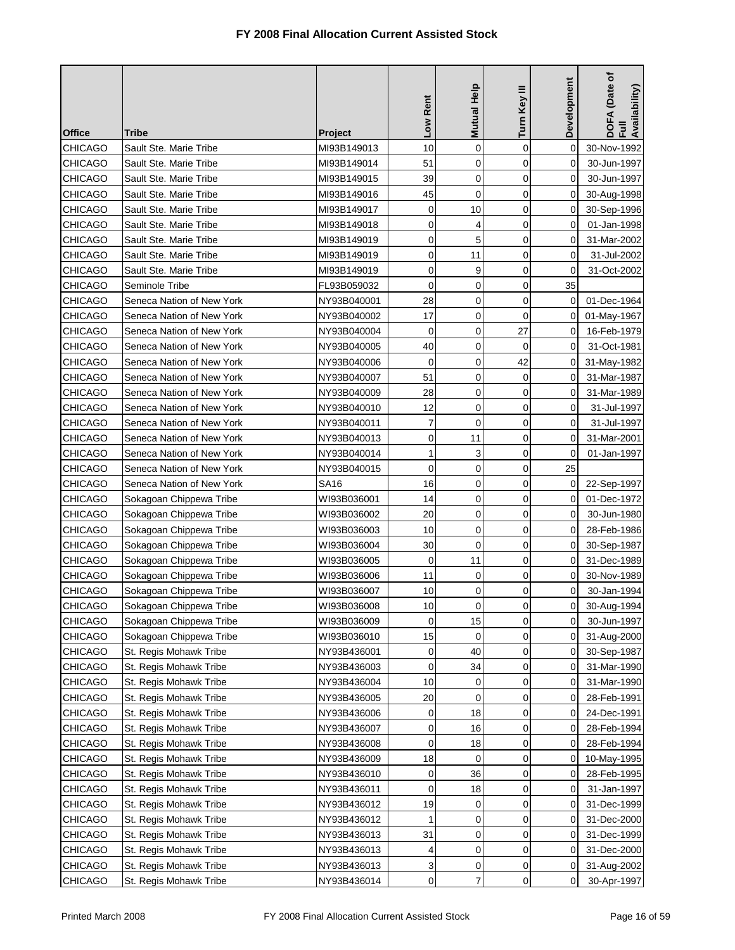| <b>Office</b>  | Tribe                     |                            | Low Rent       | Mutual Help | Turn Key III | Development         | (Date of<br>DOFA (Date<br>Full<br>Availability) |
|----------------|---------------------------|----------------------------|----------------|-------------|--------------|---------------------|-------------------------------------------------|
| <b>CHICAGO</b> | Sault Ste. Marie Tribe    | <b>Project</b>             | 10             | $\mathbf 0$ | $\mathbf 0$  | 0                   | 30-Nov-1992                                     |
| <b>CHICAGO</b> | Sault Ste. Marie Tribe    | MI93B149013<br>MI93B149014 | 51             | 0           | 0            | 0                   | 30-Jun-1997                                     |
| <b>CHICAGO</b> | Sault Ste. Marie Tribe    | MI93B149015                | 39             | 0           | 0            | $\Omega$            | 30-Jun-1997                                     |
| CHICAGO        | Sault Ste. Marie Tribe    | MI93B149016                | 45             | $\mathbf 0$ | $\mathbf 0$  | 0                   | 30-Aug-1998                                     |
| <b>CHICAGO</b> | Sault Ste. Marie Tribe    | MI93B149017                | 0              | 10          | 0            | 0                   | 30-Sep-1996                                     |
| CHICAGO        | Sault Ste. Marie Tribe    | MI93B149018                | $\mathbf 0$    | 4           | 0            | 0                   | 01-Jan-1998                                     |
| <b>CHICAGO</b> | Sault Ste. Marie Tribe    | MI93B149019                | 0              | 5           | 0            | 0                   | 31-Mar-2002                                     |
| CHICAGO        | Sault Ste. Marie Tribe    | MI93B149019                | 0              | 11          | $\mathbf 0$  | 0                   | 31-Jul-2002                                     |
| <b>CHICAGO</b> | Sault Ste. Marie Tribe    | MI93B149019                | 0              | 9           | $\mathbf 0$  | 0                   | 31-Oct-2002                                     |
| <b>CHICAGO</b> | Seminole Tribe            | FL93B059032                | $\mathbf 0$    | $\mathbf 0$ | 0            | 35                  |                                                 |
| <b>CHICAGO</b> | Seneca Nation of New York | NY93B040001                | 28             | $\mathbf 0$ | 0            | 0                   | 01-Dec-1964                                     |
| CHICAGO        | Seneca Nation of New York | NY93B040002                | 17             | 0           | 0            | 0                   | 01-May-1967                                     |
| <b>CHICAGO</b> | Seneca Nation of New York | NY93B040004                | 0              | $\mathbf 0$ | 27           | 0                   | 16-Feb-1979                                     |
| <b>CHICAGO</b> | Seneca Nation of New York | NY93B040005                | 40             | $\mathbf 0$ | 0            | 0                   | 31-Oct-1981                                     |
| <b>CHICAGO</b> | Seneca Nation of New York | NY93B040006                | 0              | $\mathbf 0$ | 42           | 0                   | 31-May-1982                                     |
| CHICAGO        | Seneca Nation of New York | NY93B040007                | 51             | $\mathbf 0$ | 0            | 0                   | 31-Mar-1987                                     |
| CHICAGO        | Seneca Nation of New York | NY93B040009                | 28             | $\mathbf 0$ | 0            | 0                   | 31-Mar-1989                                     |
| <b>CHICAGO</b> | Seneca Nation of New York | NY93B040010                | 12             | $\mathbf 0$ | 0            | 0                   | 31-Jul-1997                                     |
| <b>CHICAGO</b> | Seneca Nation of New York | NY93B040011                | $\overline{7}$ | $\mathbf 0$ | 0            | 0                   | 31-Jul-1997                                     |
| <b>CHICAGO</b> | Seneca Nation of New York | NY93B040013                | 0              | 11          | 0            | 0                   | 31-Mar-2001                                     |
| <b>CHICAGO</b> | Seneca Nation of New York | NY93B040014                | 1              | 3           | 0            | 0                   | 01-Jan-1997                                     |
| CHICAGO        | Seneca Nation of New York | NY93B040015                | 0              | 0           | 0            | 25                  |                                                 |
| CHICAGO        | Seneca Nation of New York | SA16                       | 16             | 0           | 0            | 0                   | 22-Sep-1997                                     |
| CHICAGO        | Sokagoan Chippewa Tribe   | WI93B036001                | 14             | 0           | 0            | 0                   | 01-Dec-1972                                     |
| CHICAGO        | Sokagoan Chippewa Tribe   | WI93B036002                | 20             | 0           | 0            | 0                   | 30-Jun-1980                                     |
| <b>CHICAGO</b> | Sokagoan Chippewa Tribe   | WI93B036003                | 10             | 0           | 0            | 0                   | 28-Feb-1986                                     |
| <b>CHICAGO</b> | Sokagoan Chippewa Tribe   | WI93B036004                | 30             | $\mathbf 0$ | 0            | 0                   | 30-Sep-1987                                     |
| CHICAGO        | Sokagoan Chippewa Tribe   | WI93B036005                | $\mathbf 0$    | 11          | 0            | 0                   | 31-Dec-1989                                     |
| CHICAGO        | Sokagoan Chippewa Tribe   | WI93B036006                | 11             | $\mathbf 0$ | $\mathbf 0$  | 0                   | 30-Nov-1989                                     |
| CHICAGO        | Sokagoan Chippewa Tribe   | WI93B036007                | 10             | 0           | 0            | 0                   | 30-Jan-1994                                     |
| CHICAGO        | Sokagoan Chippewa Tribe   | WI93B036008                | $10$           | 0           | 0            | $\mathsf{O}\xspace$ | 30-Aug-1994                                     |
| <b>CHICAGO</b> | Sokagoan Chippewa Tribe   | WI93B036009                | 0              | 15          | 0            | 0                   | 30-Jun-1997                                     |
| CHICAGO        | Sokagoan Chippewa Tribe   | WI93B036010                | 15             | 0           | 0            | 0                   | 31-Aug-2000                                     |
| CHICAGO        | St. Regis Mohawk Tribe    | NY93B436001                | 0              | 40          | 0            | 0                   | 30-Sep-1987                                     |
| <b>CHICAGO</b> | St. Regis Mohawk Tribe    | NY93B436003                | 0              | 34          | 0            | 0                   | 31-Mar-1990                                     |
| <b>CHICAGO</b> | St. Regis Mohawk Tribe    | NY93B436004                | 10             | 0           | 0            | 0                   | 31-Mar-1990                                     |
| <b>CHICAGO</b> | St. Regis Mohawk Tribe    | NY93B436005                | 20             | 0           | 0            | 0                   | 28-Feb-1991                                     |
| <b>CHICAGO</b> | St. Regis Mohawk Tribe    | NY93B436006                | 0              | 18          | 0            | 0                   | 24-Dec-1991                                     |
| CHICAGO        | St. Regis Mohawk Tribe    | NY93B436007                | 0              | 16          | 0            | 0                   | 28-Feb-1994                                     |
| CHICAGO        | St. Regis Mohawk Tribe    | NY93B436008                | 0              | 18          | 0            | 0                   | 28-Feb-1994                                     |
| CHICAGO        | St. Regis Mohawk Tribe    | NY93B436009                | 18             | 0           | 0            | 0                   | 10-May-1995                                     |
| <b>CHICAGO</b> | St. Regis Mohawk Tribe    | NY93B436010                | 0              | 36          | 0            | 0                   | 28-Feb-1995                                     |
| CHICAGO        | St. Regis Mohawk Tribe    | NY93B436011                | 0              | 18          | 0            | 0                   | 31-Jan-1997                                     |
| <b>CHICAGO</b> | St. Regis Mohawk Tribe    | NY93B436012                | 19             | 0           | 0            | 0                   | 31-Dec-1999                                     |
| <b>CHICAGO</b> | St. Regis Mohawk Tribe    | NY93B436012                |                | 0           | 0            | 0                   | 31-Dec-2000                                     |
| CHICAGO        | St. Regis Mohawk Tribe    | NY93B436013                | 31             | 0           | 0            | 0                   | 31-Dec-1999                                     |
| CHICAGO        | St. Regis Mohawk Tribe    | NY93B436013                | 4              | 0           | 0            | 0                   | 31-Dec-2000                                     |
| <b>CHICAGO</b> | St. Regis Mohawk Tribe    | NY93B436013                | 3              | 0           | 0            | 0                   | 31-Aug-2002                                     |
| <b>CHICAGO</b> | St. Regis Mohawk Tribe    | NY93B436014                | 0              | 7           | 0            | 0                   | 30-Apr-1997                                     |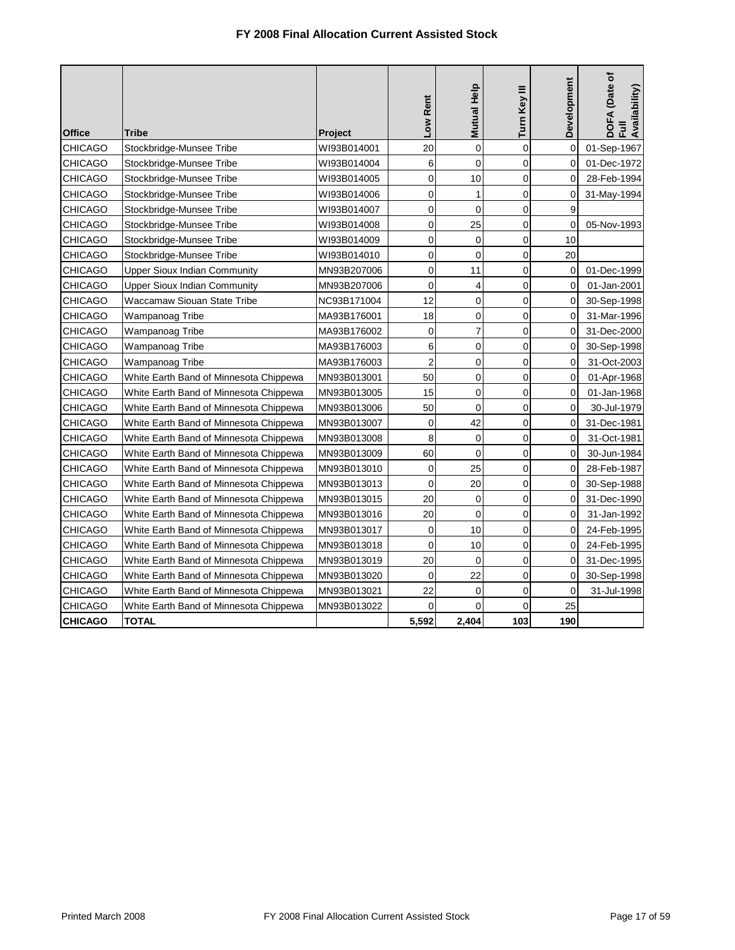| <b>Office</b>  | Tribe                                  | Project     | Rent<br>$\overline{\phantom{0}}$ | Mutual Help    | Turn Key III   | Development    | DOFA (Date of<br>Availability)<br>ì |
|----------------|----------------------------------------|-------------|----------------------------------|----------------|----------------|----------------|-------------------------------------|
| <b>CHICAGO</b> | Stockbridge-Munsee Tribe               | WI93B014001 | 20                               | $\mathbf 0$    | $\mathbf 0$    | $\mathbf{0}$   | 01-Sep-1967                         |
| <b>CHICAGO</b> | Stockbridge-Munsee Tribe               | WI93B014004 | 6                                | $\mathbf 0$    | $\Omega$       | $\Omega$       | 01-Dec-1972                         |
| <b>CHICAGO</b> | Stockbridge-Munsee Tribe               | WI93B014005 | $\overline{0}$                   | 10             | $\overline{0}$ | 0              | 28-Feb-1994                         |
| <b>CHICAGO</b> | Stockbridge-Munsee Tribe               | WI93B014006 | $\mathbf 0$                      | 1              | $\Omega$       | 0              | 31-May-1994                         |
| <b>CHICAGO</b> | Stockbridge-Munsee Tribe               | WI93B014007 | $\mathbf 0$                      | $\mathbf 0$    | $\overline{0}$ | 9              |                                     |
| <b>CHICAGO</b> | Stockbridge-Munsee Tribe               | WI93B014008 | $\mathbf 0$                      | 25             | 0              | $\Omega$       | 05-Nov-1993                         |
| <b>CHICAGO</b> | Stockbridge-Munsee Tribe               | WI93B014009 | 0                                | $\mathbf 0$    | 0              | 10             |                                     |
| <b>CHICAGO</b> | Stockbridge-Munsee Tribe               | WI93B014010 | $\mathbf{0}$                     | $\Omega$       | $\Omega$       | 20             |                                     |
| <b>CHICAGO</b> | <b>Upper Sioux Indian Community</b>    | MN93B207006 | $\Omega$                         | 11             | $\Omega$       | 0              | 01-Dec-1999                         |
| <b>CHICAGO</b> | <b>Upper Sioux Indian Community</b>    | MN93B207006 | $\mathbf 0$                      | $\overline{4}$ | $\overline{0}$ | 0              | 01-Jan-2001                         |
| <b>CHICAGO</b> | Waccamaw Siouan State Tribe            | NC93B171004 | 12                               | $\mathbf 0$    | 0              | 0              | 30-Sep-1998                         |
| <b>CHICAGO</b> | Wampanoag Tribe                        | MA93B176001 | 18                               | $\mathbf 0$    | $\overline{0}$ | $\mathbf 0$    | 31-Mar-1996                         |
| <b>CHICAGO</b> | Wampanoag Tribe                        | MA93B176002 | $\mathbf 0$                      | $\overline{7}$ | $\overline{0}$ | $\mathbf 0$    | 31-Dec-2000                         |
| <b>CHICAGO</b> | Wampanoag Tribe                        | MA93B176003 | 6                                | $\mathbf 0$    | $\overline{0}$ | $\mathbf 0$    | 30-Sep-1998                         |
| <b>CHICAGO</b> | Wampanoag Tribe                        | MA93B176003 | $\overline{2}$                   | $\mathbf 0$    | $\Omega$       | $\Omega$       | 31-Oct-2003                         |
| <b>CHICAGO</b> | White Earth Band of Minnesota Chippewa | MN93B013001 | 50                               | $\mathbf 0$    | $\overline{0}$ | $\overline{0}$ | 01-Apr-1968                         |
| CHICAGO        | White Earth Band of Minnesota Chippewa | MN93B013005 | 15                               | $\mathbf 0$    | $\mathbf 0$    | $\overline{0}$ | 01-Jan-1968                         |
| <b>CHICAGO</b> | White Earth Band of Minnesota Chippewa | MN93B013006 | 50                               | $\mathbf 0$    | $\mathbf 0$    | 0              | 30-Jul-1979                         |
| CHICAGO        | White Earth Band of Minnesota Chippewa | MN93B013007 | $\mathbf 0$                      | 42             | $\overline{0}$ | $\overline{0}$ | 31-Dec-1981                         |
| <b>CHICAGO</b> | White Earth Band of Minnesota Chippewa | MN93B013008 | 8                                | $\mathbf 0$    | $\overline{0}$ | $\mathbf 0$    | 31-Oct-1981                         |
| CHICAGO        | White Earth Band of Minnesota Chippewa | MN93B013009 | 60                               | $\mathbf 0$    | $\mathbf 0$    | $\overline{0}$ | 30-Jun-1984                         |
| CHICAGO        | White Earth Band of Minnesota Chippewa | MN93B013010 | $\mathbf 0$                      | 25             | $\overline{0}$ | $\Omega$       | 28-Feb-1987                         |
| CHICAGO        | White Earth Band of Minnesota Chippewa | MN93B013013 | $\overline{0}$                   | 20             | $\overline{0}$ | $\overline{0}$ | 30-Sep-1988                         |
| CHICAGO        | White Earth Band of Minnesota Chippewa | MN93B013015 | 20                               | $\mathbf 0$    | $\overline{0}$ | $\overline{0}$ | 31-Dec-1990                         |
| CHICAGO        | White Earth Band of Minnesota Chippewa | MN93B013016 | 20                               | $\mathbf 0$    | $\overline{0}$ | 0              | 31-Jan-1992                         |
| <b>CHICAGO</b> | White Earth Band of Minnesota Chippewa | MN93B013017 | $\Omega$                         | 10             | $\Omega$       | 0              | 24-Feb-1995                         |
| <b>CHICAGO</b> | White Earth Band of Minnesota Chippewa | MN93B013018 | $\Omega$                         | 10             | $\Omega$       | $\Omega$       | 24-Feb-1995                         |
| CHICAGO        | White Earth Band of Minnesota Chippewa | MN93B013019 | 20                               | $\mathbf 0$    | $\overline{0}$ | 0              | 31-Dec-1995                         |
| CHICAGO        | White Earth Band of Minnesota Chippewa | MN93B013020 | $\mathbf{0}$                     | 22             | $\Omega$       | $\Omega$       | 30-Sep-1998                         |
| <b>CHICAGO</b> | White Earth Band of Minnesota Chippewa | MN93B013021 | 22                               | $\mathbf 0$    | $\Omega$       | $\Omega$       | 31-Jul-1998                         |
| <b>CHICAGO</b> | White Earth Band of Minnesota Chippewa | MN93B013022 | $\Omega$                         | $\Omega$       | $\Omega$       | 25             |                                     |
| <b>CHICAGO</b> | TOTAL                                  |             | 5,592                            | 2,404          | 103            | 190            |                                     |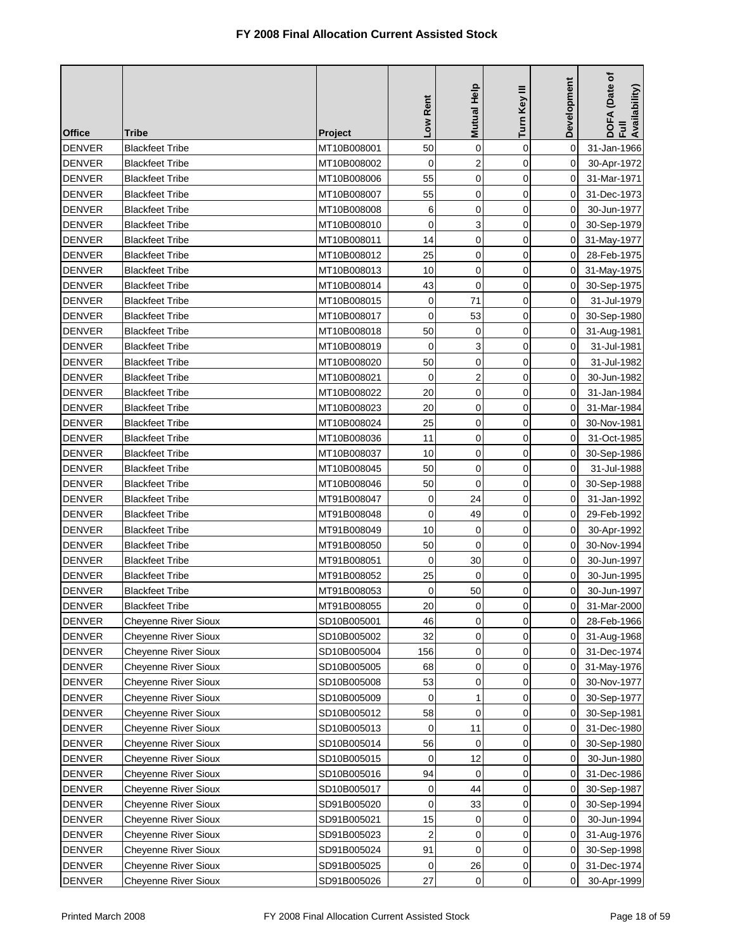| <b>Office</b> | Tribe                       | Project                    | Low Rent       | <b>Mutual Help</b>      | Turn Key III   | <b>Development</b> | DOFA (Date of<br>Full<br>Availability) |
|---------------|-----------------------------|----------------------------|----------------|-------------------------|----------------|--------------------|----------------------------------------|
| <b>DENVER</b> | <b>Blackfeet Tribe</b>      |                            | 50             | 0                       | $\mathbf 0$    | 0                  | 31-Jan-1966                            |
| <b>DENVER</b> | <b>Blackfeet Tribe</b>      | MT10B008001<br>MT10B008002 | 0              | $\overline{\mathbf{c}}$ | 0              | 0                  | 30-Apr-1972                            |
| <b>DENVER</b> | <b>Blackfeet Tribe</b>      | MT10B008006                | 55             | 0                       | $\mathbf 0$    | 0                  | 31-Mar-1971                            |
| <b>DENVER</b> | <b>Blackfeet Tribe</b>      | MT10B008007                | 55             | $\mathbf 0$             | $\overline{0}$ | $\Omega$           | 31-Dec-1973                            |
| <b>DENVER</b> | <b>Blackfeet Tribe</b>      | MT10B008008                | 6              | 0                       | 0              | 0                  | 30-Jun-1977                            |
| <b>DENVER</b> | <b>Blackfeet Tribe</b>      | MT10B008010                | 0              | 3                       | $\mathbf 0$    | 0                  | 30-Sep-1979                            |
| <b>DENVER</b> | <b>Blackfeet Tribe</b>      | MT10B008011                | 14             | 0                       | 0              | 0                  | 31-May-1977                            |
| <b>DENVER</b> | Blackfeet Tribe             | MT10B008012                | 25             | 0                       | $\mathbf 0$    | 0                  | 28-Feb-1975                            |
| <b>DENVER</b> | <b>Blackfeet Tribe</b>      | MT10B008013                | 10             | 0                       | $\mathbf 0$    | 0                  | 31-May-1975                            |
| <b>DENVER</b> | <b>Blackfeet Tribe</b>      | MT10B008014                | 43             | 0                       | $\mathbf 0$    | 0                  | 30-Sep-1975                            |
| <b>DENVER</b> | <b>Blackfeet Tribe</b>      | MT10B008015                | $\mathbf 0$    | 71                      | $\mathbf 0$    | 0                  | 31-Jul-1979                            |
| <b>DENVER</b> | <b>Blackfeet Tribe</b>      | MT10B008017                | $\mathbf 0$    | 53                      | $\mathbf 0$    | 0                  | 30-Sep-1980                            |
| <b>DENVER</b> | <b>Blackfeet Tribe</b>      | MT10B008018                | 50             | 0                       | $\mathbf 0$    | 0                  | 31-Aug-1981                            |
| <b>DENVER</b> | <b>Blackfeet Tribe</b>      | MT10B008019                | 0              | 3                       | $\overline{0}$ | 0                  | 31-Jul-1981                            |
| <b>DENVER</b> | <b>Blackfeet Tribe</b>      | MT10B008020                | 50             | 0                       | 0              | 0                  | 31-Jul-1982                            |
| <b>DENVER</b> | Blackfeet Tribe             | MT10B008021                | 0              | $\overline{c}$          | $\mathbf 0$    | 0                  | 30-Jun-1982                            |
| <b>DENVER</b> | Blackfeet Tribe             | MT10B008022                | 20             | $\mathbf 0$             | $\mathbf 0$    | 0                  | 31-Jan-1984                            |
| <b>DENVER</b> | <b>Blackfeet Tribe</b>      | MT10B008023                | 20             | 0                       | $\mathbf 0$    | 0                  | 31-Mar-1984                            |
| <b>DENVER</b> | <b>Blackfeet Tribe</b>      | MT10B008024                | 25             | 0                       | $\mathbf 0$    | $\Omega$           | 30-Nov-1981                            |
| <b>DENVER</b> | Blackfeet Tribe             | MT10B008036                | 11             | 0                       | $\mathbf 0$    | 0                  | 31-Oct-1985                            |
| <b>DENVER</b> | <b>Blackfeet Tribe</b>      | MT10B008037                | 10             | 0                       | $\mathbf 0$    | 0                  | 30-Sep-1986                            |
| <b>DENVER</b> | <b>Blackfeet Tribe</b>      | MT10B008045                | 50             | 0                       | $\mathbf 0$    | 0                  | 31-Jul-1988                            |
| <b>DENVER</b> | <b>Blackfeet Tribe</b>      | MT10B008046                | 50             | $\mathbf 0$             | 0              | 0                  | 30-Sep-1988                            |
| <b>DENVER</b> | Blackfeet Tribe             | MT91B008047                | 0              | 24                      | 0              | 0                  | 31-Jan-1992                            |
| <b>DENVER</b> | Blackfeet Tribe             | MT91B008048                | 0              | 49                      | 0              | 0                  | 29-Feb-1992                            |
| <b>DENVER</b> | Blackfeet Tribe             | MT91B008049                | 10             | 0                       | $\mathbf 0$    | 0                  | 30-Apr-1992                            |
| <b>DENVER</b> | <b>Blackfeet Tribe</b>      | MT91B008050                | 50             | $\mathbf 0$             | $\mathbf 0$    | 0                  | 30-Nov-1994                            |
| <b>DENVER</b> | <b>Blackfeet Tribe</b>      | MT91B008051                | $\mathbf 0$    | 30                      | 0              | 0                  | 30-Jun-1997                            |
| <b>DENVER</b> | <b>Blackfeet Tribe</b>      | MT91B008052                | 25             | $\overline{0}$          | 0              | 0                  | 30-Jun-1995                            |
| <b>DENVER</b> | <b>Blackfeet Tribe</b>      | MT91B008053                | 0              | 50                      | 0              | 0                  | 30-Jun-1997                            |
| DENVER        | <b>Blackfeet Tribe</b>      | MT91B008055                | 20             | $\mathsf{O}\xspace$     | 0              | $\mathbf 0$        | 31-Mar-2000                            |
| <b>DENVER</b> | <b>Cheyenne River Sioux</b> | SD10B005001                | 46             | $\mathbf 0$             | $\mathbf 0$    | 0                  | 28-Feb-1966                            |
| <b>DENVER</b> | Cheyenne River Sioux        | SD10B005002                | 32             | 0                       | 0              | 0                  | 31-Aug-1968                            |
| <b>DENVER</b> | Cheyenne River Sioux        | SD10B005004                | 156            | 0                       | 0              | 0                  | 31-Dec-1974                            |
| <b>DENVER</b> | <b>Cheyenne River Sioux</b> | SD10B005005                | 68             | 0                       | $\mathbf 0$    | 0                  | 31-May-1976                            |
| <b>DENVER</b> | <b>Cheyenne River Sioux</b> | SD10B005008                | 53             | 0                       | 0              | 0                  | 30-Nov-1977                            |
| <b>DENVER</b> | <b>Cheyenne River Sioux</b> | SD10B005009                | 0              | 1                       | $\mathbf 0$    | 0                  | 30-Sep-1977                            |
| <b>DENVER</b> | Cheyenne River Sioux        | SD10B005012                | 58             | $\mathbf 0$             | $\mathbf 0$    | 0                  | 30-Sep-1981                            |
| <b>DENVER</b> | <b>Cheyenne River Sioux</b> | SD10B005013                | 0              | 11                      | 0              | 0                  | 31-Dec-1980                            |
| <b>DENVER</b> | <b>Cheyenne River Sioux</b> | SD10B005014                | 56             | 0                       | 0              | 0                  | 30-Sep-1980                            |
| <b>DENVER</b> | <b>Cheyenne River Sioux</b> | SD10B005015                | 0              | 12                      | 0              | 0                  | 30-Jun-1980                            |
| <b>DENVER</b> | <b>Cheyenne River Sioux</b> | SD10B005016                | 94             | 0                       | 0              | 0                  | 31-Dec-1986                            |
| <b>DENVER</b> | Cheyenne River Sioux        | SD10B005017                | 0              | 44                      | 0              | 0                  | 30-Sep-1987                            |
| <b>DENVER</b> | <b>Cheyenne River Sioux</b> | SD91B005020                | 0              | 33                      | $\mathbf 0$    | 0                  | 30-Sep-1994                            |
| <b>DENVER</b> | <b>Cheyenne River Sioux</b> | SD91B005021                | 15             | 0                       | $\mathbf 0$    | 0                  | 30-Jun-1994                            |
| <b>DENVER</b> | Cheyenne River Sioux        | SD91B005023                | $\overline{2}$ | 0                       | 0              | 0                  | 31-Aug-1976                            |
| <b>DENVER</b> | <b>Cheyenne River Sioux</b> | SD91B005024                | 91             | 0                       | $\mathbf 0$    | 0                  | 30-Sep-1998                            |
| <b>DENVER</b> | <b>Cheyenne River Sioux</b> | SD91B005025                | 0              | 26                      | 0              | 0                  | 31-Dec-1974                            |
| <b>DENVER</b> | <b>Cheyenne River Sioux</b> | SD91B005026                | 27             | 0                       | 0              | 0                  | 30-Apr-1999                            |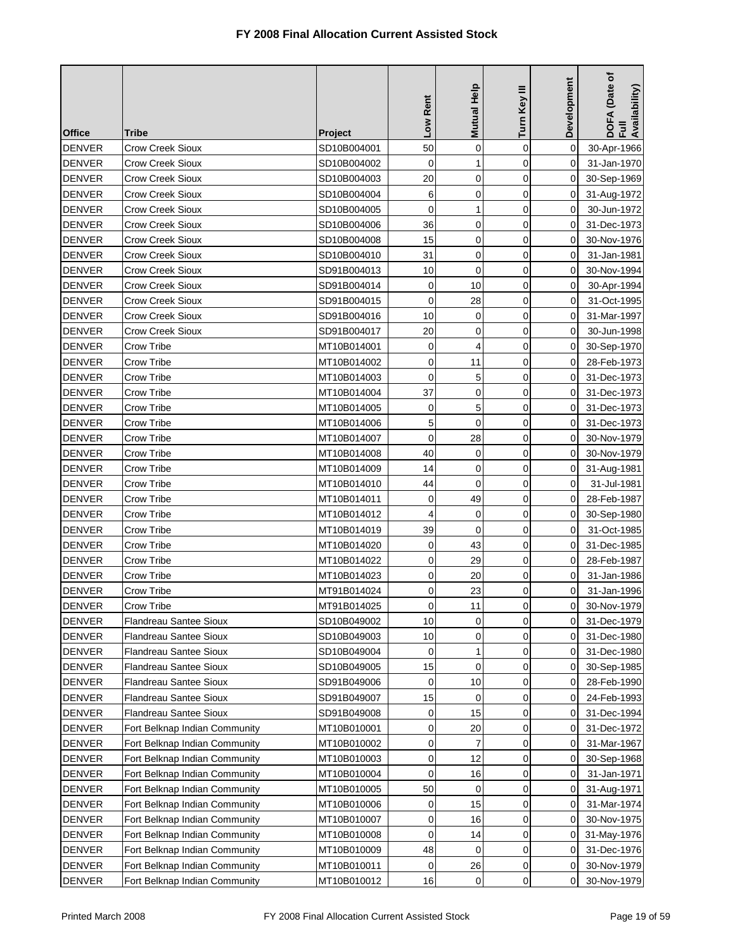| <b>Office</b> | Tribe                         | <b>Project</b> | Low Rent    | <b>Mutual Help</b> | Turn Key III | Development | DOFA (Date of<br>Full<br>Availability) |
|---------------|-------------------------------|----------------|-------------|--------------------|--------------|-------------|----------------------------------------|
| <b>DENVER</b> | <b>Crow Creek Sioux</b>       | SD10B004001    | 50          | 0                  | $\mathbf 0$  | $\Omega$    | 30-Apr-1966                            |
| <b>DENVER</b> | Crow Creek Sioux              | SD10B004002    | $\mathbf 0$ | 1                  | $\mathbf 0$  | $\Omega$    | 31-Jan-1970                            |
| <b>DENVER</b> | <b>Crow Creek Sioux</b>       | SD10B004003    | 20          | 0                  | $\mathbf 0$  | $\Omega$    | 30-Sep-1969                            |
| <b>DENVER</b> | Crow Creek Sioux              | SD10B004004    | 6           | 0                  | $\mathbf 0$  | 0           | 31-Aug-1972                            |
| <b>DENVER</b> | Crow Creek Sioux              | SD10B004005    | $\mathbf 0$ | 1                  | 0            | 0           | 30-Jun-1972                            |
| <b>DENVER</b> | Crow Creek Sioux              | SD10B004006    | 36          | 0                  | $\mathbf 0$  | 0           | 31-Dec-1973                            |
| <b>DENVER</b> | <b>Crow Creek Sioux</b>       | SD10B004008    | 15          | 0                  | 0            | 0           | 30-Nov-1976                            |
| <b>DENVER</b> | Crow Creek Sioux              | SD10B004010    | 31          | 0                  | $\mathbf 0$  | 0           | 31-Jan-1981                            |
| <b>DENVER</b> | Crow Creek Sioux              | SD91B004013    | 10          | 0                  | 0            | 0           | 30-Nov-1994                            |
| <b>DENVER</b> | Crow Creek Sioux              | SD91B004014    | 0           | 10                 | 0            | 0           | 30-Apr-1994                            |
| <b>DENVER</b> | <b>Crow Creek Sioux</b>       | SD91B004015    | 0           | 28                 | 0            | 0           | 31-Oct-1995                            |
| <b>DENVER</b> | Crow Creek Sioux              | SD91B004016    | 10          | 0                  | $\mathbf 0$  | 0           | 31-Mar-1997                            |
| <b>DENVER</b> | Crow Creek Sioux              | SD91B004017    | 20          | 0                  | $\mathbf 0$  | $\Omega$    | 30-Jun-1998                            |
| <b>DENVER</b> | Crow Tribe                    | MT10B014001    | 0           | 4                  | 0            | 0           | 30-Sep-1970                            |
| <b>DENVER</b> | Crow Tribe                    | MT10B014002    | 0           | 11                 | 0            | 0           | 28-Feb-1973                            |
| <b>DENVER</b> | Crow Tribe                    | MT10B014003    | 0           | 5                  | 0            | 0           | 31-Dec-1973                            |
| <b>DENVER</b> | Crow Tribe                    | MT10B014004    | 37          | 0                  | $\mathbf 0$  | 0           | 31-Dec-1973                            |
| <b>DENVER</b> | Crow Tribe                    | MT10B014005    | 0           | 5                  | 0            | 0           | 31-Dec-1973                            |
| <b>DENVER</b> | <b>Crow Tribe</b>             | MT10B014006    | 5           | $\mathbf 0$        | $\mathbf 0$  | 0           | 31-Dec-1973                            |
| <b>DENVER</b> | Crow Tribe                    | MT10B014007    | $\mathbf 0$ | 28                 | $\mathbf 0$  | 0           | 30-Nov-1979                            |
| <b>DENVER</b> | Crow Tribe                    | MT10B014008    | 40          | $\mathbf 0$        | $\mathbf 0$  | 0           | 30-Nov-1979                            |
| <b>DENVER</b> | Crow Tribe                    | MT10B014009    | 14          | 0                  | $\mathbf 0$  | 0           | 31-Aug-1981                            |
| <b>DENVER</b> | Crow Tribe                    | MT10B014010    | 44          | 0                  | $\mathbf 0$  | 0           | 31-Jul-1981                            |
| <b>DENVER</b> | Crow Tribe                    | MT10B014011    | 0           | 49                 | 0            | 0           | 28-Feb-1987                            |
| <b>DENVER</b> | Crow Tribe                    | MT10B014012    | 4           | $\mathbf 0$        | 0            | 0           | 30-Sep-1980                            |
| <b>DENVER</b> | Crow Tribe                    | MT10B014019    | 39          | 0                  | $\mathbf 0$  | 0           | 31-Oct-1985                            |
| <b>DENVER</b> | <b>Crow Tribe</b>             | MT10B014020    | 0           | 43                 | $\mathbf 0$  | 0           | 31-Dec-1985                            |
| <b>DENVER</b> | <b>Crow Tribe</b>             | MT10B014022    | $\mathbf 0$ | 29                 | $\mathbf 0$  | 0           | 28-Feb-1987                            |
| <b>DENVER</b> | Crow Tribe                    | MT10B014023    | 0           | 20                 | $\mathbf 0$  | 0           | 31-Jan-1986                            |
| <b>DENVER</b> | Crow Tribe                    | MT91B014024    | 0           | 23                 | 0            | 0           | 31-Jan-1996                            |
| DENVER        | Crow Tribe                    | MT91B014025    | 0           | 11                 | 0            | 0           | 30-Nov-1979                            |
| <b>DENVER</b> | <b>Flandreau Santee Sioux</b> | SD10B049002    | 10          | 0                  | $\mathbf 0$  | 0           | 31-Dec-1979                            |
| <b>DENVER</b> | <b>Flandreau Santee Sioux</b> | SD10B049003    | 10          | 0                  | 0            | 0           | 31-Dec-1980                            |
| <b>DENVER</b> | Flandreau Santee Sioux        | SD10B049004    | 0           | 1                  | 0            | 0           | 31-Dec-1980                            |
| <b>DENVER</b> | Flandreau Santee Sioux        | SD10B049005    | 15          | 0                  | 0            | 0           | 30-Sep-1985                            |
| <b>DENVER</b> | <b>Flandreau Santee Sioux</b> | SD91B049006    | 0           | 10                 | 0            | 0           | 28-Feb-1990                            |
| <b>DENVER</b> | <b>Flandreau Santee Sioux</b> | SD91B049007    | 15          | 0                  | 0            | 0           | 24-Feb-1993                            |
| <b>DENVER</b> | <b>Flandreau Santee Sioux</b> | SD91B049008    | 0           | 15                 | 0            | 0           | 31-Dec-1994                            |
| <b>DENVER</b> | Fort Belknap Indian Community | MT10B010001    | 0           | 20                 | 0            | 0           | 31-Dec-1972                            |
| <b>DENVER</b> | Fort Belknap Indian Community | MT10B010002    | 0           | 7                  | 0            | 0           | 31-Mar-1967                            |
| <b>DENVER</b> | Fort Belknap Indian Community | MT10B010003    | 0           | 12                 | 0            | 0           | 30-Sep-1968                            |
| <b>DENVER</b> | Fort Belknap Indian Community | MT10B010004    | 0           | 16                 | 0            | 0           | 31-Jan-1971                            |
| <b>DENVER</b> | Fort Belknap Indian Community | MT10B010005    | 50          | 0                  | 0            | 0           | 31-Aug-1971                            |
| <b>DENVER</b> | Fort Belknap Indian Community | MT10B010006    | 0           | 15                 | $\mathbf 0$  | 0           | 31-Mar-1974                            |
| <b>DENVER</b> | Fort Belknap Indian Community | MT10B010007    | 0           | 16                 | 0            | 0           | 30-Nov-1975                            |
| <b>DENVER</b> | Fort Belknap Indian Community | MT10B010008    | 0           | 14                 | 0            | 0           | 31-May-1976                            |
| <b>DENVER</b> | Fort Belknap Indian Community | MT10B010009    | 48          | 0                  | $\mathbf 0$  | 0           | 31-Dec-1976                            |
| <b>DENVER</b> | Fort Belknap Indian Community | MT10B010011    | 0           | 26                 | 0            | 0           | 30-Nov-1979                            |
| <b>DENVER</b> | Fort Belknap Indian Community | MT10B010012    | 16          | 0                  | 0            | 0           | 30-Nov-1979                            |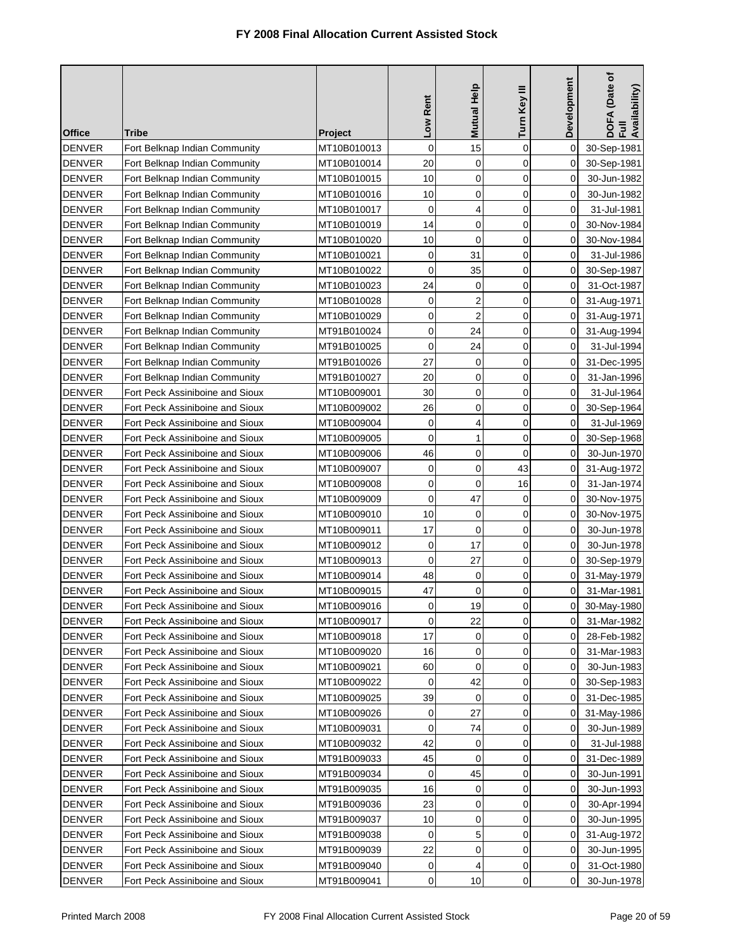| <b>Office</b><br><b>Project</b><br>$\mathbf 0$<br>15<br>$\mathbf 0$<br><b>DENVER</b><br>Fort Belknap Indian Community<br>0<br>MT10B010013<br>30-Sep-1981<br>0<br><b>DENVER</b><br>Fort Belknap Indian Community<br>MT10B010014<br>20<br>0<br>0<br>30-Sep-1981<br>10<br>0<br><b>DENVER</b><br>0<br>$\Omega$<br>Fort Belknap Indian Community<br>MT10B010015<br>30-Jun-1982<br>10<br>$\mathbf 0$<br>$\mathbf 0$<br>0<br><b>DENVER</b><br>Fort Belknap Indian Community<br>MT10B010016<br>30-Jun-1982<br>0<br>4<br>$\mathbf 0$<br>0<br><b>DENVER</b><br>Fort Belknap Indian Community<br>MT10B010017<br>31-Jul-1981<br>$\mathbf 0$<br>14<br>$\mathbf 0$<br>0<br><b>DENVER</b><br>Fort Belknap Indian Community<br>MT10B010019<br>30-Nov-1984<br>10<br>0<br><b>DENVER</b><br>0<br>Fort Belknap Indian Community<br>MT10B010020<br>0<br>30-Nov-1984<br>0<br>31<br>0<br><b>DENVER</b><br>Fort Belknap Indian Community<br>MT10B010021<br>0<br>31-Jul-1986<br>$\mathbf 0$<br>35<br>$\mathbf 0$<br>0<br><b>DENVER</b><br>Fort Belknap Indian Community<br>MT10B010022<br>30-Sep-1987<br>24<br>0<br>0<br>0<br><b>DENVER</b><br>Fort Belknap Indian Community<br>MT10B010023<br>31-Oct-1987<br>$\overline{2}$<br>0<br>0<br><b>DENVER</b><br>MT10B010028<br>0<br>Fort Belknap Indian Community<br>31-Aug-1971<br>$\overline{\mathbf{c}}$<br>0<br>0<br>0<br><b>DENVER</b><br>Fort Belknap Indian Community<br>MT10B010029<br>31-Aug-1971<br>0<br>24<br>$\mathbf 0$<br>0<br><b>DENVER</b><br>Fort Belknap Indian Community<br>MT91B010024<br>31-Aug-1994<br>$\mathbf 0$<br>24<br>Fort Belknap Indian Community<br>0<br>0<br><b>DENVER</b><br>MT91B010025<br>31-Jul-1994<br>27<br><b>DENVER</b><br>0<br>$\mathbf 0$<br>31-Dec-1995<br>Fort Belknap Indian Community<br>MT91B010026<br>0<br>20<br>0<br>0<br><b>DENVER</b><br>Fort Belknap Indian Community<br>MT91B010027<br>0<br>31-Jan-1996<br>0<br>$\mathbf 0$<br>30<br>$\Omega$<br><b>DENVER</b><br>Fort Peck Assiniboine and Sioux<br>MT10B009001<br>31-Jul-1964<br>26<br>0<br>$\mathbf 0$<br>0<br><b>DENVER</b><br>Fort Peck Assiniboine and Sioux<br>MT10B009002<br>30-Sep-1964<br>0<br>4<br>0<br><b>DENVER</b><br>Fort Peck Assiniboine and Sioux<br>MT10B009004<br>$\Omega$<br>31-Jul-1969<br>0<br>1<br>0<br><b>DENVER</b><br>Fort Peck Assiniboine and Sioux<br>0<br>MT10B009005<br>30-Sep-1968<br>0<br>$\mathbf 0$<br>46<br>$\Omega$<br><b>DENVER</b><br>Fort Peck Assiniboine and Sioux<br>MT10B009006<br>30-Jun-1970<br>0<br>0<br>43<br>0<br><b>DENVER</b><br>Fort Peck Assiniboine and Sioux<br>MT10B009007<br>31-Aug-1972<br>$\mathbf 0$<br>$\mathbf 0$<br><b>DENVER</b><br>Fort Peck Assiniboine and Sioux<br>16<br>MT10B009008<br>0<br>31-Jan-1974<br>0<br>47<br>0<br><b>DENVER</b><br>Fort Peck Assiniboine and Sioux<br>0<br>MT10B009009<br>30-Nov-1975<br>10<br>0<br>$\mathbf 0$<br><b>DENVER</b><br>Fort Peck Assiniboine and Sioux<br>MT10B009010<br>0<br>30-Nov-1975<br>17<br>0<br>0<br>0<br><b>DENVER</b><br>Fort Peck Assiniboine and Sioux<br>MT10B009011<br>30-Jun-1978<br>17<br>Fort Peck Assiniboine and Sioux<br>$\mathbf 0$<br>0<br><b>DENVER</b><br>MT10B009012<br>0<br>30-Jun-1978<br>0<br>27<br><b>DENVER</b><br>Fort Peck Assiniboine and Sioux<br>0<br>0<br>MT10B009013<br>30-Sep-1979<br>48<br>0<br>Fort Peck Assiniboine and Sioux<br>$\mathbf 0$<br>0<br><b>DENVER</b><br>MT10B009014<br>31-May-1979<br>47<br>0<br>0<br>0<br><b>DENVER</b><br>Fort Peck Assiniboine and Sioux<br>MT10B009015<br>31-Mar-1981<br><b>DENVER</b><br>Fort Peck Assiniboine and Sioux<br>30-May-1980<br>MT10B009016<br>19<br>$\overline{0}$<br>$\overline{0}$<br>0<br>0<br>22<br>$\Omega$<br><b>DENVER</b><br>MT10B009017<br>0<br>31-Mar-1982<br>Fort Peck Assiniboine and Sioux<br>0<br><b>DENVER</b><br>Fort Peck Assiniboine and Sioux<br>MT10B009018<br>17<br>0<br>0<br>28-Feb-1982<br><b>DENVER</b><br>16<br>0<br>0<br>Fort Peck Assiniboine and Sioux<br>MT10B009020<br>0<br>31-Mar-1983<br>0<br><b>DENVER</b><br>60<br>0<br>0<br>Fort Peck Assiniboine and Sioux<br>MT10B009021<br>30-Jun-1983<br>42<br><b>DENVER</b><br>Fort Peck Assiniboine and Sioux<br>MT10B009022<br>0<br>0<br>30-Sep-1983<br>0<br>39<br><b>DENVER</b><br>0<br>0<br>Fort Peck Assiniboine and Sioux<br>MT10B009025<br>0<br>31-Dec-1985<br>27<br>0<br><b>DENVER</b><br>0<br>0<br>Fort Peck Assiniboine and Sioux<br>MT10B009026<br>31-May-1986<br>$\mathbf 0$<br><b>DENVER</b><br>Fort Peck Assiniboine and Sioux<br>74<br>0<br>30-Jun-1989<br>MT10B009031<br>0<br>42<br><b>DENVER</b><br>0<br>0<br>31-Jul-1988<br>Fort Peck Assiniboine and Sioux<br>MT10B009032<br>0<br><b>DENVER</b><br>45<br>0<br>Fort Peck Assiniboine and Sioux<br>MT91B009033<br>0<br>0<br>31-Dec-1989<br><b>DENVER</b><br>Fort Peck Assiniboine and Sioux<br>MT91B009034<br>0<br>45<br>$\mathbf 0$<br>0<br>30-Jun-1991<br><b>DENVER</b><br>0<br>0<br>Fort Peck Assiniboine and Sioux<br>MT91B009035<br>16<br>0<br>30-Jun-1993<br>0<br><b>DENVER</b><br>Fort Peck Assiniboine and Sioux<br>MT91B009036<br>23<br>0<br>30-Apr-1994<br>0<br>0<br><b>DENVER</b><br>10<br>0<br>$\mathbf 0$<br>Fort Peck Assiniboine and Sioux<br>MT91B009037<br>30-Jun-1995<br>0<br>5<br>$\mathbf 0$<br><b>DENVER</b><br>Fort Peck Assiniboine and Sioux<br>0<br>MT91B009038<br>31-Aug-1972<br>22<br>0<br>0<br><b>DENVER</b><br>Fort Peck Assiniboine and Sioux<br>MT91B009039<br>0<br>30-Jun-1995 |               | Tribe | Low Rent | Mutual Help | Turn Key III | Development | DOFA (Date of<br>Full<br>Availability) |
|------------------------------------------------------------------------------------------------------------------------------------------------------------------------------------------------------------------------------------------------------------------------------------------------------------------------------------------------------------------------------------------------------------------------------------------------------------------------------------------------------------------------------------------------------------------------------------------------------------------------------------------------------------------------------------------------------------------------------------------------------------------------------------------------------------------------------------------------------------------------------------------------------------------------------------------------------------------------------------------------------------------------------------------------------------------------------------------------------------------------------------------------------------------------------------------------------------------------------------------------------------------------------------------------------------------------------------------------------------------------------------------------------------------------------------------------------------------------------------------------------------------------------------------------------------------------------------------------------------------------------------------------------------------------------------------------------------------------------------------------------------------------------------------------------------------------------------------------------------------------------------------------------------------------------------------------------------------------------------------------------------------------------------------------------------------------------------------------------------------------------------------------------------------------------------------------------------------------------------------------------------------------------------------------------------------------------------------------------------------------------------------------------------------------------------------------------------------------------------------------------------------------------------------------------------------------------------------------------------------------------------------------------------------------------------------------------------------------------------------------------------------------------------------------------------------------------------------------------------------------------------------------------------------------------------------------------------------------------------------------------------------------------------------------------------------------------------------------------------------------------------------------------------------------------------------------------------------------------------------------------------------------------------------------------------------------------------------------------------------------------------------------------------------------------------------------------------------------------------------------------------------------------------------------------------------------------------------------------------------------------------------------------------------------------------------------------------------------------------------------------------------------------------------------------------------------------------------------------------------------------------------------------------------------------------------------------------------------------------------------------------------------------------------------------------------------------------------------------------------------------------------------------------------------------------------------------------------------------------------------------------------------------------------------------------------------------------------------------------------------------------------------------------------------------------------------------------------------------------------------------------------------------------------------------------------------------------------------------------------------------------------------------------------------------------------------------------------------------------------------------------------------------------------------------------------------------------------------------------------------------------------------------------------------------------------------------------------------------------------------------------------------------------------------------------------------------------------------------------------------------------------------------------------------------------------------------------------------------------------------------------------------------------------------------------------------------------------------------------------------------------|---------------|-------|----------|-------------|--------------|-------------|----------------------------------------|
|                                                                                                                                                                                                                                                                                                                                                                                                                                                                                                                                                                                                                                                                                                                                                                                                                                                                                                                                                                                                                                                                                                                                                                                                                                                                                                                                                                                                                                                                                                                                                                                                                                                                                                                                                                                                                                                                                                                                                                                                                                                                                                                                                                                                                                                                                                                                                                                                                                                                                                                                                                                                                                                                                                                                                                                                                                                                                                                                                                                                                                                                                                                                                                                                                                                                                                                                                                                                                                                                                                                                                                                                                                                                                                                                                                                                                                                                                                                                                                                                                                                                                                                                                                                                                                                                                                                                                                                                                                                                                                                                                                                                                                                                                                                                                                                                                                                                                                                                                                                                                                                                                                                                                                                                                                                                                                                                                                                    |               |       |          |             |              |             |                                        |
|                                                                                                                                                                                                                                                                                                                                                                                                                                                                                                                                                                                                                                                                                                                                                                                                                                                                                                                                                                                                                                                                                                                                                                                                                                                                                                                                                                                                                                                                                                                                                                                                                                                                                                                                                                                                                                                                                                                                                                                                                                                                                                                                                                                                                                                                                                                                                                                                                                                                                                                                                                                                                                                                                                                                                                                                                                                                                                                                                                                                                                                                                                                                                                                                                                                                                                                                                                                                                                                                                                                                                                                                                                                                                                                                                                                                                                                                                                                                                                                                                                                                                                                                                                                                                                                                                                                                                                                                                                                                                                                                                                                                                                                                                                                                                                                                                                                                                                                                                                                                                                                                                                                                                                                                                                                                                                                                                                                    |               |       |          |             |              |             |                                        |
|                                                                                                                                                                                                                                                                                                                                                                                                                                                                                                                                                                                                                                                                                                                                                                                                                                                                                                                                                                                                                                                                                                                                                                                                                                                                                                                                                                                                                                                                                                                                                                                                                                                                                                                                                                                                                                                                                                                                                                                                                                                                                                                                                                                                                                                                                                                                                                                                                                                                                                                                                                                                                                                                                                                                                                                                                                                                                                                                                                                                                                                                                                                                                                                                                                                                                                                                                                                                                                                                                                                                                                                                                                                                                                                                                                                                                                                                                                                                                                                                                                                                                                                                                                                                                                                                                                                                                                                                                                                                                                                                                                                                                                                                                                                                                                                                                                                                                                                                                                                                                                                                                                                                                                                                                                                                                                                                                                                    |               |       |          |             |              |             |                                        |
|                                                                                                                                                                                                                                                                                                                                                                                                                                                                                                                                                                                                                                                                                                                                                                                                                                                                                                                                                                                                                                                                                                                                                                                                                                                                                                                                                                                                                                                                                                                                                                                                                                                                                                                                                                                                                                                                                                                                                                                                                                                                                                                                                                                                                                                                                                                                                                                                                                                                                                                                                                                                                                                                                                                                                                                                                                                                                                                                                                                                                                                                                                                                                                                                                                                                                                                                                                                                                                                                                                                                                                                                                                                                                                                                                                                                                                                                                                                                                                                                                                                                                                                                                                                                                                                                                                                                                                                                                                                                                                                                                                                                                                                                                                                                                                                                                                                                                                                                                                                                                                                                                                                                                                                                                                                                                                                                                                                    |               |       |          |             |              |             |                                        |
|                                                                                                                                                                                                                                                                                                                                                                                                                                                                                                                                                                                                                                                                                                                                                                                                                                                                                                                                                                                                                                                                                                                                                                                                                                                                                                                                                                                                                                                                                                                                                                                                                                                                                                                                                                                                                                                                                                                                                                                                                                                                                                                                                                                                                                                                                                                                                                                                                                                                                                                                                                                                                                                                                                                                                                                                                                                                                                                                                                                                                                                                                                                                                                                                                                                                                                                                                                                                                                                                                                                                                                                                                                                                                                                                                                                                                                                                                                                                                                                                                                                                                                                                                                                                                                                                                                                                                                                                                                                                                                                                                                                                                                                                                                                                                                                                                                                                                                                                                                                                                                                                                                                                                                                                                                                                                                                                                                                    |               |       |          |             |              |             |                                        |
|                                                                                                                                                                                                                                                                                                                                                                                                                                                                                                                                                                                                                                                                                                                                                                                                                                                                                                                                                                                                                                                                                                                                                                                                                                                                                                                                                                                                                                                                                                                                                                                                                                                                                                                                                                                                                                                                                                                                                                                                                                                                                                                                                                                                                                                                                                                                                                                                                                                                                                                                                                                                                                                                                                                                                                                                                                                                                                                                                                                                                                                                                                                                                                                                                                                                                                                                                                                                                                                                                                                                                                                                                                                                                                                                                                                                                                                                                                                                                                                                                                                                                                                                                                                                                                                                                                                                                                                                                                                                                                                                                                                                                                                                                                                                                                                                                                                                                                                                                                                                                                                                                                                                                                                                                                                                                                                                                                                    |               |       |          |             |              |             |                                        |
|                                                                                                                                                                                                                                                                                                                                                                                                                                                                                                                                                                                                                                                                                                                                                                                                                                                                                                                                                                                                                                                                                                                                                                                                                                                                                                                                                                                                                                                                                                                                                                                                                                                                                                                                                                                                                                                                                                                                                                                                                                                                                                                                                                                                                                                                                                                                                                                                                                                                                                                                                                                                                                                                                                                                                                                                                                                                                                                                                                                                                                                                                                                                                                                                                                                                                                                                                                                                                                                                                                                                                                                                                                                                                                                                                                                                                                                                                                                                                                                                                                                                                                                                                                                                                                                                                                                                                                                                                                                                                                                                                                                                                                                                                                                                                                                                                                                                                                                                                                                                                                                                                                                                                                                                                                                                                                                                                                                    |               |       |          |             |              |             |                                        |
|                                                                                                                                                                                                                                                                                                                                                                                                                                                                                                                                                                                                                                                                                                                                                                                                                                                                                                                                                                                                                                                                                                                                                                                                                                                                                                                                                                                                                                                                                                                                                                                                                                                                                                                                                                                                                                                                                                                                                                                                                                                                                                                                                                                                                                                                                                                                                                                                                                                                                                                                                                                                                                                                                                                                                                                                                                                                                                                                                                                                                                                                                                                                                                                                                                                                                                                                                                                                                                                                                                                                                                                                                                                                                                                                                                                                                                                                                                                                                                                                                                                                                                                                                                                                                                                                                                                                                                                                                                                                                                                                                                                                                                                                                                                                                                                                                                                                                                                                                                                                                                                                                                                                                                                                                                                                                                                                                                                    |               |       |          |             |              |             |                                        |
|                                                                                                                                                                                                                                                                                                                                                                                                                                                                                                                                                                                                                                                                                                                                                                                                                                                                                                                                                                                                                                                                                                                                                                                                                                                                                                                                                                                                                                                                                                                                                                                                                                                                                                                                                                                                                                                                                                                                                                                                                                                                                                                                                                                                                                                                                                                                                                                                                                                                                                                                                                                                                                                                                                                                                                                                                                                                                                                                                                                                                                                                                                                                                                                                                                                                                                                                                                                                                                                                                                                                                                                                                                                                                                                                                                                                                                                                                                                                                                                                                                                                                                                                                                                                                                                                                                                                                                                                                                                                                                                                                                                                                                                                                                                                                                                                                                                                                                                                                                                                                                                                                                                                                                                                                                                                                                                                                                                    |               |       |          |             |              |             |                                        |
|                                                                                                                                                                                                                                                                                                                                                                                                                                                                                                                                                                                                                                                                                                                                                                                                                                                                                                                                                                                                                                                                                                                                                                                                                                                                                                                                                                                                                                                                                                                                                                                                                                                                                                                                                                                                                                                                                                                                                                                                                                                                                                                                                                                                                                                                                                                                                                                                                                                                                                                                                                                                                                                                                                                                                                                                                                                                                                                                                                                                                                                                                                                                                                                                                                                                                                                                                                                                                                                                                                                                                                                                                                                                                                                                                                                                                                                                                                                                                                                                                                                                                                                                                                                                                                                                                                                                                                                                                                                                                                                                                                                                                                                                                                                                                                                                                                                                                                                                                                                                                                                                                                                                                                                                                                                                                                                                                                                    |               |       |          |             |              |             |                                        |
|                                                                                                                                                                                                                                                                                                                                                                                                                                                                                                                                                                                                                                                                                                                                                                                                                                                                                                                                                                                                                                                                                                                                                                                                                                                                                                                                                                                                                                                                                                                                                                                                                                                                                                                                                                                                                                                                                                                                                                                                                                                                                                                                                                                                                                                                                                                                                                                                                                                                                                                                                                                                                                                                                                                                                                                                                                                                                                                                                                                                                                                                                                                                                                                                                                                                                                                                                                                                                                                                                                                                                                                                                                                                                                                                                                                                                                                                                                                                                                                                                                                                                                                                                                                                                                                                                                                                                                                                                                                                                                                                                                                                                                                                                                                                                                                                                                                                                                                                                                                                                                                                                                                                                                                                                                                                                                                                                                                    |               |       |          |             |              |             |                                        |
|                                                                                                                                                                                                                                                                                                                                                                                                                                                                                                                                                                                                                                                                                                                                                                                                                                                                                                                                                                                                                                                                                                                                                                                                                                                                                                                                                                                                                                                                                                                                                                                                                                                                                                                                                                                                                                                                                                                                                                                                                                                                                                                                                                                                                                                                                                                                                                                                                                                                                                                                                                                                                                                                                                                                                                                                                                                                                                                                                                                                                                                                                                                                                                                                                                                                                                                                                                                                                                                                                                                                                                                                                                                                                                                                                                                                                                                                                                                                                                                                                                                                                                                                                                                                                                                                                                                                                                                                                                                                                                                                                                                                                                                                                                                                                                                                                                                                                                                                                                                                                                                                                                                                                                                                                                                                                                                                                                                    |               |       |          |             |              |             |                                        |
|                                                                                                                                                                                                                                                                                                                                                                                                                                                                                                                                                                                                                                                                                                                                                                                                                                                                                                                                                                                                                                                                                                                                                                                                                                                                                                                                                                                                                                                                                                                                                                                                                                                                                                                                                                                                                                                                                                                                                                                                                                                                                                                                                                                                                                                                                                                                                                                                                                                                                                                                                                                                                                                                                                                                                                                                                                                                                                                                                                                                                                                                                                                                                                                                                                                                                                                                                                                                                                                                                                                                                                                                                                                                                                                                                                                                                                                                                                                                                                                                                                                                                                                                                                                                                                                                                                                                                                                                                                                                                                                                                                                                                                                                                                                                                                                                                                                                                                                                                                                                                                                                                                                                                                                                                                                                                                                                                                                    |               |       |          |             |              |             |                                        |
|                                                                                                                                                                                                                                                                                                                                                                                                                                                                                                                                                                                                                                                                                                                                                                                                                                                                                                                                                                                                                                                                                                                                                                                                                                                                                                                                                                                                                                                                                                                                                                                                                                                                                                                                                                                                                                                                                                                                                                                                                                                                                                                                                                                                                                                                                                                                                                                                                                                                                                                                                                                                                                                                                                                                                                                                                                                                                                                                                                                                                                                                                                                                                                                                                                                                                                                                                                                                                                                                                                                                                                                                                                                                                                                                                                                                                                                                                                                                                                                                                                                                                                                                                                                                                                                                                                                                                                                                                                                                                                                                                                                                                                                                                                                                                                                                                                                                                                                                                                                                                                                                                                                                                                                                                                                                                                                                                                                    |               |       |          |             |              |             |                                        |
|                                                                                                                                                                                                                                                                                                                                                                                                                                                                                                                                                                                                                                                                                                                                                                                                                                                                                                                                                                                                                                                                                                                                                                                                                                                                                                                                                                                                                                                                                                                                                                                                                                                                                                                                                                                                                                                                                                                                                                                                                                                                                                                                                                                                                                                                                                                                                                                                                                                                                                                                                                                                                                                                                                                                                                                                                                                                                                                                                                                                                                                                                                                                                                                                                                                                                                                                                                                                                                                                                                                                                                                                                                                                                                                                                                                                                                                                                                                                                                                                                                                                                                                                                                                                                                                                                                                                                                                                                                                                                                                                                                                                                                                                                                                                                                                                                                                                                                                                                                                                                                                                                                                                                                                                                                                                                                                                                                                    |               |       |          |             |              |             |                                        |
|                                                                                                                                                                                                                                                                                                                                                                                                                                                                                                                                                                                                                                                                                                                                                                                                                                                                                                                                                                                                                                                                                                                                                                                                                                                                                                                                                                                                                                                                                                                                                                                                                                                                                                                                                                                                                                                                                                                                                                                                                                                                                                                                                                                                                                                                                                                                                                                                                                                                                                                                                                                                                                                                                                                                                                                                                                                                                                                                                                                                                                                                                                                                                                                                                                                                                                                                                                                                                                                                                                                                                                                                                                                                                                                                                                                                                                                                                                                                                                                                                                                                                                                                                                                                                                                                                                                                                                                                                                                                                                                                                                                                                                                                                                                                                                                                                                                                                                                                                                                                                                                                                                                                                                                                                                                                                                                                                                                    |               |       |          |             |              |             |                                        |
|                                                                                                                                                                                                                                                                                                                                                                                                                                                                                                                                                                                                                                                                                                                                                                                                                                                                                                                                                                                                                                                                                                                                                                                                                                                                                                                                                                                                                                                                                                                                                                                                                                                                                                                                                                                                                                                                                                                                                                                                                                                                                                                                                                                                                                                                                                                                                                                                                                                                                                                                                                                                                                                                                                                                                                                                                                                                                                                                                                                                                                                                                                                                                                                                                                                                                                                                                                                                                                                                                                                                                                                                                                                                                                                                                                                                                                                                                                                                                                                                                                                                                                                                                                                                                                                                                                                                                                                                                                                                                                                                                                                                                                                                                                                                                                                                                                                                                                                                                                                                                                                                                                                                                                                                                                                                                                                                                                                    |               |       |          |             |              |             |                                        |
|                                                                                                                                                                                                                                                                                                                                                                                                                                                                                                                                                                                                                                                                                                                                                                                                                                                                                                                                                                                                                                                                                                                                                                                                                                                                                                                                                                                                                                                                                                                                                                                                                                                                                                                                                                                                                                                                                                                                                                                                                                                                                                                                                                                                                                                                                                                                                                                                                                                                                                                                                                                                                                                                                                                                                                                                                                                                                                                                                                                                                                                                                                                                                                                                                                                                                                                                                                                                                                                                                                                                                                                                                                                                                                                                                                                                                                                                                                                                                                                                                                                                                                                                                                                                                                                                                                                                                                                                                                                                                                                                                                                                                                                                                                                                                                                                                                                                                                                                                                                                                                                                                                                                                                                                                                                                                                                                                                                    |               |       |          |             |              |             |                                        |
|                                                                                                                                                                                                                                                                                                                                                                                                                                                                                                                                                                                                                                                                                                                                                                                                                                                                                                                                                                                                                                                                                                                                                                                                                                                                                                                                                                                                                                                                                                                                                                                                                                                                                                                                                                                                                                                                                                                                                                                                                                                                                                                                                                                                                                                                                                                                                                                                                                                                                                                                                                                                                                                                                                                                                                                                                                                                                                                                                                                                                                                                                                                                                                                                                                                                                                                                                                                                                                                                                                                                                                                                                                                                                                                                                                                                                                                                                                                                                                                                                                                                                                                                                                                                                                                                                                                                                                                                                                                                                                                                                                                                                                                                                                                                                                                                                                                                                                                                                                                                                                                                                                                                                                                                                                                                                                                                                                                    |               |       |          |             |              |             |                                        |
|                                                                                                                                                                                                                                                                                                                                                                                                                                                                                                                                                                                                                                                                                                                                                                                                                                                                                                                                                                                                                                                                                                                                                                                                                                                                                                                                                                                                                                                                                                                                                                                                                                                                                                                                                                                                                                                                                                                                                                                                                                                                                                                                                                                                                                                                                                                                                                                                                                                                                                                                                                                                                                                                                                                                                                                                                                                                                                                                                                                                                                                                                                                                                                                                                                                                                                                                                                                                                                                                                                                                                                                                                                                                                                                                                                                                                                                                                                                                                                                                                                                                                                                                                                                                                                                                                                                                                                                                                                                                                                                                                                                                                                                                                                                                                                                                                                                                                                                                                                                                                                                                                                                                                                                                                                                                                                                                                                                    |               |       |          |             |              |             |                                        |
|                                                                                                                                                                                                                                                                                                                                                                                                                                                                                                                                                                                                                                                                                                                                                                                                                                                                                                                                                                                                                                                                                                                                                                                                                                                                                                                                                                                                                                                                                                                                                                                                                                                                                                                                                                                                                                                                                                                                                                                                                                                                                                                                                                                                                                                                                                                                                                                                                                                                                                                                                                                                                                                                                                                                                                                                                                                                                                                                                                                                                                                                                                                                                                                                                                                                                                                                                                                                                                                                                                                                                                                                                                                                                                                                                                                                                                                                                                                                                                                                                                                                                                                                                                                                                                                                                                                                                                                                                                                                                                                                                                                                                                                                                                                                                                                                                                                                                                                                                                                                                                                                                                                                                                                                                                                                                                                                                                                    |               |       |          |             |              |             |                                        |
|                                                                                                                                                                                                                                                                                                                                                                                                                                                                                                                                                                                                                                                                                                                                                                                                                                                                                                                                                                                                                                                                                                                                                                                                                                                                                                                                                                                                                                                                                                                                                                                                                                                                                                                                                                                                                                                                                                                                                                                                                                                                                                                                                                                                                                                                                                                                                                                                                                                                                                                                                                                                                                                                                                                                                                                                                                                                                                                                                                                                                                                                                                                                                                                                                                                                                                                                                                                                                                                                                                                                                                                                                                                                                                                                                                                                                                                                                                                                                                                                                                                                                                                                                                                                                                                                                                                                                                                                                                                                                                                                                                                                                                                                                                                                                                                                                                                                                                                                                                                                                                                                                                                                                                                                                                                                                                                                                                                    |               |       |          |             |              |             |                                        |
|                                                                                                                                                                                                                                                                                                                                                                                                                                                                                                                                                                                                                                                                                                                                                                                                                                                                                                                                                                                                                                                                                                                                                                                                                                                                                                                                                                                                                                                                                                                                                                                                                                                                                                                                                                                                                                                                                                                                                                                                                                                                                                                                                                                                                                                                                                                                                                                                                                                                                                                                                                                                                                                                                                                                                                                                                                                                                                                                                                                                                                                                                                                                                                                                                                                                                                                                                                                                                                                                                                                                                                                                                                                                                                                                                                                                                                                                                                                                                                                                                                                                                                                                                                                                                                                                                                                                                                                                                                                                                                                                                                                                                                                                                                                                                                                                                                                                                                                                                                                                                                                                                                                                                                                                                                                                                                                                                                                    |               |       |          |             |              |             |                                        |
|                                                                                                                                                                                                                                                                                                                                                                                                                                                                                                                                                                                                                                                                                                                                                                                                                                                                                                                                                                                                                                                                                                                                                                                                                                                                                                                                                                                                                                                                                                                                                                                                                                                                                                                                                                                                                                                                                                                                                                                                                                                                                                                                                                                                                                                                                                                                                                                                                                                                                                                                                                                                                                                                                                                                                                                                                                                                                                                                                                                                                                                                                                                                                                                                                                                                                                                                                                                                                                                                                                                                                                                                                                                                                                                                                                                                                                                                                                                                                                                                                                                                                                                                                                                                                                                                                                                                                                                                                                                                                                                                                                                                                                                                                                                                                                                                                                                                                                                                                                                                                                                                                                                                                                                                                                                                                                                                                                                    |               |       |          |             |              |             |                                        |
|                                                                                                                                                                                                                                                                                                                                                                                                                                                                                                                                                                                                                                                                                                                                                                                                                                                                                                                                                                                                                                                                                                                                                                                                                                                                                                                                                                                                                                                                                                                                                                                                                                                                                                                                                                                                                                                                                                                                                                                                                                                                                                                                                                                                                                                                                                                                                                                                                                                                                                                                                                                                                                                                                                                                                                                                                                                                                                                                                                                                                                                                                                                                                                                                                                                                                                                                                                                                                                                                                                                                                                                                                                                                                                                                                                                                                                                                                                                                                                                                                                                                                                                                                                                                                                                                                                                                                                                                                                                                                                                                                                                                                                                                                                                                                                                                                                                                                                                                                                                                                                                                                                                                                                                                                                                                                                                                                                                    |               |       |          |             |              |             |                                        |
|                                                                                                                                                                                                                                                                                                                                                                                                                                                                                                                                                                                                                                                                                                                                                                                                                                                                                                                                                                                                                                                                                                                                                                                                                                                                                                                                                                                                                                                                                                                                                                                                                                                                                                                                                                                                                                                                                                                                                                                                                                                                                                                                                                                                                                                                                                                                                                                                                                                                                                                                                                                                                                                                                                                                                                                                                                                                                                                                                                                                                                                                                                                                                                                                                                                                                                                                                                                                                                                                                                                                                                                                                                                                                                                                                                                                                                                                                                                                                                                                                                                                                                                                                                                                                                                                                                                                                                                                                                                                                                                                                                                                                                                                                                                                                                                                                                                                                                                                                                                                                                                                                                                                                                                                                                                                                                                                                                                    |               |       |          |             |              |             |                                        |
|                                                                                                                                                                                                                                                                                                                                                                                                                                                                                                                                                                                                                                                                                                                                                                                                                                                                                                                                                                                                                                                                                                                                                                                                                                                                                                                                                                                                                                                                                                                                                                                                                                                                                                                                                                                                                                                                                                                                                                                                                                                                                                                                                                                                                                                                                                                                                                                                                                                                                                                                                                                                                                                                                                                                                                                                                                                                                                                                                                                                                                                                                                                                                                                                                                                                                                                                                                                                                                                                                                                                                                                                                                                                                                                                                                                                                                                                                                                                                                                                                                                                                                                                                                                                                                                                                                                                                                                                                                                                                                                                                                                                                                                                                                                                                                                                                                                                                                                                                                                                                                                                                                                                                                                                                                                                                                                                                                                    |               |       |          |             |              |             |                                        |
|                                                                                                                                                                                                                                                                                                                                                                                                                                                                                                                                                                                                                                                                                                                                                                                                                                                                                                                                                                                                                                                                                                                                                                                                                                                                                                                                                                                                                                                                                                                                                                                                                                                                                                                                                                                                                                                                                                                                                                                                                                                                                                                                                                                                                                                                                                                                                                                                                                                                                                                                                                                                                                                                                                                                                                                                                                                                                                                                                                                                                                                                                                                                                                                                                                                                                                                                                                                                                                                                                                                                                                                                                                                                                                                                                                                                                                                                                                                                                                                                                                                                                                                                                                                                                                                                                                                                                                                                                                                                                                                                                                                                                                                                                                                                                                                                                                                                                                                                                                                                                                                                                                                                                                                                                                                                                                                                                                                    |               |       |          |             |              |             |                                        |
|                                                                                                                                                                                                                                                                                                                                                                                                                                                                                                                                                                                                                                                                                                                                                                                                                                                                                                                                                                                                                                                                                                                                                                                                                                                                                                                                                                                                                                                                                                                                                                                                                                                                                                                                                                                                                                                                                                                                                                                                                                                                                                                                                                                                                                                                                                                                                                                                                                                                                                                                                                                                                                                                                                                                                                                                                                                                                                                                                                                                                                                                                                                                                                                                                                                                                                                                                                                                                                                                                                                                                                                                                                                                                                                                                                                                                                                                                                                                                                                                                                                                                                                                                                                                                                                                                                                                                                                                                                                                                                                                                                                                                                                                                                                                                                                                                                                                                                                                                                                                                                                                                                                                                                                                                                                                                                                                                                                    |               |       |          |             |              |             |                                        |
|                                                                                                                                                                                                                                                                                                                                                                                                                                                                                                                                                                                                                                                                                                                                                                                                                                                                                                                                                                                                                                                                                                                                                                                                                                                                                                                                                                                                                                                                                                                                                                                                                                                                                                                                                                                                                                                                                                                                                                                                                                                                                                                                                                                                                                                                                                                                                                                                                                                                                                                                                                                                                                                                                                                                                                                                                                                                                                                                                                                                                                                                                                                                                                                                                                                                                                                                                                                                                                                                                                                                                                                                                                                                                                                                                                                                                                                                                                                                                                                                                                                                                                                                                                                                                                                                                                                                                                                                                                                                                                                                                                                                                                                                                                                                                                                                                                                                                                                                                                                                                                                                                                                                                                                                                                                                                                                                                                                    |               |       |          |             |              |             |                                        |
|                                                                                                                                                                                                                                                                                                                                                                                                                                                                                                                                                                                                                                                                                                                                                                                                                                                                                                                                                                                                                                                                                                                                                                                                                                                                                                                                                                                                                                                                                                                                                                                                                                                                                                                                                                                                                                                                                                                                                                                                                                                                                                                                                                                                                                                                                                                                                                                                                                                                                                                                                                                                                                                                                                                                                                                                                                                                                                                                                                                                                                                                                                                                                                                                                                                                                                                                                                                                                                                                                                                                                                                                                                                                                                                                                                                                                                                                                                                                                                                                                                                                                                                                                                                                                                                                                                                                                                                                                                                                                                                                                                                                                                                                                                                                                                                                                                                                                                                                                                                                                                                                                                                                                                                                                                                                                                                                                                                    |               |       |          |             |              |             |                                        |
|                                                                                                                                                                                                                                                                                                                                                                                                                                                                                                                                                                                                                                                                                                                                                                                                                                                                                                                                                                                                                                                                                                                                                                                                                                                                                                                                                                                                                                                                                                                                                                                                                                                                                                                                                                                                                                                                                                                                                                                                                                                                                                                                                                                                                                                                                                                                                                                                                                                                                                                                                                                                                                                                                                                                                                                                                                                                                                                                                                                                                                                                                                                                                                                                                                                                                                                                                                                                                                                                                                                                                                                                                                                                                                                                                                                                                                                                                                                                                                                                                                                                                                                                                                                                                                                                                                                                                                                                                                                                                                                                                                                                                                                                                                                                                                                                                                                                                                                                                                                                                                                                                                                                                                                                                                                                                                                                                                                    |               |       |          |             |              |             |                                        |
|                                                                                                                                                                                                                                                                                                                                                                                                                                                                                                                                                                                                                                                                                                                                                                                                                                                                                                                                                                                                                                                                                                                                                                                                                                                                                                                                                                                                                                                                                                                                                                                                                                                                                                                                                                                                                                                                                                                                                                                                                                                                                                                                                                                                                                                                                                                                                                                                                                                                                                                                                                                                                                                                                                                                                                                                                                                                                                                                                                                                                                                                                                                                                                                                                                                                                                                                                                                                                                                                                                                                                                                                                                                                                                                                                                                                                                                                                                                                                                                                                                                                                                                                                                                                                                                                                                                                                                                                                                                                                                                                                                                                                                                                                                                                                                                                                                                                                                                                                                                                                                                                                                                                                                                                                                                                                                                                                                                    |               |       |          |             |              |             |                                        |
|                                                                                                                                                                                                                                                                                                                                                                                                                                                                                                                                                                                                                                                                                                                                                                                                                                                                                                                                                                                                                                                                                                                                                                                                                                                                                                                                                                                                                                                                                                                                                                                                                                                                                                                                                                                                                                                                                                                                                                                                                                                                                                                                                                                                                                                                                                                                                                                                                                                                                                                                                                                                                                                                                                                                                                                                                                                                                                                                                                                                                                                                                                                                                                                                                                                                                                                                                                                                                                                                                                                                                                                                                                                                                                                                                                                                                                                                                                                                                                                                                                                                                                                                                                                                                                                                                                                                                                                                                                                                                                                                                                                                                                                                                                                                                                                                                                                                                                                                                                                                                                                                                                                                                                                                                                                                                                                                                                                    |               |       |          |             |              |             |                                        |
|                                                                                                                                                                                                                                                                                                                                                                                                                                                                                                                                                                                                                                                                                                                                                                                                                                                                                                                                                                                                                                                                                                                                                                                                                                                                                                                                                                                                                                                                                                                                                                                                                                                                                                                                                                                                                                                                                                                                                                                                                                                                                                                                                                                                                                                                                                                                                                                                                                                                                                                                                                                                                                                                                                                                                                                                                                                                                                                                                                                                                                                                                                                                                                                                                                                                                                                                                                                                                                                                                                                                                                                                                                                                                                                                                                                                                                                                                                                                                                                                                                                                                                                                                                                                                                                                                                                                                                                                                                                                                                                                                                                                                                                                                                                                                                                                                                                                                                                                                                                                                                                                                                                                                                                                                                                                                                                                                                                    |               |       |          |             |              |             |                                        |
|                                                                                                                                                                                                                                                                                                                                                                                                                                                                                                                                                                                                                                                                                                                                                                                                                                                                                                                                                                                                                                                                                                                                                                                                                                                                                                                                                                                                                                                                                                                                                                                                                                                                                                                                                                                                                                                                                                                                                                                                                                                                                                                                                                                                                                                                                                                                                                                                                                                                                                                                                                                                                                                                                                                                                                                                                                                                                                                                                                                                                                                                                                                                                                                                                                                                                                                                                                                                                                                                                                                                                                                                                                                                                                                                                                                                                                                                                                                                                                                                                                                                                                                                                                                                                                                                                                                                                                                                                                                                                                                                                                                                                                                                                                                                                                                                                                                                                                                                                                                                                                                                                                                                                                                                                                                                                                                                                                                    |               |       |          |             |              |             |                                        |
|                                                                                                                                                                                                                                                                                                                                                                                                                                                                                                                                                                                                                                                                                                                                                                                                                                                                                                                                                                                                                                                                                                                                                                                                                                                                                                                                                                                                                                                                                                                                                                                                                                                                                                                                                                                                                                                                                                                                                                                                                                                                                                                                                                                                                                                                                                                                                                                                                                                                                                                                                                                                                                                                                                                                                                                                                                                                                                                                                                                                                                                                                                                                                                                                                                                                                                                                                                                                                                                                                                                                                                                                                                                                                                                                                                                                                                                                                                                                                                                                                                                                                                                                                                                                                                                                                                                                                                                                                                                                                                                                                                                                                                                                                                                                                                                                                                                                                                                                                                                                                                                                                                                                                                                                                                                                                                                                                                                    |               |       |          |             |              |             |                                        |
|                                                                                                                                                                                                                                                                                                                                                                                                                                                                                                                                                                                                                                                                                                                                                                                                                                                                                                                                                                                                                                                                                                                                                                                                                                                                                                                                                                                                                                                                                                                                                                                                                                                                                                                                                                                                                                                                                                                                                                                                                                                                                                                                                                                                                                                                                                                                                                                                                                                                                                                                                                                                                                                                                                                                                                                                                                                                                                                                                                                                                                                                                                                                                                                                                                                                                                                                                                                                                                                                                                                                                                                                                                                                                                                                                                                                                                                                                                                                                                                                                                                                                                                                                                                                                                                                                                                                                                                                                                                                                                                                                                                                                                                                                                                                                                                                                                                                                                                                                                                                                                                                                                                                                                                                                                                                                                                                                                                    |               |       |          |             |              |             |                                        |
|                                                                                                                                                                                                                                                                                                                                                                                                                                                                                                                                                                                                                                                                                                                                                                                                                                                                                                                                                                                                                                                                                                                                                                                                                                                                                                                                                                                                                                                                                                                                                                                                                                                                                                                                                                                                                                                                                                                                                                                                                                                                                                                                                                                                                                                                                                                                                                                                                                                                                                                                                                                                                                                                                                                                                                                                                                                                                                                                                                                                                                                                                                                                                                                                                                                                                                                                                                                                                                                                                                                                                                                                                                                                                                                                                                                                                                                                                                                                                                                                                                                                                                                                                                                                                                                                                                                                                                                                                                                                                                                                                                                                                                                                                                                                                                                                                                                                                                                                                                                                                                                                                                                                                                                                                                                                                                                                                                                    |               |       |          |             |              |             |                                        |
|                                                                                                                                                                                                                                                                                                                                                                                                                                                                                                                                                                                                                                                                                                                                                                                                                                                                                                                                                                                                                                                                                                                                                                                                                                                                                                                                                                                                                                                                                                                                                                                                                                                                                                                                                                                                                                                                                                                                                                                                                                                                                                                                                                                                                                                                                                                                                                                                                                                                                                                                                                                                                                                                                                                                                                                                                                                                                                                                                                                                                                                                                                                                                                                                                                                                                                                                                                                                                                                                                                                                                                                                                                                                                                                                                                                                                                                                                                                                                                                                                                                                                                                                                                                                                                                                                                                                                                                                                                                                                                                                                                                                                                                                                                                                                                                                                                                                                                                                                                                                                                                                                                                                                                                                                                                                                                                                                                                    |               |       |          |             |              |             |                                        |
|                                                                                                                                                                                                                                                                                                                                                                                                                                                                                                                                                                                                                                                                                                                                                                                                                                                                                                                                                                                                                                                                                                                                                                                                                                                                                                                                                                                                                                                                                                                                                                                                                                                                                                                                                                                                                                                                                                                                                                                                                                                                                                                                                                                                                                                                                                                                                                                                                                                                                                                                                                                                                                                                                                                                                                                                                                                                                                                                                                                                                                                                                                                                                                                                                                                                                                                                                                                                                                                                                                                                                                                                                                                                                                                                                                                                                                                                                                                                                                                                                                                                                                                                                                                                                                                                                                                                                                                                                                                                                                                                                                                                                                                                                                                                                                                                                                                                                                                                                                                                                                                                                                                                                                                                                                                                                                                                                                                    |               |       |          |             |              |             |                                        |
|                                                                                                                                                                                                                                                                                                                                                                                                                                                                                                                                                                                                                                                                                                                                                                                                                                                                                                                                                                                                                                                                                                                                                                                                                                                                                                                                                                                                                                                                                                                                                                                                                                                                                                                                                                                                                                                                                                                                                                                                                                                                                                                                                                                                                                                                                                                                                                                                                                                                                                                                                                                                                                                                                                                                                                                                                                                                                                                                                                                                                                                                                                                                                                                                                                                                                                                                                                                                                                                                                                                                                                                                                                                                                                                                                                                                                                                                                                                                                                                                                                                                                                                                                                                                                                                                                                                                                                                                                                                                                                                                                                                                                                                                                                                                                                                                                                                                                                                                                                                                                                                                                                                                                                                                                                                                                                                                                                                    |               |       |          |             |              |             |                                        |
|                                                                                                                                                                                                                                                                                                                                                                                                                                                                                                                                                                                                                                                                                                                                                                                                                                                                                                                                                                                                                                                                                                                                                                                                                                                                                                                                                                                                                                                                                                                                                                                                                                                                                                                                                                                                                                                                                                                                                                                                                                                                                                                                                                                                                                                                                                                                                                                                                                                                                                                                                                                                                                                                                                                                                                                                                                                                                                                                                                                                                                                                                                                                                                                                                                                                                                                                                                                                                                                                                                                                                                                                                                                                                                                                                                                                                                                                                                                                                                                                                                                                                                                                                                                                                                                                                                                                                                                                                                                                                                                                                                                                                                                                                                                                                                                                                                                                                                                                                                                                                                                                                                                                                                                                                                                                                                                                                                                    |               |       |          |             |              |             |                                        |
|                                                                                                                                                                                                                                                                                                                                                                                                                                                                                                                                                                                                                                                                                                                                                                                                                                                                                                                                                                                                                                                                                                                                                                                                                                                                                                                                                                                                                                                                                                                                                                                                                                                                                                                                                                                                                                                                                                                                                                                                                                                                                                                                                                                                                                                                                                                                                                                                                                                                                                                                                                                                                                                                                                                                                                                                                                                                                                                                                                                                                                                                                                                                                                                                                                                                                                                                                                                                                                                                                                                                                                                                                                                                                                                                                                                                                                                                                                                                                                                                                                                                                                                                                                                                                                                                                                                                                                                                                                                                                                                                                                                                                                                                                                                                                                                                                                                                                                                                                                                                                                                                                                                                                                                                                                                                                                                                                                                    |               |       |          |             |              |             |                                        |
|                                                                                                                                                                                                                                                                                                                                                                                                                                                                                                                                                                                                                                                                                                                                                                                                                                                                                                                                                                                                                                                                                                                                                                                                                                                                                                                                                                                                                                                                                                                                                                                                                                                                                                                                                                                                                                                                                                                                                                                                                                                                                                                                                                                                                                                                                                                                                                                                                                                                                                                                                                                                                                                                                                                                                                                                                                                                                                                                                                                                                                                                                                                                                                                                                                                                                                                                                                                                                                                                                                                                                                                                                                                                                                                                                                                                                                                                                                                                                                                                                                                                                                                                                                                                                                                                                                                                                                                                                                                                                                                                                                                                                                                                                                                                                                                                                                                                                                                                                                                                                                                                                                                                                                                                                                                                                                                                                                                    |               |       |          |             |              |             |                                        |
|                                                                                                                                                                                                                                                                                                                                                                                                                                                                                                                                                                                                                                                                                                                                                                                                                                                                                                                                                                                                                                                                                                                                                                                                                                                                                                                                                                                                                                                                                                                                                                                                                                                                                                                                                                                                                                                                                                                                                                                                                                                                                                                                                                                                                                                                                                                                                                                                                                                                                                                                                                                                                                                                                                                                                                                                                                                                                                                                                                                                                                                                                                                                                                                                                                                                                                                                                                                                                                                                                                                                                                                                                                                                                                                                                                                                                                                                                                                                                                                                                                                                                                                                                                                                                                                                                                                                                                                                                                                                                                                                                                                                                                                                                                                                                                                                                                                                                                                                                                                                                                                                                                                                                                                                                                                                                                                                                                                    |               |       |          |             |              |             |                                        |
|                                                                                                                                                                                                                                                                                                                                                                                                                                                                                                                                                                                                                                                                                                                                                                                                                                                                                                                                                                                                                                                                                                                                                                                                                                                                                                                                                                                                                                                                                                                                                                                                                                                                                                                                                                                                                                                                                                                                                                                                                                                                                                                                                                                                                                                                                                                                                                                                                                                                                                                                                                                                                                                                                                                                                                                                                                                                                                                                                                                                                                                                                                                                                                                                                                                                                                                                                                                                                                                                                                                                                                                                                                                                                                                                                                                                                                                                                                                                                                                                                                                                                                                                                                                                                                                                                                                                                                                                                                                                                                                                                                                                                                                                                                                                                                                                                                                                                                                                                                                                                                                                                                                                                                                                                                                                                                                                                                                    |               |       |          |             |              |             |                                        |
| <b>DENVER</b><br>Fort Peck Assiniboine and Sioux<br>MT91B009040<br>0<br>4<br>0<br>0<br>31-Oct-1980                                                                                                                                                                                                                                                                                                                                                                                                                                                                                                                                                                                                                                                                                                                                                                                                                                                                                                                                                                                                                                                                                                                                                                                                                                                                                                                                                                                                                                                                                                                                                                                                                                                                                                                                                                                                                                                                                                                                                                                                                                                                                                                                                                                                                                                                                                                                                                                                                                                                                                                                                                                                                                                                                                                                                                                                                                                                                                                                                                                                                                                                                                                                                                                                                                                                                                                                                                                                                                                                                                                                                                                                                                                                                                                                                                                                                                                                                                                                                                                                                                                                                                                                                                                                                                                                                                                                                                                                                                                                                                                                                                                                                                                                                                                                                                                                                                                                                                                                                                                                                                                                                                                                                                                                                                                                                 |               |       |          |             |              |             |                                        |
| 10<br>0<br>0<br>Fort Peck Assiniboine and Sioux<br>MT91B009041<br>0<br>30-Jun-1978                                                                                                                                                                                                                                                                                                                                                                                                                                                                                                                                                                                                                                                                                                                                                                                                                                                                                                                                                                                                                                                                                                                                                                                                                                                                                                                                                                                                                                                                                                                                                                                                                                                                                                                                                                                                                                                                                                                                                                                                                                                                                                                                                                                                                                                                                                                                                                                                                                                                                                                                                                                                                                                                                                                                                                                                                                                                                                                                                                                                                                                                                                                                                                                                                                                                                                                                                                                                                                                                                                                                                                                                                                                                                                                                                                                                                                                                                                                                                                                                                                                                                                                                                                                                                                                                                                                                                                                                                                                                                                                                                                                                                                                                                                                                                                                                                                                                                                                                                                                                                                                                                                                                                                                                                                                                                                 | <b>DENVER</b> |       |          |             |              |             |                                        |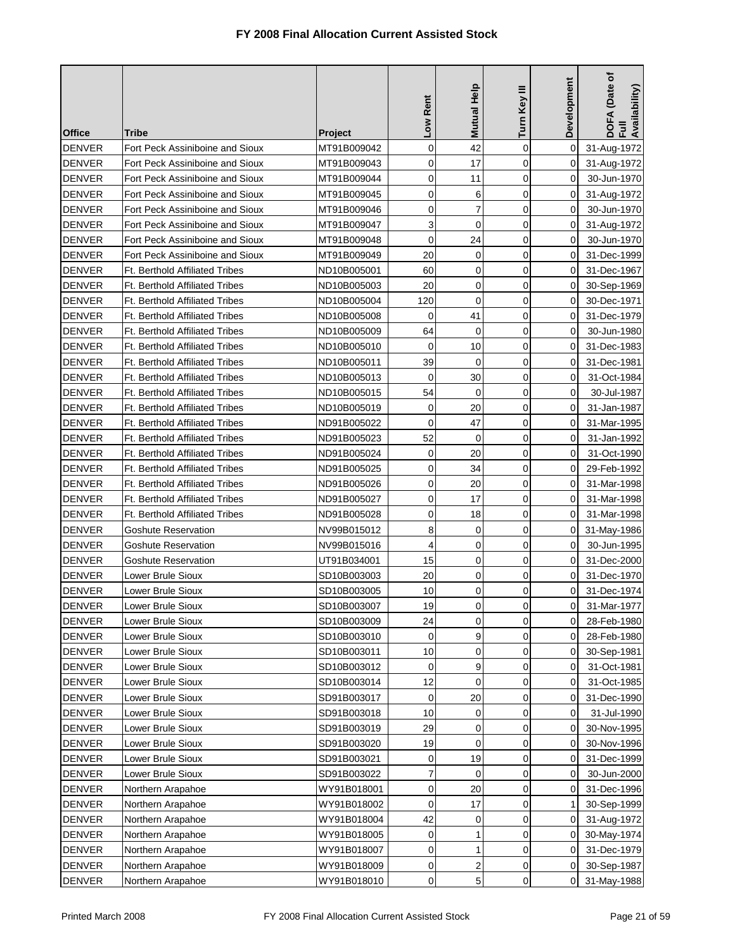| <b>Office</b> | Tribe                                 | <b>Project</b> | Low Rent    | <b>Mutual Help</b>  | Turn Key III | Development | (Date of<br>DOFA (Date<br>Full<br>Availability) |
|---------------|---------------------------------------|----------------|-------------|---------------------|--------------|-------------|-------------------------------------------------|
| <b>DENVER</b> | Fort Peck Assiniboine and Sioux       | MT91B009042    | 0           | 42                  | $\mathbf 0$  | 0           | 31-Aug-1972                                     |
| <b>DENVER</b> | Fort Peck Assiniboine and Sioux       | MT91B009043    | 0           | 17                  | 0            | 0           | 31-Aug-1972                                     |
| <b>DENVER</b> | Fort Peck Assiniboine and Sioux       | MT91B009044    | 0           | 11                  | $\mathbf 0$  | $\Omega$    | 30-Jun-1970                                     |
| <b>DENVER</b> | Fort Peck Assiniboine and Sioux       | MT91B009045    | 0           | 6                   | $\mathbf 0$  | 0           | 31-Aug-1972                                     |
| <b>DENVER</b> | Fort Peck Assiniboine and Sioux       | MT91B009046    | 0           | 7                   | $\mathbf 0$  | 0           | 30-Jun-1970                                     |
| <b>DENVER</b> | Fort Peck Assiniboine and Sioux       | MT91B009047    | 3           | $\mathbf 0$         | $\mathbf 0$  | 0           | 31-Aug-1972                                     |
| <b>DENVER</b> | Fort Peck Assiniboine and Sioux       | MT91B009048    | 0           | 24                  | $\mathbf 0$  | 0           | 30-Jun-1970                                     |
| <b>DENVER</b> | Fort Peck Assiniboine and Sioux       | MT91B009049    | 20          | 0                   | 0            | 0           | 31-Dec-1999                                     |
| <b>DENVER</b> | <b>Ft. Berthold Affiliated Tribes</b> | ND10B005001    | 60          | 0                   | $\mathbf 0$  | 0           | 31-Dec-1967                                     |
| <b>DENVER</b> | <b>Ft. Berthold Affiliated Tribes</b> | ND10B005003    | 20          | 0                   | $\mathbf 0$  | 0           | 30-Sep-1969                                     |
| <b>DENVER</b> | <b>Ft. Berthold Affiliated Tribes</b> | ND10B005004    | 120         | 0                   | 0            | 0           | 30-Dec-1971                                     |
| <b>DENVER</b> | <b>Ft. Berthold Affiliated Tribes</b> | ND10B005008    | $\mathbf 0$ | 41                  | $\mathbf 0$  | 0           | 31-Dec-1979                                     |
| <b>DENVER</b> | <b>Ft. Berthold Affiliated Tribes</b> | ND10B005009    | 64          | 0                   | $\mathbf 0$  | 0           | 30-Jun-1980                                     |
| <b>DENVER</b> | <b>Ft. Berthold Affiliated Tribes</b> | ND10B005010    | $\mathbf 0$ | 10                  | 0            | 0           | 31-Dec-1983                                     |
| <b>DENVER</b> | <b>Ft. Berthold Affiliated Tribes</b> | ND10B005011    | 39          | 0                   | $\mathbf 0$  | 0           | 31-Dec-1981                                     |
| <b>DENVER</b> | <b>Ft. Berthold Affiliated Tribes</b> | ND10B005013    | $\mathbf 0$ | 30                  | 0            | 0           | 31-Oct-1984                                     |
| <b>DENVER</b> | <b>Ft. Berthold Affiliated Tribes</b> | ND10B005015    | 54          | $\mathbf 0$         | $\mathbf 0$  | 0           | 30-Jul-1987                                     |
| <b>DENVER</b> | <b>Ft. Berthold Affiliated Tribes</b> | ND10B005019    | 0           | 20                  | 0            | $\Omega$    | 31-Jan-1987                                     |
| <b>DENVER</b> | <b>Ft. Berthold Affiliated Tribes</b> | ND91B005022    | $\mathbf 0$ | 47                  | 0            | 0           | 31-Mar-1995                                     |
| <b>DENVER</b> | <b>Ft. Berthold Affiliated Tribes</b> | ND91B005023    | 52          | $\mathbf 0$         | 0            | 0           | 31-Jan-1992                                     |
| <b>DENVER</b> | <b>Ft. Berthold Affiliated Tribes</b> | ND91B005024    | 0           | 20                  | 0            | 0           | 31-Oct-1990                                     |
| <b>DENVER</b> | <b>Ft. Berthold Affiliated Tribes</b> | ND91B005025    | 0           | 34                  | 0            | 0           | 29-Feb-1992                                     |
| <b>DENVER</b> | <b>Ft. Berthold Affiliated Tribes</b> | ND91B005026    | 0           | 20                  | 0            | 0           | 31-Mar-1998                                     |
| <b>DENVER</b> | Ft. Berthold Affiliated Tribes        | ND91B005027    | 0           | 17                  | 0            | 0           | 31-Mar-1998                                     |
| <b>DENVER</b> | <b>Ft. Berthold Affiliated Tribes</b> | ND91B005028    | 0           | 18                  | 0            | 0           | 31-Mar-1998                                     |
| <b>DENVER</b> | Goshute Reservation                   | NV99B015012    | 8           | 0                   | $\mathbf 0$  | 0           | 31-May-1986                                     |
| <b>DENVER</b> | <b>Goshute Reservation</b>            | NV99B015016    | 4           | 0                   | 0            | 0           | 30-Jun-1995                                     |
| <b>DENVER</b> | <b>Goshute Reservation</b>            | UT91B034001    | 15          | 0                   | 0            | 0           | 31-Dec-2000                                     |
| <b>DENVER</b> | Lower Brule Sioux                     | SD10B003003    | 20          | 0                   | $\mathbf 0$  | $\Omega$    | 31-Dec-1970                                     |
| <b>DENVER</b> | Lower Brule Sioux                     | SD10B003005    | 10          | 0                   | 0            | 0           | 31-Dec-1974                                     |
| DENVER        | Lower Brule Sioux                     | SD10B003007    | 19          | $\mathsf{O}\xspace$ | 0            | $\mathbf 0$ | 31-Mar-1977                                     |
| <b>DENVER</b> | Lower Brule Sioux                     | SD10B003009    | 24          | 0                   | $\Omega$     | 0           | 28-Feb-1980                                     |
| <b>DENVER</b> | Lower Brule Sioux                     | SD10B003010    | 0           | 9                   | 0            | 0           | 28-Feb-1980                                     |
| <b>DENVER</b> | Lower Brule Sioux                     | SD10B003011    | 10          | 0                   | 0            | 0           | 30-Sep-1981                                     |
| <b>DENVER</b> | Lower Brule Sioux                     | SD10B003012    | 0           | 9                   | 0            | 0           | 31-Oct-1981                                     |
| <b>DENVER</b> | Lower Brule Sioux                     | SD10B003014    | 12          | 0                   | 0            | 0           | 31-Oct-1985                                     |
| <b>DENVER</b> | Lower Brule Sioux                     | SD91B003017    | $\mathbf 0$ | 20                  | 0            | 0           | 31-Dec-1990                                     |
| <b>DENVER</b> | Lower Brule Sioux                     | SD91B003018    | 10          | 0                   | 0            | 0           | 31-Jul-1990                                     |
| <b>DENVER</b> | Lower Brule Sioux                     | SD91B003019    | 29          | 0                   | 0            | 0           | 30-Nov-1995                                     |
| <b>DENVER</b> | Lower Brule Sioux                     | SD91B003020    | 19          | 0                   | 0            | 0           | 30-Nov-1996                                     |
| <b>DENVER</b> | Lower Brule Sioux                     | SD91B003021    | 0           | 19                  | 0            | 0           | 31-Dec-1999                                     |
| <b>DENVER</b> | Lower Brule Sioux                     | SD91B003022    | 7           | 0                   | $\mathbf 0$  | 0           | 30-Jun-2000                                     |
| <b>DENVER</b> | Northern Arapahoe                     | WY91B018001    | 0           | 20                  | 0            | 0           | 31-Dec-1996                                     |
| <b>DENVER</b> | Northern Arapahoe                     | WY91B018002    | 0           | 17                  | 0            | 1           | 30-Sep-1999                                     |
| <b>DENVER</b> | Northern Arapahoe                     | WY91B018004    | 42          | 0                   | 0            | 0           | 31-Aug-1972                                     |
| <b>DENVER</b> | Northern Arapahoe                     | WY91B018005    | 0           | 1                   | $\mathbf 0$  | 0           | 30-May-1974                                     |
| <b>DENVER</b> | Northern Arapahoe                     | WY91B018007    | 0           | 1                   | 0            | 0           | 31-Dec-1979                                     |
| <b>DENVER</b> | Northern Arapahoe                     | WY91B018009    | 0           | 2                   | 0            | 0           | 30-Sep-1987                                     |
| <b>DENVER</b> | Northern Arapahoe                     | WY91B018010    | 0           | 5                   | 0            | 0           | 31-May-1988                                     |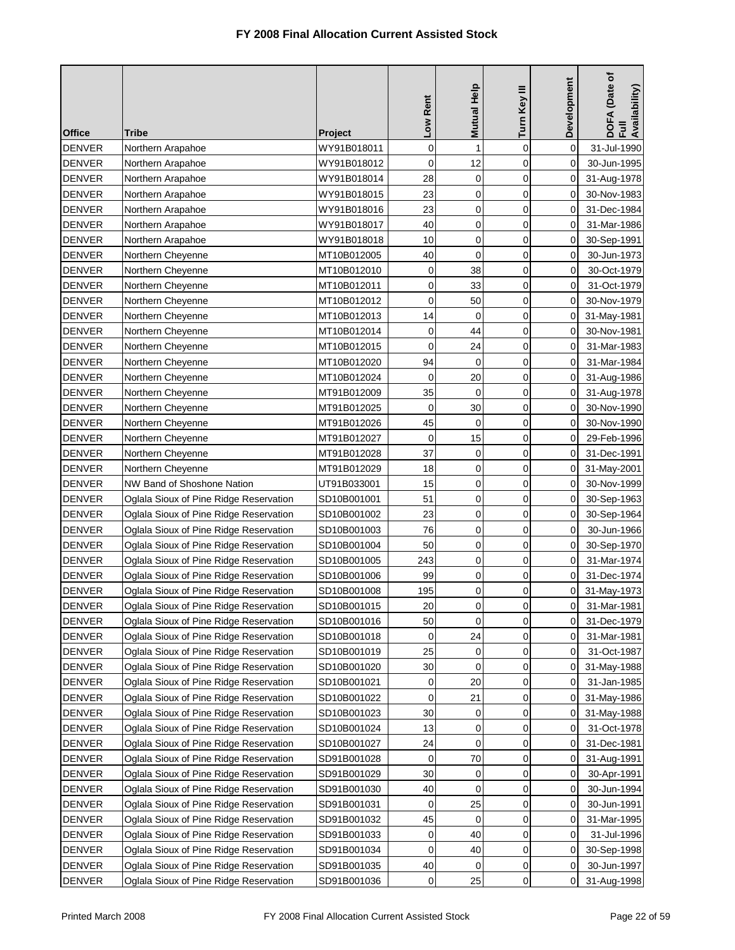| <b>Office</b> | Tribe                                  | <b>Project</b> | Low Rent    | Mutual Help | Turn Key III | Development | DOFA (Date of<br>Full<br>Availability) |
|---------------|----------------------------------------|----------------|-------------|-------------|--------------|-------------|----------------------------------------|
| <b>DENVER</b> | Northern Arapahoe                      | WY91B018011    | 0           | 1           | $\mathbf 0$  | 0           | 31-Jul-1990                            |
| <b>DENVER</b> | Northern Arapahoe                      | WY91B018012    | 0           | 12          | $\mathbf 0$  | 0           | 30-Jun-1995                            |
| <b>DENVER</b> | Northern Arapahoe                      | WY91B018014    | 28          | $\mathbf 0$ | $\mathbf 0$  | 0           | 31-Aug-1978                            |
| <b>DENVER</b> | Northern Arapahoe                      | WY91B018015    | 23          | $\mathbf 0$ | 0            | 0           | 30-Nov-1983                            |
| <b>DENVER</b> | Northern Arapahoe                      | WY91B018016    | 23          | 0           | $\mathbf 0$  | 0           | 31-Dec-1984                            |
| <b>DENVER</b> | Northern Arapahoe                      | WY91B018017    | 40          | $\mathbf 0$ | 0            | 0           | 31-Mar-1986                            |
| <b>DENVER</b> | Northern Arapahoe                      | WY91B018018    | 10          | $\mathbf 0$ | $\mathbf 0$  | 0           | 30-Sep-1991                            |
| <b>DENVER</b> | Northern Cheyenne                      | MT10B012005    | 40          | 0           | 0            | 0           | 30-Jun-1973                            |
| <b>DENVER</b> | Northern Cheyenne                      | MT10B012010    | 0           | 38          | $\mathbf 0$  | 0           | 30-Oct-1979                            |
| <b>DENVER</b> | Northern Cheyenne                      | MT10B012011    | 0           | 33          | 0            | 0           | 31-Oct-1979                            |
| <b>DENVER</b> | Northern Cheyenne                      | MT10B012012    | $\mathbf 0$ | 50          | $\mathbf 0$  | 0           | 30-Nov-1979                            |
| <b>DENVER</b> | Northern Cheyenne                      | MT10B012013    | 14          | $\mathbf 0$ | 0            | 0           | 31-May-1981                            |
| <b>DENVER</b> | Northern Cheyenne                      | MT10B012014    | 0           | 44          | $\mathbf 0$  | 0           | 30-Nov-1981                            |
| <b>DENVER</b> | Northern Cheyenne                      | MT10B012015    | $\mathbf 0$ | 24          | 0            | 0           | 31-Mar-1983                            |
| <b>DENVER</b> | Northern Cheyenne                      | MT10B012020    | 94          | $\mathbf 0$ | 0            | 0           | 31-Mar-1984                            |
| <b>DENVER</b> | Northern Cheyenne                      | MT10B012024    | 0           | 20          | $\mathbf 0$  | 0           | 31-Aug-1986                            |
| <b>DENVER</b> | Northern Cheyenne                      | MT91B012009    | 35          | 0           | 0            | 0           | 31-Aug-1978                            |
| <b>DENVER</b> | Northern Cheyenne                      | MT91B012025    | $\mathbf 0$ | 30          | $\mathbf 0$  | 0           | 30-Nov-1990                            |
| <b>DENVER</b> | Northern Cheyenne                      | MT91B012026    | 45          | $\mathbf 0$ | $\mathbf 0$  | 0           | 30-Nov-1990                            |
| <b>DENVER</b> | Northern Cheyenne                      | MT91B012027    | 0           | 15          | 0            | 0           | 29-Feb-1996                            |
| <b>DENVER</b> | Northern Cheyenne                      | MT91B012028    | 37          | 0           | 0            | 0           | 31-Dec-1991                            |
| <b>DENVER</b> | Northern Cheyenne                      | MT91B012029    | 18          | 0           | 0            | 0           | 31-May-2001                            |
| <b>DENVER</b> | NW Band of Shoshone Nation             | UT91B033001    | 15          | $\mathbf 0$ | 0            | 0           | 30-Nov-1999                            |
| <b>DENVER</b> | Oglala Sioux of Pine Ridge Reservation | SD10B001001    | 51          | 0           | 0            | 0           | 30-Sep-1963                            |
| <b>DENVER</b> | Oglala Sioux of Pine Ridge Reservation | SD10B001002    | 23          | 0           | 0            | 0           | 30-Sep-1964                            |
| <b>DENVER</b> | Oglala Sioux of Pine Ridge Reservation | SD10B001003    | 76          | 0           | 0            | 0           | 30-Jun-1966                            |
| <b>DENVER</b> | Oglala Sioux of Pine Ridge Reservation | SD10B001004    | 50          | $\mathbf 0$ | 0            | 0           | 30-Sep-1970                            |
| <b>DENVER</b> | Oglala Sioux of Pine Ridge Reservation | SD10B001005    | 243         | $\mathbf 0$ | $\mathbf 0$  | 0           | 31-Mar-1974                            |
| <b>DENVER</b> | Oglala Sioux of Pine Ridge Reservation | SD10B001006    | 99          | 0           | 0            | 0           | 31-Dec-1974                            |
| <b>DENVER</b> | Oglala Sioux of Pine Ridge Reservation | SD10B001008    | 195         | 0           | 0            | 0           | 31-May-1973                            |
| <b>DENVER</b> | Oglala Sioux of Pine Ridge Reservation | SD10B001015    | 20          | 0           | 0            | $\pmb{0}$   | 31-Mar-1981                            |
| <b>DENVER</b> | Oglala Sioux of Pine Ridge Reservation | SD10B001016    | 50          | $\mathbf 0$ | $\mathbf 0$  | 0           | 31-Dec-1979                            |
| <b>DENVER</b> | Oglala Sioux of Pine Ridge Reservation | SD10B001018    | 0           | 24          | 0            | 0           | 31-Mar-1981                            |
| <b>DENVER</b> | Oglala Sioux of Pine Ridge Reservation | SD10B001019    | 25          | 0           | 0            | 0           | 31-Oct-1987                            |
| <b>DENVER</b> | Oglala Sioux of Pine Ridge Reservation | SD10B001020    | 30          | 0           | 0            | 0           | 31-May-1988                            |
| <b>DENVER</b> | Oglala Sioux of Pine Ridge Reservation | SD10B001021    | 0           | 20          | 0            | 0           | 31-Jan-1985                            |
| <b>DENVER</b> | Oglala Sioux of Pine Ridge Reservation | SD10B001022    | 0           | 21          | 0            | 0           | 31-May-1986                            |
| <b>DENVER</b> | Oglala Sioux of Pine Ridge Reservation | SD10B001023    | 30          | 0           | 0            | 0           | 31-May-1988                            |
| <b>DENVER</b> | Oglala Sioux of Pine Ridge Reservation | SD10B001024    | 13          | 0           | 0            | 0           | 31-Oct-1978                            |
| <b>DENVER</b> | Oglala Sioux of Pine Ridge Reservation | SD10B001027    | 24          | 0           | 0            | 0           | 31-Dec-1981                            |
| <b>DENVER</b> | Oglala Sioux of Pine Ridge Reservation | SD91B001028    | 0           | 70          | 0            | 0           | 31-Aug-1991                            |
| <b>DENVER</b> | Oglala Sioux of Pine Ridge Reservation | SD91B001029    | 30          | 0           | 0            | 0           | 30-Apr-1991                            |
| <b>DENVER</b> | Oglala Sioux of Pine Ridge Reservation | SD91B001030    | 40          | 0           | 0            | 0           | 30-Jun-1994                            |
| <b>DENVER</b> | Oglala Sioux of Pine Ridge Reservation | SD91B001031    | 0           | 25          | 0            | 0           | 30-Jun-1991                            |
| <b>DENVER</b> | Oglala Sioux of Pine Ridge Reservation | SD91B001032    | 45          | 0           | 0            | 0           | 31-Mar-1995                            |
| <b>DENVER</b> | Oglala Sioux of Pine Ridge Reservation | SD91B001033    | 0           | 40          | 0            | 0           | 31-Jul-1996                            |
| <b>DENVER</b> | Oglala Sioux of Pine Ridge Reservation | SD91B001034    | 0           | 40          | 0            | 0           | 30-Sep-1998                            |
| <b>DENVER</b> | Oglala Sioux of Pine Ridge Reservation | SD91B001035    | 40          | 0           | 0            | 0           | 30-Jun-1997                            |
| <b>DENVER</b> | Oglala Sioux of Pine Ridge Reservation | SD91B001036    | 0           | 25          | 0            | 0           | 31-Aug-1998                            |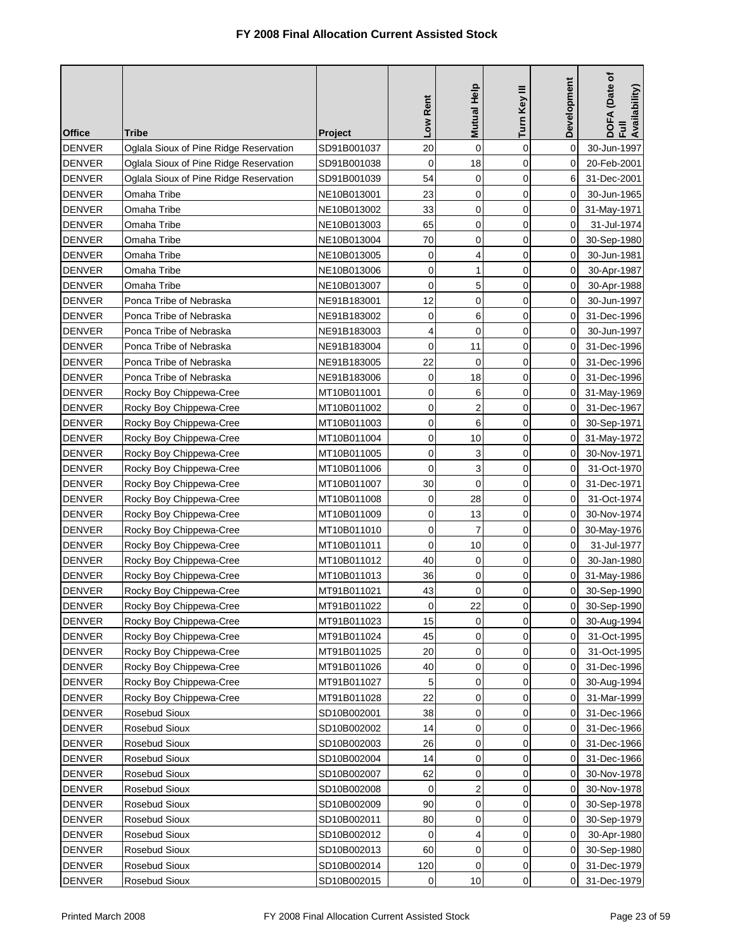| <b>Office</b> | Tribe                                  | <b>Project</b> | Low Rent       | Mutual Help    | Turn Key III | Development    | DOFA (Date of<br>Full<br>Availability) |
|---------------|----------------------------------------|----------------|----------------|----------------|--------------|----------------|----------------------------------------|
| <b>DENVER</b> | Oglala Sioux of Pine Ridge Reservation | SD91B001037    | 20             | 0              | $\mathbf 0$  | 0              | 30-Jun-1997                            |
| <b>DENVER</b> | Oglala Sioux of Pine Ridge Reservation | SD91B001038    | 0              | 18             | $\mathbf 0$  | 0              | 20-Feb-2001                            |
| <b>DENVER</b> | Oglala Sioux of Pine Ridge Reservation | SD91B001039    | 54             | 0              | 0            | 6              | 31-Dec-2001                            |
| <b>DENVER</b> | Omaha Tribe                            | NE10B013001    | 23             | 0              | $\mathbf 0$  | 0              | 30-Jun-1965                            |
| <b>DENVER</b> | Omaha Tribe                            | NE10B013002    | 33             | 0              | $\mathbf 0$  | 0              | 31-May-1971                            |
| <b>DENVER</b> | Omaha Tribe                            | NE10B013003    | 65             | $\mathbf 0$    | 0            | 0              | 31-Jul-1974                            |
| <b>DENVER</b> | Omaha Tribe                            | NE10B013004    | 70             | 0              | 0            | 0              | 30-Sep-1980                            |
| <b>DENVER</b> | Omaha Tribe                            | NE10B013005    | 0              | 4              | 0            | 0              | 30-Jun-1981                            |
| <b>DENVER</b> | Omaha Tribe                            | NE10B013006    | 0              | 1              | $\mathbf 0$  | 0              | 30-Apr-1987                            |
| <b>DENVER</b> | Omaha Tribe                            | NE10B013007    | 0              | 5              | 0            | 0              | 30-Apr-1988                            |
| <b>DENVER</b> | Ponca Tribe of Nebraska                | NE91B183001    | 12             | 0              | 0            | 0              | 30-Jun-1997                            |
| <b>DENVER</b> | Ponca Tribe of Nebraska                | NE91B183002    | 0              | 6              | 0            | 0              | 31-Dec-1996                            |
| <b>DENVER</b> | Ponca Tribe of Nebraska                | NE91B183003    | 4              | 0              | 0            | 0              | 30-Jun-1997                            |
| <b>DENVER</b> | Ponca Tribe of Nebraska                | NE91B183004    | $\mathbf 0$    | 11             | 0            | 0              | 31-Dec-1996                            |
| <b>DENVER</b> | Ponca Tribe of Nebraska                | NE91B183005    | 22             | 0              | $\mathbf 0$  | 0              | 31-Dec-1996                            |
| <b>DENVER</b> | Ponca Tribe of Nebraska                | NE91B183006    | $\mathbf 0$    | 18             | 0            | 0              | 31-Dec-1996                            |
| <b>DENVER</b> | Rocky Boy Chippewa-Cree                | MT10B011001    | 0              | 6              | $\mathbf 0$  | 0              | 31-May-1969                            |
| <b>DENVER</b> | Rocky Boy Chippewa-Cree                | MT10B011002    | 0              | $\overline{2}$ | 0            | 0              | 31-Dec-1967                            |
| <b>DENVER</b> | Rocky Boy Chippewa-Cree                | MT10B011003    | 0              | 6              | $\mathbf 0$  | $\Omega$       | 30-Sep-1971                            |
| <b>DENVER</b> | Rocky Boy Chippewa-Cree                | MT10B011004    | 0              | 10             | 0            | 0              | 31-May-1972                            |
| <b>DENVER</b> | Rocky Boy Chippewa-Cree                | MT10B011005    | 0              | 3              | $\mathbf 0$  | 0              | 30-Nov-1971                            |
| <b>DENVER</b> | Rocky Boy Chippewa-Cree                | MT10B011006    | 0              | 3              | 0            | 0              | 31-Oct-1970                            |
| <b>DENVER</b> | Rocky Boy Chippewa-Cree                | MT10B011007    | 30             | $\mathbf 0$    | $\mathbf 0$  | 0              | 31-Dec-1971                            |
| <b>DENVER</b> | Rocky Boy Chippewa-Cree                | MT10B011008    | 0              | 28             | 0            | 0              | 31-Oct-1974                            |
| <b>DENVER</b> | Rocky Boy Chippewa-Cree                | MT10B011009    | 0              | 13             | $\mathbf 0$  | 0              | 30-Nov-1974                            |
| <b>DENVER</b> | Rocky Boy Chippewa-Cree                | MT10B011010    | 0              | 7              | 0            | 0              | 30-May-1976                            |
| <b>DENVER</b> | Rocky Boy Chippewa-Cree                | MT10B011011    | $\mathbf 0$    | 10             | $\mathbf 0$  | 0              | 31-Jul-1977                            |
| <b>DENVER</b> | Rocky Boy Chippewa-Cree                | MT10B011012    | 40             | 0              | 0            | 0              | 30-Jan-1980                            |
| <b>DENVER</b> | Rocky Boy Chippewa-Cree                | MT10B011013    | 36             | 0              | 0            | 0              | 31-May-1986                            |
| <b>DENVER</b> | Rocky Boy Chippewa-Cree                | MT91B011021    | 43             | 0              | 0            | 0              | 30-Sep-1990                            |
| <b>DENVER</b> | Rocky Boy Chippewa-Cree                | MT91B011022    | $\overline{0}$ | 22             | 0            | $\overline{0}$ | 30-Sep-1990                            |
| <b>DENVER</b> | Rocky Boy Chippewa-Cree                | MT91B011023    | 15             | 0              | $\Omega$     | 0              | 30-Aug-1994                            |
| <b>DENVER</b> | Rocky Boy Chippewa-Cree                | MT91B011024    | 45             | 0              | 0            | 0              | 31-Oct-1995                            |
| <b>DENVER</b> | Rocky Boy Chippewa-Cree                | MT91B011025    | 20             | 0              | 0            | 0              | 31-Oct-1995                            |
| <b>DENVER</b> | Rocky Boy Chippewa-Cree                | MT91B011026    | 40             | 0              | 0            | 0              | 31-Dec-1996                            |
| <b>DENVER</b> | Rocky Boy Chippewa-Cree                | MT91B011027    | 5              | 0              | 0            | 0              | 30-Aug-1994                            |
| <b>DENVER</b> | Rocky Boy Chippewa-Cree                | MT91B011028    | 22             | 0              | 0            | 0              | 31-Mar-1999                            |
| <b>DENVER</b> | Rosebud Sioux                          | SD10B002001    | 38             | 0              | 0            | 0              | 31-Dec-1966                            |
| <b>DENVER</b> | Rosebud Sioux                          | SD10B002002    | 14             | 0              | 0            | 0              | 31-Dec-1966                            |
| <b>DENVER</b> | Rosebud Sioux                          | SD10B002003    | 26             | 0              | 0            | 0              | 31-Dec-1966                            |
| <b>DENVER</b> | Rosebud Sioux                          | SD10B002004    | 14             | 0              | 0            | 0              | 31-Dec-1966                            |
| <b>DENVER</b> | Rosebud Sioux                          | SD10B002007    | 62             | 0              | 0            | 0              | 30-Nov-1978                            |
| <b>DENVER</b> | Rosebud Sioux                          | SD10B002008    | 0              | 2              | 0            | 0              | 30-Nov-1978                            |
| <b>DENVER</b> | Rosebud Sioux                          | SD10B002009    | 90             | 0              | $\mathbf 0$  | 0              | 30-Sep-1978                            |
| <b>DENVER</b> | Rosebud Sioux                          | SD10B002011    | 80             | 0              | 0            | 0              | 30-Sep-1979                            |
| <b>DENVER</b> | Rosebud Sioux                          | SD10B002012    | 0              | 4              | $\mathbf 0$  | 0              | 30-Apr-1980                            |
| <b>DENVER</b> | Rosebud Sioux                          | SD10B002013    | 60             | 0              | 0            | 0              | 30-Sep-1980                            |
| <b>DENVER</b> | Rosebud Sioux                          | SD10B002014    | 120            | 0              | 0            | 0              | 31-Dec-1979                            |
| <b>DENVER</b> | Rosebud Sioux                          | SD10B002015    | 0              | 10             | 0            | 0              | 31-Dec-1979                            |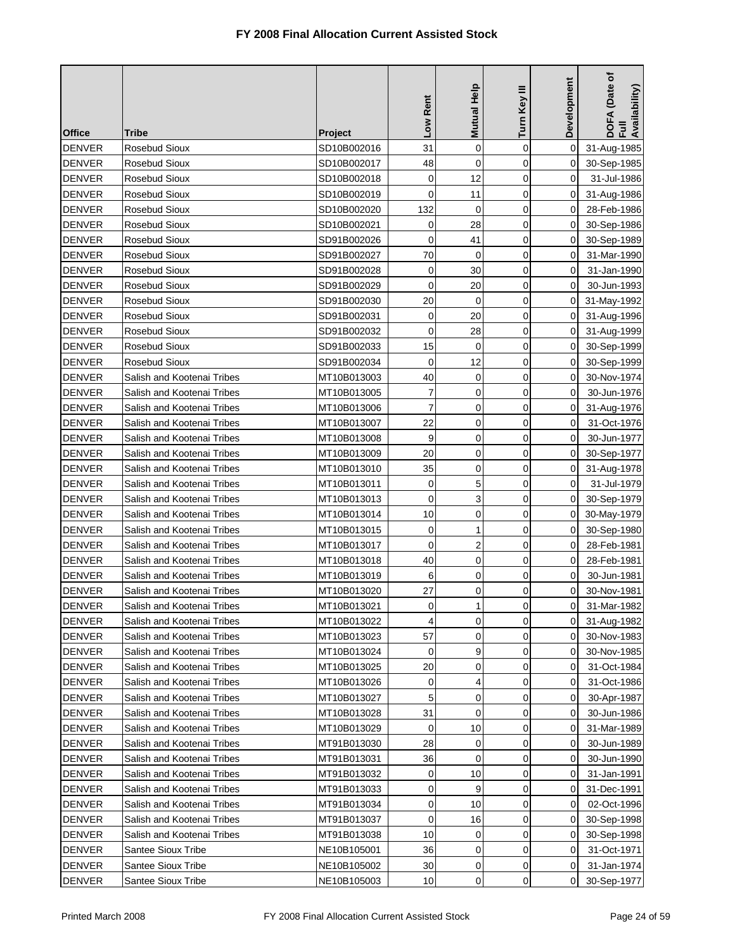| <b>Office</b> | Tribe                      | <b>Project</b> | Low Rent    | <b>Mutual Help</b> | Turn Key III   | <b>Development</b> | DOFA (Date of<br>Full<br>Availability) |
|---------------|----------------------------|----------------|-------------|--------------------|----------------|--------------------|----------------------------------------|
| <b>DENVER</b> | Rosebud Sioux              | SD10B002016    | 31          | $\mathbf 0$        | $\mathbf 0$    | $\Omega$           | 31-Aug-1985                            |
| <b>DENVER</b> | Rosebud Sioux              | SD10B002017    | 48          | 0                  | $\mathbf 0$    | 0                  | 30-Sep-1985                            |
| <b>DENVER</b> | Rosebud Sioux              | SD10B002018    | $\mathbf 0$ | 12                 | $\overline{0}$ | $\Omega$           | 31-Jul-1986                            |
| <b>DENVER</b> | Rosebud Sioux              | SD10B002019    | $\mathbf 0$ | 11                 | $\mathbf 0$    | 0                  | 31-Aug-1986                            |
| <b>DENVER</b> | Rosebud Sioux              | SD10B002020    | 132         | 0                  | $\mathbf 0$    | $\Omega$           | 28-Feb-1986                            |
| <b>DENVER</b> | Rosebud Sioux              | SD10B002021    | 0           | 28                 | $\mathbf 0$    | 0                  | 30-Sep-1986                            |
| <b>DENVER</b> | Rosebud Sioux              | SD91B002026    | 0           | 41                 | $\mathbf 0$    | 0                  | 30-Sep-1989                            |
| <b>DENVER</b> | Rosebud Sioux              | SD91B002027    | 70          | 0                  | $\mathbf 0$    | 0                  | 31-Mar-1990                            |
| <b>DENVER</b> | Rosebud Sioux              | SD91B002028    | 0           | 30                 | 0              | 0                  | 31-Jan-1990                            |
| <b>DENVER</b> | Rosebud Sioux              | SD91B002029    | 0           | 20                 | $\mathbf 0$    | 0                  | 30-Jun-1993                            |
| <b>DENVER</b> | Rosebud Sioux              | SD91B002030    | 20          | $\mathbf 0$        | $\mathbf 0$    | $\Omega$           | 31-May-1992                            |
| <b>DENVER</b> | Rosebud Sioux              | SD91B002031    | 0           | 20                 | $\mathbf 0$    | 0                  | 31-Aug-1996                            |
| <b>DENVER</b> | Rosebud Sioux              | SD91B002032    | $\mathbf 0$ | 28                 | $\mathbf 0$    | $\Omega$           | 31-Aug-1999                            |
| <b>DENVER</b> | Rosebud Sioux              | SD91B002033    | 15          | $\mathbf 0$        | $\mathbf 0$    | 0                  | 30-Sep-1999                            |
| <b>DENVER</b> | Rosebud Sioux              | SD91B002034    | $\mathbf 0$ | 12                 | $\mathbf 0$    | 0                  | 30-Sep-1999                            |
| <b>DENVER</b> | Salish and Kootenai Tribes | MT10B013003    | 40          | $\mathbf 0$        | $\mathbf 0$    | 0                  | 30-Nov-1974                            |
| <b>DENVER</b> | Salish and Kootenai Tribes | MT10B013005    | 7           | 0                  | $\mathbf 0$    | $\Omega$           | 30-Jun-1976                            |
| <b>DENVER</b> | Salish and Kootenai Tribes | MT10B013006    | 7           | 0                  | $\mathbf 0$    | 0                  | 31-Aug-1976                            |
| <b>DENVER</b> | Salish and Kootenai Tribes | MT10B013007    | 22          | 0                  | $\mathbf 0$    | 0                  | 31-Oct-1976                            |
| <b>DENVER</b> | Salish and Kootenai Tribes | MT10B013008    | 9           | 0                  | $\mathbf 0$    | $\Omega$           | 30-Jun-1977                            |
| <b>DENVER</b> | Salish and Kootenai Tribes | MT10B013009    | 20          | 0                  | $\mathbf 0$    | 0                  | 30-Sep-1977                            |
| <b>DENVER</b> | Salish and Kootenai Tribes | MT10B013010    | 35          | 0                  | $\mathbf 0$    | 0                  | 31-Aug-1978                            |
| <b>DENVER</b> | Salish and Kootenai Tribes | MT10B013011    | 0           | 5                  | $\mathbf 0$    | 0                  | 31-Jul-1979                            |
| <b>DENVER</b> | Salish and Kootenai Tribes | MT10B013013    | 0           | 3                  | $\mathbf 0$    | 0                  | 30-Sep-1979                            |
| <b>DENVER</b> | Salish and Kootenai Tribes | MT10B013014    | 10          | $\mathbf 0$        | $\mathbf 0$    | 0                  | 30-May-1979                            |
| <b>DENVER</b> | Salish and Kootenai Tribes | MT10B013015    | $\mathbf 0$ | 1                  | $\mathbf 0$    | 0                  | 30-Sep-1980                            |
| <b>DENVER</b> | Salish and Kootenai Tribes | MT10B013017    | $\mathbf 0$ | $\boldsymbol{2}$   | $\mathbf 0$    | 0                  | 28-Feb-1981                            |
| <b>DENVER</b> | Salish and Kootenai Tribes | MT10B013018    | 40          | 0                  | $\mathbf 0$    | 0                  | 28-Feb-1981                            |
| <b>DENVER</b> | Salish and Kootenai Tribes | MT10B013019    | 6           | 0                  | $\mathbf 0$    | 0                  | 30-Jun-1981                            |
| <b>DENVER</b> | Salish and Kootenai Tribes | MT10B013020    | 27          | 0                  | 0              | 0                  | 30-Nov-1981                            |
| DENVER        | Salish and Kootenai Tribes | MT10B013021    | 0           | $\mathbf{1}$       | 0              | 0                  | 31-Mar-1982                            |
| <b>DENVER</b> | Salish and Kootenai Tribes | MT10B013022    | 4           | $\mathbf 0$        | $\Omega$       | 0                  | 31-Aug-1982                            |
| <b>DENVER</b> | Salish and Kootenai Tribes | MT10B013023    | 57          | 0                  | 0              | 0                  | 30-Nov-1983                            |
| <b>DENVER</b> | Salish and Kootenai Tribes | MT10B013024    | 0           | 9                  | 0              | 0                  | 30-Nov-1985                            |
| <b>DENVER</b> | Salish and Kootenai Tribes | MT10B013025    | 20          | 0                  | 0              | 0                  | 31-Oct-1984                            |
| <b>DENVER</b> | Salish and Kootenai Tribes | MT10B013026    | 0           | 4                  | 0              | 0                  | 31-Oct-1986                            |
| <b>DENVER</b> | Salish and Kootenai Tribes | MT10B013027    | 5           | 0                  | 0              | 0                  | 30-Apr-1987                            |
| <b>DENVER</b> | Salish and Kootenai Tribes | MT10B013028    | 31          | $\mathbf 0$        | $\mathbf 0$    | 0                  | 30-Jun-1986                            |
| <b>DENVER</b> | Salish and Kootenai Tribes | MT10B013029    | $\mathbf 0$ | 10                 | 0              | 0                  | 31-Mar-1989                            |
| <b>DENVER</b> | Salish and Kootenai Tribes | MT91B013030    | 28          | 0                  | $\mathbf 0$    | 0                  | 30-Jun-1989                            |
| <b>DENVER</b> | Salish and Kootenai Tribes | MT91B013031    | 36          | 0                  | 0              | 0                  | 30-Jun-1990                            |
| <b>DENVER</b> | Salish and Kootenai Tribes | MT91B013032    | 0           | 10                 | 0              | 0                  | 31-Jan-1991                            |
| <b>DENVER</b> | Salish and Kootenai Tribes | MT91B013033    | 0           | 9                  | 0              | 0                  | 31-Dec-1991                            |
| <b>DENVER</b> | Salish and Kootenai Tribes | MT91B013034    | 0           | 10                 | $\mathbf 0$    | 0                  | 02-Oct-1996                            |
| <b>DENVER</b> | Salish and Kootenai Tribes | MT91B013037    | 0           | 16                 | 0              | $\mathbf 0$        | 30-Sep-1998                            |
| <b>DENVER</b> | Salish and Kootenai Tribes | MT91B013038    | 10          | 0                  | $\mathbf 0$    | 0                  | 30-Sep-1998                            |
| <b>DENVER</b> | Santee Sioux Tribe         | NE10B105001    | 36          | 0                  | $\mathbf 0$    | 0                  | 31-Oct-1971                            |
| <b>DENVER</b> | Santee Sioux Tribe         | NE10B105002    | 30          | 0                  | 0              | 0                  | 31-Jan-1974                            |
| <b>DENVER</b> | Santee Sioux Tribe         | NE10B105003    | 10          | 0                  | 0              | 0                  | 30-Sep-1977                            |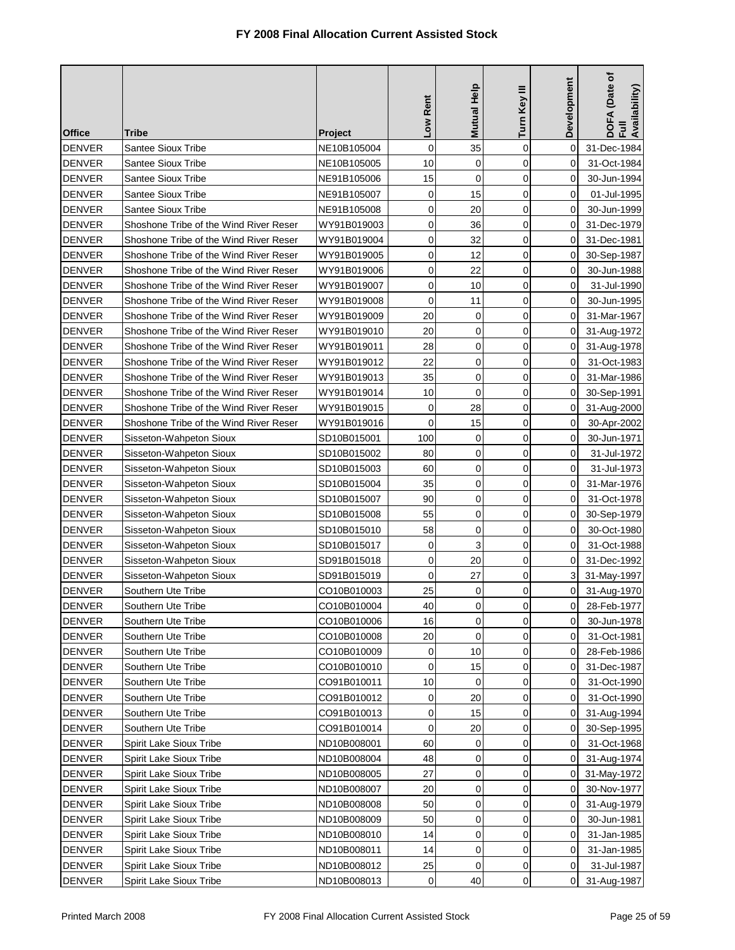| <b>Office</b> | Tribe                                  | <b>Project</b> | Low Rent    | <b>Mutual Help</b> | Turn Key III   | Development  | DOFA (Date of<br>Full<br>Availability) |
|---------------|----------------------------------------|----------------|-------------|--------------------|----------------|--------------|----------------------------------------|
| <b>DENVER</b> | <b>Santee Sioux Tribe</b>              | NE10B105004    | $\mathbf 0$ | 35                 | $\mathbf 0$    | 0            | 31-Dec-1984                            |
| <b>DENVER</b> | Santee Sioux Tribe                     | NE10B105005    | 10          | $\mathbf 0$        | $\mathbf 0$    | $\Omega$     | 31-Oct-1984                            |
| <b>DENVER</b> | Santee Sioux Tribe                     | NE91B105006    | 15          | $\mathbf 0$        | $\mathbf 0$    | 0            | 30-Jun-1994                            |
| <b>DENVER</b> | <b>Santee Sioux Tribe</b>              | NE91B105007    | $\mathbf 0$ | 15                 | $\mathbf 0$    | 0            | 01-Jul-1995                            |
| <b>DENVER</b> | <b>Santee Sioux Tribe</b>              | NE91B105008    | 0           | 20                 | $\mathbf 0$    | 0            | 30-Jun-1999                            |
| <b>DENVER</b> | Shoshone Tribe of the Wind River Reser | WY91B019003    | $\mathbf 0$ | 36                 | $\mathbf 0$    | 0            | 31-Dec-1979                            |
| <b>DENVER</b> | Shoshone Tribe of the Wind River Reser | WY91B019004    | 0           | 32                 | 0              | 0            | 31-Dec-1981                            |
| <b>DENVER</b> | Shoshone Tribe of the Wind River Reser | WY91B019005    | 0           | 12                 | $\mathbf 0$    | 0            | 30-Sep-1987                            |
| <b>DENVER</b> | Shoshone Tribe of the Wind River Reser | WY91B019006    | 0           | 22                 | $\mathbf 0$    | 0            | 30-Jun-1988                            |
| <b>DENVER</b> | Shoshone Tribe of the Wind River Reser | WY91B019007    | 0           | 10                 | $\mathbf 0$    | $\mathbf{0}$ | 31-Jul-1990                            |
| <b>DENVER</b> | Shoshone Tribe of the Wind River Reser | WY91B019008    | 0           | 11                 | $\mathbf 0$    | 0            | 30-Jun-1995                            |
| <b>DENVER</b> | Shoshone Tribe of the Wind River Reser | WY91B019009    | 20          | 0                  | $\mathbf 0$    | 0            | 31-Mar-1967                            |
| <b>DENVER</b> | Shoshone Tribe of the Wind River Reser | WY91B019010    | 20          | 0                  | $\mathbf 0$    | 0            | 31-Aug-1972                            |
| <b>DENVER</b> | Shoshone Tribe of the Wind River Reser | WY91B019011    | 28          | $\mathbf 0$        | $\mathbf 0$    | 0            | 31-Aug-1978                            |
| <b>DENVER</b> | Shoshone Tribe of the Wind River Reser | WY91B019012    | 22          | 0                  | $\mathbf 0$    | 0            | 31-Oct-1983                            |
| <b>DENVER</b> | Shoshone Tribe of the Wind River Reser | WY91B019013    | 35          | $\mathbf 0$        | $\mathbf 0$    | 0            | 31-Mar-1986                            |
| <b>DENVER</b> | Shoshone Tribe of the Wind River Reser | WY91B019014    | 10          | 0                  | $\mathbf 0$    | $\Omega$     | 30-Sep-1991                            |
| <b>DENVER</b> | Shoshone Tribe of the Wind River Reser | WY91B019015    | $\mathbf 0$ | 28                 | $\overline{0}$ | 0            | 31-Aug-2000                            |
| <b>DENVER</b> | Shoshone Tribe of the Wind River Reser | WY91B019016    | 0           | 15                 | $\mathbf 0$    | $\Omega$     | 30-Apr-2002                            |
| <b>DENVER</b> | Sisseton-Wahpeton Sioux                | SD10B015001    | 100         | 0                  | $\mathbf 0$    | 0            | 30-Jun-1971                            |
| <b>DENVER</b> | Sisseton-Wahpeton Sioux                | SD10B015002    | 80          | 0                  | $\mathbf 0$    | 0            | 31-Jul-1972                            |
| <b>DENVER</b> | Sisseton-Wahpeton Sioux                | SD10B015003    | 60          | 0                  | $\mathbf 0$    | 0            | 31-Jul-1973                            |
| <b>DENVER</b> | Sisseton-Wahpeton Sioux                | SD10B015004    | 35          | 0                  | $\mathbf 0$    | 0            | 31-Mar-1976                            |
| <b>DENVER</b> | Sisseton-Wahpeton Sioux                | SD10B015007    | 90          | 0                  | $\mathbf 0$    | 0            | 31-Oct-1978                            |
| <b>DENVER</b> | Sisseton-Wahpeton Sioux                | SD10B015008    | 55          | 0                  | $\mathbf 0$    | 0            | 30-Sep-1979                            |
| <b>DENVER</b> | Sisseton-Wahpeton Sioux                | SD10B015010    | 58          | 0                  | $\mathbf 0$    | 0            | 30-Oct-1980                            |
| <b>DENVER</b> | Sisseton-Wahpeton Sioux                | SD10B015017    | 0           | 3                  | $\mathbf 0$    | $\Omega$     | 31-Oct-1988                            |
| <b>DENVER</b> | Sisseton-Wahpeton Sioux                | SD91B015018    | 0           | 20                 | $\mathbf 0$    | 0            | 31-Dec-1992                            |
| <b>DENVER</b> | Sisseton-Wahpeton Sioux                | SD91B015019    | $\mathbf 0$ | 27                 | 0              | 3            | 31-May-1997                            |
| <b>DENVER</b> | Southern Ute Tribe                     | CO10B010003    | 25          | 0                  | 0              | 0            | 31-Aug-1970                            |
| <b>DENVER</b> | Southern Ute Tribe                     | CO10B010004    | 40          | $\cup$             | $\cup$         | 0            | 28-Feb-1977                            |
| <b>DENVER</b> | Southern Ute Tribe                     | CO10B010006    | 16          | $\mathbf 0$        | 0              | 0            | 30-Jun-1978                            |
| <b>DENVER</b> | Southern Ute Tribe                     | CO10B010008    | 20          | 0                  | 0              | 0            | 31-Oct-1981                            |
| <b>DENVER</b> | Southern Ute Tribe                     | CO10B010009    | 0           | 10                 | 0              | 0            | 28-Feb-1986                            |
| <b>DENVER</b> | Southern Ute Tribe                     | CO10B010010    | 0           | 15                 | $\mathbf 0$    | 0            | 31-Dec-1987                            |
| <b>DENVER</b> | Southern Ute Tribe                     | CO91B010011    | 10          | 0                  | $\mathbf 0$    | 0            | 31-Oct-1990                            |
| <b>DENVER</b> | Southern Ute Tribe                     | CO91B010012    | 0           | 20                 | $\mathbf 0$    | 0            | 31-Oct-1990                            |
| <b>DENVER</b> | Southern Ute Tribe                     | CO91B010013    | 0           | 15                 | 0              | 0            | 31-Aug-1994                            |
| <b>DENVER</b> | Southern Ute Tribe                     | CO91B010014    | 0           | 20                 | 0              | 0            | 30-Sep-1995                            |
| <b>DENVER</b> | Spirit Lake Sioux Tribe                | ND10B008001    | 60          | 0                  | 0              | 0            | 31-Oct-1968                            |
| <b>DENVER</b> | Spirit Lake Sioux Tribe                | ND10B008004    | 48          | 0                  | 0              | 0            | 31-Aug-1974                            |
| <b>DENVER</b> | Spirit Lake Sioux Tribe                | ND10B008005    | 27          | 0                  | 0              | 0            | 31-May-1972                            |
| <b>DENVER</b> | Spirit Lake Sioux Tribe                | ND10B008007    | 20          | 0                  | $\mathbf 0$    | 0            | 30-Nov-1977                            |
| <b>DENVER</b> | Spirit Lake Sioux Tribe                | ND10B008008    | 50          | 0                  | 0              | $\mathbf 0$  | 31-Aug-1979                            |
| <b>DENVER</b> | Spirit Lake Sioux Tribe                | ND10B008009    | 50          | 0                  | $\mathbf 0$    | $\mathbf 0$  | 30-Jun-1981                            |
| <b>DENVER</b> | Spirit Lake Sioux Tribe                | ND10B008010    | 14          | 0                  | $\mathbf 0$    | 0            | 31-Jan-1985                            |
| <b>DENVER</b> | Spirit Lake Sioux Tribe                | ND10B008011    | 14          | 0                  | $\mathbf 0$    | 0            | 31-Jan-1985                            |
| <b>DENVER</b> | Spirit Lake Sioux Tribe                | ND10B008012    | 25          | 0                  | 0              | 0            | 31-Jul-1987                            |
| <b>DENVER</b> | Spirit Lake Sioux Tribe                | ND10B008013    | 0           | 40                 | 0              | 0            | 31-Aug-1987                            |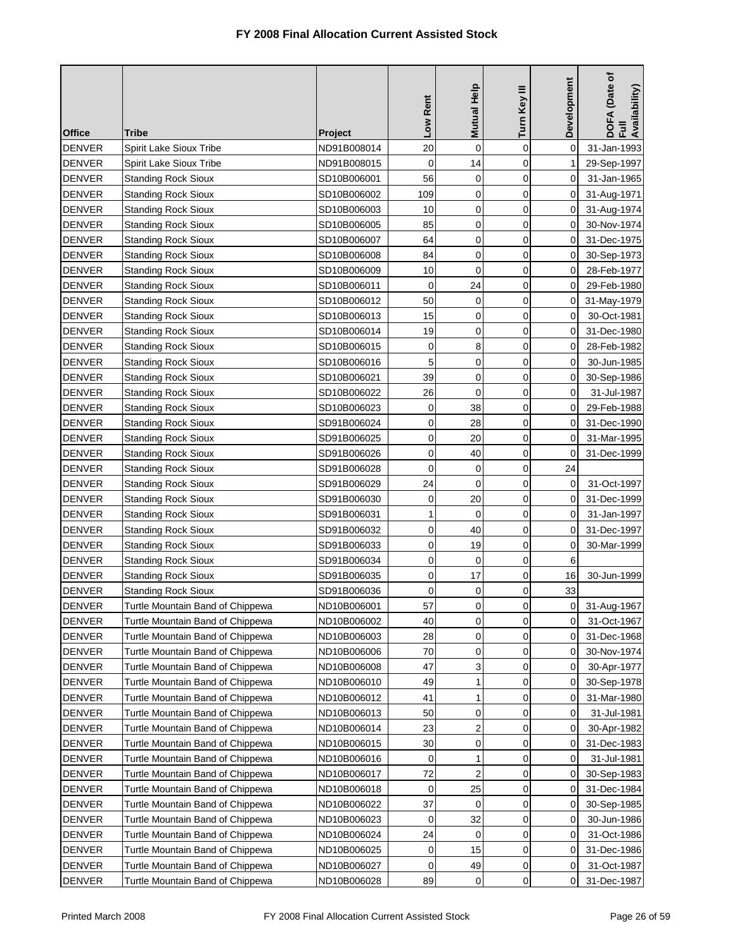| <b>Office</b> | Tribe                            | <b>Project</b> | Low Rent    | Mutual Help         | Turn Key III | Development | DOFA (Date of<br>Full<br>Availability) |
|---------------|----------------------------------|----------------|-------------|---------------------|--------------|-------------|----------------------------------------|
| <b>DENVER</b> | Spirit Lake Sioux Tribe          | ND91B008014    | 20          | 0                   | $\mathbf 0$  | 0           | 31-Jan-1993                            |
| <b>DENVER</b> | Spirit Lake Sioux Tribe          | ND91B008015    | 0           | 14                  | $\mathbf 0$  | 1           | 29-Sep-1997                            |
| <b>DENVER</b> | <b>Standing Rock Sioux</b>       | SD10B006001    | 56          | 0                   | 0            | 0           | 31-Jan-1965                            |
| <b>DENVER</b> | <b>Standing Rock Sioux</b>       | SD10B006002    | 109         | 0                   | $\mathbf 0$  | 0           | 31-Aug-1971                            |
| <b>DENVER</b> | <b>Standing Rock Sioux</b>       | SD10B006003    | 10          | 0                   | $\mathbf 0$  | 0           | 31-Aug-1974                            |
| <b>DENVER</b> | <b>Standing Rock Sioux</b>       | SD10B006005    | 85          | $\mathbf 0$         | 0            | 0           | 30-Nov-1974                            |
| <b>DENVER</b> | <b>Standing Rock Sioux</b>       | SD10B006007    | 64          | 0                   | 0            | 0           | 31-Dec-1975                            |
| <b>DENVER</b> | <b>Standing Rock Sioux</b>       | SD10B006008    | 84          | 0                   | 0            | 0           | 30-Sep-1973                            |
| <b>DENVER</b> | <b>Standing Rock Sioux</b>       | SD10B006009    | 10          | 0                   | 0            | 0           | 28-Feb-1977                            |
| <b>DENVER</b> | <b>Standing Rock Sioux</b>       | SD10B006011    | $\mathbf 0$ | 24                  | 0            | 0           | 29-Feb-1980                            |
| <b>DENVER</b> | <b>Standing Rock Sioux</b>       | SD10B006012    | 50          | 0                   | 0            | 0           | 31-May-1979                            |
| <b>DENVER</b> | <b>Standing Rock Sioux</b>       | SD10B006013    | 15          | 0                   | 0            | 0           | 30-Oct-1981                            |
| <b>DENVER</b> | <b>Standing Rock Sioux</b>       | SD10B006014    | 19          | 0                   | 0            | 0           | 31-Dec-1980                            |
| <b>DENVER</b> | <b>Standing Rock Sioux</b>       | SD10B006015    | 0           | 8                   | 0            | 0           | 28-Feb-1982                            |
| <b>DENVER</b> | <b>Standing Rock Sioux</b>       | SD10B006016    | 5           | 0                   | $\mathbf 0$  | 0           | 30-Jun-1985                            |
| <b>DENVER</b> | <b>Standing Rock Sioux</b>       | SD10B006021    | 39          | 0                   | 0            | 0           | 30-Sep-1986                            |
| <b>DENVER</b> | <b>Standing Rock Sioux</b>       | SD10B006022    | 26          | 0                   | $\mathbf 0$  | 0           | 31-Jul-1987                            |
| <b>DENVER</b> | <b>Standing Rock Sioux</b>       | SD10B006023    | $\mathbf 0$ | 38                  | 0            | 0           | 29-Feb-1988                            |
| <b>DENVER</b> | <b>Standing Rock Sioux</b>       | SD91B006024    | 0           | 28                  | $\mathbf 0$  | 0           | 31-Dec-1990                            |
| <b>DENVER</b> | <b>Standing Rock Sioux</b>       | SD91B006025    | 0           | 20                  | 0            | 0           | 31-Mar-1995                            |
| <b>DENVER</b> | <b>Standing Rock Sioux</b>       | SD91B006026    | 0           | 40                  | $\mathbf 0$  | 0           | 31-Dec-1999                            |
| <b>DENVER</b> | <b>Standing Rock Sioux</b>       | SD91B006028    | 0           | 0                   | 0            | 24          |                                        |
| <b>DENVER</b> | <b>Standing Rock Sioux</b>       | SD91B006029    | 24          | 0                   | 0            | 0           | 31-Oct-1997                            |
| <b>DENVER</b> | <b>Standing Rock Sioux</b>       | SD91B006030    | 0           | 20                  | 0            | 0           | 31-Dec-1999                            |
| <b>DENVER</b> | <b>Standing Rock Sioux</b>       | SD91B006031    | 1           | 0                   | $\mathbf 0$  | 0           | 31-Jan-1997                            |
| <b>DENVER</b> | <b>Standing Rock Sioux</b>       | SD91B006032    | 0           | 40                  | 0            | 0           | 31-Dec-1997                            |
| <b>DENVER</b> | <b>Standing Rock Sioux</b>       | SD91B006033    | 0           | 19                  | $\mathbf 0$  | 0           | 30-Mar-1999                            |
| <b>DENVER</b> | <b>Standing Rock Sioux</b>       | SD91B006034    | 0           | 0                   | 0            | 6           |                                        |
| <b>DENVER</b> | <b>Standing Rock Sioux</b>       | SD91B006035    | 0           | 17                  | 0            | 16          | 30-Jun-1999                            |
| <b>DENVER</b> | <b>Standing Rock Sioux</b>       | SD91B006036    | $\mathbf 0$ | 0                   | 0            | 33          |                                        |
| DENVER        | Turtle Mountain Band of Chippewa | ND10B006001    | 57          | $\mathsf{O}\xspace$ | 0            |             | 0 31-Aug-1967                          |
| <b>DENVER</b> | Turtle Mountain Band of Chippewa | ND10B006002    | 40          | 0                   | 0            | 0           | 31-Oct-1967                            |
| <b>DENVER</b> | Turtle Mountain Band of Chippewa | ND10B006003    | 28          | 0                   | 0            | 0           | 31-Dec-1968                            |
| <b>DENVER</b> | Turtle Mountain Band of Chippewa | ND10B006006    | 70          | 0                   | 0            | 0           | 30-Nov-1974                            |
| <b>DENVER</b> | Turtle Mountain Band of Chippewa | ND10B006008    | 47          | 3                   | 0            | 0           | 30-Apr-1977                            |
| <b>DENVER</b> | Turtle Mountain Band of Chippewa | ND10B006010    | 49          | 1                   | 0            | 0           | 30-Sep-1978                            |
| <b>DENVER</b> | Turtle Mountain Band of Chippewa | ND10B006012    | 41          | 1                   | 0            | 0           | 31-Mar-1980                            |
| <b>DENVER</b> | Turtle Mountain Band of Chippewa | ND10B006013    | 50          | 0                   | 0            | 0           | 31-Jul-1981                            |
| <b>DENVER</b> | Turtle Mountain Band of Chippewa | ND10B006014    | 23          | 2                   | 0            | 0           | 30-Apr-1982                            |
| <b>DENVER</b> | Turtle Mountain Band of Chippewa | ND10B006015    | 30          | 0                   | 0            | 0           | 31-Dec-1983                            |
| <b>DENVER</b> | Turtle Mountain Band of Chippewa | ND10B006016    | 0           | 1                   | 0            | 0           | 31-Jul-1981                            |
| <b>DENVER</b> | Turtle Mountain Band of Chippewa | ND10B006017    | 72          | 2                   | $\mathbf 0$  | 0           | 30-Sep-1983                            |
| <b>DENVER</b> | Turtle Mountain Band of Chippewa | ND10B006018    | 0           | 25                  | 0            | 0           | 31-Dec-1984                            |
| <b>DENVER</b> | Turtle Mountain Band of Chippewa | ND10B006022    | 37          | 0                   | 0            | 0           | 30-Sep-1985                            |
| <b>DENVER</b> | Turtle Mountain Band of Chippewa | ND10B006023    | 0           | 32                  | 0            | 0           | 30-Jun-1986                            |
| <b>DENVER</b> | Turtle Mountain Band of Chippewa | ND10B006024    | 24          | 0                   | 0            | 0           | 31-Oct-1986                            |
| DENVER        | Turtle Mountain Band of Chippewa | ND10B006025    | 0           | 15                  | 0            | 0           | 31-Dec-1986                            |
| <b>DENVER</b> | Turtle Mountain Band of Chippewa | ND10B006027    | 0           | 49                  | 0            | 0           | 31-Oct-1987                            |
| <b>DENVER</b> | Turtle Mountain Band of Chippewa | ND10B006028    | 89          | 0                   | 0            | 0           | 31-Dec-1987                            |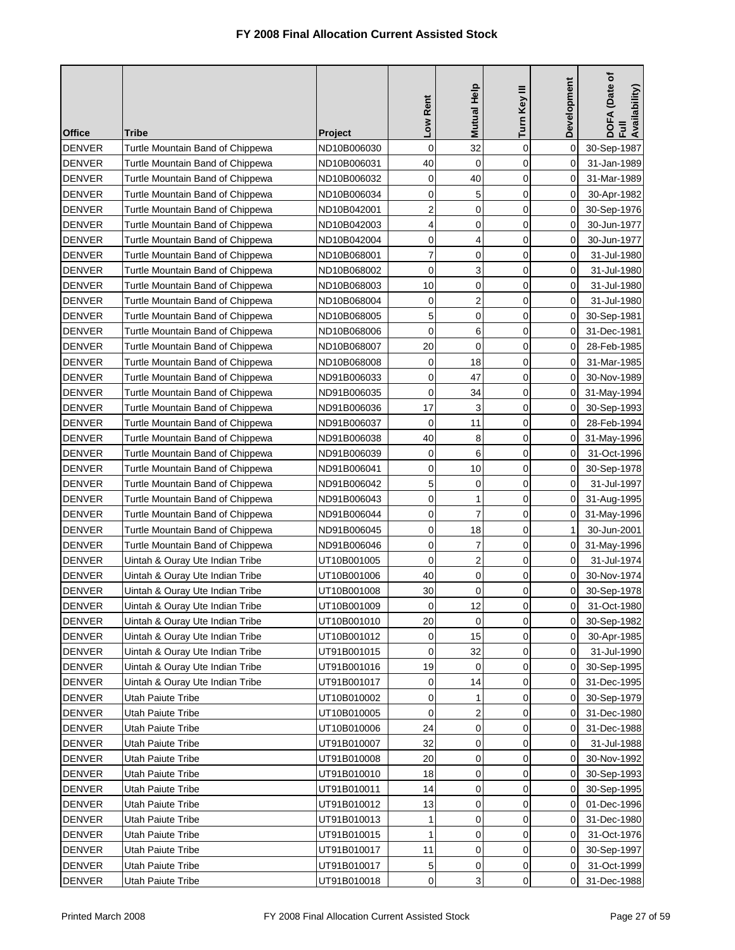|               |                                  |                | Low Rent            | Mutual Help    | Turn Key III | Development | DOFA (Date of<br>Full<br>Availability) |
|---------------|----------------------------------|----------------|---------------------|----------------|--------------|-------------|----------------------------------------|
| <b>Office</b> | Tribe                            | <b>Project</b> |                     |                |              |             |                                        |
| <b>DENVER</b> | Turtle Mountain Band of Chippewa | ND10B006030    | $\mathbf 0$         | 32             | $\mathbf 0$  | 0           | 30-Sep-1987                            |
| <b>DENVER</b> | Turtle Mountain Band of Chippewa | ND10B006031    | 40                  | 0              | 0            | $\Omega$    | 31-Jan-1989                            |
| <b>DENVER</b> | Turtle Mountain Band of Chippewa | ND10B006032    | $\mathbf 0$         | 40             | 0            | $\Omega$    | 31-Mar-1989                            |
| <b>DENVER</b> | Turtle Mountain Band of Chippewa | ND10B006034    | $\mathbf 0$         | 5              | $\mathbf 0$  | 0           | 30-Apr-1982                            |
| <b>DENVER</b> | Turtle Mountain Band of Chippewa | ND10B042001    | 2                   | $\mathbf 0$    | $\mathbf 0$  | 0           | 30-Sep-1976                            |
| <b>DENVER</b> | Turtle Mountain Band of Chippewa | ND10B042003    | 4                   | $\mathbf 0$    | $\mathbf 0$  | 0           | 30-Jun-1977                            |
| <b>DENVER</b> | Turtle Mountain Band of Chippewa | ND10B042004    | 0                   | 4              | 0            | 0           | 30-Jun-1977                            |
| <b>DENVER</b> | Turtle Mountain Band of Chippewa | ND10B068001    | 7                   | $\mathbf 0$    | 0            | 0           | 31-Jul-1980                            |
| <b>DENVER</b> | Turtle Mountain Band of Chippewa | ND10B068002    | 0                   | 3              | $\mathbf 0$  | 0           | 31-Jul-1980                            |
| <b>DENVER</b> | Turtle Mountain Band of Chippewa | ND10B068003    | 10                  | $\mathbf 0$    | 0            | 0           | 31-Jul-1980                            |
| <b>DENVER</b> | Turtle Mountain Band of Chippewa | ND10B068004    | 0                   | $\overline{2}$ | 0            | 0           | 31-Jul-1980                            |
| <b>DENVER</b> | Turtle Mountain Band of Chippewa | ND10B068005    | 5                   | 0              | 0            | 0           | 30-Sep-1981                            |
| <b>DENVER</b> | Turtle Mountain Band of Chippewa | ND10B068006    | 0                   | 6              | 0            | 0           | 31-Dec-1981                            |
| <b>DENVER</b> | Turtle Mountain Band of Chippewa | ND10B068007    | 20                  | $\mathbf 0$    | 0            | 0           | 28-Feb-1985                            |
| <b>DENVER</b> | Turtle Mountain Band of Chippewa | ND10B068008    | 0                   | 18             | $\mathbf 0$  | 0           | 31-Mar-1985                            |
| <b>DENVER</b> | Turtle Mountain Band of Chippewa | ND91B006033    | 0                   | 47             | 0            | 0           | 30-Nov-1989                            |
| <b>DENVER</b> | Turtle Mountain Band of Chippewa | ND91B006035    | 0                   | 34             | $\mathbf 0$  | 0           | 31-May-1994                            |
| <b>DENVER</b> | Turtle Mountain Band of Chippewa | ND91B006036    | 17                  | 3              | $\mathbf 0$  | 0           | 30-Sep-1993                            |
| <b>DENVER</b> | Turtle Mountain Band of Chippewa | ND91B006037    | 0                   | 11             | 0            | $\Omega$    | 28-Feb-1994                            |
| <b>DENVER</b> | Turtle Mountain Band of Chippewa | ND91B006038    | 40                  | 8              | 0            | 0           | 31-May-1996                            |
| <b>DENVER</b> | Turtle Mountain Band of Chippewa | ND91B006039    | 0                   | 6              | $\mathbf 0$  | 0           | 31-Oct-1996                            |
| <b>DENVER</b> | Turtle Mountain Band of Chippewa | ND91B006041    | 0                   | 10             | 0            | 0           | 30-Sep-1978                            |
| <b>DENVER</b> | Turtle Mountain Band of Chippewa | ND91B006042    | 5                   | 0              | 0            | 0           | 31-Jul-1997                            |
| <b>DENVER</b> | Turtle Mountain Band of Chippewa | ND91B006043    | 0                   | 1              | 0            | 0           | 31-Aug-1995                            |
| <b>DENVER</b> | Turtle Mountain Band of Chippewa | ND91B006044    | 0                   | 7              | 0            | 0           | 31-May-1996                            |
| <b>DENVER</b> | Turtle Mountain Band of Chippewa | ND91B006045    | 0                   | 18             | 0            | 1           | 30-Jun-2001                            |
| <b>DENVER</b> | Turtle Mountain Band of Chippewa | ND91B006046    | 0                   | 7              | 0            | 0           | 31-May-1996                            |
| <b>DENVER</b> | Uintah & Ouray Ute Indian Tribe  | UT10B001005    | 0                   | 2              | 0            | 0           | 31-Jul-1974                            |
| <b>DENVER</b> | Uintah & Ouray Ute Indian Tribe  | UT10B001006    | 40                  | 0              | 0            | 0           | 30-Nov-1974                            |
| <b>DENVER</b> | Uintah & Ouray Ute Indian Tribe  | UT10B001008    | 30                  | 0              | 0            | 0           | 30-Sep-1978                            |
| <b>DENVER</b> | Uintah & Ouray Ute Indian Tribe  | UT10B001009    | $\mathsf{O}\xspace$ | 12             | 0            | $\mathbf 0$ | 31-Oct-1980                            |
| <b>DENVER</b> | Uintah & Ouray Ute Indian Tribe  | UT10B001010    | 20                  | 0              | $\Omega$     | 0           | 30-Sep-1982                            |
| <b>DENVER</b> | Uintah & Ouray Ute Indian Tribe  | UT10B001012    | 0                   | 15             | 0            | 0           | 30-Apr-1985                            |
| <b>DENVER</b> | Uintah & Ouray Ute Indian Tribe  | UT91B001015    | 0                   | 32             | 0            | 0           | 31-Jul-1990                            |
| <b>DENVER</b> | Uintah & Ouray Ute Indian Tribe  | UT91B001016    | 19                  | 0              | 0            | 0           | 30-Sep-1995                            |
| <b>DENVER</b> | Uintah & Ouray Ute Indian Tribe  | UT91B001017    | 0                   | 14             | 0            | 0           | 31-Dec-1995                            |
| <b>DENVER</b> | Utah Paiute Tribe                | UT10B010002    | 0                   | 1              | 0            | 0           | 30-Sep-1979                            |
| <b>DENVER</b> | Utah Paiute Tribe                | UT10B010005    | 0                   | $\overline{2}$ | 0            | 0           | 31-Dec-1980                            |
| <b>DENVER</b> | Utah Paiute Tribe                | UT10B010006    | 24                  | 0              | 0            | 0           | 31-Dec-1988                            |
| <b>DENVER</b> | Utah Paiute Tribe                | UT91B010007    | 32                  | 0              | 0            | 0           | 31-Jul-1988                            |
| <b>DENVER</b> | Utah Paiute Tribe                | UT91B010008    | 20                  | 0              | 0            | 0           | 30-Nov-1992                            |
| <b>DENVER</b> | Utah Paiute Tribe                | UT91B010010    | 18                  | 0              | 0            | 0           | 30-Sep-1993                            |
| <b>DENVER</b> | Utah Paiute Tribe                | UT91B010011    | 14                  | 0              | 0            | 0           | 30-Sep-1995                            |
| <b>DENVER</b> | Utah Paiute Tribe                | UT91B010012    | 13                  | 0              | $\mathbf 0$  | 0           | 01-Dec-1996                            |
| <b>DENVER</b> | Utah Paiute Tribe                | UT91B010013    | 1                   | 0              | 0            | 0           | 31-Dec-1980                            |
| <b>DENVER</b> | Utah Paiute Tribe                | UT91B010015    | $\mathbf{1}$        | 0              | $\mathbf 0$  | 0           | 31-Oct-1976                            |
| <b>DENVER</b> | Utah Paiute Tribe                | UT91B010017    | 11                  | 0              | 0            | 0           | 30-Sep-1997                            |
| <b>DENVER</b> | Utah Paiute Tribe                | UT91B010017    | 5                   | 0              | 0            | 0           | 31-Oct-1999                            |
| <b>DENVER</b> | Utah Paiute Tribe                | UT91B010018    | 0                   | 3              | 0            | 0           | 31-Dec-1988                            |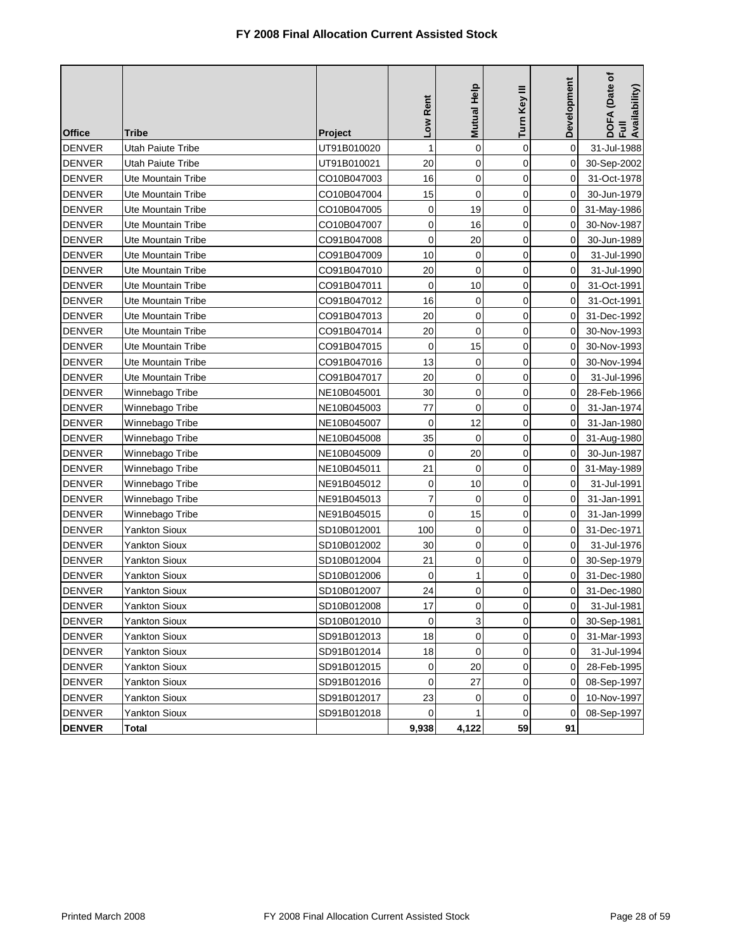|               |                           |             | Low Rent     | Mutual Help | Turn Key III   | Development  | DOFA (Date of<br>Full<br>Availability) |
|---------------|---------------------------|-------------|--------------|-------------|----------------|--------------|----------------------------------------|
| <b>Office</b> | Tribe                     | Project     |              |             |                |              |                                        |
| <b>DENVER</b> | Utah Paiute Tribe         | UT91B010020 | $\mathbf{1}$ | $\mathbf 0$ | $\overline{0}$ | $\Omega$     | 31-Jul-1988                            |
| <b>DENVER</b> | Utah Paiute Tribe         | UT91B010021 | 20           | 0           | $\mathbf 0$    | 0            | 30-Sep-2002                            |
| <b>DENVER</b> | Ute Mountain Tribe        | CO10B047003 | 16           | $\mathbf 0$ | $\mathbf 0$    | 0            | 31-Oct-1978                            |
| <b>DENVER</b> | Ute Mountain Tribe        | CO10B047004 | 15           | $\mathbf 0$ | $\mathbf 0$    | 0            | 30-Jun-1979                            |
| <b>DENVER</b> | <b>Ute Mountain Tribe</b> | CO10B047005 | 0            | 19          | $\mathbf 0$    | 0            | 31-May-1986                            |
| <b>DENVER</b> | Ute Mountain Tribe        | CO10B047007 | 0            | 16          | $\mathbf 0$    | 0            | 30-Nov-1987                            |
| <b>DENVER</b> | Ute Mountain Tribe        | CO91B047008 | 0            | 20          | $\mathbf 0$    | 0            | 30-Jun-1989                            |
| <b>DENVER</b> | Ute Mountain Tribe        | CO91B047009 | 10           | 0           | $\mathbf 0$    | 0            | 31-Jul-1990                            |
| <b>DENVER</b> | Ute Mountain Tribe        | CO91B047010 | 20           | 0           | $\mathbf 0$    | 0            | 31-Jul-1990                            |
| <b>DENVER</b> | Ute Mountain Tribe        | CO91B047011 | $\mathbf 0$  | 10          | $\mathbf 0$    | 0            | 31-Oct-1991                            |
| <b>DENVER</b> | Ute Mountain Tribe        | CO91B047012 | 16           | $\mathbf 0$ | $\mathbf 0$    | 0            | 31-Oct-1991                            |
| <b>DENVER</b> | Ute Mountain Tribe        | CO91B047013 | 20           | 0           | $\mathbf 0$    | 0            | 31-Dec-1992                            |
| <b>DENVER</b> | Ute Mountain Tribe        | CO91B047014 | 20           | $\mathbf 0$ | $\mathbf 0$    | 0            | 30-Nov-1993                            |
| <b>DENVER</b> | Ute Mountain Tribe        | CO91B047015 | $\mathbf 0$  | 15          | $\mathbf 0$    | 0            | 30-Nov-1993                            |
| <b>DENVER</b> | Ute Mountain Tribe        | CO91B047016 | 13           | $\mathbf 0$ | $\mathbf 0$    | 0            | 30-Nov-1994                            |
| <b>DENVER</b> | Ute Mountain Tribe        | CO91B047017 | 20           | 0           | $\mathbf 0$    | 0            | 31-Jul-1996                            |
| <b>DENVER</b> | Winnebago Tribe           | NE10B045001 | 30           | 0           | $\mathbf 0$    | 0            | 28-Feb-1966                            |
| <b>DENVER</b> | Winnebago Tribe           | NE10B045003 | 77           | $\mathbf 0$ | $\mathbf 0$    | 0            | 31-Jan-1974                            |
| <b>DENVER</b> | Winnebago Tribe           | NE10B045007 | $\mathbf 0$  | 12          | $\mathbf 0$    | 0            | 31-Jan-1980                            |
| <b>DENVER</b> | Winnebago Tribe           | NE10B045008 | 35           | $\mathbf 0$ | $\mathbf 0$    | 0            | 31-Aug-1980                            |
| <b>DENVER</b> | Winnebago Tribe           | NE10B045009 | $\mathbf 0$  | 20          | $\mathbf 0$    | 0            | 30-Jun-1987                            |
| <b>DENVER</b> | Winnebago Tribe           | NE10B045011 | 21           | $\mathbf 0$ | $\mathbf 0$    | 0            | 31-May-1989                            |
| <b>DENVER</b> | Winnebago Tribe           | NE91B045012 | 0            | 10          | $\mathbf 0$    | 0            | 31-Jul-1991                            |
| <b>DENVER</b> | Winnebago Tribe           | NE91B045013 | 7            | 0           | 0              | 0            | 31-Jan-1991                            |
| <b>DENVER</b> | Winnebago Tribe           | NE91B045015 | 0            | 15          | $\mathbf 0$    | 0            | 31-Jan-1999                            |
| <b>DENVER</b> | <b>Yankton Sioux</b>      | SD10B012001 | 100          | 0           | $\mathbf 0$    | 0            | 31-Dec-1971                            |
| <b>DENVER</b> | <b>Yankton Sioux</b>      | SD10B012002 | 30           | 0           | $\mathbf 0$    | 0            | 31-Jul-1976                            |
| <b>DENVER</b> | <b>Yankton Sioux</b>      | SD10B012004 | 21           | 0           | $\mathbf 0$    | 0            | 30-Sep-1979                            |
| <b>DENVER</b> | Yankton Sioux             | SD10B012006 | $\mathbf 0$  | 1           | 0              | 0            | 31-Dec-1980                            |
| <b>DENVER</b> | <b>Yankton Sioux</b>      | SD10B012007 | 24           | $\mathbf 0$ | $\mathbf 0$    | $\mathbf 0$  | 31-Dec-1980                            |
| <b>DENVER</b> | <b>Yankton Sioux</b>      | SD10B012008 | 1/           | $\sigma$    | $\sigma$       | $\mathsf{O}$ | 31-Jul-1981                            |
| <b>DENVER</b> | <b>Yankton Sioux</b>      | SD10B012010 | 0            | 3           | $\mathbf 0$    | 0            | 30-Sep-1981                            |
| <b>DENVER</b> | <b>Yankton Sioux</b>      | SD91B012013 | 18           | 0           | 0              | 0            | 31-Mar-1993                            |
| <b>DENVER</b> | <b>Yankton Sioux</b>      | SD91B012014 | 18           | $\mathbf 0$ | $\mathbf 0$    | 0            | 31-Jul-1994                            |
| <b>DENVER</b> | <b>Yankton Sioux</b>      | SD91B012015 | $\pmb{0}$    | 20          | 0              | 0            | 28-Feb-1995                            |
| <b>DENVER</b> | <b>Yankton Sioux</b>      | SD91B012016 | $\mathbf 0$  | 27          | $\mathbf 0$    | 0            | 08-Sep-1997                            |
| <b>DENVER</b> | <b>Yankton Sioux</b>      | SD91B012017 | 23           | 0           | 0              | 0            | 10-Nov-1997                            |
| <b>DENVER</b> | <b>Yankton Sioux</b>      | SD91B012018 | $\mathbf 0$  |             | 0              | 0            | 08-Sep-1997                            |
| <b>DENVER</b> | <b>Total</b>              |             | 9,938        | 4,122       | 59             | 91           |                                        |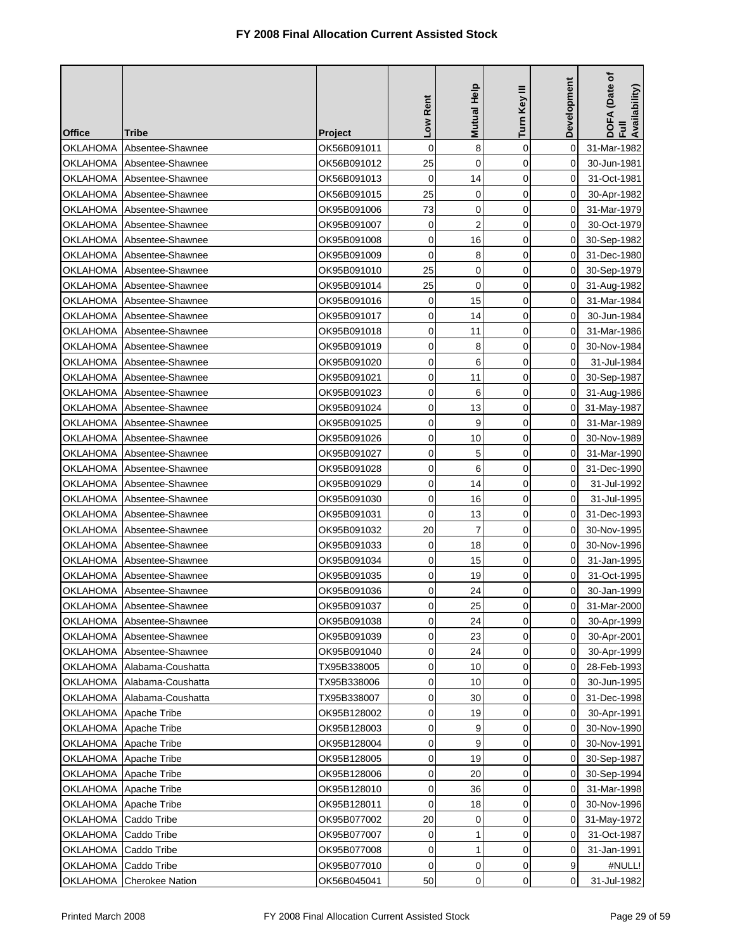| <b>Office</b>   | Tribe                       | <b>Project</b> | Low Rent    | <b>Mutual Help</b> | Turn Key III | Development | DOFA (Date of<br>Full<br>Availability) |
|-----------------|-----------------------------|----------------|-------------|--------------------|--------------|-------------|----------------------------------------|
| OKLAHOMA        | Absentee-Shawnee            | OK56B091011    | 0           | 8                  | $\mathbf 0$  | $\Omega$    | 31-Mar-1982                            |
| OKLAHOMA        | Absentee-Shawnee            | OK56B091012    | 25          | $\mathbf 0$        | 0            | 0           | 30-Jun-1981                            |
| OKLAHOMA        | Absentee-Shawnee            | OK56B091013    | $\mathbf 0$ | 14                 | $\mathbf 0$  | 0           | 31-Oct-1981                            |
| <b>OKLAHOMA</b> | Absentee-Shawnee            | OK56B091015    | 25          | 0                  | 0            | 0           | 30-Apr-1982                            |
| OKLAHOMA        | Absentee-Shawnee            | OK95B091006    | 73          | 0                  | $\mathbf 0$  | 0           | 31-Mar-1979                            |
| OKLAHOMA        | Absentee-Shawnee            | OK95B091007    | 0           | $\overline{2}$     | 0            | 0           | 30-Oct-1979                            |
| <b>OKLAHOMA</b> | Absentee-Shawnee            | OK95B091008    | $\mathbf 0$ | 16                 | 0            | 0           | 30-Sep-1982                            |
| <b>OKLAHOMA</b> | Absentee-Shawnee            | OK95B091009    | 0           | 8                  | 0            | 0           | 31-Dec-1980                            |
| OKLAHOMA        | Absentee-Shawnee            | OK95B091010    | 25          | 0                  | 0            | 0           | 30-Sep-1979                            |
| OKLAHOMA        | Absentee-Shawnee            | OK95B091014    | 25          | 0                  | 0            | 0           | 31-Aug-1982                            |
| OKLAHOMA        | Absentee-Shawnee            | OK95B091016    | $\mathbf 0$ | 15                 | 0            | 0           | 31-Mar-1984                            |
| <b>OKLAHOMA</b> | Absentee-Shawnee            | OK95B091017    | 0           | 14                 | 0            | 0           | 30-Jun-1984                            |
| OKLAHOMA        | Absentee-Shawnee            | OK95B091018    | 0           | 11                 | 0            | 0           | 31-Mar-1986                            |
| OKLAHOMA        | Absentee-Shawnee            | OK95B091019    | 0           | 8                  | 0            | 0           | 30-Nov-1984                            |
| <b>OKLAHOMA</b> | Absentee-Shawnee            | OK95B091020    | 0           | 6                  | 0            | 0           | 31-Jul-1984                            |
| OKLAHOMA        | Absentee-Shawnee            | OK95B091021    | 0           | 11                 | 0            | 0           | 30-Sep-1987                            |
| OKLAHOMA        | Absentee-Shawnee            | OK95B091023    | 0           | 6                  | 0            | 0           | 31-Aug-1986                            |
| OKLAHOMA        | Absentee-Shawnee            | OK95B091024    | 0           | 13                 | $\mathbf 0$  | 0           | 31-May-1987                            |
| OKLAHOMA        | Absentee-Shawnee            | OK95B091025    | 0           | 9                  | $\mathbf 0$  | 0           | 31-Mar-1989                            |
| OKLAHOMA        | Absentee-Shawnee            | OK95B091026    | 0           | 10                 | 0            | 0           | 30-Nov-1989                            |
| <b>OKLAHOMA</b> | Absentee-Shawnee            | OK95B091027    | 0           | 5                  | 0            | 0           | 31-Mar-1990                            |
| OKLAHOMA        | Absentee-Shawnee            | OK95B091028    | 0           | 6                  | $\mathbf 0$  | 0           | 31-Dec-1990                            |
| OKLAHOMA        | Absentee-Shawnee            | OK95B091029    | 0           | 14                 | 0            | 0           | 31-Jul-1992                            |
| <b>OKLAHOMA</b> | Absentee-Shawnee            | OK95B091030    | 0           | 16                 | 0            | 0           | 31-Jul-1995                            |
| OKLAHOMA        | Absentee-Shawnee            | OK95B091031    | 0           | 13                 | 0            | 0           | 31-Dec-1993                            |
| OKLAHOMA        | Absentee-Shawnee            | OK95B091032    | 20          | 7                  | $\mathbf 0$  | 0           | 30-Nov-1995                            |
| OKLAHOMA        | Absentee-Shawnee            | OK95B091033    | 0           | 18                 | 0            | 0           | 30-Nov-1996                            |
| <b>OKLAHOMA</b> | Absentee-Shawnee            | OK95B091034    | 0           | 15                 | 0            | 0           | 31-Jan-1995                            |
| OKLAHOMA        | Absentee-Shawnee            | OK95B091035    | 0           | 19                 | 0            | 0           | 31-Oct-1995                            |
|                 | OKLAHOMA Absentee-Shawnee   | OK95B091036    | 0           | 24                 | 0            | 0           | 30-Jan-1999                            |
|                 | OKLAHOMA Absentee-Shawnee   | OK95B091037    | 0           | 25                 | $\pmb{0}$    | $\pmb{0}$   | 31-Mar-2000                            |
|                 | OKLAHOMA Absentee-Shawnee   | OK95B091038    | 0           | 24                 | 0            | 0           | 30-Apr-1999                            |
|                 | OKLAHOMA Absentee-Shawnee   | OK95B091039    | 0           | 23                 | 0            | 0           | 30-Apr-2001                            |
|                 | OKLAHOMA   Absentee-Shawnee | OK95B091040    | 0           | 24                 | 0            | 0           | 30-Apr-1999                            |
|                 | OKLAHOMA Alabama-Coushatta  | TX95B338005    | 0           | 10                 | 0            | 0           | 28-Feb-1993                            |
| <b>OKLAHOMA</b> | Alabama-Coushatta           | TX95B338006    | 0           | 10                 | 0            | 0           | 30-Jun-1995                            |
| OKLAHOMA        | Alabama-Coushatta           | TX95B338007    | 0           | 30                 | 0            | 0           | 31-Dec-1998                            |
|                 | OKLAHOMA Apache Tribe       | OK95B128002    | 0           | 19                 | 0            | 0           | 30-Apr-1991                            |
|                 | OKLAHOMA Apache Tribe       | OK95B128003    | 0           | 9                  | 0            | $\mathbf 0$ | 30-Nov-1990                            |
|                 | OKLAHOMA   Apache Tribe     | OK95B128004    | 0           | 9                  | 0            | 0           | 30-Nov-1991                            |
| <b>OKLAHOMA</b> | Apache Tribe                | OK95B128005    | 0           | 19                 | 0            | 0           | 30-Sep-1987                            |
|                 | OKLAHOMA Apache Tribe       | OK95B128006    | 0           | 20                 | 0            | 0           | 30-Sep-1994                            |
|                 | OKLAHOMA Apache Tribe       | OK95B128010    | 0           | 36                 | 0            | 0           | 31-Mar-1998                            |
|                 | OKLAHOMA Apache Tribe       | OK95B128011    | 0           | 18                 | 0            | 0           | 30-Nov-1996                            |
| OKLAHOMA        | Caddo Tribe                 | OK95B077002    | 20          | 0                  | $\mathbf 0$  | 0           | 31-May-1972                            |
| <b>OKLAHOMA</b> | Caddo Tribe                 | OK95B077007    | 0           | 1                  | 0            | 0           | 31-Oct-1987                            |
| <b>OKLAHOMA</b> | Caddo Tribe                 | OK95B077008    | 0           | 1                  | $\mathbf 0$  | 0           | 31-Jan-1991                            |
| OKLAHOMA        | Caddo Tribe                 | OK95B077010    | 0           | 0                  | 0            | 9           | #NULL!                                 |
| OKLAHOMA        | <b>Cherokee Nation</b>      | OK56B045041    | 50          | $\mathsf 0$        | 0            | 0           | 31-Jul-1982                            |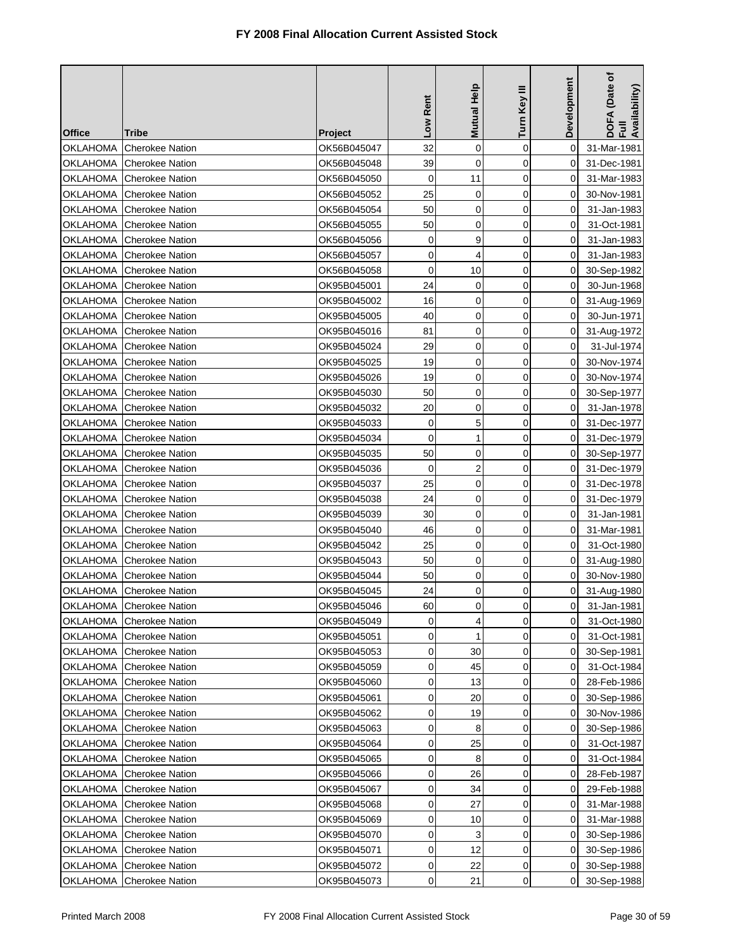| <b>Office</b>   | Tribe                    | <b>Project</b> | Low Rent    | Mutual Help    | Turn Key III | Development    | DOFA (Date of<br>Full<br>Availability) |
|-----------------|--------------------------|----------------|-------------|----------------|--------------|----------------|----------------------------------------|
| OKLAHOMA        | <b>Cherokee Nation</b>   | OK56B045047    | 32          | 0              | $\mathbf 0$  | 0              | 31-Mar-1981                            |
| OKLAHOMA        | <b>Cherokee Nation</b>   | OK56B045048    | 39          | $\mathbf 0$    | $\mathbf 0$  | 0              | 31-Dec-1981                            |
| OKLAHOMA        | <b>Cherokee Nation</b>   | OK56B045050    | $\mathbf 0$ | 11             | $\mathbf 0$  | 0              | 31-Mar-1983                            |
| <b>OKLAHOMA</b> | <b>Cherokee Nation</b>   | OK56B045052    | 25          | 0              | 0            | 0              | 30-Nov-1981                            |
| OKLAHOMA        | <b>Cherokee Nation</b>   | OK56B045054    | 50          | 0              | $\mathbf 0$  | 0              | 31-Jan-1983                            |
| OKLAHOMA        | <b>Cherokee Nation</b>   | OK56B045055    | 50          | 0              | 0            | 0              | 31-Oct-1981                            |
| <b>OKLAHOMA</b> | <b>Cherokee Nation</b>   | OK56B045056    | 0           | 9              | $\mathbf 0$  | 0              | 31-Jan-1983                            |
| OKLAHOMA        | <b>Cherokee Nation</b>   | OK56B045057    | 0           | 4              | 0            | 0              | 31-Jan-1983                            |
| OKLAHOMA        | <b>Cherokee Nation</b>   | OK56B045058    | 0           | 10             | $\mathbf 0$  | 0              | 30-Sep-1982                            |
| OKLAHOMA        | <b>Cherokee Nation</b>   | OK95B045001    | 24          | 0              | 0            | 0              | 30-Jun-1968                            |
| OKLAHOMA        | <b>Cherokee Nation</b>   | OK95B045002    | 16          | 0              | $\mathbf 0$  | 0              | 31-Aug-1969                            |
| OKLAHOMA        | <b>Cherokee Nation</b>   | OK95B045005    | 40          | 0              | 0            | 0              | 30-Jun-1971                            |
| OKLAHOMA        | <b>Cherokee Nation</b>   | OK95B045016    | 81          | 0              | $\mathbf 0$  | 0              | 31-Aug-1972                            |
| OKLAHOMA        | <b>Cherokee Nation</b>   | OK95B045024    | 29          | 0              | 0            | 0              | 31-Jul-1974                            |
| <b>OKLAHOMA</b> | <b>Cherokee Nation</b>   | OK95B045025    | 19          | $\mathbf 0$    | $\mathbf 0$  | 0              | 30-Nov-1974                            |
| <b>OKLAHOMA</b> | <b>Cherokee Nation</b>   | OK95B045026    | 19          | 0              | $\mathbf 0$  | 0              | 30-Nov-1974                            |
| OKLAHOMA        | <b>Cherokee Nation</b>   | OK95B045030    | 50          | 0              | $\mathbf 0$  | 0              | 30-Sep-1977                            |
| OKLAHOMA        | <b>Cherokee Nation</b>   | OK95B045032    | 20          | 0              | $\mathbf 0$  | 0              | 31-Jan-1978                            |
| OKLAHOMA        | <b>Cherokee Nation</b>   | OK95B045033    | $\mathbf 0$ | 5              | $\mathbf 0$  | 0              | 31-Dec-1977                            |
| <b>OKLAHOMA</b> | <b>Cherokee Nation</b>   | OK95B045034    | 0           | 1              | 0            | 0              | 31-Dec-1979                            |
| OKLAHOMA        | <b>Cherokee Nation</b>   | OK95B045035    | 50          | 0              | 0            | 0              | 30-Sep-1977                            |
| OKLAHOMA        | <b>Cherokee Nation</b>   | OK95B045036    | 0           | $\overline{2}$ | 0            | 0              | 31-Dec-1979                            |
| OKLAHOMA        | <b>Cherokee Nation</b>   | OK95B045037    | 25          | $\mathbf 0$    | 0            | 0              | 31-Dec-1978                            |
| OKLAHOMA        | <b>Cherokee Nation</b>   | OK95B045038    | 24          | 0              | 0            | 0              | 31-Dec-1979                            |
| OKLAHOMA        | <b>Cherokee Nation</b>   | OK95B045039    | 30          | 0              | 0            | 0              | 31-Jan-1981                            |
| OKLAHOMA        | <b>Cherokee Nation</b>   | OK95B045040    | 46          | 0              | 0            | 0              | 31-Mar-1981                            |
| OKLAHOMA        | <b>Cherokee Nation</b>   | OK95B045042    | 25          | 0              | 0            | 0              | 31-Oct-1980                            |
| <b>OKLAHOMA</b> | <b>Cherokee Nation</b>   | OK95B045043    | 50          | $\mathbf 0$    | $\mathbf 0$  | 0              | 31-Aug-1980                            |
| OKLAHOMA        | <b>Cherokee Nation</b>   | OK95B045044    | 50          | 0              | 0            | 0              | 30-Nov-1980                            |
|                 | OKLAHOMA Cherokee Nation | OK95B045045    | 24          | 0              | 0            | $\overline{0}$ | 31-Aug-1980                            |
|                 | OKLAHOMA Cherokee Nation | OK95B045046    | 60          | 0              | 0            | $\overline{0}$ | 31-Jan-1981                            |
| OKLAHOMA        | <b>Cherokee Nation</b>   | OK95B045049    | 0           | 4              | 0            | 0              | 31-Oct-1980                            |
| OKLAHOMA        | <b>Cherokee Nation</b>   | OK95B045051    | 0           | 1              | 0            | 0              | 31-Oct-1981                            |
| OKLAHOMA        | <b>Cherokee Nation</b>   | OK95B045053    | 0           | 30             | $\mathbf 0$  | 0              | 30-Sep-1981                            |
| OKLAHOMA        | <b>Cherokee Nation</b>   | OK95B045059    | 0           | 45             | 0            | 0              | 31-Oct-1984                            |
| <b>OKLAHOMA</b> | <b>Cherokee Nation</b>   | OK95B045060    | 0           | 13             | 0            | 0              | 28-Feb-1986                            |
| OKLAHOMA        | <b>Cherokee Nation</b>   | OK95B045061    | 0           | 20             | 0            | 0              | 30-Sep-1986                            |
| OKLAHOMA        | <b>Cherokee Nation</b>   | OK95B045062    | 0           | 19             | $\mathbf 0$  | 0              | 30-Nov-1986                            |
| <b>OKLAHOMA</b> | <b>Cherokee Nation</b>   | OK95B045063    | 0           | 8              | 0            | 0              | 30-Sep-1986                            |
| <b>OKLAHOMA</b> | <b>Cherokee Nation</b>   | OK95B045064    | 0           | 25             | 0            | 0              | 31-Oct-1987                            |
| OKLAHOMA        | <b>Cherokee Nation</b>   | OK95B045065    | 0           | 8              | 0            | 0              | 31-Oct-1984                            |
| OKLAHOMA        | <b>Cherokee Nation</b>   | OK95B045066    | 0           | 26             | $\mathbf 0$  | 0              | 28-Feb-1987                            |
| <b>OKLAHOMA</b> | <b>Cherokee Nation</b>   | OK95B045067    | 0           | 34             | $\mathbf 0$  | 0              | 29-Feb-1988                            |
| <b>OKLAHOMA</b> | <b>Cherokee Nation</b>   | OK95B045068    | 0           | 27             | 0            | 0              | 31-Mar-1988                            |
| OKLAHOMA        | <b>Cherokee Nation</b>   | OK95B045069    | 0           | 10             | 0            | 0              | 31-Mar-1988                            |
| OKLAHOMA        | <b>Cherokee Nation</b>   | OK95B045070    | 0           | 3              | 0            | 0              | 30-Sep-1986                            |
| OKLAHOMA        | <b>Cherokee Nation</b>   | OK95B045071    | 0           | 12             | 0            | 0              | 30-Sep-1986                            |
| OKLAHOMA        | <b>Cherokee Nation</b>   | OK95B045072    | 0           | 22             | 0            | 0              | 30-Sep-1988                            |
| <b>OKLAHOMA</b> | <b>Cherokee Nation</b>   | OK95B045073    | 0           | 21             | 0            | 0              | 30-Sep-1988                            |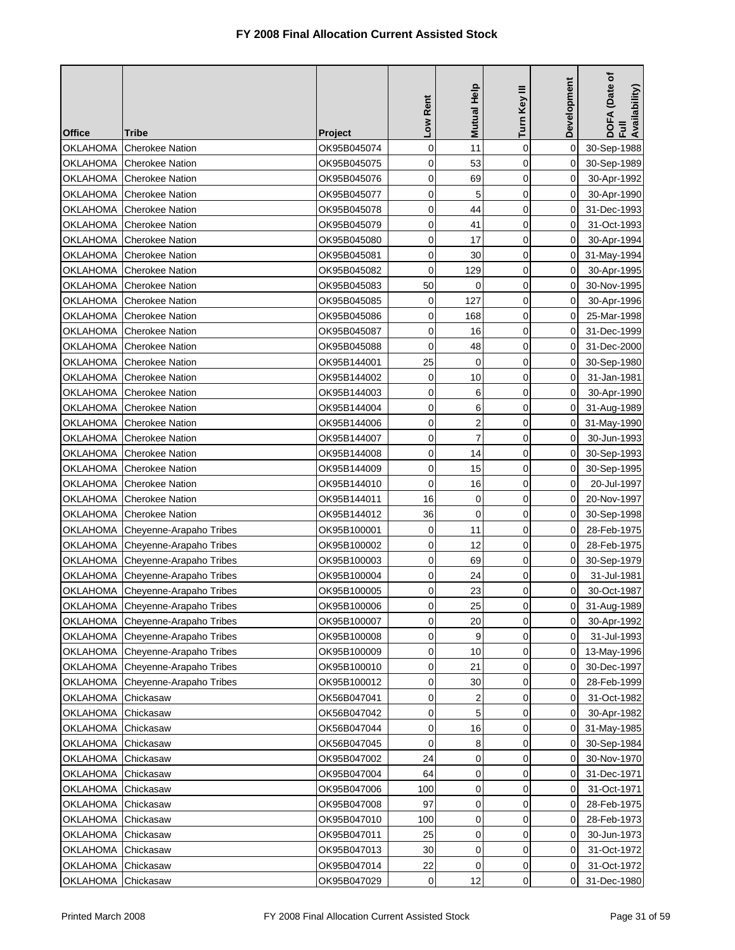| <b>Office</b>   | Tribe                            | <b>Project</b> | Low Rent            | Mutual Help    | Turn Key III | Development    | DOFA (Date of<br>Full<br>Availability) |
|-----------------|----------------------------------|----------------|---------------------|----------------|--------------|----------------|----------------------------------------|
| <b>OKLAHOMA</b> | <b>Cherokee Nation</b>           | OK95B045074    | 0                   | 11             | $\mathbf 0$  | 0              | 30-Sep-1988                            |
| OKLAHOMA        | <b>Cherokee Nation</b>           | OK95B045075    | 0                   | 53             | $\mathbf 0$  | 0              | 30-Sep-1989                            |
| OKLAHOMA        | <b>Cherokee Nation</b>           | OK95B045076    | $\mathbf 0$         | 69             | 0            | 0              | 30-Apr-1992                            |
| <b>OKLAHOMA</b> | <b>Cherokee Nation</b>           | OK95B045077    | 0                   | 5              | 0            | 0              | 30-Apr-1990                            |
| OKLAHOMA        | <b>Cherokee Nation</b>           | OK95B045078    | 0                   | 44             | 0            | 0              | 31-Dec-1993                            |
| OKLAHOMA        | <b>Cherokee Nation</b>           | OK95B045079    | 0                   | 41             | 0            | 0              | 31-Oct-1993                            |
| <b>OKLAHOMA</b> | <b>Cherokee Nation</b>           | OK95B045080    | 0                   | 17             | 0            | 0              | 30-Apr-1994                            |
| OKLAHOMA        | <b>Cherokee Nation</b>           | OK95B045081    | $\mathbf 0$         | 30             | 0            | 0              | 31-May-1994                            |
| OKLAHOMA        | <b>Cherokee Nation</b>           | OK95B045082    | 0                   | 129            | $\mathbf 0$  | 0              | 30-Apr-1995                            |
| OKLAHOMA        | <b>Cherokee Nation</b>           | OK95B045083    | 50                  | 0              | 0            | 0              | 30-Nov-1995                            |
| OKLAHOMA        | <b>Cherokee Nation</b>           | OK95B045085    | 0                   | 127            | 0            | 0              | 30-Apr-1996                            |
| <b>OKLAHOMA</b> | <b>Cherokee Nation</b>           | OK95B045086    | 0                   | 168            | 0            | 0              | 25-Mar-1998                            |
| OKLAHOMA        | <b>Cherokee Nation</b>           | OK95B045087    | 0                   | 16             | $\mathbf 0$  | 0              | 31-Dec-1999                            |
| OKLAHOMA        | <b>Cherokee Nation</b>           | OK95B045088    | 0                   | 48             | 0            | 0              | 31-Dec-2000                            |
| <b>OKLAHOMA</b> | <b>Cherokee Nation</b>           | OK95B144001    | 25                  | $\mathbf 0$    | 0            | 0              | 30-Sep-1980                            |
| <b>OKLAHOMA</b> | <b>Cherokee Nation</b>           | OK95B144002    | $\mathbf 0$         | 10             | $\mathbf 0$  | 0              | 31-Jan-1981                            |
| OKLAHOMA        | <b>Cherokee Nation</b>           | OK95B144003    | 0                   | 6              | 0            | 0              | 30-Apr-1990                            |
| OKLAHOMA        | <b>Cherokee Nation</b>           | OK95B144004    | 0                   | 6              | $\mathbf 0$  | 0              | 31-Aug-1989                            |
| OKLAHOMA        | <b>Cherokee Nation</b>           | OK95B144006    | $\mathbf 0$         | $\overline{c}$ | $\mathbf 0$  | 0              | 31-May-1990                            |
| <b>OKLAHOMA</b> | <b>Cherokee Nation</b>           | OK95B144007    | 0                   | $\overline{7}$ | 0            | 0              | 30-Jun-1993                            |
| OKLAHOMA        | <b>Cherokee Nation</b>           | OK95B144008    | 0                   | 14             | 0            | 0              | 30-Sep-1993                            |
| <b>OKLAHOMA</b> | <b>Cherokee Nation</b>           | OK95B144009    | 0                   | 15             | 0            | 0              | 30-Sep-1995                            |
| OKLAHOMA        | <b>Cherokee Nation</b>           | OK95B144010    | $\mathbf 0$         | 16             | 0            | 0              | 20-Jul-1997                            |
| <b>OKLAHOMA</b> | <b>Cherokee Nation</b>           | OK95B144011    | 16                  | 0              | 0            | 0              | 20-Nov-1997                            |
| OKLAHOMA        | <b>Cherokee Nation</b>           | OK95B144012    | 36                  | 0              | 0            | 0              | 30-Sep-1998                            |
| <b>OKLAHOMA</b> | Cheyenne-Arapaho Tribes          | OK95B100001    | 0                   | 11             | 0            | 0              | 28-Feb-1975                            |
| OKLAHOMA        | Cheyenne-Arapaho Tribes          | OK95B100002    | 0                   | 12             | 0            | 0              | 28-Feb-1975                            |
| OKLAHOMA        | Cheyenne-Arapaho Tribes          | OK95B100003    | 0                   | 69             | $\mathbf 0$  | 0              | 30-Sep-1979                            |
| <b>OKLAHOMA</b> | Cheyenne-Arapaho Tribes          | OK95B100004    | 0                   | 24             | 0            | 0              | 31-Jul-1981                            |
|                 | OKLAHOMA Cheyenne-Arapaho Tribes | OK95B100005    | 0                   | 23             | 0            | 0              | 30-Oct-1987                            |
|                 | OKLAHOMA Cheyenne-Arapaho Tribes | OK95B100006    | $\mathsf{O}\xspace$ | 25             | $\mathbf 0$  | $\overline{0}$ | 31-Aug-1989                            |
| OKLAHOMA        | Cheyenne-Arapaho Tribes          | OK95B100007    | 0                   | 20             | 0            | 0              | 30-Apr-1992                            |
| OKLAHOMA        | Cheyenne-Arapaho Tribes          | OK95B100008    | 0                   | 9              | 0            | 0              | 31-Jul-1993                            |
| <b>OKLAHOMA</b> | Cheyenne-Arapaho Tribes          | OK95B100009    | 0                   | 10             | $\mathbf 0$  | 0              | 13-May-1996                            |
| OKLAHOMA        | Cheyenne-Arapaho Tribes          | OK95B100010    | 0                   | 21             | 0            | 0              | 30-Dec-1997                            |
| OKLAHOMA        | Cheyenne-Arapaho Tribes          | OK95B100012    | 0                   | 30             | 0            | 0              | 28-Feb-1999                            |
| <b>OKLAHOMA</b> | Chickasaw                        | OK56B047041    | 0                   | 2              | 0            | 0              | 31-Oct-1982                            |
| OKLAHOMA        | Chickasaw                        | OK56B047042    | 0                   | 5              | $\mathbf 0$  | 0              | 30-Apr-1982                            |
| <b>OKLAHOMA</b> | Chickasaw                        | OK56B047044    | 0                   | 16             | 0            | 0              | 31-May-1985                            |
| <b>OKLAHOMA</b> | Chickasaw                        | OK56B047045    | $\mathbf 0$         | 8              | 0            | 0              | 30-Sep-1984                            |
| <b>OKLAHOMA</b> | Chickasaw                        | OK95B047002    | 24                  | 0              | 0            | 0              | 30-Nov-1970                            |
| <b>OKLAHOMA</b> | Chickasaw                        | OK95B047004    | 64                  | 0              | $\mathbf 0$  | 0              | 31-Dec-1971                            |
| <b>OKLAHOMA</b> | Chickasaw                        | OK95B047006    | 100                 | 0              | $\mathbf 0$  | 0              | 31-Oct-1971                            |
| <b>OKLAHOMA</b> | Chickasaw                        | OK95B047008    | 97                  | $\mathbf 0$    | 0            | 0              | 28-Feb-1975                            |
| <b>OKLAHOMA</b> | Chickasaw                        | OK95B047010    | 100                 | 0              | 0            | 0              | 28-Feb-1973                            |
| <b>OKLAHOMA</b> | Chickasaw                        | OK95B047011    | 25                  | 0              | 0            | 0              | 30-Jun-1973                            |
| OKLAHOMA        | Chickasaw                        | OK95B047013    | 30                  | 0              | 0            | 0              | 31-Oct-1972                            |
| <b>OKLAHOMA</b> | Chickasaw                        | OK95B047014    | 22                  | 0              | 0            | 0              | 31-Oct-1972                            |
| OKLAHOMA        | Chickasaw                        | OK95B047029    | 0                   | 12             | 0            | 0              | 31-Dec-1980                            |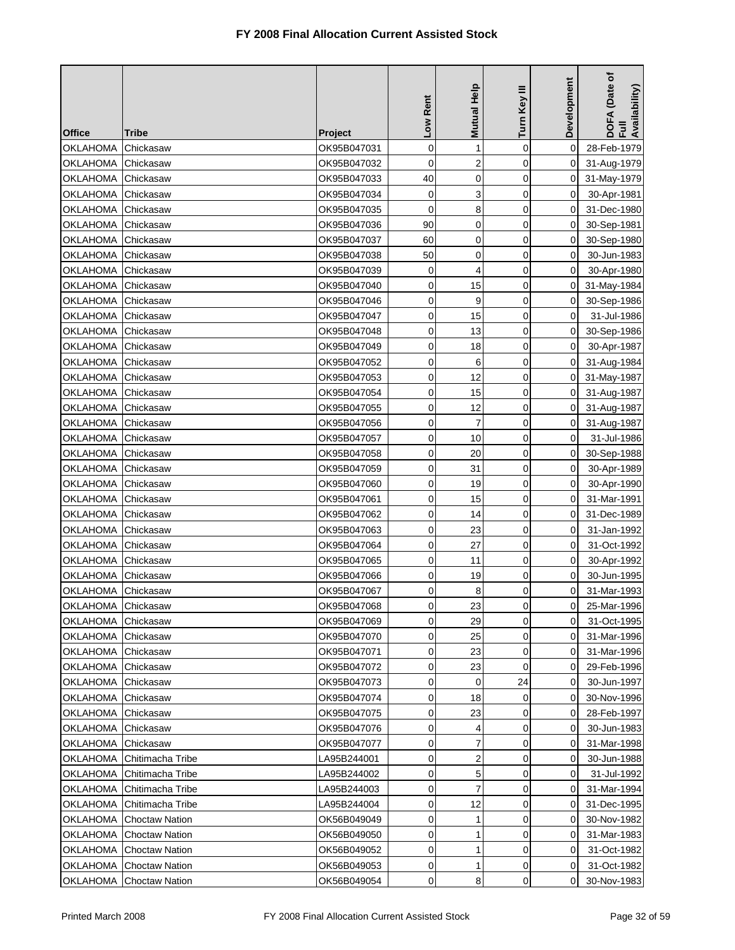| <b>Office</b>      | Tribe                 | <b>Project</b> | Low Rent    | <b>Mutual Help</b> | Turn Key III | Development    | DOFA (Date of<br>Full<br>Availability) |
|--------------------|-----------------------|----------------|-------------|--------------------|--------------|----------------|----------------------------------------|
| OKLAHOMA           | Chickasaw             | OK95B047031    | $\mathbf 0$ | 1                  | $\mathbf 0$  | 0              | 28-Feb-1979                            |
| <b>OKLAHOMA</b>    | Chickasaw             | OK95B047032    | 0           | $\overline{2}$     | 0            | 0              | 31-Aug-1979                            |
| OKLAHOMA           | Chickasaw             | OK95B047033    | 40          | $\mathbf 0$        | 0            | 0              | 31-May-1979                            |
| <b>OKLAHOMA</b>    | Chickasaw             | OK95B047034    | 0           | 3                  | 0            | 0              | 30-Apr-1981                            |
| <b>OKLAHOMA</b>    | Chickasaw             | OK95B047035    | $\mathbf 0$ | 8                  | $\mathbf 0$  | 0              | 31-Dec-1980                            |
| <b>OKLAHOMA</b>    | Chickasaw             | OK95B047036    | 90          | 0                  | 0            | 0              | 30-Sep-1981                            |
| <b>OKLAHOMA</b>    | Chickasaw             | OK95B047037    | 60          | 0                  | $\mathbf 0$  | 0              | 30-Sep-1980                            |
| <b>OKLAHOMA</b>    | Chickasaw             | OK95B047038    | 50          | 0                  | 0            | 0              | 30-Jun-1983                            |
| <b>OKLAHOMA</b>    | Chickasaw             | OK95B047039    | 0           | 4                  | 0            | 0              | 30-Apr-1980                            |
| OKLAHOMA           | Chickasaw             | OK95B047040    | 0           | 15                 | $\mathbf 0$  | 0              | 31-May-1984                            |
| <b>OKLAHOMA</b>    | Chickasaw             | OK95B047046    | 0           | 9                  | 0            | 0              | 30-Sep-1986                            |
| <b>OKLAHOMA</b>    | Chickasaw             | OK95B047047    | 0           | 15                 | 0            | 0              | 31-Jul-1986                            |
| <b>OKLAHOMA</b>    | Chickasaw             | OK95B047048    | 0           | 13                 | $\mathbf 0$  | 0              | 30-Sep-1986                            |
| <b>OKLAHOMA</b>    | Chickasaw             | OK95B047049    | 0           | 18                 | $\mathbf 0$  | 0              | 30-Apr-1987                            |
| <b>OKLAHOMA</b>    | Chickasaw             | OK95B047052    | 0           | 6                  | 0            | 0              | 31-Aug-1984                            |
| <b>OKLAHOMA</b>    | Chickasaw             | OK95B047053    | $\mathbf 0$ | 12                 | $\mathbf 0$  | 0              | 31-May-1987                            |
| <b>OKLAHOMA</b>    | Chickasaw             | OK95B047054    | $\mathbf 0$ | 15                 | $\mathbf 0$  | 0              | 31-Aug-1987                            |
| <b>OKLAHOMA</b>    | Chickasaw             | OK95B047055    | 0           | 12                 | $\mathbf 0$  | 0              | 31-Aug-1987                            |
| OKLAHOMA           | Chickasaw             | OK95B047056    | 0           | $\overline{7}$     | 0            | 0              | 31-Aug-1987                            |
| <b>OKLAHOMA</b>    | Chickasaw             | OK95B047057    | $\mathbf 0$ | 10                 | 0            | 0              | 31-Jul-1986                            |
| <b>OKLAHOMA</b>    | Chickasaw             | OK95B047058    | 0           | 20                 | 0            | 0              | 30-Sep-1988                            |
| <b>OKLAHOMA</b>    | Chickasaw             | OK95B047059    | 0           | 31                 | 0            | 0              | 30-Apr-1989                            |
| OKLAHOMA           | Chickasaw             | OK95B047060    | 0           | 19                 | 0            | 0              | 30-Apr-1990                            |
| <b>OKLAHOMA</b>    | Chickasaw             | OK95B047061    | $\mathbf 0$ | 15                 | 0            | 0              | 31-Mar-1991                            |
| <b>OKLAHOMA</b>    | Chickasaw             | OK95B047062    | 0           | 14                 | 0            | 0              | 31-Dec-1989                            |
| OKLAHOMA           | Chickasaw             | OK95B047063    | 0           | 23                 | 0            | 0              | 31-Jan-1992                            |
| <b>OKLAHOMA</b>    | Chickasaw             | OK95B047064    | 0           | 27                 | 0            | 0              | 31-Oct-1992                            |
| <b>OKLAHOMA</b>    | Chickasaw             | OK95B047065    | $\mathbf 0$ | 11                 | $\mathbf 0$  | 0              | 30-Apr-1992                            |
| <b>OKLAHOMA</b>    | Chickasaw             | OK95B047066    | 0           | 19                 | 0            | 0              | 30-Jun-1995                            |
| <b>OKLAHOMA</b>    | Chickasaw             | OK95B047067    | 0           | 8                  | 0            | 0              | 31-Mar-1993                            |
| OKLAHOMA Chickasaw |                       | OK95B047068    | 0           | 23                 | 0            | $\overline{0}$ | 25-Mar-1996                            |
| OKLAHOMA           | Chickasaw             | OK95B047069    | 0           | 29                 | 0            | $\overline{0}$ | 31-Oct-1995                            |
| OKLAHOMA           | Chickasaw             | OK95B047070    | 0           | 25                 | 0            | 0              | 31-Mar-1996                            |
| OKLAHOMA           | Chickasaw             | OK95B047071    | 0           | 23                 | 0            | 0              | 31-Mar-1996                            |
| OKLAHOMA           | Chickasaw             | OK95B047072    | 0           | 23                 | 0            | 0              | 29-Feb-1996                            |
| OKLAHOMA           | Chickasaw             | OK95B047073    | 0           | 0                  | 24           | 0              | 30-Jun-1997                            |
| <b>OKLAHOMA</b>    | Chickasaw             | OK95B047074    | 0           | 18                 | 0            | 0              | 30-Nov-1996                            |
| OKLAHOMA           | Chickasaw             | OK95B047075    | 0           | 23                 | 0            | 0              | 28-Feb-1997                            |
| <b>OKLAHOMA</b>    | Chickasaw             | OK95B047076    | 0           | 4                  | 0            | 0              | 30-Jun-1983                            |
| OKLAHOMA           | Chickasaw             | OK95B047077    | 0           | 7                  | $\mathbf 0$  | 0              | 31-Mar-1998                            |
| <b>OKLAHOMA</b>    | Chitimacha Tribe      | LA95B244001    | 0           | 2                  | $\mathbf 0$  | 0              | 30-Jun-1988                            |
| OKLAHOMA           | Chitimacha Tribe      | LA95B244002    | 0           | 5                  | 0            | 0              | 31-Jul-1992                            |
| OKLAHOMA           | Chitimacha Tribe      | LA95B244003    | 0           | $\overline{7}$     | 0            | 0              | 31-Mar-1994                            |
| <b>OKLAHOMA</b>    | Chitimacha Tribe      | LA95B244004    | 0           | 12                 | 0            | 0              | 31-Dec-1995                            |
| <b>OKLAHOMA</b>    | <b>Choctaw Nation</b> | OK56B049049    | 0           | 1                  | 0            | 0              | 30-Nov-1982                            |
| OKLAHOMA           | <b>Choctaw Nation</b> | OK56B049050    | 0           | 1                  | 0            | 0              | 31-Mar-1983                            |
| OKLAHOMA           | <b>Choctaw Nation</b> | OK56B049052    | 0           | 1                  | 0            | 0              | 31-Oct-1982                            |
| OKLAHOMA           | <b>Choctaw Nation</b> | OK56B049053    | 0           | 1                  | 0            | 0              | 31-Oct-1982                            |
| OKLAHOMA           | <b>Choctaw Nation</b> | OK56B049054    | 0           | 8                  | 0            | 0              | 30-Nov-1983                            |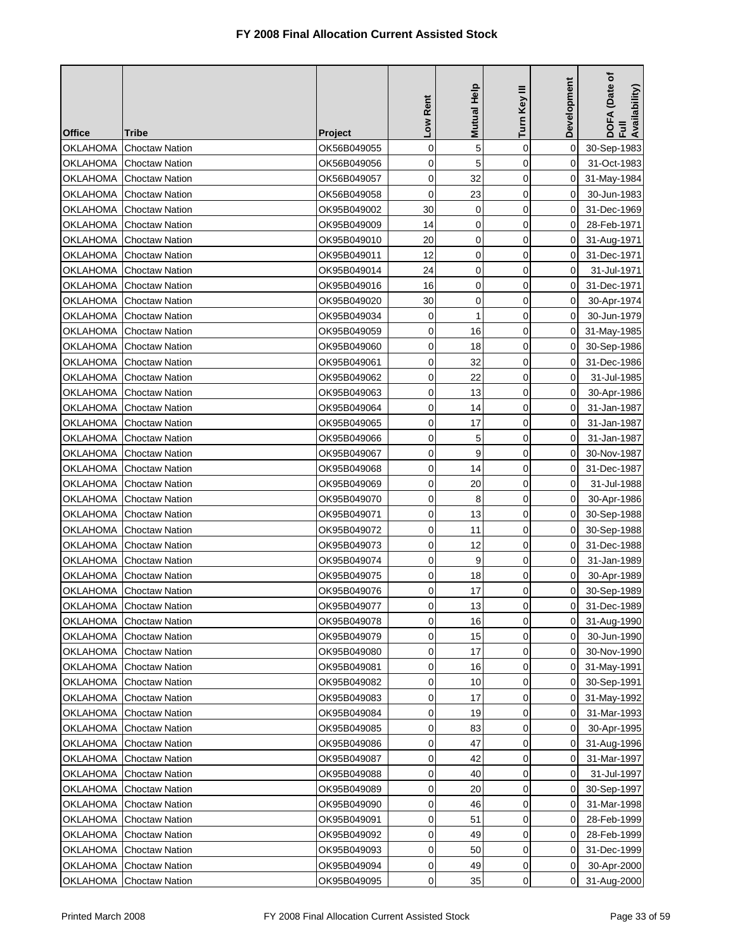| <b>Office</b>   | Tribe                   | <b>Project</b> | Low Rent    | <b>Mutual Help</b> | Turn Key III | Development    | DOFA (Date of<br>Full<br>Availability) |
|-----------------|-------------------------|----------------|-------------|--------------------|--------------|----------------|----------------------------------------|
| OKLAHOMA        | <b>Choctaw Nation</b>   | OK56B049055    | 0           | 5                  | $\mathbf 0$  | 0              | 30-Sep-1983                            |
| OKLAHOMA        | <b>Choctaw Nation</b>   | OK56B049056    | 0           | 5                  | 0            | 0              | 31-Oct-1983                            |
| OKLAHOMA        | <b>Choctaw Nation</b>   | OK56B049057    | $\mathbf 0$ | 32                 | $\mathbf 0$  | 0              | 31-May-1984                            |
| <b>OKLAHOMA</b> | <b>Choctaw Nation</b>   | OK56B049058    | 0           | 23                 | 0            | 0              | 30-Jun-1983                            |
| OKLAHOMA        | <b>Choctaw Nation</b>   | OK95B049002    | 30          | 0                  | $\mathbf 0$  | 0              | 31-Dec-1969                            |
| OKLAHOMA        | <b>Choctaw Nation</b>   | OK95B049009    | 14          | 0                  | $\mathbf 0$  | 0              | 28-Feb-1971                            |
| OKLAHOMA        | <b>Choctaw Nation</b>   | OK95B049010    | 20          | $\mathbf 0$        | $\mathbf 0$  | 0              | 31-Aug-1971                            |
| OKLAHOMA        | <b>Choctaw Nation</b>   | OK95B049011    | 12          | 0                  | 0            | 0              | 31-Dec-1971                            |
| OKLAHOMA        | <b>Choctaw Nation</b>   | OK95B049014    | 24          | 0                  | 0            | 0              | 31-Jul-1971                            |
| OKLAHOMA        | <b>Choctaw Nation</b>   | OK95B049016    | 16          | 0                  | 0            | 0              | 31-Dec-1971                            |
| OKLAHOMA        | <b>Choctaw Nation</b>   | OK95B049020    | 30          | 0                  | 0            | 0              | 30-Apr-1974                            |
| <b>OKLAHOMA</b> | <b>Choctaw Nation</b>   | OK95B049034    | 0           | $\mathbf{1}$       | 0            | $\Omega$       | 30-Jun-1979                            |
| OKLAHOMA        | <b>Choctaw Nation</b>   | OK95B049059    | 0           | 16                 | 0            | 0              | 31-May-1985                            |
| <b>OKLAHOMA</b> | <b>Choctaw Nation</b>   | OK95B049060    | 0           | 18                 | 0            | 0              | 30-Sep-1986                            |
| OKLAHOMA        | <b>Choctaw Nation</b>   | OK95B049061    | 0           | 32                 | 0            | 0              | 31-Dec-1986                            |
| <b>OKLAHOMA</b> | <b>Choctaw Nation</b>   | OK95B049062    | 0           | 22                 | $\mathbf 0$  | 0              | 31-Jul-1985                            |
| <b>OKLAHOMA</b> | <b>Choctaw Nation</b>   | OK95B049063    | 0           | 13                 | 0            | 0              | 30-Apr-1986                            |
| OKLAHOMA        | <b>Choctaw Nation</b>   | OK95B049064    | 0           | 14                 | $\mathbf 0$  | 0              | 31-Jan-1987                            |
| OKLAHOMA        | <b>Choctaw Nation</b>   | OK95B049065    | 0           | 17                 | $\mathbf 0$  | 0              | 31-Jan-1987                            |
| OKLAHOMA        | <b>Choctaw Nation</b>   | OK95B049066    | 0           | 5                  | 0            | 0              | 31-Jan-1987                            |
| OKLAHOMA        | <b>Choctaw Nation</b>   | OK95B049067    | 0           | 9                  | 0            | 0              | 30-Nov-1987                            |
| OKLAHOMA        | <b>Choctaw Nation</b>   | OK95B049068    | 0           | 14                 | $\mathbf 0$  | 0              | 31-Dec-1987                            |
| OKLAHOMA        | <b>Choctaw Nation</b>   | OK95B049069    | 0           | 20                 | 0            | 0              | 31-Jul-1988                            |
| OKLAHOMA        | <b>Choctaw Nation</b>   | OK95B049070    | 0           | 8                  | $\mathbf 0$  | 0              | 30-Apr-1986                            |
| OKLAHOMA        | <b>Choctaw Nation</b>   | OK95B049071    | 0           | 13                 | 0            | 0              | 30-Sep-1988                            |
| OKLAHOMA        | <b>Choctaw Nation</b>   | OK95B049072    | $\mathbf 0$ | 11                 | $\mathbf 0$  | 0              | 30-Sep-1988                            |
| OKLAHOMA        | <b>Choctaw Nation</b>   | OK95B049073    | 0           | 12                 | 0            | 0              | 31-Dec-1988                            |
| <b>OKLAHOMA</b> | <b>Choctaw Nation</b>   | OK95B049074    | 0           | 9                  | $\mathbf 0$  | 0              | 31-Jan-1989                            |
| <b>OKLAHOMA</b> | <b>Choctaw Nation</b>   | OK95B049075    | 0           | 18                 | 0            | 0              | 30-Apr-1989                            |
| OKLAHOMA        | <b>Choctaw Nation</b>   | OK95B049076    | $\mathbf 0$ | 17                 | $\mathbf 0$  | 0              | 30-Sep-1989                            |
|                 | OKLAHOMA Choctaw Nation | OK95B049077    | 0           | 13                 | 0            | $\overline{0}$ | 31-Dec-1989                            |
| OKLAHOMA        | <b>Choctaw Nation</b>   | OK95B049078    | 0           | 16                 | 0            | 0              | 31-Aug-1990                            |
| OKLAHOMA        | <b>Choctaw Nation</b>   | OK95B049079    | 0           | 15                 | 0            | 0              | 30-Jun-1990                            |
| OKLAHOMA        | <b>Choctaw Nation</b>   | OK95B049080    | 0           | 17                 | 0            | 0              | 30-Nov-1990                            |
|                 | OKLAHOMA Choctaw Nation | OK95B049081    | 0           | 16                 | 0            | 0              | 31-May-1991                            |
| OKLAHOMA        | <b>Choctaw Nation</b>   | OK95B049082    | 0           | 10                 | 0            | 0              | 30-Sep-1991                            |
| <b>OKLAHOMA</b> | <b>Choctaw Nation</b>   | OK95B049083    | 0           | 17                 | 0            | 0              | 31-May-1992                            |
| OKLAHOMA        | <b>Choctaw Nation</b>   | OK95B049084    | 0           | 19                 | 0            | 0              | 31-Mar-1993                            |
| <b>OKLAHOMA</b> | <b>Choctaw Nation</b>   | OK95B049085    | 0           | 83                 | 0            | 0              | 30-Apr-1995                            |
| OKLAHOMA        | <b>Choctaw Nation</b>   | OK95B049086    | 0           | 47                 | 0            | 0              | 31-Aug-1996                            |
| <b>OKLAHOMA</b> | <b>Choctaw Nation</b>   | OK95B049087    | 0           | 42                 | 0            | 0              | 31-Mar-1997                            |
| <b>OKLAHOMA</b> | <b>Choctaw Nation</b>   | OK95B049088    | 0           | 40                 | 0            | 0              | 31-Jul-1997                            |
| OKLAHOMA        | <b>Choctaw Nation</b>   | OK95B049089    | 0           | 20                 | 0            | 0              | 30-Sep-1997                            |
| OKLAHOMA        | <b>Choctaw Nation</b>   | OK95B049090    | 0           | 46                 | 0            | 0              | 31-Mar-1998                            |
| <b>OKLAHOMA</b> | <b>Choctaw Nation</b>   | OK95B049091    | 0           | 51                 | $\mathbf 0$  | 0              | 28-Feb-1999                            |
| <b>OKLAHOMA</b> | <b>Choctaw Nation</b>   | OK95B049092    | 0           | 49                 | 0            | 0              | 28-Feb-1999                            |
| OKLAHOMA        | <b>Choctaw Nation</b>   | OK95B049093    | 0           | 50                 | $\mathbf 0$  | 0              | 31-Dec-1999                            |
| OKLAHOMA        | <b>Choctaw Nation</b>   | OK95B049094    | 0           | 49                 | 0            | 0              | 30-Apr-2000                            |
| OKLAHOMA        | <b>Choctaw Nation</b>   | OK95B049095    | 0           | 35                 | 0            | 0              | 31-Aug-2000                            |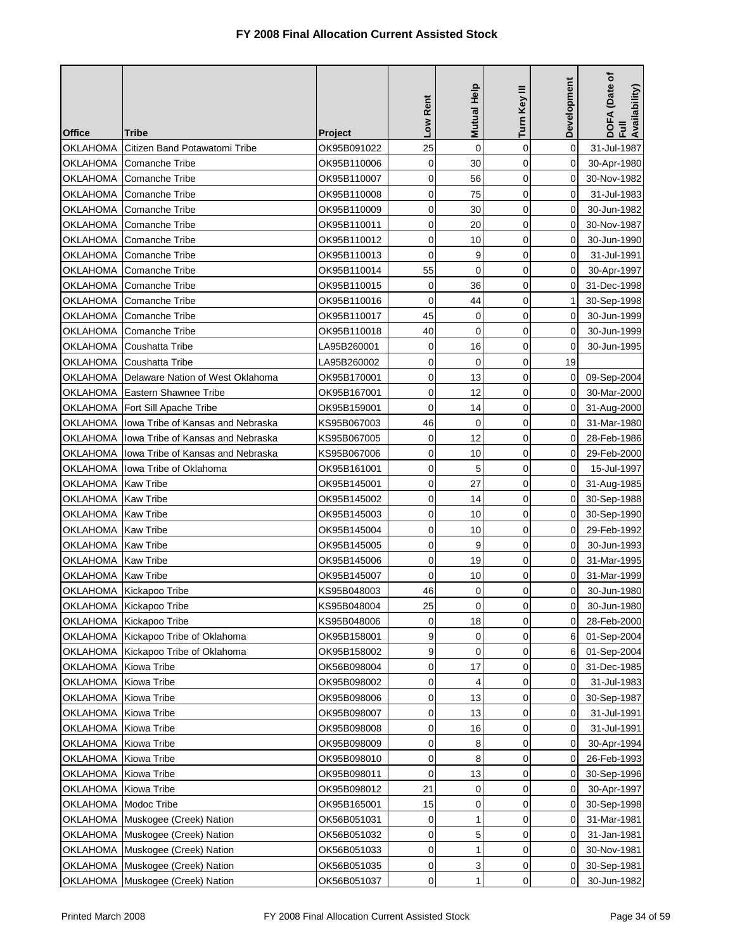| <b>Office</b>          | Tribe                               | <b>Project</b> | Low Rent    | Mutual Help         | Turn Key III | Development         | DOFA (Date of<br>Full<br>Availability) |
|------------------------|-------------------------------------|----------------|-------------|---------------------|--------------|---------------------|----------------------------------------|
| OKLAHOMA               | Citizen Band Potawatomi Tribe       | OK95B091022    | 25          | 0                   | $\mathbf 0$  | 0                   | 31-Jul-1987                            |
| OKLAHOMA               | Comanche Tribe                      | OK95B110006    | $\mathbf 0$ | 30                  | $\mathbf 0$  | 0                   | 30-Apr-1980                            |
| OKLAHOMA               | Comanche Tribe                      | OK95B110007    | 0           | 56                  | $\mathbf 0$  | 0                   | 30-Nov-1982                            |
| <b>OKLAHOMA</b>        | <b>Comanche Tribe</b>               | OK95B110008    | 0           | 75                  | 0            | 0                   | 31-Jul-1983                            |
| OKLAHOMA               | <b>Comanche Tribe</b>               | OK95B110009    | 0           | 30                  | $\mathbf 0$  | $\Omega$            | 30-Jun-1982                            |
| OKLAHOMA               | Comanche Tribe                      | OK95B110011    | 0           | 20                  | 0            | 0                   | 30-Nov-1987                            |
| OKLAHOMA               | Comanche Tribe                      | OK95B110012    | 0           | 10                  | $\mathbf 0$  | 0                   | 30-Jun-1990                            |
| OKLAHOMA               | Comanche Tribe                      | OK95B110013    | 0           | 9                   | 0            | 0                   | 31-Jul-1991                            |
| OKLAHOMA               | Comanche Tribe                      | OK95B110014    | 55          | 0                   | $\mathbf 0$  | 0                   | 30-Apr-1997                            |
| OKLAHOMA               | Comanche Tribe                      | OK95B110015    | 0           | 36                  | 0            | 0                   | 31-Dec-1998                            |
| OKLAHOMA               | <b>Comanche Tribe</b>               | OK95B110016    | $\mathbf 0$ | 44                  | $\mathbf 0$  | 1                   | 30-Sep-1998                            |
| OKLAHOMA               | <b>Comanche Tribe</b>               | OK95B110017    | 45          | 0                   | 0            | 0                   | 30-Jun-1999                            |
| OKLAHOMA               | Comanche Tribe                      | OK95B110018    | 40          | 0                   | $\mathbf 0$  | 0                   | 30-Jun-1999                            |
| OKLAHOMA               | <b>Coushatta Tribe</b>              | LA95B260001    | 0           | 16                  | 0            | 0                   | 30-Jun-1995                            |
| <b>OKLAHOMA</b>        | <b>Coushatta Tribe</b>              | LA95B260002    | $\mathbf 0$ | $\mathbf 0$         | 0            | 19                  |                                        |
| OKLAHOMA               | Delaware Nation of West Oklahoma    | OK95B170001    | 0           | 13                  | $\mathbf 0$  | 0                   | 09-Sep-2004                            |
| OKLAHOMA               | Eastern Shawnee Tribe               | OK95B167001    | 0           | 12                  | $\mathbf 0$  | 0                   | 30-Mar-2000                            |
| OKLAHOMA               | Fort Sill Apache Tribe              | OK95B159001    | $\mathbf 0$ | 14                  | $\mathbf 0$  | $\Omega$            | 31-Aug-2000                            |
| OKLAHOMA               | Iowa Tribe of Kansas and Nebraska   | KS95B067003    | 46          | $\mathbf 0$         | $\mathbf 0$  | $\Omega$            | 31-Mar-1980                            |
| OKLAHOMA               | Iowa Tribe of Kansas and Nebraska   | KS95B067005    | $\mathbf 0$ | 12                  | 0            | 0                   | 28-Feb-1986                            |
| <b>OKLAHOMA</b>        | Jowa Tribe of Kansas and Nebraska   | KS95B067006    | 0           | 10                  | 0            | 0                   | 29-Feb-2000                            |
|                        | OKLAHOMA  lowa Tribe of Oklahoma    | OK95B161001    | 0           | 5                   | 0            | 0                   | 15-Jul-1997                            |
| OKLAHOMA               | <b>Kaw Tribe</b>                    | OK95B145001    | 0           | 27                  | $\mathbf 0$  | 0                   | 31-Aug-1985                            |
| <b>OKLAHOMA</b>        | <b>Kaw Tribe</b>                    | OK95B145002    | 0           | 14                  | 0            | 0                   | 30-Sep-1988                            |
| OKLAHOMA   Kaw Tribe   |                                     | OK95B145003    | 0           | 10                  | 0            | 0                   | 30-Sep-1990                            |
| OKLAHOMA   Kaw Tribe   |                                     | OK95B145004    | 0           | 10                  | $\mathbf 0$  | 0                   | 29-Feb-1992                            |
| OKLAHOMA               | <b>Kaw Tribe</b>                    | OK95B145005    | 0           | 9                   | $\mathbf 0$  | 0                   | 30-Jun-1993                            |
| <b>OKLAHOMA</b>        | <b>Kaw Tribe</b>                    | OK95B145006    | 0           | 19                  | $\mathbf 0$  | $\Omega$            | 31-Mar-1995                            |
| OKLAHOMA   Kaw Tribe   |                                     | OK95B145007    | 0           | 10                  | 0            | 0                   | 31-Mar-1999                            |
|                        | OKLAHOMA Kickapoo Tribe             | KS95B048003    | 46          | 0                   | $\mathbf 0$  | 0                   | 30-Jun-1980                            |
|                        | OKLAHOMA Kickapoo Tribe             | KS95B048004    | 25          | $\mathsf{O}\xspace$ | 0            | $\mathsf{O}\xspace$ | 30-Jun-1980                            |
|                        | OKLAHOMA Kickapoo Tribe             | KS95B048006    | 0           | 18                  | 0            | 0                   | 28-Feb-2000                            |
|                        | OKLAHOMA Kickapoo Tribe of Oklahoma | OK95B158001    | 9           | 0                   | 0            | 6                   | 01-Sep-2004                            |
|                        | OKLAHOMA Kickapoo Tribe of Oklahoma | OK95B158002    | 9           | 0                   | $\mathbf 0$  | 6                   | 01-Sep-2004                            |
| OKLAHOMA               | Kiowa Tribe                         | OK56B098004    | 0           | 17                  | 0            | 0                   | 31-Dec-1985                            |
| OKLAHOMA               | Kiowa Tribe                         | OK95B098002    | 0           | 4                   | 0            | 0                   | 31-Jul-1983                            |
| <b>OKLAHOMA</b>        | Kiowa Tribe                         | OK95B098006    | 0           | 13                  | 0            | 0                   | 30-Sep-1987                            |
| OKLAHOMA               | Kiowa Tribe                         | OK95B098007    | 0           | 13                  | $\mathbf 0$  | 0                   | 31-Jul-1991                            |
| <b>OKLAHOMA</b>        | Kiowa Tribe                         | OK95B098008    | 0           | 16                  | 0            | 0                   | 31-Jul-1991                            |
| OKLAHOMA               | Kiowa Tribe                         | OK95B098009    | 0           | 8                   | 0            | 0                   | 30-Apr-1994                            |
| OKLAHOMA               | Kiowa Tribe                         | OK95B098010    | 0           | 8                   | 0            | 0                   | 26-Feb-1993                            |
| <b>OKLAHOMA</b>        | Kiowa Tribe                         | OK95B098011    | 0           | 13                  | $\mathbf 0$  | 0                   | 30-Sep-1996                            |
| OKLAHOMA               | Kiowa Tribe                         | OK95B098012    | 21          | 0                   | $\mathbf 0$  | 0                   | 30-Apr-1997                            |
| OKLAHOMA   Modoc Tribe |                                     | OK95B165001    | 15          | 0                   | 0            | 0                   | 30-Sep-1998                            |
|                        | OKLAHOMA Muskogee (Creek) Nation    | OK56B051031    | 0           | 1                   | 0            | 0                   | 31-Mar-1981                            |
|                        | OKLAHOMA Muskogee (Creek) Nation    | OK56B051032    | 0           | 5                   | 0            | 0                   | 31-Jan-1981                            |
|                        | OKLAHOMA Muskogee (Creek) Nation    | OK56B051033    | 0           | 1                   | 0            | 0                   | 30-Nov-1981                            |
|                        | OKLAHOMA Muskogee (Creek) Nation    | OK56B051035    | 0           | 3                   | 0            | 0                   | 30-Sep-1981                            |
|                        | OKLAHOMA Muskogee (Creek) Nation    | OK56B051037    | 0           | 1                   | 0            | 0                   | 30-Jun-1982                            |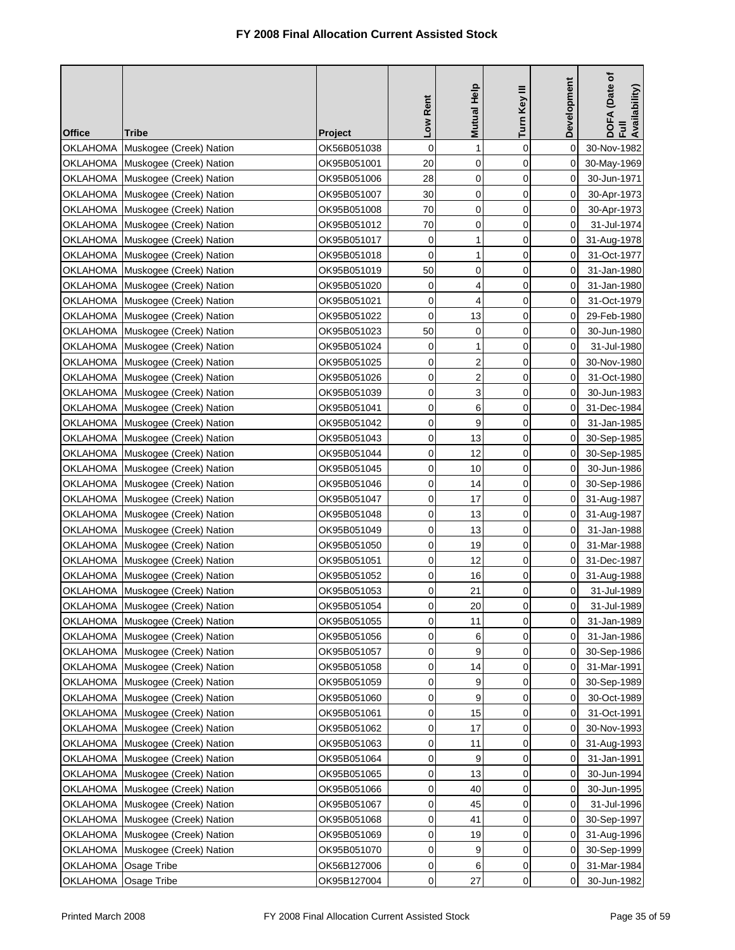|                 |                                                                      |                            | Low Rent            | <b>Mutual Help</b>      | Turn Key III | Development    | DOFA (Date of<br>Full<br>Availability) |
|-----------------|----------------------------------------------------------------------|----------------------------|---------------------|-------------------------|--------------|----------------|----------------------------------------|
| <b>Office</b>   | <b>Tribe</b>                                                         | <b>Project</b>             |                     | $\mathbf{1}$            | $\mathbf 0$  |                |                                        |
| <b>OKLAHOMA</b> | Muskogee (Creek) Nation                                              | OK56B051038<br>OK95B051001 | 0<br>20             | $\mathbf 0$             | 0            | 0<br>0         | 30-Nov-1982                            |
|                 | OKLAHOMA Muskogee (Creek) Nation<br>OKLAHOMA Muskogee (Creek) Nation | OK95B051006                | 28                  | $\mathbf 0$             | 0            | 0              | 30-May-1969<br>30-Jun-1971             |
|                 | OKLAHOMA Muskogee (Creek) Nation                                     | OK95B051007                | 30                  | $\mathbf 0$             | $\mathbf 0$  | 0              | 30-Apr-1973                            |
|                 | OKLAHOMA Muskogee (Creek) Nation                                     | OK95B051008                | 70                  | 0                       | $\mathbf 0$  | 0              | 30-Apr-1973                            |
|                 | OKLAHOMA Muskogee (Creek) Nation                                     | OK95B051012                | 70                  | 0                       | 0            | 0              | 31-Jul-1974                            |
|                 | OKLAHOMA Muskogee (Creek) Nation                                     | OK95B051017                | 0                   | 1                       | 0            | 0              | 31-Aug-1978                            |
|                 | OKLAHOMA Muskogee (Creek) Nation                                     | OK95B051018                | $\mathbf 0$         | 1                       | $\mathbf 0$  | 0              | 31-Oct-1977                            |
|                 | OKLAHOMA Muskogee (Creek) Nation                                     | OK95B051019                | 50                  | $\mathbf 0$             | $\mathbf 0$  | 0              | 31-Jan-1980                            |
|                 | OKLAHOMA Muskogee (Creek) Nation                                     | OK95B051020                | 0                   | 4                       | 0            | 0              | 31-Jan-1980                            |
|                 | OKLAHOMA Muskogee (Creek) Nation                                     | OK95B051021                | 0                   | 4                       | 0            | 0              | 31-Oct-1979                            |
|                 | OKLAHOMA Muskogee (Creek) Nation                                     | OK95B051022                | 0                   | 13                      | 0            | 0              | 29-Feb-1980                            |
|                 | OKLAHOMA Muskogee (Creek) Nation                                     | OK95B051023                | 50                  | $\mathbf 0$             | $\mathbf 0$  | 0              | 30-Jun-1980                            |
|                 | OKLAHOMA Muskogee (Creek) Nation                                     | OK95B051024                | 0                   | 1                       | $\mathbf 0$  | 0              | 31-Jul-1980                            |
|                 | OKLAHOMA Muskogee (Creek) Nation                                     | OK95B051025                | 0                   | $\overline{\mathbf{c}}$ | 0            | 0              | 30-Nov-1980                            |
|                 | OKLAHOMA Muskogee (Creek) Nation                                     | OK95B051026                | 0                   | $\overline{\mathbf{c}}$ | 0            | 0              | 31-Oct-1980                            |
|                 | OKLAHOMA Muskogee (Creek) Nation                                     | OK95B051039                | $\mathbf 0$         | 3                       | $\mathbf 0$  | 0              | 30-Jun-1983                            |
|                 | OKLAHOMA Muskogee (Creek) Nation                                     | OK95B051041                | $\mathbf 0$         | 6                       | 0            | 0              | 31-Dec-1984                            |
| OKLAHOMA        | Muskogee (Creek) Nation                                              | OK95B051042                | $\mathbf 0$         | 9                       | 0            | 0              | 31-Jan-1985                            |
|                 | OKLAHOMA Muskogee (Creek) Nation                                     | OK95B051043                | 0                   | 13                      | 0            | 0              | 30-Sep-1985                            |
|                 | OKLAHOMA Muskogee (Creek) Nation                                     | OK95B051044                | 0                   | 12                      | $\mathbf 0$  | 0              | 30-Sep-1985                            |
|                 | OKLAHOMA Muskogee (Creek) Nation                                     | OK95B051045                | 0                   | 10                      | 0            | 0              | 30-Jun-1986                            |
|                 | OKLAHOMA Muskogee (Creek) Nation                                     | OK95B051046                | $\mathbf 0$         | 14                      | 0            | 0              | 30-Sep-1986                            |
|                 | OKLAHOMA Muskogee (Creek) Nation                                     | OK95B051047                | 0                   | 17                      | 0            | 0              | 31-Aug-1987                            |
|                 | OKLAHOMA Muskogee (Creek) Nation                                     | OK95B051048                | 0                   | 13                      | 0            | 0              | 31-Aug-1987                            |
|                 | OKLAHOMA Muskogee (Creek) Nation                                     | OK95B051049                | 0                   | 13                      | 0            | 0              | 31-Jan-1988                            |
|                 | OKLAHOMA Muskogee (Creek) Nation                                     | OK95B051050                | 0                   | 19                      | 0            | 0              | 31-Mar-1988                            |
|                 | OKLAHOMA Muskogee (Creek) Nation                                     | OK95B051051                | 0                   | 12                      | 0            | 0              | 31-Dec-1987                            |
|                 | OKLAHOMA Muskogee (Creek) Nation                                     | OK95B051052                | $\mathbf 0$         | 16                      | $\mathbf 0$  | $\overline{0}$ | 31-Aug-1988                            |
|                 | OKLAHOMA Muskogee (Creek) Nation                                     | OK95B051053                | 0                   | 21                      | 0            | 0              | 31-Jul-1989                            |
|                 | OKLAHOMA Muskogee (Creek) Nation                                     | OK95B051054                | $\mathsf{O}\xspace$ | 20                      | 0            | $\mathbf 0$    | 31-Jul-1989                            |
|                 | OKLAHOMA Muskogee (Creek) Nation                                     | OK95B051055                | 0                   | 11                      | 0            | 0              | 31-Jan-1989                            |
|                 | OKLAHOMA Muskogee (Creek) Nation                                     | OK95B051056                | 0                   | 6                       | 0            | 0              | 31-Jan-1986                            |
|                 | OKLAHOMA Muskogee (Creek) Nation                                     | OK95B051057                | 0                   | 9                       | 0            | 0              | 30-Sep-1986                            |
|                 | OKLAHOMA Muskogee (Creek) Nation                                     | OK95B051058                | 0                   | 14                      | 0            | 0              | 31-Mar-1991                            |
| OKLAHOMA        | Muskogee (Creek) Nation                                              | OK95B051059                | 0                   | 9                       | 0            | 0              | 30-Sep-1989                            |
|                 | OKLAHOMA Muskogee (Creek) Nation                                     | OK95B051060                | 0                   | 9                       | 0            | 0              | 30-Oct-1989                            |
|                 | OKLAHOMA Muskogee (Creek) Nation                                     | OK95B051061                | 0                   | 15                      | 0            | 0              | 31-Oct-1991                            |
|                 | OKLAHOMA Muskogee (Creek) Nation                                     | OK95B051062                | 0                   | 17                      | 0            | 0              | 30-Nov-1993                            |
|                 | OKLAHOMA Muskogee (Creek) Nation                                     | OK95B051063                | 0                   | 11                      | 0            | 0              | 31-Aug-1993                            |
|                 | OKLAHOMA Muskogee (Creek) Nation                                     | OK95B051064                | 0                   | 9                       | 0            | 0              | 31-Jan-1991                            |
|                 | OKLAHOMA Muskogee (Creek) Nation                                     | OK95B051065                | 0                   | 13                      | 0            | 0              | 30-Jun-1994                            |
|                 | OKLAHOMA Muskogee (Creek) Nation                                     | OK95B051066                | 0                   | 40                      | 0            | 0              | 30-Jun-1995                            |
| <b>OKLAHOMA</b> | Muskogee (Creek) Nation                                              | OK95B051067                | 0                   | 45                      | 0            | 0              | 31-Jul-1996                            |
| OKLAHOMA        | Muskogee (Creek) Nation                                              | OK95B051068                | 0                   | 41                      | 0            | 0              | 30-Sep-1997                            |
| OKLAHOMA        | Muskogee (Creek) Nation                                              | OK95B051069                | 0                   | 19                      | 0            | 0              | 31-Aug-1996                            |
| OKLAHOMA        | Muskogee (Creek) Nation                                              | OK95B051070                | 0                   | 9                       | 0            | 0              | 30-Sep-1999                            |
| OKLAHOMA        | Osage Tribe                                                          | OK56B127006                | 0                   | 6                       | 0            | 0              | 31-Mar-1984                            |
| OKLAHOMA        | Osage Tribe                                                          | OK95B127004                | 0                   | 27                      | 0            | 0              | 30-Jun-1982                            |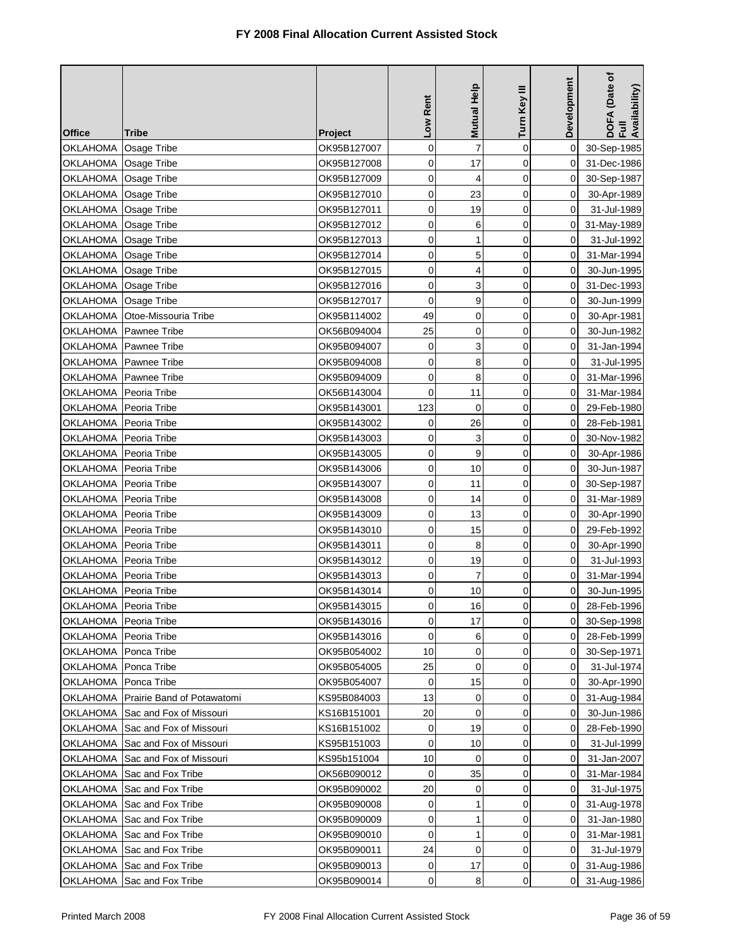| <b>Office</b>           | Tribe                            | <b>Project</b> | Low Rent            | Mutual Help    | Turn Key III | Development    | DOFA (Date of<br>Full<br>Availability) |
|-------------------------|----------------------------------|----------------|---------------------|----------------|--------------|----------------|----------------------------------------|
| <b>OKLAHOMA</b>         | Osage Tribe                      | OK95B127007    | 0                   | $\overline{7}$ | $\mathbf 0$  | $\mathbf 0$    | 30-Sep-1985                            |
| OKLAHOMA   Osage Tribe  |                                  | OK95B127008    | 0                   | 17             | $\mathbf 0$  | 0              | 31-Dec-1986                            |
| OKLAHOMA   Osage Tribe  |                                  | OK95B127009    | $\mathbf 0$         | 4              | $\mathbf 0$  | 0              | 30-Sep-1987                            |
| OKLAHOMA                | Osage Tribe                      | OK95B127010    | 0                   | 23             | 0            | 0              | 30-Apr-1989                            |
| OKLAHOMA Osage Tribe    |                                  | OK95B127011    | 0                   | 19             | 0            | 0              | 31-Jul-1989                            |
| OKLAHOMA Osage Tribe    |                                  | OK95B127012    | 0                   | 6              | 0            | 0              | 31-May-1989                            |
| OKLAHOMA   Osage Tribe  |                                  | OK95B127013    | 0                   | $\mathbf{1}$   | $\mathbf 0$  | 0              | 31-Jul-1992                            |
| OKLAHOMA Osage Tribe    |                                  | OK95B127014    | $\mathbf 0$         | 5              | 0            | 0              | 31-Mar-1994                            |
| OKLAHOMA   Osage Tribe  |                                  | OK95B127015    | 0                   | 4              | $\mathbf 0$  | 0              | 30-Jun-1995                            |
| <b>OKLAHOMA</b>         | Osage Tribe                      | OK95B127016    | 0                   | 3              | 0            | 0              | 31-Dec-1993                            |
| OKLAHOMA   Osage Tribe  |                                  | OK95B127017    | 0                   | 9              | $\mathbf 0$  | 0              | 30-Jun-1999                            |
| OKLAHOMA                | Otoe-Missouria Tribe             | OK95B114002    | 49                  | 0              | 0            | 0              | 30-Apr-1981                            |
|                         | OKLAHOMA   Pawnee Tribe          | OK56B094004    | 25                  | 0              | $\mathbf 0$  | 0              | 30-Jun-1982                            |
|                         | OKLAHOMA   Pawnee Tribe          | OK95B094007    | 0                   | 3              | 0            | 0              | 31-Jan-1994                            |
| <b>OKLAHOMA</b>         | <b>Pawnee Tribe</b>              | OK95B094008    | $\mathbf 0$         | 8              | 0            | 0              | 31-Jul-1995                            |
|                         | OKLAHOMA   Pawnee Tribe          | OK95B094009    | 0                   | 8              | $\mathbf 0$  | 0              | 31-Mar-1996                            |
| <b>OKLAHOMA</b>         | Peoria Tribe                     | OK56B143004    | $\mathbf 0$         | 11             | 0            | 0              | 31-Mar-1984                            |
| OKLAHOMA                | Peoria Tribe                     | OK95B143001    | 123                 | 0              | $\mathbf 0$  | 0              | 29-Feb-1980                            |
| OKLAHOMA Peoria Tribe   |                                  | OK95B143002    | 0                   | 26             | $\mathbf 0$  | 0              | 28-Feb-1981                            |
| OKLAHOMA Peoria Tribe   |                                  | OK95B143003    | 0                   | 3              | 0            | 0              | 30-Nov-1982                            |
| OKLAHOMA Peoria Tribe   |                                  | OK95B143005    | 0                   | 9              | 0            | 0              | 30-Apr-1986                            |
| OKLAHOMA Peoria Tribe   |                                  | OK95B143006    | 0                   | 10             | 0            | 0              | 30-Jun-1987                            |
| <b>OKLAHOMA</b>         | Peoria Tribe                     | OK95B143007    | 0                   | 11             | 0            | 0              | 30-Sep-1987                            |
| <b>OKLAHOMA</b>         | Peoria Tribe                     | OK95B143008    | 0                   | 14             | 0            | 0              | 31-Mar-1989                            |
| OKLAHOMA   Peoria Tribe |                                  | OK95B143009    | 0                   | 13             | 0            | 0              | 30-Apr-1990                            |
| OKLAHOMA Peoria Tribe   |                                  | OK95B143010    | 0                   | 15             | 0            | 0              | 29-Feb-1992                            |
| OKLAHOMA Peoria Tribe   |                                  | OK95B143011    | 0                   | 8              | 0            | 0              | 30-Apr-1990                            |
| OKLAHOMA                | Peoria Tribe                     | OK95B143012    | 0                   | 19             | $\mathbf 0$  | 0              | 31-Jul-1993                            |
| OKLAHOMA Peoria Tribe   |                                  | OK95B143013    | 0                   | 7              | 0            | 0              | 31-Mar-1994                            |
| OKLAHOMA Peoria Tribe   |                                  | OK95B143014    | 0                   | 10             | $\mathbf 0$  | 0              | 30-Jun-1995                            |
| OKLAHOMA Peoria Tribe   |                                  | OK95B143015    | $\mathsf{O}\xspace$ | 16             | 0            | $\overline{0}$ | 28-Feb-1996                            |
| OKLAHOMA                | Peoria Tribe                     | OK95B143016    | 0                   | 17             | $\Omega$     | 0              | 30-Sep-1998                            |
| OKLAHOMA Peoria Tribe   |                                  | OK95B143016    | 0                   | 6              | 0            | 0              | 28-Feb-1999                            |
| <b>OKLAHOMA</b>         | Ponca Tribe                      | OK95B054002    | 10                  | 0              | $\mathbf 0$  | 0              | 30-Sep-1971                            |
| <b>OKLAHOMA</b>         | Ponca Tribe                      | OK95B054005    | 25                  | 0              | 0            | 0              | 31-Jul-1974                            |
| <b>OKLAHOMA</b>         | Ponca Tribe                      | OK95B054007    | 0                   | 15             | 0            | 0              | 30-Apr-1990                            |
| OKLAHOMA                | Prairie Band of Potawatomi       | KS95B084003    | 13                  | 0              | 0            | 0              | 31-Aug-1984                            |
| OKLAHOMA                | Sac and Fox of Missouri          | KS16B151001    | 20                  | $\mathbf 0$    | $\mathbf 0$  | 0              | 30-Jun-1986                            |
| <b>OKLAHOMA</b>         | Sac and Fox of Missouri          | KS16B151002    | 0                   | 19             | 0            | 0              | 28-Feb-1990                            |
|                         | OKLAHOMA Sac and Fox of Missouri | KS95B151003    | $\mathbf 0$         | 10             | 0            | 0              | 31-Jul-1999                            |
| OKLAHOMA                | Sac and Fox of Missouri          | KS95b151004    | 10                  | 0              | 0            | 0              | 31-Jan-2007                            |
| <b>OKLAHOMA</b>         | Sac and Fox Tribe                | OK56B090012    | 0                   | 35             | $\mathbf 0$  | 0              | 31-Mar-1984                            |
| OKLAHOMA                | Sac and Fox Tribe                | OK95B090002    | 20                  | 0              | $\mathbf 0$  | 0              | 31-Jul-1975                            |
|                         | OKLAHOMA Sac and Fox Tribe       | OK95B090008    | 0                   | 1              | 0            | 0              | 31-Aug-1978                            |
| OKLAHOMA                | Sac and Fox Tribe                | OK95B090009    | 0                   | 1              | 0            | 0              | 31-Jan-1980                            |
|                         | OKLAHOMA Sac and Fox Tribe       | OK95B090010    | 0                   | 1              | 0            | 0              | 31-Mar-1981                            |
|                         | OKLAHOMA Sac and Fox Tribe       | OK95B090011    | 24                  | 0              | 0            | 0              | 31-Jul-1979                            |
| OKLAHOMA                | Sac and Fox Tribe                | OK95B090013    | 0                   | 17             | 0            | 0              | 31-Aug-1986                            |
| <b>OKLAHOMA</b>         | Sac and Fox Tribe                | OK95B090014    | 0                   | 8              | 0            | 0              | 31-Aug-1986                            |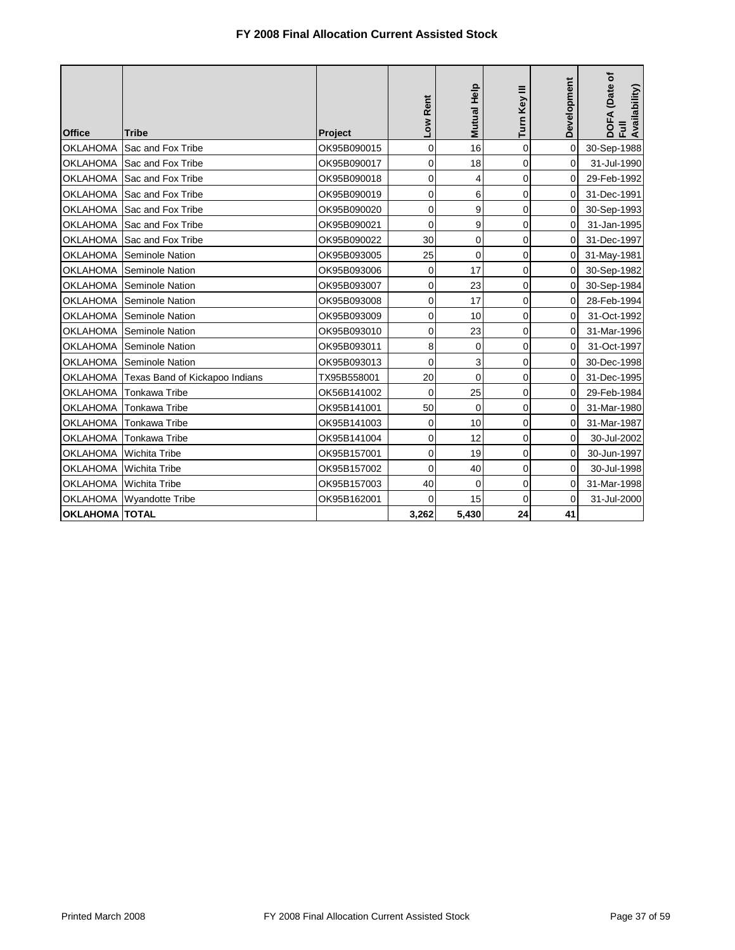|                       |                                |             | Low Rent       | <b>Mutual Help</b> | Turn Key III   | Development | DOFA (Date of<br>Availability) |
|-----------------------|--------------------------------|-------------|----------------|--------------------|----------------|-------------|--------------------------------|
| <b>Office</b>         | <b>Tribe</b>                   | Project     |                |                    |                |             | 훈                              |
| <b>OKLAHOMA</b>       | Sac and Fox Tribe              | OK95B090015 | 0              | 16                 | $\mathbf 0$    | $\mathbf 0$ | 30-Sep-1988                    |
| <b>OKLAHOMA</b>       | Sac and Fox Tribe              | OK95B090017 | 0              | 18                 | 0              | 0           | 31-Jul-1990                    |
|                       | OKLAHOMA Sac and Fox Tribe     | OK95B090018 | 0              | 4                  | 0              | 0           | 29-Feb-1992                    |
| <b>OKLAHOMA</b>       | Sac and Fox Tribe              | OK95B090019 | 0              | 6                  | 0              | 0           | 31-Dec-1991                    |
| <b>OKLAHOMA</b>       | Sac and Fox Tribe              | OK95B090020 | 0              | 9                  | 0              | 0           | 30-Sep-1993                    |
| <b>OKLAHOMA</b>       | Sac and Fox Tribe              | OK95B090021 | 0              | 9                  | $\mathbf 0$    | 0           | 31-Jan-1995                    |
| <b>OKLAHOMA</b>       | Sac and Fox Tribe              | OK95B090022 | 30             | 0                  | $\mathbf 0$    | 0           | 31-Dec-1997                    |
| <b>OKLAHOMA</b>       | Seminole Nation                | OK95B093005 | 25             | $\mathbf 0$        | $\overline{0}$ | 0           | 31-May-1981                    |
| <b>OKLAHOMA</b>       | <b>Seminole Nation</b>         | OK95B093006 | $\mathbf 0$    | 17                 | $\overline{0}$ | $\Omega$    | 30-Sep-1982                    |
| <b>OKLAHOMA</b>       | Seminole Nation                | OK95B093007 | 0              | 23                 | $\overline{0}$ | 0           | 30-Sep-1984                    |
|                       | OKLAHOMA Seminole Nation       | OK95B093008 | 0              | 17                 | 0              | 0           | 28-Feb-1994                    |
| <b>OKLAHOMA</b>       | Seminole Nation                | OK95B093009 | $\mathbf 0$    | 10                 | $\mathbf 0$    | $\Omega$    | 31-Oct-1992                    |
| <b>OKLAHOMA</b>       | <b>Seminole Nation</b>         | OK95B093010 | 0              | 23                 | 0              | 0           | 31-Mar-1996                    |
| <b>OKLAHOMA</b>       | Seminole Nation                | OK95B093011 | 8              | 0                  | 0              | 0           | 31-Oct-1997                    |
|                       | OKLAHOMA Seminole Nation       | OK95B093013 | $\mathbf 0$    | 3                  | 0              | 0           | 30-Dec-1998                    |
| OKLAHOMA              | Texas Band of Kickapoo Indians | TX95B558001 | 20             | $\mathbf 0$        | 0              | 0           | 31-Dec-1995                    |
| <b>OKLAHOMA</b>       | <b>Tonkawa Tribe</b>           | OK56B141002 | $\mathbf 0$    | 25                 | 0              | 0           | 29-Feb-1984                    |
| <b>OKLAHOMA</b>       | <b>Tonkawa Tribe</b>           | OK95B141001 | 50             | 0                  | 0              | 0           | 31-Mar-1980                    |
| OKLAHOMA              | <b>Tonkawa Tribe</b>           | OK95B141003 | 0              | 10                 | 0              | 0           | 31-Mar-1987                    |
| OKLAHOMA              | <b>Tonkawa Tribe</b>           | OK95B141004 | 0              | 12                 | 0              | 0           | 30-Jul-2002                    |
|                       | OKLAHOMA Wichita Tribe         | OK95B157001 | 0              | 19                 | $\mathbf 0$    | 0           | 30-Jun-1997                    |
| <b>OKLAHOMA</b>       | <b>Wichita Tribe</b>           | OK95B157002 | 0              | 40                 | $\mathbf 0$    | 0           | 30-Jul-1998                    |
|                       | OKLAHOMA Wichita Tribe         | OK95B157003 | 40             | $\mathbf 0$        | $\overline{0}$ | 0           | 31-Mar-1998                    |
|                       | OKLAHOMA Wyandotte Tribe       | OK95B162001 | $\overline{0}$ | 15                 | $\mathbf 0$    | 0           | 31-Jul-2000                    |
| <b>OKLAHOMA TOTAL</b> |                                |             | 3,262          | 5,430              | 24             | 41          |                                |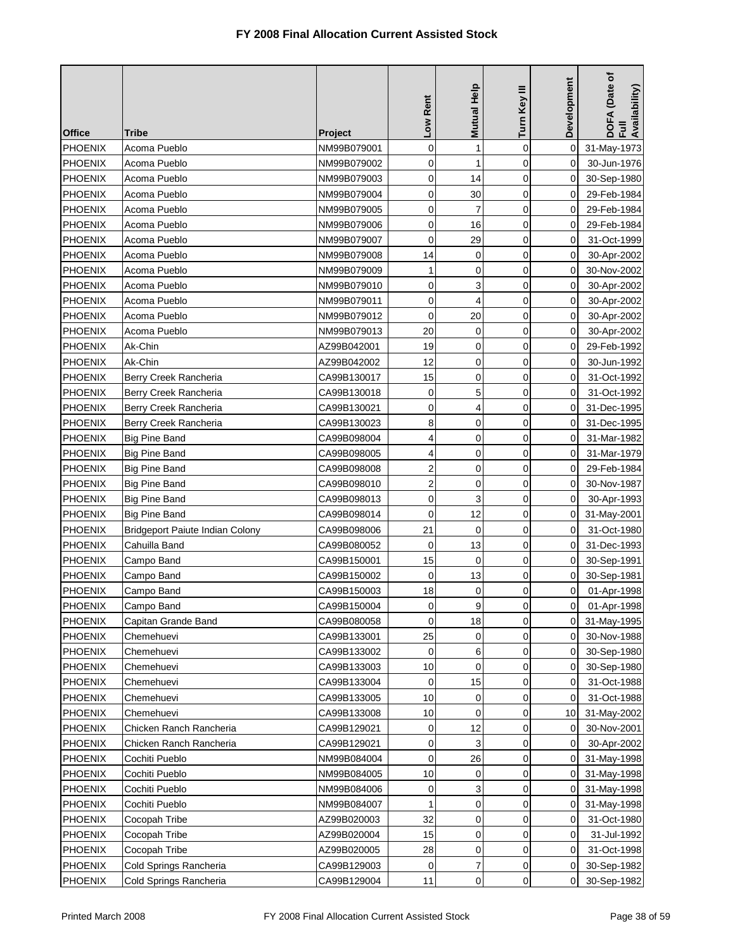| <b>Office</b>  | Tribe                                  | Project     | Low Rent       | Mutual Help    | Turn Key III | <b>Development</b> | DOFA (Date of<br>Full<br>Availability) |
|----------------|----------------------------------------|-------------|----------------|----------------|--------------|--------------------|----------------------------------------|
| PHOENIX        | Acoma Pueblo                           | NM99B079001 | 0              | $\mathbf{1}$   | $\mathbf 0$  | $\mathbf 0$        | 31-May-1973                            |
| <b>PHOENIX</b> | Acoma Pueblo                           | NM99B079002 | 0              | 1              | $\mathbf 0$  | 0                  | 30-Jun-1976                            |
| <b>PHOENIX</b> | Acoma Pueblo                           | NM99B079003 | $\mathbf 0$    | 14             | $\mathbf 0$  | 0                  | 30-Sep-1980                            |
| <b>PHOENIX</b> | Acoma Pueblo                           | NM99B079004 | 0              | 30             | $\mathbf 0$  | 0                  | 29-Feb-1984                            |
| <b>PHOENIX</b> | Acoma Pueblo                           | NM99B079005 | 0              | $\overline{7}$ | $\mathbf 0$  | 0                  | 29-Feb-1984                            |
| <b>PHOENIX</b> | Acoma Pueblo                           | NM99B079006 | 0              | 16             | $\mathbf 0$  | 0                  | 29-Feb-1984                            |
| PHOENIX        | Acoma Pueblo                           | NM99B079007 | $\mathbf 0$    | 29             | $\mathbf 0$  | 0                  | 31-Oct-1999                            |
| <b>PHOENIX</b> | Acoma Pueblo                           | NM99B079008 | 14             | 0              | $\mathbf 0$  | 0                  | 30-Apr-2002                            |
| <b>PHOENIX</b> | Acoma Pueblo                           | NM99B079009 | 1              | 0              | 0            | 0                  | 30-Nov-2002                            |
| <b>PHOENIX</b> | Acoma Pueblo                           | NM99B079010 | 0              | 3              | 0            | 0                  | 30-Apr-2002                            |
| <b>PHOENIX</b> | Acoma Pueblo                           | NM99B079011 | 0              | 4              | $\mathbf 0$  | 0                  | 30-Apr-2002                            |
| <b>PHOENIX</b> | Acoma Pueblo                           | NM99B079012 | 0              | 20             | $\mathbf 0$  | 0                  | 30-Apr-2002                            |
| <b>PHOENIX</b> | Acoma Pueblo                           | NM99B079013 | 20             | 0              | $\mathbf 0$  | $\mathbf 0$        | 30-Apr-2002                            |
| <b>PHOENIX</b> | Ak-Chin                                | AZ99B042001 | 19             | 0              | 0            | 0                  | 29-Feb-1992                            |
| <b>PHOENIX</b> | Ak-Chin                                | AZ99B042002 | 12             | 0              | $\mathbf 0$  | 0                  | 30-Jun-1992                            |
| PHOENIX        | Berry Creek Rancheria                  | CA99B130017 | 15             | 0              | $\mathbf 0$  | 0                  | 31-Oct-1992                            |
| <b>PHOENIX</b> | Berry Creek Rancheria                  | CA99B130018 | 0              | 5              | $\mathbf 0$  | 0                  | 31-Oct-1992                            |
| <b>PHOENIX</b> | Berry Creek Rancheria                  | CA99B130021 | 0              | 4              | $\mathbf 0$  | 0                  | 31-Dec-1995                            |
| <b>PHOENIX</b> | Berry Creek Rancheria                  | CA99B130023 | 8              | 0              | $\mathbf 0$  | 0                  | 31-Dec-1995                            |
| <b>PHOENIX</b> | <b>Big Pine Band</b>                   | CA99B098004 | 4              | 0              | $\mathbf 0$  | $\Omega$           | 31-Mar-1982                            |
| <b>PHOENIX</b> | <b>Big Pine Band</b>                   | CA99B098005 | 4              | 0              | $\mathbf 0$  | 0                  | 31-Mar-1979                            |
| <b>PHOENIX</b> | <b>Big Pine Band</b>                   | CA99B098008 | $\overline{2}$ | 0              | $\mathbf 0$  | 0                  | 29-Feb-1984                            |
| <b>PHOENIX</b> | <b>Big Pine Band</b>                   | CA99B098010 | $\overline{c}$ | 0              | $\mathbf 0$  | 0                  | 30-Nov-1987                            |
| PHOENIX        | <b>Big Pine Band</b>                   | CA99B098013 | 0              | 3              | $\mathbf 0$  | 0                  | 30-Apr-1993                            |
| <b>PHOENIX</b> | Big Pine Band                          | CA99B098014 | 0              | 12             | 0            | 0                  | 31-May-2001                            |
| <b>PHOENIX</b> | <b>Bridgeport Paiute Indian Colony</b> | CA99B098006 | 21             | 0              | $\mathbf 0$  | 0                  | 31-Oct-1980                            |
| <b>PHOENIX</b> | Cahuilla Band                          | CA99B080052 | $\mathbf 0$    | 13             | 0            | 0                  | 31-Dec-1993                            |
| <b>PHOENIX</b> | Campo Band                             | CA99B150001 | 15             | $\mathbf 0$    | $\mathbf 0$  | 0                  | 30-Sep-1991                            |
| <b>PHOENIX</b> | Campo Band                             | CA99B150002 | $\mathbf 0$    | 13             | $\mathbf 0$  | 0                  | 30-Sep-1981                            |
| <b>PHOENIX</b> | Campo Band                             | CA99B150003 | 18             | 0              | 0            | 0                  | 01-Apr-1998                            |
| <b>PHOENIX</b> | Campo Band                             | CA99B150004 | 0              | 9              | 0            | 0                  | 01-Apr-1998                            |
| <b>PHOENIX</b> | Capitan Grande Band                    | CA99B080058 | $\mathbf 0$    | 18             | $\mathbf 0$  | $\Omega$           | 31-May-1995                            |
| <b>PHOENIX</b> | Chemehuevi                             | CA99B133001 | 25             | 0              | 0            | 0                  | 30-Nov-1988                            |
| <b>PHOENIX</b> | Chemehuevi                             | CA99B133002 | 0              | 6              | 0            | 0                  | 30-Sep-1980                            |
| <b>PHOENIX</b> | Chemehuevi                             | CA99B133003 | 10             | 0              | $\mathbf 0$  | 0                  | 30-Sep-1980                            |
| <b>PHOENIX</b> | Chemehuevi                             | CA99B133004 | $\mathbf 0$    | 15             | $\mathbf 0$  | 0                  | 31-Oct-1988                            |
| <b>PHOENIX</b> | Chemehuevi                             | CA99B133005 | 10             | 0              | 0            | 0                  | 31-Oct-1988                            |
| <b>PHOENIX</b> | Chemehuevi                             | CA99B133008 | 10             | 0              | $\mathbf 0$  | 10                 | 31-May-2002                            |
| <b>PHOENIX</b> | Chicken Ranch Rancheria                | CA99B129021 | 0              | 12             | 0            | 0                  | 30-Nov-2001                            |
| <b>PHOENIX</b> | Chicken Ranch Rancheria                | CA99B129021 | 0              | 3              | $\mathbf 0$  | 0                  | 30-Apr-2002                            |
| <b>PHOENIX</b> | Cochiti Pueblo                         | NM99B084004 | 0              | 26             | 0            | 0                  | 31-May-1998                            |
| <b>PHOENIX</b> | Cochiti Pueblo                         | NM99B084005 | 10             | 0              | 0            | 0                  | 31-May-1998                            |
| <b>PHOENIX</b> | Cochiti Pueblo                         | NM99B084006 | 0              | 3              | 0            | 0                  | 31-May-1998                            |
| <b>PHOENIX</b> | Cochiti Pueblo                         | NM99B084007 | 1              | $\mathbf 0$    | $\mathbf 0$  | 0                  | 31-May-1998                            |
| <b>PHOENIX</b> | Cocopah Tribe                          | AZ99B020003 | 32             | 0              | $\mathbf 0$  | 0                  | 31-Oct-1980                            |
| <b>PHOENIX</b> | Cocopah Tribe                          | AZ99B020004 | 15             | 0              | $\mathbf 0$  | 0                  | 31-Jul-1992                            |
| <b>PHOENIX</b> | Cocopah Tribe                          | AZ99B020005 | 28             | 0              | $\mathbf 0$  | 0                  | 31-Oct-1998                            |
| <b>PHOENIX</b> | Cold Springs Rancheria                 | CA99B129003 | 0              | 7              | 0            | 0                  | 30-Sep-1982                            |
| PHOENIX        | Cold Springs Rancheria                 | CA99B129004 | 11             | $\mathsf 0$    | 0            | 0                  | 30-Sep-1982                            |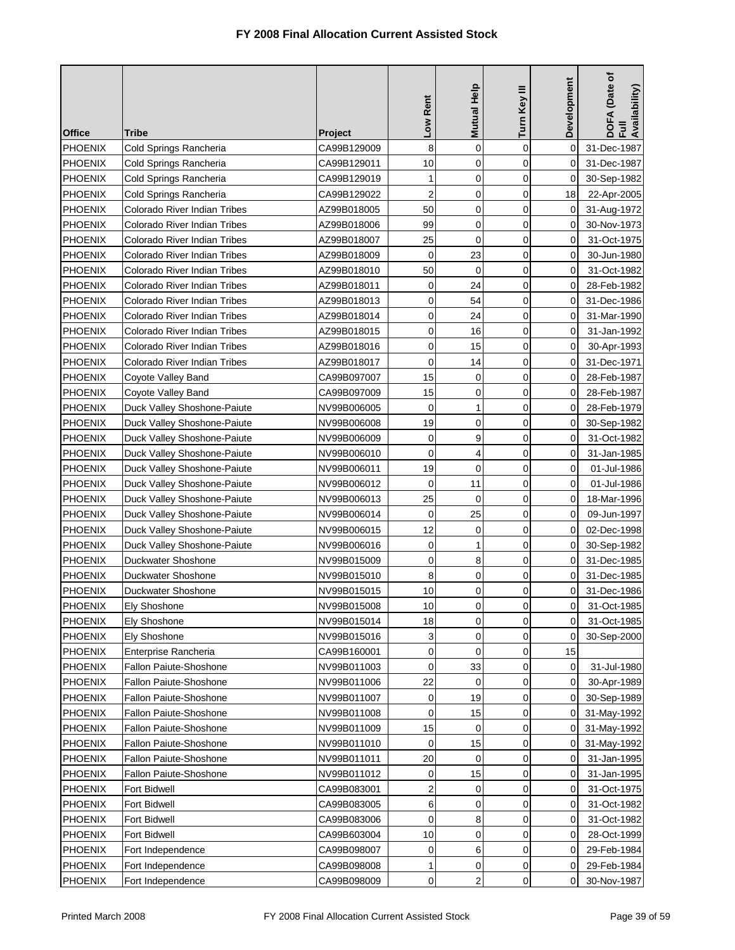| <b>Office</b>  | Tribe                               | <b>Project</b> | Low Rent       | Mutual Help | Turn Key III | Development | DOFA (Date of<br>Full<br>Availability) |
|----------------|-------------------------------------|----------------|----------------|-------------|--------------|-------------|----------------------------------------|
| PHOENIX        | Cold Springs Rancheria              | CA99B129009    | 8              | $\mathbf 0$ | $\mathbf 0$  | 0           | 31-Dec-1987                            |
| <b>PHOENIX</b> | Cold Springs Rancheria              | CA99B129011    | 10             | 0           | $\mathbf 0$  | 0           | 31-Dec-1987                            |
| <b>PHOENIX</b> | Cold Springs Rancheria              | CA99B129019    | 1              | $\mathbf 0$ | $\mathbf 0$  | $\Omega$    | 30-Sep-1982                            |
| <b>PHOENIX</b> | Cold Springs Rancheria              | CA99B129022    | $\overline{2}$ | 0           | 0            | 18          | 22-Apr-2005                            |
| <b>PHOENIX</b> | Colorado River Indian Tribes        | AZ99B018005    | 50             | 0           | $\mathbf 0$  | $\mathbf 0$ | 31-Aug-1972                            |
| <b>PHOENIX</b> | Colorado River Indian Tribes        | AZ99B018006    | 99             | 0           | 0            | 0           | 30-Nov-1973                            |
| <b>PHOENIX</b> | Colorado River Indian Tribes        | AZ99B018007    | 25             | $\mathbf 0$ | $\mathbf 0$  | 0           | 31-Oct-1975                            |
| PHOENIX        | Colorado River Indian Tribes        | AZ99B018009    | 0              | 23          | 0            | 0           | 30-Jun-1980                            |
| <b>PHOENIX</b> | Colorado River Indian Tribes        | AZ99B018010    | 50             | 0           | $\mathbf 0$  | 0           | 31-Oct-1982                            |
| <b>PHOENIX</b> | Colorado River Indian Tribes        | AZ99B018011    | 0              | 24          | 0            | 0           | 28-Feb-1982                            |
| <b>PHOENIX</b> | <b>Colorado River Indian Tribes</b> | AZ99B018013    | $\mathbf 0$    | 54          | $\mathbf 0$  | 0           | 31-Dec-1986                            |
| <b>PHOENIX</b> | Colorado River Indian Tribes        | AZ99B018014    | 0              | 24          | 0            | 0           | 31-Mar-1990                            |
| <b>PHOENIX</b> | Colorado River Indian Tribes        | AZ99B018015    | 0              | 16          | $\mathbf 0$  | 0           | 31-Jan-1992                            |
| <b>PHOENIX</b> | Colorado River Indian Tribes        | AZ99B018016    | 0              | 15          | 0            | 0           | 30-Apr-1993                            |
| <b>PHOENIX</b> | Colorado River Indian Tribes        | AZ99B018017    | $\overline{0}$ | 14          | 0            | 0           | 31-Dec-1971                            |
| <b>PHOENIX</b> | Coyote Valley Band                  | CA99B097007    | 15             | 0           | $\mathbf 0$  | 0           | 28-Feb-1987                            |
| <b>PHOENIX</b> | Coyote Valley Band                  | CA99B097009    | 15             | 0           | $\mathbf 0$  | 0           | 28-Feb-1987                            |
| <b>PHOENIX</b> | Duck Valley Shoshone-Paiute         | NV99B006005    | 0              | 1           | $\mathbf 0$  | 0           | 28-Feb-1979                            |
| <b>PHOENIX</b> | Duck Valley Shoshone-Paiute         | NV99B006008    | 19             | $\mathbf 0$ | $\mathbf 0$  | 0           | 30-Sep-1982                            |
| <b>PHOENIX</b> | Duck Valley Shoshone-Paiute         | NV99B006009    | 0              | 9           | 0            | 0           | 31-Oct-1982                            |
| <b>PHOENIX</b> | Duck Valley Shoshone-Paiute         | NV99B006010    | 0              | 4           | 0            | 0           | 31-Jan-1985                            |
| <b>PHOENIX</b> | Duck Valley Shoshone-Paiute         | NV99B006011    | 19             | $\mathbf 0$ | 0            | 0           | 01-Jul-1986                            |
| <b>PHOENIX</b> | Duck Valley Shoshone-Paiute         | NV99B006012    | $\mathbf 0$    | 11          | 0            | 0           | 01-Jul-1986                            |
| <b>PHOENIX</b> | Duck Valley Shoshone-Paiute         | NV99B006013    | 25             | 0           | 0            | 0           | 18-Mar-1996                            |
| <b>PHOENIX</b> | Duck Valley Shoshone-Paiute         | NV99B006014    | $\mathbf 0$    | 25          | 0            | 0           | 09-Jun-1997                            |
| <b>PHOENIX</b> | Duck Valley Shoshone-Paiute         | NV99B006015    | 12             | 0           | $\mathbf 0$  | 0           | 02-Dec-1998                            |
| <b>PHOENIX</b> | Duck Valley Shoshone-Paiute         | NV99B006016    | 0              | 1           | $\mathbf 0$  | 0           | 30-Sep-1982                            |
| <b>PHOENIX</b> | Duckwater Shoshone                  | NV99B015009    | 0              | 8           | $\mathbf 0$  | 0           | 31-Dec-1985                            |
| <b>PHOENIX</b> | Duckwater Shoshone                  | NV99B015010    | 8              | 0           | 0            | 0           | 31-Dec-1985                            |
| <b>PHOENIX</b> | Duckwater Shoshone                  | NV99B015015    | 10             | 0           | 0            | 0           | 31-Dec-1986                            |
| PHOENIX        | Ely Shoshone                        | NV99B015008    | 10             | 0           | 0            | $\pmb{0}$   | 31-Oct-1985                            |
| <b>PHOENIX</b> | Ely Shoshone                        | NV99B015014    | 18             | 0           | 0            | 0           | 31-Oct-1985                            |
| <b>PHOENIX</b> | <b>Ely Shoshone</b>                 | NV99B015016    | 3              | 0           | 0            | 0           | 30-Sep-2000                            |
| <b>PHOENIX</b> | Enterprise Rancheria                | CA99B160001    | 0              | 0           | $\mathbf 0$  | 15          |                                        |
| <b>PHOENIX</b> | Fallon Paiute-Shoshone              | NV99B011003    | 0              | 33          | 0            | 0           | 31-Jul-1980                            |
| <b>PHOENIX</b> | Fallon Paiute-Shoshone              | NV99B011006    | 22             | 0           | 0            | 0           | 30-Apr-1989                            |
| <b>PHOENIX</b> | <b>Fallon Paiute-Shoshone</b>       | NV99B011007    | 0              | 19          | 0            | 0           | 30-Sep-1989                            |
| <b>PHOENIX</b> | <b>Fallon Paiute-Shoshone</b>       | NV99B011008    | $\mathbf 0$    | 15          | 0            | 0           | 31-May-1992                            |
| <b>PHOENIX</b> | Fallon Paiute-Shoshone              | NV99B011009    | 15             | 0           | 0            | 0           | 31-May-1992                            |
| <b>PHOENIX</b> | <b>Fallon Paiute-Shoshone</b>       | NV99B011010    | 0              | 15          | 0            | 0           | 31-May-1992                            |
| <b>PHOENIX</b> | Fallon Paiute-Shoshone              | NV99B011011    | 20             | 0           | 0            | 0           | 31-Jan-1995                            |
| <b>PHOENIX</b> | <b>Fallon Paiute-Shoshone</b>       | NV99B011012    | 0              | 15          | $\mathbf 0$  | 0           | 31-Jan-1995                            |
| <b>PHOENIX</b> | Fort Bidwell                        | CA99B083001    | 2              | 0           | 0            | 0           | 31-Oct-1975                            |
| <b>PHOENIX</b> | <b>Fort Bidwell</b>                 | CA99B083005    | 6              | 0           | 0            | 0           | 31-Oct-1982                            |
| <b>PHOENIX</b> | Fort Bidwell                        | CA99B083006    | 0              | 8           | 0            | 0           | 31-Oct-1982                            |
| <b>PHOENIX</b> | Fort Bidwell                        | CA99B603004    | 10             | 0           | 0            | 0           | 28-Oct-1999                            |
| PHOENIX        | Fort Independence                   | CA99B098007    | 0              | 6           | 0            | 0           | 29-Feb-1984                            |
| <b>PHOENIX</b> | Fort Independence                   | CA99B098008    | 1              | 0           | 0            | 0           | 29-Feb-1984                            |
| <b>PHOENIX</b> | Fort Independence                   | CA99B098009    | 0              | 2           | 0            | 0           | 30-Nov-1987                            |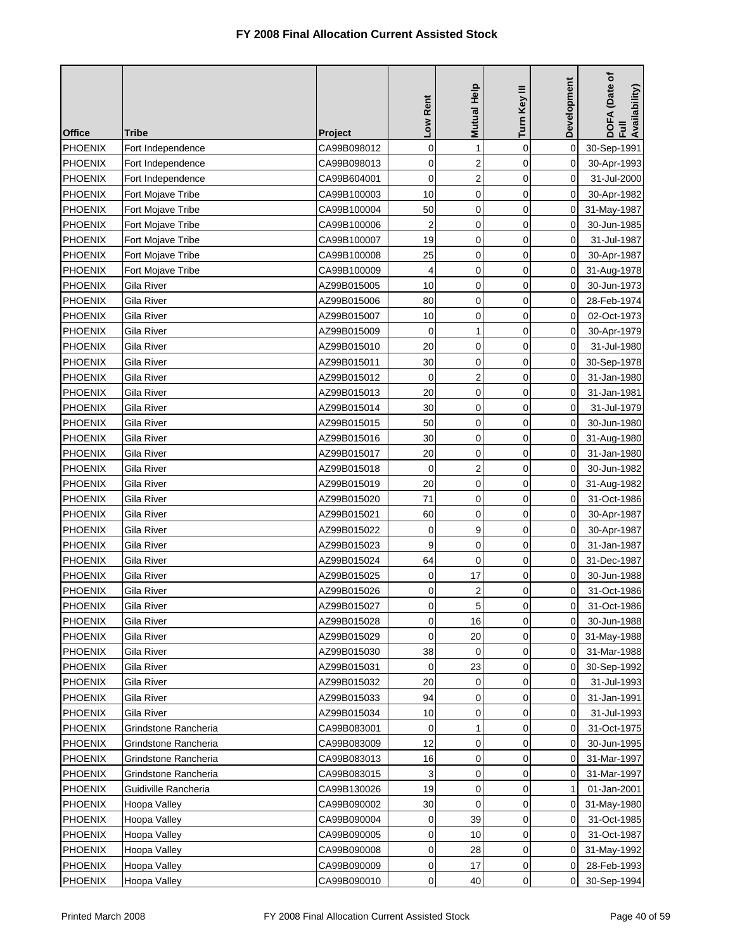| <b>Office</b>  | Tribe                | <b>Project</b> | Low Rent    | <b>Mutual Help</b>      | Turn Key III | Development | DOFA (Date of<br>Full<br>Availability) |
|----------------|----------------------|----------------|-------------|-------------------------|--------------|-------------|----------------------------------------|
| PHOENIX        | Fort Independence    | CA99B098012    | 0           | $\mathbf{1}$            | $\mathbf 0$  | 0           | 30-Sep-1991                            |
| <b>PHOENIX</b> | Fort Independence    | CA99B098013    | 0           | $\overline{c}$          | $\mathbf 0$  | 0           | 30-Apr-1993                            |
| <b>PHOENIX</b> | Fort Independence    | CA99B604001    | $\mathbf 0$ | $\overline{\mathbf{c}}$ | $\mathbf 0$  | 0           | 31-Jul-2000                            |
| <b>PHOENIX</b> | Fort Mojave Tribe    | CA99B100003    | 10          | 0                       | $\mathbf 0$  | 0           | 30-Apr-1982                            |
| <b>PHOENIX</b> | Fort Mojave Tribe    | CA99B100004    | 50          | 0                       | $\mathbf 0$  | 0           | 31-May-1987                            |
| <b>PHOENIX</b> | Fort Mojave Tribe    | CA99B100006    | 2           | 0                       | $\mathbf 0$  | 0           | 30-Jun-1985                            |
| PHOENIX        | Fort Mojave Tribe    | CA99B100007    | 19          | 0                       | 0            | 0           | 31-Jul-1987                            |
| <b>PHOENIX</b> | Fort Mojave Tribe    | CA99B100008    | 25          | 0                       | $\mathbf 0$  | 0           | 30-Apr-1987                            |
| <b>PHOENIX</b> | Fort Mojave Tribe    | CA99B100009    | 4           | 0                       | 0            | 0           | 31-Aug-1978                            |
| <b>PHOENIX</b> | Gila River           | AZ99B015005    | 10          | 0                       | 0            | 0           | 30-Jun-1973                            |
| <b>PHOENIX</b> | Gila River           | AZ99B015006    | 80          | 0                       | 0            | 0           | 28-Feb-1974                            |
| <b>PHOENIX</b> | Gila River           | AZ99B015007    | 10          | 0                       | $\mathbf 0$  | 0           | 02-Oct-1973                            |
| <b>PHOENIX</b> | Gila River           | AZ99B015009    | $\mathbf 0$ | 1                       | $\mathbf 0$  | 0           | 30-Apr-1979                            |
| PHOENIX        | Gila River           | AZ99B015010    | 20          | 0                       | 0            | 0           | 31-Jul-1980                            |
| <b>PHOENIX</b> | Gila River           | AZ99B015011    | 30          | 0                       | $\mathbf 0$  | 0           | 30-Sep-1978                            |
| <b>PHOENIX</b> | Gila River           | AZ99B015012    | 0           | $\overline{2}$          | 0            | 0           | 31-Jan-1980                            |
| <b>PHOENIX</b> | Gila River           | AZ99B015013    | 20          | $\mathbf 0$             | $\mathbf 0$  | 0           | 31-Jan-1981                            |
| <b>PHOENIX</b> | Gila River           | AZ99B015014    | 30          | 0                       | $\mathbf 0$  | 0           | 31-Jul-1979                            |
| <b>PHOENIX</b> | Gila River           | AZ99B015015    | 50          | $\mathbf 0$             | $\mathbf 0$  | 0           | 30-Jun-1980                            |
| <b>PHOENIX</b> | Gila River           | AZ99B015016    | 30          | 0                       | $\mathbf 0$  | 0           | 31-Aug-1980                            |
| <b>PHOENIX</b> | Gila River           | AZ99B015017    | 20          | 0                       | $\mathbf 0$  | 0           | 31-Jan-1980                            |
| PHOENIX        | Gila River           | AZ99B015018    | $\mathbf 0$ | $\boldsymbol{2}$        | $\mathbf 0$  | 0           | 30-Jun-1982                            |
| PHOENIX        | Gila River           | AZ99B015019    | 20          | 0                       | $\mathbf 0$  | 0           | 31-Aug-1982                            |
| <b>PHOENIX</b> | Gila River           | AZ99B015020    | 71          | 0                       | 0            | 0           | 31-Oct-1986                            |
| <b>PHOENIX</b> | Gila River           | AZ99B015021    | 60          | 0                       | 0            | 0           | 30-Apr-1987                            |
| <b>PHOENIX</b> | Gila River           | AZ99B015022    | 0           | 9                       | $\mathbf 0$  | 0           | 30-Apr-1987                            |
| <b>PHOENIX</b> | Gila River           | AZ99B015023    | 9           | 0                       | $\mathbf 0$  | 0           | 31-Jan-1987                            |
| <b>PHOENIX</b> | Gila River           | AZ99B015024    | 64          | 0                       | $\mathbf 0$  | 0           | 31-Dec-1987                            |
| <b>PHOENIX</b> | Gila River           | AZ99B015025    | 0           | 17                      | $\mathbf 0$  | 0           | 30-Jun-1988                            |
| <b>PHOENIX</b> | Gila River           | AZ99B015026    | 0           | $\boldsymbol{2}$        | 0            | 0           | 31-Oct-1986                            |
| PHOENIX        | Gila River           | AZ99B015027    | 0           | 5                       | 0            | $\pmb{0}$   | 31-Oct-1986                            |
| <b>PHOENIX</b> | Gila River           | AZ99B015028    | 0           | 16                      | $\mathbf 0$  | $\Omega$    | 30-Jun-1988                            |
| <b>PHOENIX</b> | Gila River           | AZ99B015029    | 0           | 20                      | 0            | 0           | 31-May-1988                            |
| <b>PHOENIX</b> | Gila River           | AZ99B015030    | 38          | 0                       | 0            | 0           | 31-Mar-1988                            |
| <b>PHOENIX</b> | Gila River           | AZ99B015031    | 0           | 23                      | 0            | 0           | 30-Sep-1992                            |
| <b>PHOENIX</b> | Gila River           | AZ99B015032    | 20          | 0                       | $\mathbf 0$  | 0           | 31-Jul-1993                            |
| <b>PHOENIX</b> | Gila River           | AZ99B015033    | 94          | 0                       | 0            | 0           | 31-Jan-1991                            |
| <b>PHOENIX</b> | Gila River           | AZ99B015034    | 10          | 0                       | $\mathbf 0$  | 0           | 31-Jul-1993                            |
| <b>PHOENIX</b> | Grindstone Rancheria | CA99B083001    | $\mathbf 0$ | 1                       | 0            | 0           | 31-Oct-1975                            |
| <b>PHOENIX</b> | Grindstone Rancheria | CA99B083009    | 12          | $\mathbf 0$             | $\mathbf 0$  | 0           | 30-Jun-1995                            |
| <b>PHOENIX</b> | Grindstone Rancheria | CA99B083013    | 16          | 0                       | 0            | 0           | 31-Mar-1997                            |
| <b>PHOENIX</b> | Grindstone Rancheria | CA99B083015    | 3           | 0                       | 0            | 0           | 31-Mar-1997                            |
| <b>PHOENIX</b> | Guidiville Rancheria | CA99B130026    | 19          | 0                       | 0            | 1           | 01-Jan-2001                            |
| <b>PHOENIX</b> | Hoopa Valley         | CA99B090002    | 30          | 0                       | $\mathbf 0$  | 0           | 31-May-1980                            |
| <b>PHOENIX</b> | Hoopa Valley         | CA99B090004    | 0           | 39                      | 0            | 0           | 31-Oct-1985                            |
| <b>PHOENIX</b> | Hoopa Valley         | CA99B090005    | 0           | 10                      | $\mathbf 0$  | 0           | 31-Oct-1987                            |
| <b>PHOENIX</b> | Hoopa Valley         | CA99B090008    | 0           | 28                      | $\mathbf 0$  | 0           | 31-May-1992                            |
| <b>PHOENIX</b> | Hoopa Valley         | CA99B090009    | 0           | 17                      | 0            | 0           | 28-Feb-1993                            |
| <b>PHOENIX</b> | Hoopa Valley         | CA99B090010    | 0           | 40                      | 0            | 0           | 30-Sep-1994                            |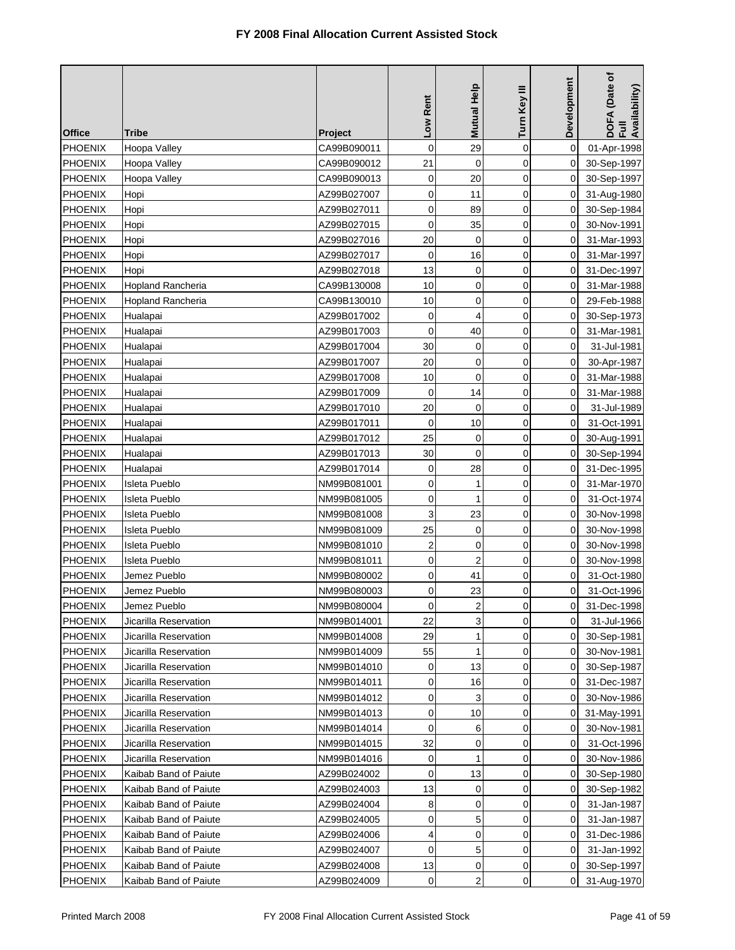| <b>Office</b>  | Tribe                    | <b>Project</b> | Low Rent       | Mutual Help    | Turn Key III | Development    | DOFA (Date of<br>Full<br>Availability) |
|----------------|--------------------------|----------------|----------------|----------------|--------------|----------------|----------------------------------------|
| <b>PHOENIX</b> | Hoopa Valley             | CA99B090011    | 0              | 29             | $\mathbf 0$  | 0              | 01-Apr-1998                            |
| <b>PHOENIX</b> | Hoopa Valley             | CA99B090012    | 21             | $\mathbf 0$    | $\mathbf 0$  | 0              | 30-Sep-1997                            |
| <b>PHOENIX</b> | Hoopa Valley             | CA99B090013    | 0              | 20             | $\mathbf 0$  | 0              | 30-Sep-1997                            |
| <b>PHOENIX</b> | Hopi                     | AZ99B027007    | 0              | 11             | 0            | 0              | 31-Aug-1980                            |
| PHOENIX        | Hopi                     | AZ99B027011    | 0              | 89             | 0            | 0              | 30-Sep-1984                            |
| <b>PHOENIX</b> | Hopi                     | AZ99B027015    | 0              | 35             | 0            | 0              | 30-Nov-1991                            |
| <b>PHOENIX</b> | Hopi                     | AZ99B027016    | 20             | 0              | 0            | 0              | 31-Mar-1993                            |
| <b>PHOENIX</b> | Hopi                     | AZ99B027017    | 0              | 16             | 0            | 0              | 31-Mar-1997                            |
| <b>PHOENIX</b> | Hopi                     | AZ99B027018    | 13             | 0              | 0            | 0              | 31-Dec-1997                            |
| <b>PHOENIX</b> | <b>Hopland Rancheria</b> | CA99B130008    | 10             | 0              | 0            | 0              | 31-Mar-1988                            |
| <b>PHOENIX</b> | Hopland Rancheria        | CA99B130010    | 10             | 0              | 0            | 0              | 29-Feb-1988                            |
| <b>PHOENIX</b> | Hualapai                 | AZ99B017002    | 0              | 4              | 0            | 0              | 30-Sep-1973                            |
| <b>PHOENIX</b> | Hualapai                 | AZ99B017003    | $\mathbf 0$    | 40             | $\mathbf 0$  | 0              | 31-Mar-1981                            |
| <b>PHOENIX</b> | Hualapai                 | AZ99B017004    | 30             | 0              | 0            | 0              | 31-Jul-1981                            |
| PHOENIX        | Hualapai                 | AZ99B017007    | 20             | $\mathbf 0$    | 0            | 0              | 30-Apr-1987                            |
| PHOENIX        | Hualapai                 | AZ99B017008    | 10             | 0              | $\mathbf 0$  | 0              | 31-Mar-1988                            |
| <b>PHOENIX</b> | Hualapai                 | AZ99B017009    | 0              | 14             | 0            | 0              | 31-Mar-1988                            |
| <b>PHOENIX</b> | Hualapai                 | AZ99B017010    | 20             | 0              | $\mathbf 0$  | 0              | 31-Jul-1989                            |
| <b>PHOENIX</b> | Hualapai                 | AZ99B017011    | $\mathbf 0$    | 10             | 0            | 0              | 31-Oct-1991                            |
| <b>PHOENIX</b> | Hualapai                 | AZ99B017012    | 25             | 0              | 0            | 0              | 30-Aug-1991                            |
| <b>PHOENIX</b> | Hualapai                 | AZ99B017013    | 30             | 0              | 0            | 0              | 30-Sep-1994                            |
| PHOENIX        | Hualapai                 | AZ99B017014    | 0              | 28             | 0            | 0              | 31-Dec-1995                            |
| PHOENIX        | Isleta Pueblo            | NM99B081001    | 0              | 1              | 0            | 0              | 31-Mar-1970                            |
| PHOENIX        | Isleta Pueblo            | NM99B081005    | 0              | 1              | 0            | 0              | 31-Oct-1974                            |
| <b>PHOENIX</b> | Isleta Pueblo            | NM99B081008    | 3              | 23             | 0            | 0              | 30-Nov-1998                            |
| <b>PHOENIX</b> | Isleta Pueblo            | NM99B081009    | 25             | 0              | 0            | 0              | 30-Nov-1998                            |
| <b>PHOENIX</b> | Isleta Pueblo            | NM99B081010    | $\mathbf 2$    | 0              | 0            | 0              | 30-Nov-1998                            |
| <b>PHOENIX</b> | Isleta Pueblo            | NM99B081011    | 0              | $\overline{2}$ | $\mathbf 0$  | 0              | 30-Nov-1998                            |
| <b>PHOENIX</b> | Jemez Pueblo             | NM99B080002    | 0              | 41             | 0            | 0              | 31-Oct-1980                            |
| <b>PHOENIX</b> | Jemez Pueblo             | NM99B080003    | 0              | 23             | 0            | 0              | 31-Oct-1996                            |
| PHOENIX        | Jemez Pueblo             | NM99B080004    | $\overline{0}$ | $\overline{c}$ | 0            | $\overline{0}$ | 31-Dec-1998                            |
| <b>PHOENIX</b> | Jicarilla Reservation    | NM99B014001    | 22             | 3              | 0            | 0              | 31-Jul-1966                            |
| <b>PHOENIX</b> | Jicarilla Reservation    | NM99B014008    | 29             | 1              | 0            | 0              | 30-Sep-1981                            |
| <b>PHOENIX</b> | Jicarilla Reservation    | NM99B014009    | 55             | 1              | $\mathbf 0$  | 0              | 30-Nov-1981                            |
| <b>PHOENIX</b> | Jicarilla Reservation    | NM99B014010    | 0              | 13             | 0            | 0              | 30-Sep-1987                            |
| <b>PHOENIX</b> | Jicarilla Reservation    | NM99B014011    | 0              | 16             | 0            | 0              | 31-Dec-1987                            |
| <b>PHOENIX</b> | Jicarilla Reservation    | NM99B014012    | 0              | 3              | 0            | 0              | 30-Nov-1986                            |
| <b>PHOENIX</b> | Jicarilla Reservation    | NM99B014013    | 0              | 10             | $\mathbf 0$  | $\mathbf 0$    | 31-May-1991                            |
| <b>PHOENIX</b> | Jicarilla Reservation    | NM99B014014    | 0              | 6              | 0            | 0              | 30-Nov-1981                            |
| <b>PHOENIX</b> | Jicarilla Reservation    | NM99B014015    | 32             | 0              | 0            | 0              | 31-Oct-1996                            |
| <b>PHOENIX</b> | Jicarilla Reservation    | NM99B014016    | 0              | 1              | 0            | 0              | 30-Nov-1986                            |
| <b>PHOENIX</b> | Kaibab Band of Paiute    | AZ99B024002    | 0              | 13             | 0            | 0              | 30-Sep-1980                            |
| <b>PHOENIX</b> | Kaibab Band of Paiute    | AZ99B024003    | 13             | 0              | $\mathbf 0$  | 0              | 30-Sep-1982                            |
| <b>PHOENIX</b> | Kaibab Band of Paiute    | AZ99B024004    | 8              | 0              | 0            | 0              | 31-Jan-1987                            |
| <b>PHOENIX</b> | Kaibab Band of Paiute    | AZ99B024005    | 0              | 5              | 0            | 0              | 31-Jan-1987                            |
| <b>PHOENIX</b> | Kaibab Band of Paiute    | AZ99B024006    | 4              | 0              | 0            | 0              | 31-Dec-1986                            |
| <b>PHOENIX</b> | Kaibab Band of Paiute    | AZ99B024007    | 0              | 5              | 0            | 0              | 31-Jan-1992                            |
| <b>PHOENIX</b> | Kaibab Band of Paiute    | AZ99B024008    | 13             | 0              | 0            | 0              | 30-Sep-1997                            |
| <b>PHOENIX</b> | Kaibab Band of Paiute    | AZ99B024009    | 0              | 2              | 0            | 0              | 31-Aug-1970                            |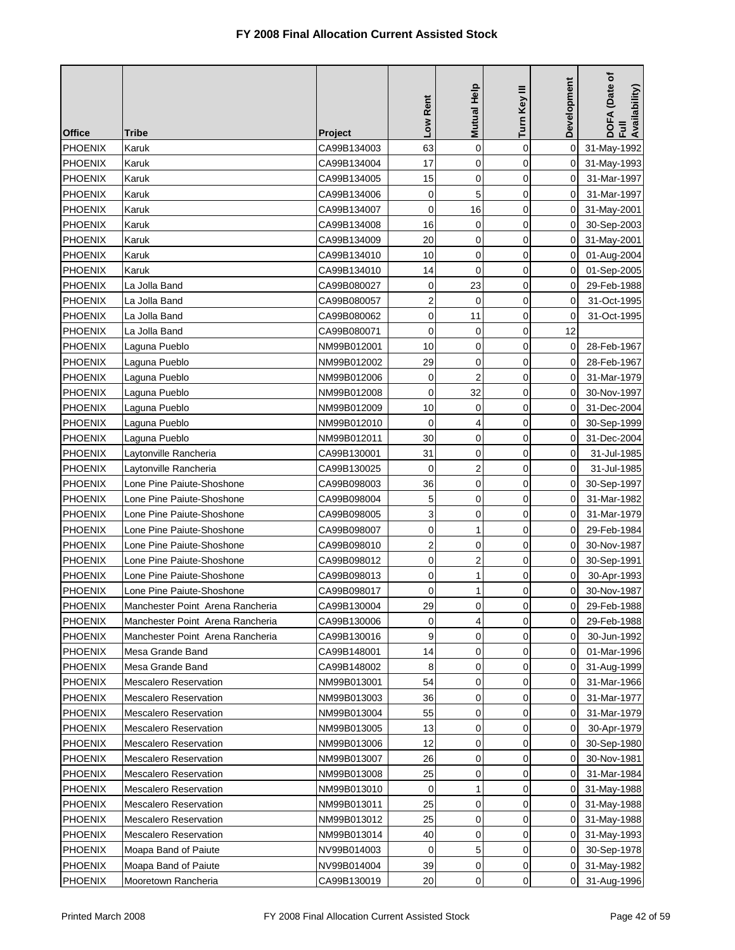| <b>Office</b>  | <b>Tribe</b>                     | <b>Project</b> | Low Rent                | <b>Mutual Help</b> | Turn Key III   | Development    | DOFA (Date of<br>Full<br>Availability) |
|----------------|----------------------------------|----------------|-------------------------|--------------------|----------------|----------------|----------------------------------------|
| PHOENIX        | Karuk                            | CA99B134003    | 63                      | 0                  | $\mathbf 0$    | $\mathbf 0$    | 31-May-1992                            |
| <b>PHOENIX</b> | Karuk                            | CA99B134004    | 17                      | $\mathbf 0$        | $\mathbf 0$    | 0              | 31-May-1993                            |
| <b>PHOENIX</b> | Karuk                            | CA99B134005    | 15                      | $\mathbf 0$        | $\overline{0}$ | $\Omega$       | 31-Mar-1997                            |
| <b>PHOENIX</b> | Karuk                            | CA99B134006    | $\mathbf 0$             | 5                  | 0              | 0              | 31-Mar-1997                            |
| <b>PHOENIX</b> | Karuk                            | CA99B134007    | $\mathbf 0$             | 16                 | $\mathbf 0$    | 0              | 31-May-2001                            |
| <b>PHOENIX</b> | Karuk                            | CA99B134008    | 16                      | 0                  | 0              | 0              | 30-Sep-2003                            |
| PHOENIX        | Karuk                            | CA99B134009    | 20                      | $\mathbf 0$        | $\mathbf 0$    | 0              | 31-May-2001                            |
| PHOENIX        | Karuk                            | CA99B134010    | 10                      | 0                  | $\mathbf 0$    | 0              | 01-Aug-2004                            |
| <b>PHOENIX</b> | Karuk                            | CA99B134010    | 14                      | 0                  | 0              | 0              | 01-Sep-2005                            |
| <b>PHOENIX</b> | La Jolla Band                    | CA99B080027    | 0                       | 23                 | 0              | 0              | 29-Feb-1988                            |
| <b>PHOENIX</b> | La Jolla Band                    | CA99B080057    | $\overline{2}$          | $\mathbf 0$        | $\mathbf 0$    | 0              | 31-Oct-1995                            |
| <b>PHOENIX</b> | La Jolla Band                    | CA99B080062    | 0                       | 11                 | 0              | 0              | 31-Oct-1995                            |
| <b>PHOENIX</b> | La Jolla Band                    | CA99B080071    | 0                       | 0                  | $\mathbf 0$    | 12             |                                        |
| <b>PHOENIX</b> | Laguna Pueblo                    | NM99B012001    | 10                      | 0                  | $\mathbf 0$    | 0              | 28-Feb-1967                            |
| <b>PHOENIX</b> | Laguna Pueblo                    | NM99B012002    | 29                      | 0                  | $\mathbf 0$    | 0              | 28-Feb-1967                            |
| PHOENIX        | Laguna Pueblo                    | NM99B012006    | $\mathbf 0$             | $\overline{2}$     | 0              | 0              | 31-Mar-1979                            |
| <b>PHOENIX</b> | Laguna Pueblo                    | NM99B012008    | 0                       | 32                 | $\mathbf 0$    | 0              | 30-Nov-1997                            |
| <b>PHOENIX</b> | Laguna Pueblo                    | NM99B012009    | 10                      | $\mathbf 0$        | $\mathbf 0$    | 0              | 31-Dec-2004                            |
| <b>PHOENIX</b> | Laguna Pueblo                    | NM99B012010    | $\mathbf 0$             | 4                  | 0              | 0              | 30-Sep-1999                            |
| <b>PHOENIX</b> | Laguna Pueblo                    | NM99B012011    | 30                      | 0                  | 0              | 0              | 31-Dec-2004                            |
| <b>PHOENIX</b> | Laytonville Rancheria            | CA99B130001    | 31                      | 0                  | $\mathbf 0$    | 0              | 31-Jul-1985                            |
| <b>PHOENIX</b> | Laytonville Rancheria            | CA99B130025    | 0                       | $\overline{2}$     | 0              | 0              | 31-Jul-1985                            |
| <b>PHOENIX</b> | Lone Pine Paiute-Shoshone        | CA99B098003    | 36                      | $\mathbf 0$        | 0              | 0              | 30-Sep-1997                            |
| <b>PHOENIX</b> | Lone Pine Paiute-Shoshone        | CA99B098004    | 5                       | 0                  | 0              | 0              | 31-Mar-1982                            |
| <b>PHOENIX</b> | Lone Pine Paiute-Shoshone        | CA99B098005    | 3                       | 0                  | 0              | 0              | 31-Mar-1979                            |
| <b>PHOENIX</b> | Lone Pine Paiute-Shoshone        | CA99B098007    | 0                       | 1                  | 0              | 0              | 29-Feb-1984                            |
| <b>PHOENIX</b> | Lone Pine Paiute-Shoshone        | CA99B098010    | $\overline{\mathbf{c}}$ | 0                  | 0              | 0              | 30-Nov-1987                            |
| <b>PHOENIX</b> | Lone Pine Paiute-Shoshone        | CA99B098012    | 0                       | $\overline{c}$     | $\mathbf 0$    | 0              | 30-Sep-1991                            |
| <b>PHOENIX</b> | Lone Pine Paiute-Shoshone        | CA99B098013    | 0                       | 1                  | 0              | 0              | 30-Apr-1993                            |
| <b>PHOENIX</b> | Lone Pine Paiute-Shoshone        | CA99B098017    | 0                       | 1                  | $\mathbf 0$    | 0              | 30-Nov-1987                            |
| PHOENIX        | Manchester Point Arena Rancheria | CA99B130004    | 29                      | $\overline{0}$     | 0              | $\overline{0}$ | 29-Feb-1988                            |
| <b>PHOENIX</b> | Manchester Point Arena Rancheria | CA99B130006    | 0                       | 4                  | $\mathbf 0$    | 0              | 29-Feb-1988                            |
| PHOENIX        | Manchester Point Arena Rancheria | CA99B130016    | 9                       | 0                  | 0              | 0              | 30-Jun-1992                            |
| <b>PHOENIX</b> | Mesa Grande Band                 | CA99B148001    | 14                      | 0                  | $\mathbf 0$    | 0              | 01-Mar-1996                            |
| <b>PHOENIX</b> | Mesa Grande Band                 | CA99B148002    | 8                       | 0                  | 0              | 0              | 31-Aug-1999                            |
| <b>PHOENIX</b> | Mescalero Reservation            | NM99B013001    | 54                      | 0                  | 0              | 0              | 31-Mar-1966                            |
| <b>PHOENIX</b> | <b>Mescalero Reservation</b>     | NM99B013003    | 36                      | 0                  | 0              | 0              | 31-Mar-1977                            |
| <b>PHOENIX</b> | <b>Mescalero Reservation</b>     | NM99B013004    | 55                      | 0                  | $\mathbf 0$    | 0              | 31-Mar-1979                            |
| <b>PHOENIX</b> | Mescalero Reservation            | NM99B013005    | 13                      | 0                  | 0              | 0              | 30-Apr-1979                            |
| <b>PHOENIX</b> | <b>Mescalero Reservation</b>     | NM99B013006    | 12                      | 0                  | 0              | 0              | 30-Sep-1980                            |
| PHOENIX        | <b>Mescalero Reservation</b>     | NM99B013007    | 26                      | 0                  | 0              | 0              | 30-Nov-1981                            |
| <b>PHOENIX</b> | <b>Mescalero Reservation</b>     | NM99B013008    | 25                      | 0                  | $\mathbf 0$    | 0              | 31-Mar-1984                            |
| <b>PHOENIX</b> | <b>Mescalero Reservation</b>     | NM99B013010    | 0                       | 1                  | $\mathbf 0$    | 0              | 31-May-1988                            |
| <b>PHOENIX</b> | <b>Mescalero Reservation</b>     | NM99B013011    | 25                      | 0                  | 0              | 0              | 31-May-1988                            |
| PHOENIX        | <b>Mescalero Reservation</b>     | NM99B013012    | 25                      | 0                  | 0              | 0              | 31-May-1988                            |
| <b>PHOENIX</b> | <b>Mescalero Reservation</b>     | NM99B013014    | 40                      | 0                  | 0              | 0              | 31-May-1993                            |
| <b>PHOENIX</b> | Moapa Band of Paiute             | NV99B014003    | 0                       | 5                  | 0              | 0              | 30-Sep-1978                            |
| <b>PHOENIX</b> | Moapa Band of Paiute             | NV99B014004    | 39                      | 0                  | 0              | 0              | 31-May-1982                            |
| <b>PHOENIX</b> | Mooretown Rancheria              | CA99B130019    | 20                      | 0                  | 0              | 0              | 31-Aug-1996                            |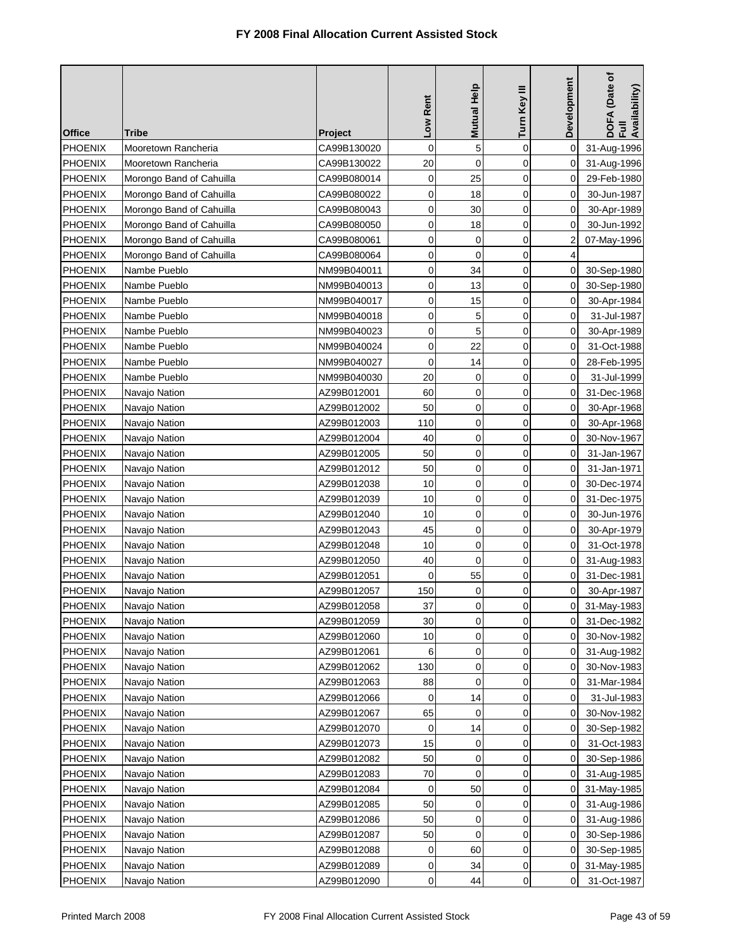| <b>Office</b>  | Tribe                    | <b>Project</b> | Low Rent    | Mutual Help         | Turn Key III | Development | (Date of<br>DOFA (Date<br>Full<br>Availability) |
|----------------|--------------------------|----------------|-------------|---------------------|--------------|-------------|-------------------------------------------------|
| <b>PHOENIX</b> | Mooretown Rancheria      | CA99B130020    | 0           | 5                   | $\mathbf 0$  | 0           | 31-Aug-1996                                     |
| <b>PHOENIX</b> | Mooretown Rancheria      | CA99B130022    | 20          | 0                   | 0            | 0           | 31-Aug-1996                                     |
| <b>PHOENIX</b> | Morongo Band of Cahuilla | CA99B080014    | $\mathbf 0$ | 25                  | 0            | 0           | 29-Feb-1980                                     |
| <b>PHOENIX</b> | Morongo Band of Cahuilla | CA99B080022    | $\mathbf 0$ | 18                  | $\mathbf 0$  | 0           | 30-Jun-1987                                     |
| <b>PHOENIX</b> | Morongo Band of Cahuilla | CA99B080043    | 0           | 30                  | 0            | 0           | 30-Apr-1989                                     |
| <b>PHOENIX</b> | Morongo Band of Cahuilla | CA99B080050    | $\mathbf 0$ | 18                  | 0            | 0           | 30-Jun-1992                                     |
| <b>PHOENIX</b> | Morongo Band of Cahuilla | CA99B080061    | 0           | 0                   | 0            | 2           | 07-May-1996                                     |
| <b>PHOENIX</b> | Morongo Band of Cahuilla | CA99B080064    | 0           | 0                   | 0            | 4           |                                                 |
| <b>PHOENIX</b> | Nambe Pueblo             | NM99B040011    | 0           | 34                  | 0            | 0           | 30-Sep-1980                                     |
| <b>PHOENIX</b> | Nambe Pueblo             | NM99B040013    | 0           | 13                  | 0            | 0           | 30-Sep-1980                                     |
| <b>PHOENIX</b> | Nambe Pueblo             | NM99B040017    | 0           | 15                  | 0            | 0           | 30-Apr-1984                                     |
| <b>PHOENIX</b> | Nambe Pueblo             | NM99B040018    | 0           | 5                   | 0            | 0           | 31-Jul-1987                                     |
| <b>PHOENIX</b> | Nambe Pueblo             | NM99B040023    | 0           | 5                   | 0            | 0           | 30-Apr-1989                                     |
| <b>PHOENIX</b> | Nambe Pueblo             | NM99B040024    | 0           | 22                  | 0            | 0           | 31-Oct-1988                                     |
| <b>PHOENIX</b> | Nambe Pueblo             | NM99B040027    | $\mathbf 0$ | 14                  | $\mathbf 0$  | 0           | 28-Feb-1995                                     |
| <b>PHOENIX</b> | Nambe Pueblo             | NM99B040030    | 20          | 0                   | 0            | 0           | 31-Jul-1999                                     |
| <b>PHOENIX</b> | Navajo Nation            | AZ99B012001    | 60          | 0                   | $\mathbf 0$  | 0           | 31-Dec-1968                                     |
| <b>PHOENIX</b> | Navajo Nation            | AZ99B012002    | 50          | 0                   | 0            | 0           | 30-Apr-1968                                     |
| <b>PHOENIX</b> | Navajo Nation            | AZ99B012003    | 110         | $\mathbf 0$         | $\mathbf 0$  | 0           | 30-Apr-1968                                     |
| <b>PHOENIX</b> | Navajo Nation            | AZ99B012004    | 40          | $\mathbf 0$         | 0            | 0           | 30-Nov-1967                                     |
| <b>PHOENIX</b> | Navajo Nation            | AZ99B012005    | 50          | 0                   | $\mathbf 0$  | 0           | 31-Jan-1967                                     |
| <b>PHOENIX</b> | Navajo Nation            | AZ99B012012    | 50          | 0                   | 0            | 0           | 31-Jan-1971                                     |
| PHOENIX        | Navajo Nation            | AZ99B012038    | 10          | 0                   | 0            | 0           | 30-Dec-1974                                     |
| <b>PHOENIX</b> | Navajo Nation            | AZ99B012039    | 10          | 0                   | 0            | 0           | 31-Dec-1975                                     |
| <b>PHOENIX</b> | Navajo Nation            | AZ99B012040    | 10          | 0                   | $\mathbf 0$  | 0           | 30-Jun-1976                                     |
| <b>PHOENIX</b> | Navajo Nation            | AZ99B012043    | 45          | 0                   | 0            | 0           | 30-Apr-1979                                     |
| <b>PHOENIX</b> | Navajo Nation            | AZ99B012048    | 10          | 0                   | $\mathbf 0$  | 0           | 31-Oct-1978                                     |
| <b>PHOENIX</b> | Navajo Nation            | AZ99B012050    | 40          | 0                   | 0            | 0           | 31-Aug-1983                                     |
| <b>PHOENIX</b> | Navajo Nation            | AZ99B012051    | 0           | 55                  | 0            | 0           | 31-Dec-1981                                     |
| <b>PHOENIX</b> | Navajo Nation            | AZ99B012057    | 150         | 0                   | 0            | 0           | 30-Apr-1987                                     |
| PHOENIX        | Navajo Nation            | AZ99B012058    | 37          | $\mathsf{O}\xspace$ | 0            | 0           | 31-May-1983                                     |
| <b>PHOENIX</b> | Navajo Nation            | AZ99B012059    | 30          | 0                   | 0            | 0           | 31-Dec-1982                                     |
| <b>PHOENIX</b> | Navajo Nation            | AZ99B012060    | 10          | 0                   | 0            | 0           | 30-Nov-1982                                     |
| <b>PHOENIX</b> | Navajo Nation            | AZ99B012061    | 6           | 0                   | 0            | 0           | 31-Aug-1982                                     |
| <b>PHOENIX</b> | Navajo Nation            | AZ99B012062    | 130         | 0                   | 0            | 0           | 30-Nov-1983                                     |
| <b>PHOENIX</b> | Navajo Nation            | AZ99B012063    | 88          | 0                   | 0            | 0           | 31-Mar-1984                                     |
| <b>PHOENIX</b> | Navajo Nation            | AZ99B012066    | 0           | 14                  | 0            | 0           | 31-Jul-1983                                     |
| <b>PHOENIX</b> | Navajo Nation            | AZ99B012067    | 65          | 0                   | 0            | 0           | 30-Nov-1982                                     |
| <b>PHOENIX</b> | Navajo Nation            | AZ99B012070    | 0           | 14                  | 0            | 0           | 30-Sep-1982                                     |
| <b>PHOENIX</b> | Navajo Nation            | AZ99B012073    | 15          | 0                   | 0            | 0           | 31-Oct-1983                                     |
| PHOENIX        | Navajo Nation            | AZ99B012082    | 50          | 0                   | 0            | 0           | 30-Sep-1986                                     |
| <b>PHOENIX</b> | Navajo Nation            | AZ99B012083    | 70          | 0                   | 0            | 0           | 31-Aug-1985                                     |
| <b>PHOENIX</b> | Navajo Nation            | AZ99B012084    | 0           | 50                  | 0            | 0           | 31-May-1985                                     |
| <b>PHOENIX</b> | Navajo Nation            | AZ99B012085    | 50          | 0                   | 0            | 0           | 31-Aug-1986                                     |
| <b>PHOENIX</b> | Navajo Nation            | AZ99B012086    | 50          | 0                   | 0            | 0           | 31-Aug-1986                                     |
| <b>PHOENIX</b> | Navajo Nation            | AZ99B012087    | 50          | 0                   | 0            | 0           | 30-Sep-1986                                     |
| <b>PHOENIX</b> | Navajo Nation            | AZ99B012088    | 0           | 60                  | 0            | 0           | 30-Sep-1985                                     |
| <b>PHOENIX</b> | Navajo Nation            | AZ99B012089    | 0           | 34                  | 0            | 0           | 31-May-1985                                     |
| <b>PHOENIX</b> | Navajo Nation            | AZ99B012090    | 0           | 44                  | 0            | 0           | 31-Oct-1987                                     |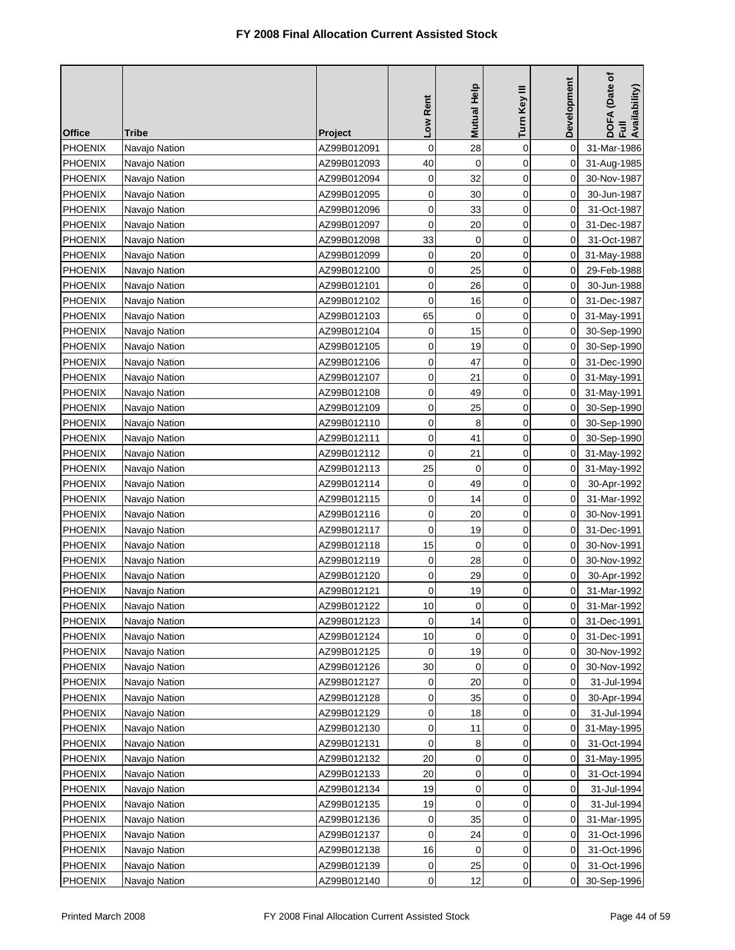| <b>Office</b>  | Tribe         | Project     | Low Rent    | Mutual Help         | Turn Key III | Development    | DOFA (Date of<br>Full<br>Availability) |
|----------------|---------------|-------------|-------------|---------------------|--------------|----------------|----------------------------------------|
| PHOENIX        | Navajo Nation | AZ99B012091 | 0           | 28                  | $\mathbf 0$  | 0              | 31-Mar-1986                            |
| <b>PHOENIX</b> | Navajo Nation | AZ99B012093 | 40          | $\mathbf 0$         | 0            | 0              | 31-Aug-1985                            |
| <b>PHOENIX</b> | Navajo Nation | AZ99B012094 | 0           | 32                  | $\mathbf 0$  | 0              | 30-Nov-1987                            |
| <b>PHOENIX</b> | Navajo Nation | AZ99B012095 | 0           | 30                  | 0            | 0              | 30-Jun-1987                            |
| <b>PHOENIX</b> | Navajo Nation | AZ99B012096 | 0           | 33                  | 0            | 0              | 31-Oct-1987                            |
| PHOENIX        | Navajo Nation | AZ99B012097 | $\mathbf 0$ | 20                  | 0            | 0              | 31-Dec-1987                            |
| <b>PHOENIX</b> | Navajo Nation | AZ99B012098 | 33          | 0                   | 0            | 0              | 31-Oct-1987                            |
| <b>PHOENIX</b> | Navajo Nation | AZ99B012099 | 0           | 20                  | 0            | 0              | 31-May-1988                            |
| <b>PHOENIX</b> | Navajo Nation | AZ99B012100 | 0           | 25                  | $\mathbf 0$  | 0              | 29-Feb-1988                            |
| <b>PHOENIX</b> | Navajo Nation | AZ99B012101 | 0           | 26                  | 0            | 0              | 30-Jun-1988                            |
| <b>PHOENIX</b> | Navajo Nation | AZ99B012102 | 0           | 16                  | 0            | 0              | 31-Dec-1987                            |
| <b>PHOENIX</b> | Navajo Nation | AZ99B012103 | 65          | 0                   | 0            | 0              | 31-May-1991                            |
| <b>PHOENIX</b> | Navajo Nation | AZ99B012104 | 0           | 15                  | $\mathbf 0$  | 0              | 30-Sep-1990                            |
| <b>PHOENIX</b> | Navajo Nation | AZ99B012105 | 0           | 19                  | 0            | 0              | 30-Sep-1990                            |
| <b>PHOENIX</b> | Navajo Nation | AZ99B012106 | $\mathbf 0$ | 47                  | 0            | 0              | 31-Dec-1990                            |
| <b>PHOENIX</b> | Navajo Nation | AZ99B012107 | 0           | 21                  | 0            | 0              | 31-May-1991                            |
| <b>PHOENIX</b> | Navajo Nation | AZ99B012108 | $\mathbf 0$ | 49                  | 0            | 0              | 31-May-1991                            |
| <b>PHOENIX</b> | Navajo Nation | AZ99B012109 | 0           | 25                  | $\mathbf 0$  | 0              | 30-Sep-1990                            |
| <b>PHOENIX</b> | Navajo Nation | AZ99B012110 | $\mathbf 0$ | 8                   | 0            | 0              | 30-Sep-1990                            |
| <b>PHOENIX</b> | Navajo Nation | AZ99B012111 | 0           | 41                  | 0            | 0              | 30-Sep-1990                            |
| <b>PHOENIX</b> | Navajo Nation | AZ99B012112 | 0           | 21                  | 0            | 0              | 31-May-1992                            |
| <b>PHOENIX</b> | Navajo Nation | AZ99B012113 | 25          | 0                   | 0            | 0              | 31-May-1992                            |
| <b>PHOENIX</b> | Navajo Nation | AZ99B012114 | $\mathbf 0$ | 49                  | 0            | 0              | 30-Apr-1992                            |
| PHOENIX        | Navajo Nation | AZ99B012115 | 0           | 14                  | 0            | 0              | 31-Mar-1992                            |
| <b>PHOENIX</b> | Navajo Nation | AZ99B012116 | 0           | 20                  | 0            | 0              | 30-Nov-1991                            |
| <b>PHOENIX</b> | Navajo Nation | AZ99B012117 | 0           | 19                  | 0            | 0              | 31-Dec-1991                            |
| <b>PHOENIX</b> | Navajo Nation | AZ99B012118 | 15          | 0                   | 0            | 0              | 30-Nov-1991                            |
| <b>PHOENIX</b> | Navajo Nation | AZ99B012119 | 0           | 28                  | $\mathbf 0$  | 0              | 30-Nov-1992                            |
| <b>PHOENIX</b> | Navajo Nation | AZ99B012120 | 0           | 29                  | 0            | 0              | 30-Apr-1992                            |
| <b>PHOENIX</b> | Navajo Nation | AZ99B012121 | 0           | 19                  | 0            | 0              | 31-Mar-1992                            |
| PHOENIX        | Navajo Nation | AZ99B012122 | $10$        | $\mathsf{O}\xspace$ | 0            | $\overline{0}$ | 31-Mar-1992                            |
| <b>PHOENIX</b> | Navajo Nation | AZ99B012123 | 0           | 14                  | 0            | 0              | 31-Dec-1991                            |
| <b>PHOENIX</b> | Navajo Nation | AZ99B012124 | 10          | 0                   | 0            | 0              | 31-Dec-1991                            |
| <b>PHOENIX</b> | Navajo Nation | AZ99B012125 | 0           | 19                  | 0            | 0              | 30-Nov-1992                            |
| <b>PHOENIX</b> | Navajo Nation | AZ99B012126 | 30          | 0                   | 0            | 0              | 30-Nov-1992                            |
| <b>PHOENIX</b> | Navajo Nation | AZ99B012127 | 0           | 20                  | 0            | 0              | 31-Jul-1994                            |
| <b>PHOENIX</b> | Navajo Nation | AZ99B012128 | 0           | 35                  | 0            | 0              | 30-Apr-1994                            |
| <b>PHOENIX</b> | Navajo Nation | AZ99B012129 | 0           | 18                  | 0            | 0              | 31-Jul-1994                            |
| <b>PHOENIX</b> | Navajo Nation | AZ99B012130 | 0           | 11                  | 0            | 0              | 31-May-1995                            |
| <b>PHOENIX</b> | Navajo Nation | AZ99B012131 | 0           | 8                   | 0            | 0              | 31-Oct-1994                            |
| PHOENIX        | Navajo Nation | AZ99B012132 | 20          | 0                   | 0            | 0              | 31-May-1995                            |
| <b>PHOENIX</b> | Navajo Nation | AZ99B012133 | 20          | 0                   | 0            | 0              | 31-Oct-1994                            |
| <b>PHOENIX</b> | Navajo Nation | AZ99B012134 | 19          | 0                   | 0            | 0              | 31-Jul-1994                            |
| <b>PHOENIX</b> | Navajo Nation | AZ99B012135 | 19          | 0                   | 0            | 0              | 31-Jul-1994                            |
| <b>PHOENIX</b> | Navajo Nation | AZ99B012136 | 0           | 35                  | 0            | 0              | 31-Mar-1995                            |
| <b>PHOENIX</b> | Navajo Nation | AZ99B012137 | 0           | 24                  | 0            | 0              | 31-Oct-1996                            |
| <b>PHOENIX</b> | Navajo Nation | AZ99B012138 | 16          | 0                   | 0            | 0              | 31-Oct-1996                            |
| <b>PHOENIX</b> | Navajo Nation | AZ99B012139 | 0           | 25                  | 0            | 0              | 31-Oct-1996                            |
| <b>PHOENIX</b> | Navajo Nation | AZ99B012140 | 0           | 12                  | 0            | 0              | 30-Sep-1996                            |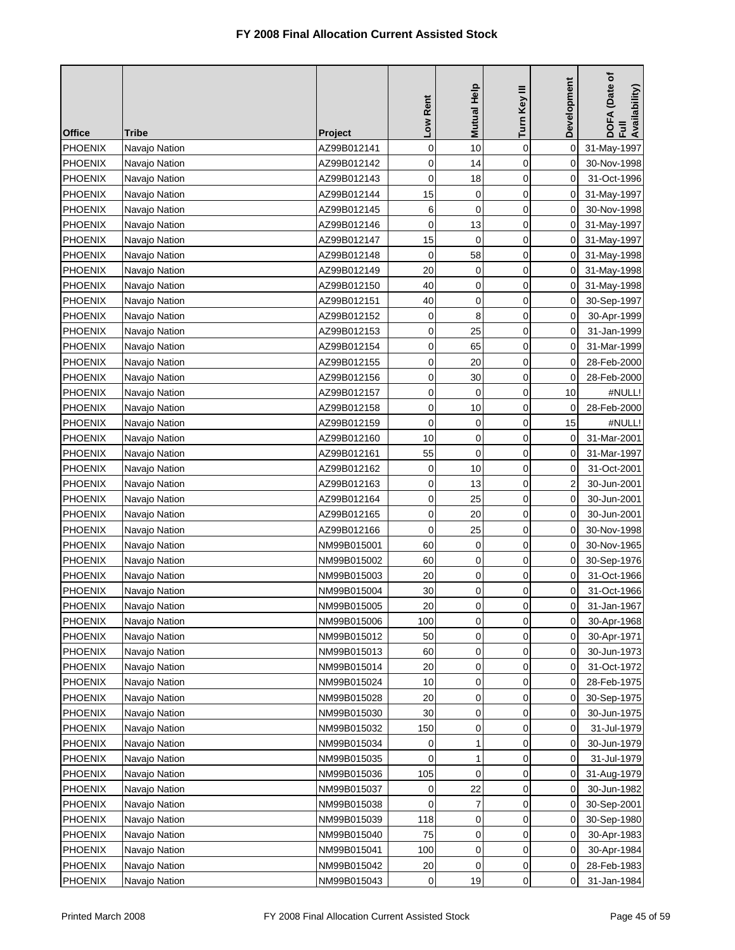| <b>Office</b>  | Tribe         | <b>Project</b> | Low Rent    | <b>Mutual Help</b> | Turn Key III | Development | DOFA (Date of<br>Full<br>Availability) |
|----------------|---------------|----------------|-------------|--------------------|--------------|-------------|----------------------------------------|
| <b>PHOENIX</b> | Navajo Nation | AZ99B012141    | 0           | 10                 | $\mathbf 0$  | 0           | 31-May-1997                            |
| <b>PHOENIX</b> | Navajo Nation | AZ99B012142    | 0           | 14                 | 0            | 0           | 30-Nov-1998                            |
| <b>PHOENIX</b> | Navajo Nation | AZ99B012143    | $\mathbf 0$ | 18                 | 0            | 0           | 31-Oct-1996                            |
| <b>PHOENIX</b> | Navajo Nation | AZ99B012144    | 15          | 0                  | 0            | 0           | 31-May-1997                            |
| <b>PHOENIX</b> | Navajo Nation | AZ99B012145    | 6           | 0                  | 0            | 0           | 30-Nov-1998                            |
| <b>PHOENIX</b> | Navajo Nation | AZ99B012146    | $\mathbf 0$ | 13                 | 0            | 0           | 31-May-1997                            |
| <b>PHOENIX</b> | Navajo Nation | AZ99B012147    | 15          | 0                  | 0            | 0           | 31-May-1997                            |
| PHOENIX        | Navajo Nation | AZ99B012148    | 0           | 58                 | 0            | 0           | 31-May-1998                            |
| <b>PHOENIX</b> | Navajo Nation | AZ99B012149    | 20          | 0                  | 0            | 0           | 31-May-1998                            |
| <b>PHOENIX</b> | Navajo Nation | AZ99B012150    | 40          | 0                  | 0            | 0           | 31-May-1998                            |
| <b>PHOENIX</b> | Navajo Nation | AZ99B012151    | 40          | 0                  | 0            | 0           | 30-Sep-1997                            |
| <b>PHOENIX</b> | Navajo Nation | AZ99B012152    | 0           | 8                  | 0            | 0           | 30-Apr-1999                            |
| <b>PHOENIX</b> | Navajo Nation | AZ99B012153    | 0           | 25                 | 0            | 0           | 31-Jan-1999                            |
| <b>PHOENIX</b> | Navajo Nation | AZ99B012154    | 0           | 65                 | 0            | 0           | 31-Mar-1999                            |
| <b>PHOENIX</b> | Navajo Nation | AZ99B012155    | 0           | 20                 | 0            | 0           | 28-Feb-2000                            |
| <b>PHOENIX</b> | Navajo Nation | AZ99B012156    | 0           | 30                 | 0            | 0           | 28-Feb-2000                            |
| <b>PHOENIX</b> | Navajo Nation | AZ99B012157    | 0           | 0                  | 0            | 10          | #NULL!                                 |
| <b>PHOENIX</b> | Navajo Nation | AZ99B012158    | 0           | 10                 | 0            | 0           | 28-Feb-2000                            |
| <b>PHOENIX</b> | Navajo Nation | AZ99B012159    | 0           | 0                  | 0            | 15          | #NULL!                                 |
| <b>PHOENIX</b> | Navajo Nation | AZ99B012160    | 10          | $\mathbf 0$        | 0            | 0           | 31-Mar-2001                            |
| <b>PHOENIX</b> | Navajo Nation | AZ99B012161    | 55          | 0                  | 0            | 0           | 31-Mar-1997                            |
| <b>PHOENIX</b> | Navajo Nation | AZ99B012162    | 0           | 10                 | $\mathbf 0$  | 0           | 31-Oct-2001                            |
| <b>PHOENIX</b> | Navajo Nation | AZ99B012163    | 0           | 13                 | 0            | 2           | 30-Jun-2001                            |
| <b>PHOENIX</b> | Navajo Nation | AZ99B012164    | 0           | 25                 | 0            | 0           | 30-Jun-2001                            |
| <b>PHOENIX</b> | Navajo Nation | AZ99B012165    | 0           | 20                 | 0            | 0           | 30-Jun-2001                            |
| <b>PHOENIX</b> | Navajo Nation | AZ99B012166    | 0           | 25                 | $\mathbf 0$  | 0           | 30-Nov-1998                            |
| <b>PHOENIX</b> | Navajo Nation | NM99B015001    | 60          | 0                  | 0            | 0           | 30-Nov-1965                            |
| <b>PHOENIX</b> | Navajo Nation | NM99B015002    | 60          | 0                  | 0            | 0           | 30-Sep-1976                            |
| <b>PHOENIX</b> | Navajo Nation | NM99B015003    | 20          | 0                  | 0            | 0           | 31-Oct-1966                            |
| <b>PHOENIX</b> | Navajo Nation | NM99B015004    | 30          | 0                  | 0            | 0           | 31-Oct-1966                            |
| PHOENIX        | Navajo Nation | NM99B015005    | 20          | 0                  | 0            | $\mathbf 0$ | 31-Jan-1967                            |
| <b>PHOENIX</b> | Navajo Nation | NM99B015006    | 100         | 0                  | 0            | 0           | 30-Apr-1968                            |
| <b>PHOENIX</b> | Navajo Nation | NM99B015012    | 50          | 0                  | 0            | 0           | 30-Apr-1971                            |
| <b>PHOENIX</b> | Navajo Nation | NM99B015013    | 60          | 0                  | 0            | 0           | 30-Jun-1973                            |
| <b>PHOENIX</b> | Navajo Nation | NM99B015014    | 20          | 0                  | 0            | 0           | 31-Oct-1972                            |
| <b>PHOENIX</b> | Navajo Nation | NM99B015024    | 10          | 0                  | 0            | 0           | 28-Feb-1975                            |
| <b>PHOENIX</b> | Navajo Nation | NM99B015028    | 20          | 0                  | 0            | 0           | 30-Sep-1975                            |
| <b>PHOENIX</b> | Navajo Nation | NM99B015030    | 30          | 0                  | 0            | 0           | 30-Jun-1975                            |
| PHOENIX        | Navajo Nation | NM99B015032    | 150         | 0                  | 0            | 0           | 31-Jul-1979                            |
| <b>PHOENIX</b> | Navajo Nation | NM99B015034    | 0           | 1                  | 0            | 0           | 30-Jun-1979                            |
| <b>PHOENIX</b> | Navajo Nation | NM99B015035    | $\mathbf 0$ | 1                  | 0            | 0           | 31-Jul-1979                            |
| PHOENIX        | Navajo Nation | NM99B015036    | 105         | 0                  | 0            | 0           | 31-Aug-1979                            |
| <b>PHOENIX</b> | Navajo Nation | NM99B015037    | 0           | 22                 | 0            | 0           | 30-Jun-1982                            |
| <b>PHOENIX</b> | Navajo Nation | NM99B015038    | 0           | 7                  | 0            | 0           | 30-Sep-2001                            |
| <b>PHOENIX</b> | Navajo Nation | NM99B015039    | 118         | 0                  | 0            | 0           | 30-Sep-1980                            |
| <b>PHOENIX</b> | Navajo Nation | NM99B015040    | 75          | 0                  | 0            | 0           | 30-Apr-1983                            |
| <b>PHOENIX</b> | Navajo Nation | NM99B015041    | 100         | 0                  | 0            | 0           | 30-Apr-1984                            |
| <b>PHOENIX</b> | Navajo Nation | NM99B015042    | 20          | 0                  | 0            | 0           | 28-Feb-1983                            |
| <b>PHOENIX</b> | Navajo Nation | NM99B015043    | 0           | 19                 | 0            | 0           | 31-Jan-1984                            |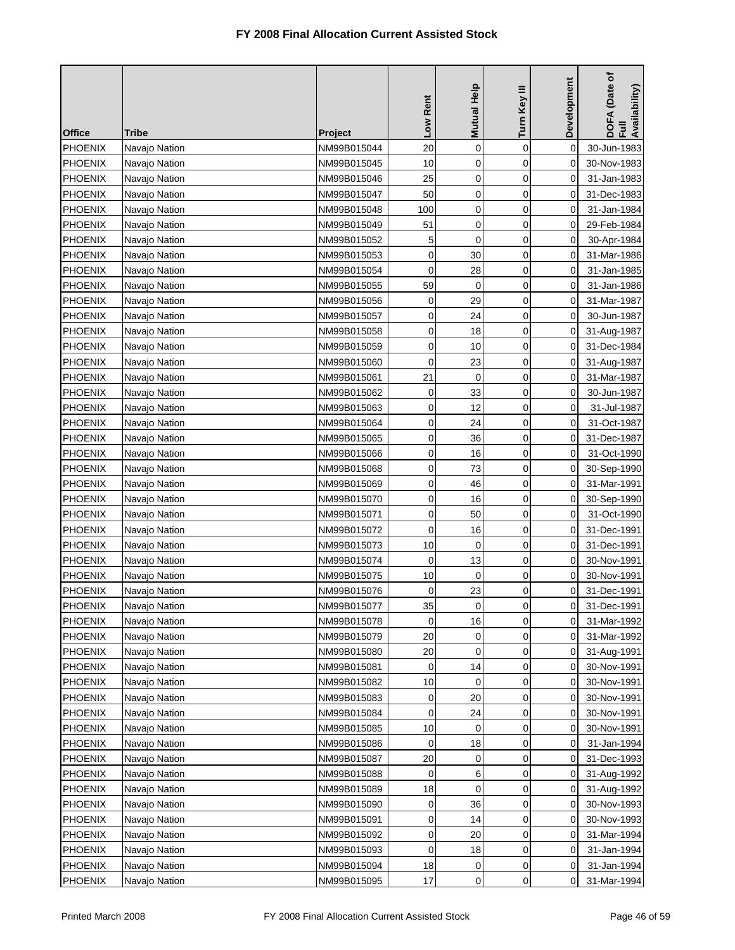| <b>Office</b>  | Tribe         | <b>Project</b> | Low Rent    | Mutual Help         | Turn Key III | Development    | DOFA (Date of<br>Full<br>Availability) |
|----------------|---------------|----------------|-------------|---------------------|--------------|----------------|----------------------------------------|
| PHOENIX        | Navajo Nation | NM99B015044    | 20          | 0                   | $\mathbf 0$  | 0              | 30-Jun-1983                            |
| <b>PHOENIX</b> | Navajo Nation | NM99B015045    | 10          | 0                   | 0            | 0              | 30-Nov-1983                            |
| <b>PHOENIX</b> | Navajo Nation | NM99B015046    | 25          | $\mathbf 0$         | $\mathbf 0$  | 0              | 31-Jan-1983                            |
| <b>PHOENIX</b> | Navajo Nation | NM99B015047    | 50          | $\mathbf 0$         | 0            | 0              | 31-Dec-1983                            |
| <b>PHOENIX</b> | Navajo Nation | NM99B015048    | 100         | 0                   | 0            | 0              | 31-Jan-1984                            |
| <b>PHOENIX</b> | Navajo Nation | NM99B015049    | 51          | 0                   | 0            | 0              | 29-Feb-1984                            |
| <b>PHOENIX</b> | Navajo Nation | NM99B015052    | 5           | 0                   | 0            | 0              | 30-Apr-1984                            |
| <b>PHOENIX</b> | Navajo Nation | NM99B015053    | 0           | 30                  | 0            | 0              | 31-Mar-1986                            |
| <b>PHOENIX</b> | Navajo Nation | NM99B015054    | 0           | 28                  | $\mathbf 0$  | 0              | 31-Jan-1985                            |
| <b>PHOENIX</b> | Navajo Nation | NM99B015055    | 59          | 0                   | 0            | 0              | 31-Jan-1986                            |
| <b>PHOENIX</b> | Navajo Nation | NM99B015056    | 0           | 29                  | 0            | 0              | 31-Mar-1987                            |
| <b>PHOENIX</b> | Navajo Nation | NM99B015057    | 0           | 24                  | 0            | 0              | 30-Jun-1987                            |
| <b>PHOENIX</b> | Navajo Nation | NM99B015058    | 0           | 18                  | 0            | 0              | 31-Aug-1987                            |
| <b>PHOENIX</b> | Navajo Nation | NM99B015059    | 0           | 10                  | 0            | 0              | 31-Dec-1984                            |
| <b>PHOENIX</b> | Navajo Nation | NM99B015060    | $\mathbf 0$ | 23                  | 0            | 0              | 31-Aug-1987                            |
| <b>PHOENIX</b> | Navajo Nation | NM99B015061    | 21          | 0                   | 0            | 0              | 31-Mar-1987                            |
| <b>PHOENIX</b> | Navajo Nation | NM99B015062    | 0           | 33                  | 0            | 0              | 30-Jun-1987                            |
| <b>PHOENIX</b> | Navajo Nation | NM99B015063    | 0           | 12                  | $\mathbf 0$  | 0              | 31-Jul-1987                            |
| <b>PHOENIX</b> | Navajo Nation | NM99B015064    | $\mathbf 0$ | 24                  | 0            | 0              | 31-Oct-1987                            |
| <b>PHOENIX</b> | Navajo Nation | NM99B015065    | 0           | 36                  | 0            | 0              | 31-Dec-1987                            |
| <b>PHOENIX</b> | Navajo Nation | NM99B015066    | 0           | 16                  | 0            | 0              | 31-Oct-1990                            |
| <b>PHOENIX</b> | Navajo Nation | NM99B015068    | 0           | 73                  | 0            | 0              | 30-Sep-1990                            |
| <b>PHOENIX</b> | Navajo Nation | NM99B015069    | 0           | 46                  | 0            | 0              | 31-Mar-1991                            |
| PHOENIX        | Navajo Nation | NM99B015070    | 0           | 16                  | 0            | 0              | 30-Sep-1990                            |
| <b>PHOENIX</b> | Navajo Nation | NM99B015071    | 0           | 50                  | 0            | 0              | 31-Oct-1990                            |
| <b>PHOENIX</b> | Navajo Nation | NM99B015072    | 0           | 16                  | 0            | 0              | 31-Dec-1991                            |
| <b>PHOENIX</b> | Navajo Nation | NM99B015073    | 10          | 0                   | 0            | 0              | 31-Dec-1991                            |
| <b>PHOENIX</b> | Navajo Nation | NM99B015074    | $\mathbf 0$ | 13                  | 0            | 0              | 30-Nov-1991                            |
| <b>PHOENIX</b> | Navajo Nation | NM99B015075    | 10          | $\mathbf 0$         | 0            | 0              | 30-Nov-1991                            |
| <b>PHOENIX</b> | Navajo Nation | NM99B015076    | 0           | 23                  | 0            | 0              | 31-Dec-1991                            |
| PHOENIX        | Navajo Nation | NM99B015077    | 35          | $\mathsf{O}\xspace$ | 0            | $\overline{0}$ | 31-Dec-1991                            |
| <b>PHOENIX</b> | Navajo Nation | NM99B015078    | 0           | 16                  | 0            | 0              | 31-Mar-1992                            |
| <b>PHOENIX</b> | Navajo Nation | NM99B015079    | 20          | 0                   | 0            | 0              | 31-Mar-1992                            |
| <b>PHOENIX</b> | Navajo Nation | NM99B015080    | 20          | 0                   | 0            | 0              | 31-Aug-1991                            |
| <b>PHOENIX</b> | Navajo Nation | NM99B015081    | 0           | 14                  | 0            | 0              | 30-Nov-1991                            |
| <b>PHOENIX</b> | Navajo Nation | NM99B015082    | 10          | 0                   | 0            | 0              | 30-Nov-1991                            |
| <b>PHOENIX</b> | Navajo Nation | NM99B015083    | 0           | 20                  | 0            | 0              | 30-Nov-1991                            |
| <b>PHOENIX</b> | Navajo Nation | NM99B015084    | 0           | 24                  | 0            | 0              | 30-Nov-1991                            |
| <b>PHOENIX</b> | Navajo Nation | NM99B015085    | 10          | 0                   | 0            | 0              | 30-Nov-1991                            |
| <b>PHOENIX</b> | Navajo Nation | NM99B015086    | 0           | 18                  | 0            | 0              | 31-Jan-1994                            |
| PHOENIX        | Navajo Nation | NM99B015087    | 20          | 0                   | 0            | 0              | 31-Dec-1993                            |
| <b>PHOENIX</b> | Navajo Nation | NM99B015088    | 0           | 6                   | 0            | 0              | 31-Aug-1992                            |
| <b>PHOENIX</b> | Navajo Nation | NM99B015089    | 18          | 0                   | 0            | 0              | 31-Aug-1992                            |
| <b>PHOENIX</b> | Navajo Nation | NM99B015090    | 0           | 36                  | 0            | 0              | 30-Nov-1993                            |
| <b>PHOENIX</b> | Navajo Nation | NM99B015091    | 0           | 14                  | 0            | 0              | 30-Nov-1993                            |
| <b>PHOENIX</b> | Navajo Nation | NM99B015092    | 0           | 20                  | 0            | 0              | 31-Mar-1994                            |
| <b>PHOENIX</b> | Navajo Nation | NM99B015093    | 0           | 18                  | 0            | 0              | 31-Jan-1994                            |
| <b>PHOENIX</b> | Navajo Nation | NM99B015094    | 18          | 0                   | 0            | 0              | 31-Jan-1994                            |
| <b>PHOENIX</b> | Navajo Nation | NM99B015095    | 17          | 0                   | 0            | 0              | 31-Mar-1994                            |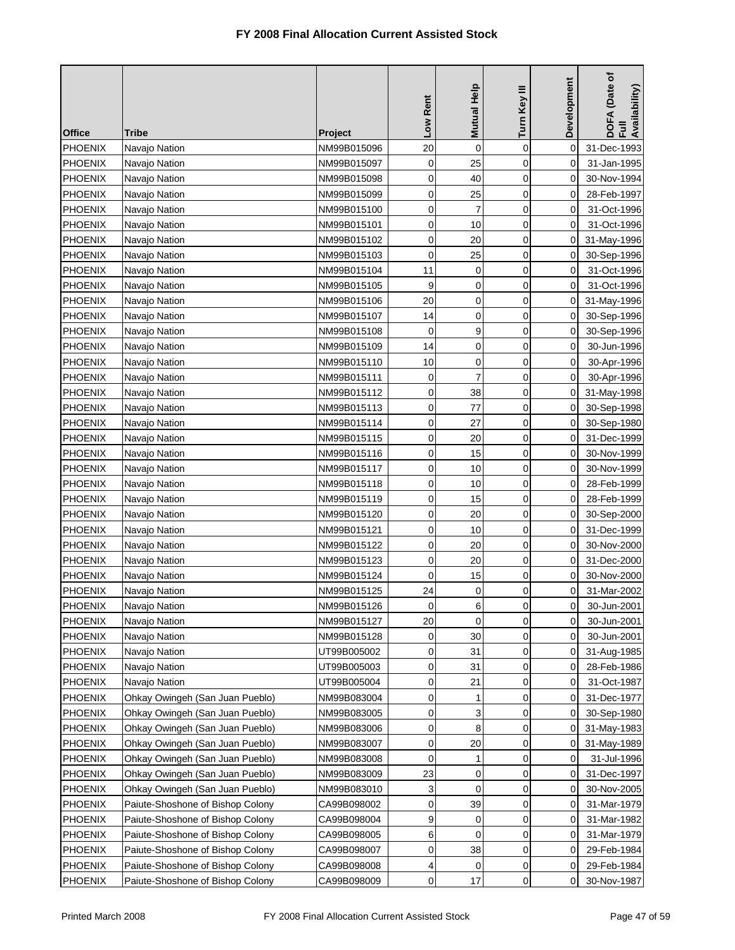| <b>Office</b>  | Tribe                            | Project     | Low Rent    | <b>Mutual Help</b> | Turn Key III | Development | DOFA (Date of<br>Full<br>Availability) |
|----------------|----------------------------------|-------------|-------------|--------------------|--------------|-------------|----------------------------------------|
| <b>PHOENIX</b> | Navajo Nation                    | NM99B015096 | 20          | 0                  | $\mathbf 0$  | 0           | 31-Dec-1993                            |
| <b>PHOENIX</b> | Navajo Nation                    | NM99B015097 | $\mathbf 0$ | 25                 | $\mathbf 0$  | 0           | 31-Jan-1995                            |
| <b>PHOENIX</b> | Navajo Nation                    | NM99B015098 | 0           | 40                 | $\mathbf 0$  | 0           | 30-Nov-1994                            |
| <b>PHOENIX</b> | Navajo Nation                    | NM99B015099 | $\mathbf 0$ | 25                 | $\mathbf 0$  | 0           | 28-Feb-1997                            |
| <b>PHOENIX</b> | Navajo Nation                    | NM99B015100 | 0           | $\overline{7}$     | $\mathbf 0$  | 0           | 31-Oct-1996                            |
| <b>PHOENIX</b> | Navajo Nation                    | NM99B015101 | 0           | 10                 | $\mathbf 0$  | 0           | 31-Oct-1996                            |
| <b>PHOENIX</b> | Navajo Nation                    | NM99B015102 | 0           | 20                 | $\mathbf 0$  | 0           | 31-May-1996                            |
| PHOENIX        | Navajo Nation                    | NM99B015103 | $\mathbf 0$ | 25                 | 0            | 0           | 30-Sep-1996                            |
| <b>PHOENIX</b> | Navajo Nation                    | NM99B015104 | 11          | 0                  | 0            | 0           | 31-Oct-1996                            |
| <b>PHOENIX</b> | Navajo Nation                    | NM99B015105 | 9           | 0                  | 0            | 0           | 31-Oct-1996                            |
| <b>PHOENIX</b> | Navajo Nation                    | NM99B015106 | 20          | 0                  | $\mathbf 0$  | 0           | 31-May-1996                            |
| <b>PHOENIX</b> | Navajo Nation                    | NM99B015107 | 14          | 0                  | $\mathbf 0$  | 0           | 30-Sep-1996                            |
| <b>PHOENIX</b> | Navajo Nation                    | NM99B015108 | 0           | 9                  | $\mathbf 0$  | 0           | 30-Sep-1996                            |
| <b>PHOENIX</b> | Navajo Nation                    | NM99B015109 | 14          | 0                  | 0            | 0           | 30-Jun-1996                            |
| <b>PHOENIX</b> | Navajo Nation                    | NM99B015110 | 10          | 0                  | $\mathbf 0$  | 0           | 30-Apr-1996                            |
| PHOENIX        | Navajo Nation                    | NM99B015111 | 0           | 7                  | $\mathbf 0$  | 0           | 30-Apr-1996                            |
| <b>PHOENIX</b> | Navajo Nation                    | NM99B015112 | 0           | 38                 | $\mathbf 0$  | 0           | 31-May-1998                            |
| <b>PHOENIX</b> | Navajo Nation                    | NM99B015113 | 0           | 77                 | $\mathbf 0$  | 0           | 30-Sep-1998                            |
| <b>PHOENIX</b> | Navajo Nation                    | NM99B015114 | 0           | 27                 | $\mathbf 0$  | 0           | 30-Sep-1980                            |
| <b>PHOENIX</b> | Navajo Nation                    | NM99B015115 | 0           | 20                 | 0            | 0           | 31-Dec-1999                            |
| <b>PHOENIX</b> | Navajo Nation                    | NM99B015116 | 0           | 15                 | $\mathbf 0$  | 0           | 30-Nov-1999                            |
| <b>PHOENIX</b> | Navajo Nation                    | NM99B015117 | 0           | 10                 | $\mathbf 0$  | 0           | 30-Nov-1999                            |
| <b>PHOENIX</b> | Navajo Nation                    | NM99B015118 | 0           | 10                 | $\mathbf 0$  | 0           | 28-Feb-1999                            |
| PHOENIX        | Navajo Nation                    | NM99B015119 | 0           | 15                 | $\mathbf 0$  | 0           | 28-Feb-1999                            |
| <b>PHOENIX</b> | Navajo Nation                    | NM99B015120 | 0           | 20                 | 0            | 0           | 30-Sep-2000                            |
| <b>PHOENIX</b> | Navajo Nation                    | NM99B015121 | 0           | 10                 | $\mathbf 0$  | 0           | 31-Dec-1999                            |
| <b>PHOENIX</b> | Navajo Nation                    | NM99B015122 | 0           | 20                 | $\mathbf 0$  | 0           | 30-Nov-2000                            |
| <b>PHOENIX</b> | Navajo Nation                    | NM99B015123 | $\mathbf 0$ | 20                 | $\mathbf 0$  | 0           | 31-Dec-2000                            |
| <b>PHOENIX</b> | Navajo Nation                    | NM99B015124 | 0           | 15                 | $\mathbf 0$  | 0           | 30-Nov-2000                            |
| <b>PHOENIX</b> | Navajo Nation                    | NM99B015125 | 24          | 0                  | 0            | 0           | 31-Mar-2002                            |
| PHOENIX        | Navajo Nation                    | NM99B015126 | $\mathbf 0$ | 6                  | 0            | 0           | 30-Jun-2001                            |
| <b>PHOENIX</b> | Navajo Nation                    | NM99B015127 | 20          | $\mathbf 0$        | $\mathbf 0$  | 0           | 30-Jun-2001                            |
| <b>PHOENIX</b> | Navajo Nation                    | NM99B015128 | 0           | 30                 | 0            | 0           | 30-Jun-2001                            |
| <b>PHOENIX</b> | Navajo Nation                    | UT99B005002 | 0           | 31                 | 0            | 0           | 31-Aug-1985                            |
| <b>PHOENIX</b> | Navajo Nation                    | UT99B005003 | 0           | 31                 | 0            | 0           | 28-Feb-1986                            |
| <b>PHOENIX</b> | Navajo Nation                    | UT99B005004 | 0           | 21                 | 0            | 0           | 31-Oct-1987                            |
| <b>PHOENIX</b> | Ohkay Owingeh (San Juan Pueblo)  | NM99B083004 | 0           | 1                  | 0            | 0           | 31-Dec-1977                            |
| <b>PHOENIX</b> | Ohkay Owingeh (San Juan Pueblo)  | NM99B083005 | 0           | 3                  | $\mathbf 0$  | 0           | 30-Sep-1980                            |
| <b>PHOENIX</b> | Ohkay Owingeh (San Juan Pueblo)  | NM99B083006 | 0           | 8                  | 0            | 0           | 31-May-1983                            |
| <b>PHOENIX</b> | Ohkay Owingeh (San Juan Pueblo)  | NM99B083007 | 0           | 20                 | 0            | 0           | 31-May-1989                            |
| <b>PHOENIX</b> | Ohkay Owingeh (San Juan Pueblo)  | NM99B083008 | 0           | 1                  | 0            | 0           | 31-Jul-1996                            |
| <b>PHOENIX</b> | Ohkay Owingeh (San Juan Pueblo)  | NM99B083009 | 23          | 0                  | 0            | 0           | 31-Dec-1997                            |
| <b>PHOENIX</b> | Ohkay Owingeh (San Juan Pueblo)  | NM99B083010 | 3           | 0                  | 0            | 0           | 30-Nov-2005                            |
| <b>PHOENIX</b> | Paiute-Shoshone of Bishop Colony | CA99B098002 | 0           | 39                 | $\mathbf 0$  | 0           | 31-Mar-1979                            |
| <b>PHOENIX</b> | Paiute-Shoshone of Bishop Colony | CA99B098004 | 9           | 0                  | 0            | 0           | 31-Mar-1982                            |
| <b>PHOENIX</b> | Paiute-Shoshone of Bishop Colony | CA99B098005 | 6           | 0                  | $\mathbf 0$  | 0           | 31-Mar-1979                            |
| <b>PHOENIX</b> | Paiute-Shoshone of Bishop Colony | CA99B098007 | 0           | 38                 | $\mathbf 0$  | 0           | 29-Feb-1984                            |
| <b>PHOENIX</b> | Paiute-Shoshone of Bishop Colony | CA99B098008 | 4           | 0                  | 0            | 0           | 29-Feb-1984                            |
| <b>PHOENIX</b> | Paiute-Shoshone of Bishop Colony | CA99B098009 | $\mathbf 0$ | 17                 | $\mathbf 0$  | 0           | 30-Nov-1987                            |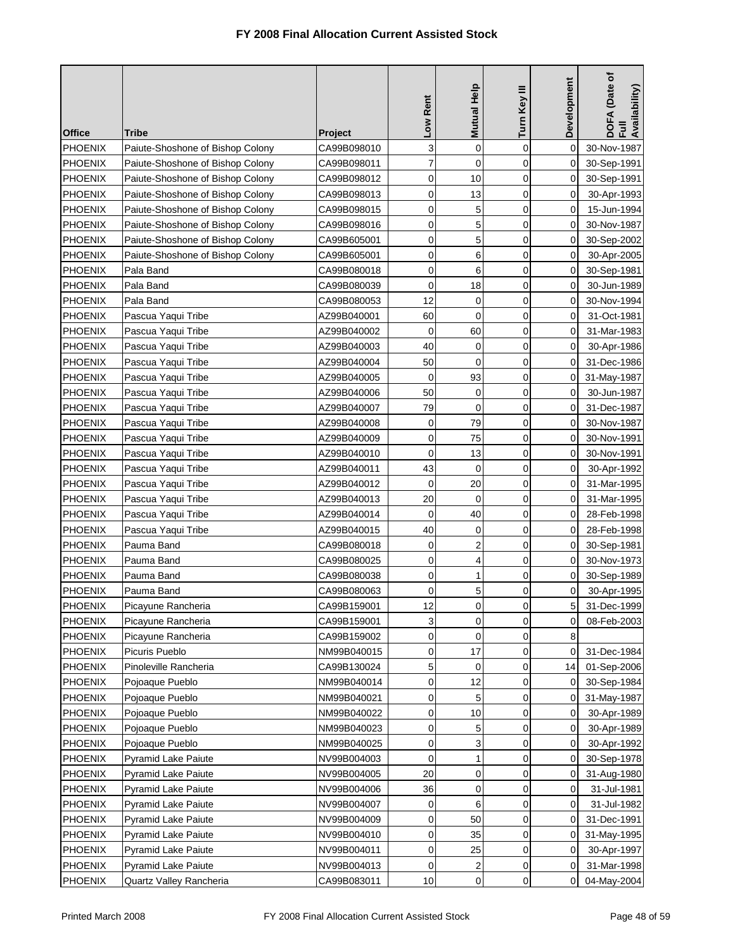| <b>Office</b>  | <b>Tribe</b>                     | <b>Project</b> | Low Rent       | Mutual Help         | Turn Key III   | Development    | DOFA (Date of<br>Full<br>Availability) |
|----------------|----------------------------------|----------------|----------------|---------------------|----------------|----------------|----------------------------------------|
| PHOENIX        | Paiute-Shoshone of Bishop Colony | CA99B098010    | 3              | 0                   | $\mathbf 0$    | 0              | 30-Nov-1987                            |
| <b>PHOENIX</b> | Paiute-Shoshone of Bishop Colony | CA99B098011    | $\overline{7}$ | $\mathbf 0$         | 0              | 0              | 30-Sep-1991                            |
| PHOENIX        | Paiute-Shoshone of Bishop Colony | CA99B098012    | 0              | 10                  | 0              | 0              | 30-Sep-1991                            |
| <b>PHOENIX</b> | Paiute-Shoshone of Bishop Colony | CA99B098013    | $\mathbf 0$    | 13                  | $\overline{0}$ | 0              | 30-Apr-1993                            |
| PHOENIX        | Paiute-Shoshone of Bishop Colony | CA99B098015    | 0              | 5                   | $\mathbf 0$    | 0              | 15-Jun-1994                            |
| <b>PHOENIX</b> | Paiute-Shoshone of Bishop Colony | CA99B098016    | 0              | 5                   | 0              | 0              | 30-Nov-1987                            |
| PHOENIX        | Paiute-Shoshone of Bishop Colony | CA99B605001    | 0              | 5                   | 0              | 0              | 30-Sep-2002                            |
| <b>PHOENIX</b> | Paiute-Shoshone of Bishop Colony | CA99B605001    | 0              | 6                   | 0              | 0              | 30-Apr-2005                            |
| <b>PHOENIX</b> | Pala Band                        | CA99B080018    | 0              | 6                   | 0              | 0              | 30-Sep-1981                            |
| <b>PHOENIX</b> | Pala Band                        | CA99B080039    | 0              | 18                  | 0              | 0              | 30-Jun-1989                            |
| <b>PHOENIX</b> | Pala Band                        | CA99B080053    | 12             | 0                   | 0              | 0              | 30-Nov-1994                            |
| <b>PHOENIX</b> | Pascua Yaqui Tribe               | AZ99B040001    | 60             | 0                   | 0              | 0              | 31-Oct-1981                            |
| <b>PHOENIX</b> | Pascua Yaqui Tribe               | AZ99B040002    | 0              | 60                  | 0              | 0              | 31-Mar-1983                            |
| <b>PHOENIX</b> | Pascua Yaqui Tribe               | AZ99B040003    | 40             | 0                   | 0              | 0              | 30-Apr-1986                            |
| PHOENIX        | Pascua Yaqui Tribe               | AZ99B040004    | 50             | $\mathbf 0$         | $\mathbf 0$    | 0              | 31-Dec-1986                            |
| <b>PHOENIX</b> | Pascua Yaqui Tribe               | AZ99B040005    | $\mathbf 0$    | 93                  | 0              | 0              | 31-May-1987                            |
| <b>PHOENIX</b> | Pascua Yaqui Tribe               | AZ99B040006    | 50             | 0                   | $\mathbf 0$    | 0              | 30-Jun-1987                            |
| <b>PHOENIX</b> | Pascua Yaqui Tribe               | AZ99B040007    | 79             | 0                   | 0              | 0              | 31-Dec-1987                            |
| <b>PHOENIX</b> | Pascua Yaqui Tribe               | AZ99B040008    | 0              | 79                  | 0              | $\Omega$       | 30-Nov-1987                            |
| <b>PHOENIX</b> | Pascua Yaqui Tribe               | AZ99B040009    | 0              | 75                  | 0              | 0              | 30-Nov-1991                            |
| <b>PHOENIX</b> | Pascua Yaqui Tribe               | AZ99B040010    | 0              | 13                  | $\mathbf 0$    | 0              | 30-Nov-1991                            |
| <b>PHOENIX</b> | Pascua Yaqui Tribe               | AZ99B040011    | 43             | 0                   | 0              | 0              | 30-Apr-1992                            |
| <b>PHOENIX</b> | Pascua Yaqui Tribe               | AZ99B040012    | $\mathbf 0$    | 20                  | 0              | 0              | 31-Mar-1995                            |
| <b>PHOENIX</b> | Pascua Yaqui Tribe               | AZ99B040013    | 20             | 0                   | 0              | 0              | 31-Mar-1995                            |
| <b>PHOENIX</b> | Pascua Yaqui Tribe               | AZ99B040014    | 0              | 40                  | $\mathbf 0$    | 0              | 28-Feb-1998                            |
| <b>PHOENIX</b> | Pascua Yaqui Tribe               | AZ99B040015    | 40             | 0                   | 0              | 0              | 28-Feb-1998                            |
| <b>PHOENIX</b> | Pauma Band                       | CA99B080018    | 0              | $\overline{2}$      | 0              | 0              | 30-Sep-1981                            |
| PHOENIX        | Pauma Band                       | CA99B080025    | 0              | 4                   | 0              | 0              | 30-Nov-1973                            |
| <b>PHOENIX</b> | Pauma Band                       | CA99B080038    | 0              | 1                   | 0              | 0              | 30-Sep-1989                            |
| <b>PHOENIX</b> | Pauma Band                       | CA99B080063    | 0              | 5                   | 0              | 0              | 30-Apr-1995                            |
| PHOENIX        | Picayune Rancheria               | CA99B159001    | 12             | $\mathsf{O}\xspace$ | 0              | 5 <sup>1</sup> | 31-Dec-1999                            |
| <b>PHOENIX</b> | Picayune Rancheria               | CA99B159001    | 3              | 0                   | 0              | 0              | 08-Feb-2003                            |
| <b>PHOENIX</b> | Picayune Rancheria               | CA99B159002    | 0              | 0                   | 0              | 8              |                                        |
| <b>PHOENIX</b> | Picuris Pueblo                   | NM99B040015    | 0              | 17                  | 0              | 0              | 31-Dec-1984                            |
| <b>PHOENIX</b> | Pinoleville Rancheria            | CA99B130024    | 5              | 0                   | 0              | 14             | 01-Sep-2006                            |
| <b>PHOENIX</b> | Pojoaque Pueblo                  | NM99B040014    | 0              | 12                  | 0              | 0              | 30-Sep-1984                            |
| <b>PHOENIX</b> | Pojoaque Pueblo                  | NM99B040021    | 0              | 5                   | 0              | 0              | 31-May-1987                            |
| <b>PHOENIX</b> | Pojoaque Pueblo                  | NM99B040022    | 0              | 10                  | 0              | 0              | 30-Apr-1989                            |
| <b>PHOENIX</b> | Pojoaque Pueblo                  | NM99B040023    | 0              | 5                   | 0              | 0              | 30-Apr-1989                            |
| <b>PHOENIX</b> | Pojoaque Pueblo                  | NM99B040025    | 0              | 3                   | 0              | 0              | 30-Apr-1992                            |
| <b>PHOENIX</b> | Pyramid Lake Paiute              | NV99B004003    | 0              | 1                   | 0              | 0              | 30-Sep-1978                            |
| <b>PHOENIX</b> | <b>Pyramid Lake Paiute</b>       | NV99B004005    | 20             | 0                   | 0              | 0              | 31-Aug-1980                            |
| <b>PHOENIX</b> | <b>Pyramid Lake Paiute</b>       | NV99B004006    | 36             | 0                   | 0              | 0              | 31-Jul-1981                            |
| <b>PHOENIX</b> | <b>Pyramid Lake Paiute</b>       | NV99B004007    | 0              | 6                   | 0              | 0              | 31-Jul-1982                            |
| <b>PHOENIX</b> | <b>Pyramid Lake Paiute</b>       | NV99B004009    | 0              | 50                  | 0              | 0              | 31-Dec-1991                            |
| <b>PHOENIX</b> | <b>Pyramid Lake Paiute</b>       | NV99B004010    | 0              | 35                  | 0              | 0              | 31-May-1995                            |
| <b>PHOENIX</b> | Pyramid Lake Paiute              | NV99B004011    | 0              | 25                  | 0              | 0              | 30-Apr-1997                            |
| <b>PHOENIX</b> | <b>Pyramid Lake Paiute</b>       | NV99B004013    | 0              | 2                   | 0              | 0              | 31-Mar-1998                            |
| PHOENIX        | Quartz Valley Rancheria          | CA99B083011    | 10             | 0                   | 0              | 0              | 04-May-2004                            |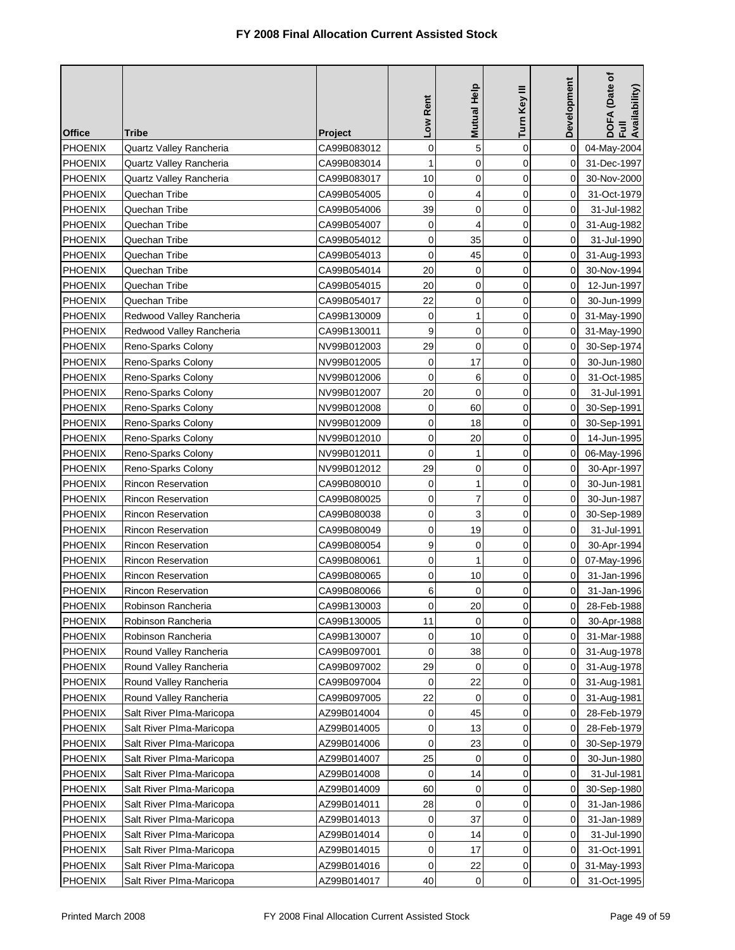| <b>Office</b>  | Tribe                     | <b>Project</b> | Low Rent    | Mutual Help  | Turn Key III | Development | DOFA (Date of<br>Full<br>Availability) |
|----------------|---------------------------|----------------|-------------|--------------|--------------|-------------|----------------------------------------|
| PHOENIX        | Quartz Valley Rancheria   | CA99B083012    | 0           | 5            | $\mathbf 0$  | $\mathbf 0$ | 04-May-2004                            |
| <b>PHOENIX</b> | Quartz Valley Rancheria   | CA99B083014    | 1           | $\mathbf 0$  | $\mathbf 0$  | 0           | 31-Dec-1997                            |
| <b>PHOENIX</b> | Quartz Valley Rancheria   | CA99B083017    | 10          | $\mathbf 0$  | $\mathbf 0$  | 0           | 30-Nov-2000                            |
| <b>PHOENIX</b> | Quechan Tribe             | CA99B054005    | 0           | 4            | 0            | 0           | 31-Oct-1979                            |
| <b>PHOENIX</b> | Quechan Tribe             | CA99B054006    | 39          | 0            | $\mathbf 0$  | 0           | 31-Jul-1982                            |
| <b>PHOENIX</b> | Quechan Tribe             | CA99B054007    | 0           | 4            | 0            | 0           | 31-Aug-1982                            |
| PHOENIX        | Quechan Tribe             | CA99B054012    | 0           | 35           | 0            | 0           | 31-Jul-1990                            |
| PHOENIX        | Quechan Tribe             | CA99B054013    | 0           | 45           | 0            | 0           | 31-Aug-1993                            |
| <b>PHOENIX</b> | Quechan Tribe             | CA99B054014    | 20          | 0            | $\mathbf 0$  | 0           | 30-Nov-1994                            |
| <b>PHOENIX</b> | Quechan Tribe             | CA99B054015    | 20          | 0            | 0            | 0           | 12-Jun-1997                            |
| <b>PHOENIX</b> | Quechan Tribe             | CA99B054017    | 22          | 0            | $\mathbf 0$  | 0           | 30-Jun-1999                            |
| <b>PHOENIX</b> | Redwood Valley Rancheria  | CA99B130009    | 0           | 1            | 0            | 0           | 31-May-1990                            |
| <b>PHOENIX</b> | Redwood Valley Rancheria  | CA99B130011    | 9           | 0            | $\mathbf 0$  | 0           | 31-May-1990                            |
| <b>PHOENIX</b> | Reno-Sparks Colony        | NV99B012003    | 29          | $\mathbf 0$  | 0            | 0           | 30-Sep-1974                            |
| <b>PHOENIX</b> | Reno-Sparks Colony        | NV99B012005    | $\mathbf 0$ | 17           | 0            | 0           | 30-Jun-1980                            |
| PHOENIX        | Reno-Sparks Colony        | NV99B012006    | 0           | 6            | $\mathbf 0$  | 0           | 31-Oct-1985                            |
| <b>PHOENIX</b> | Reno-Sparks Colony        | NV99B012007    | 20          | 0            | 0            | 0           | 31-Jul-1991                            |
| <b>PHOENIX</b> | Reno-Sparks Colony        | NV99B012008    | 0           | 60           | $\mathbf 0$  | 0           | 30-Sep-1991                            |
| <b>PHOENIX</b> | Reno-Sparks Colony        | NV99B012009    | $\mathbf 0$ | 18           | $\mathbf 0$  | 0           | 30-Sep-1991                            |
| <b>PHOENIX</b> | Reno-Sparks Colony        | NV99B012010    | 0           | 20           | 0            | 0           | 14-Jun-1995                            |
| <b>PHOENIX</b> | Reno-Sparks Colony        | NV99B012011    | 0           | $\mathbf{1}$ | 0            | 0           | 06-May-1996                            |
| <b>PHOENIX</b> | Reno-Sparks Colony        | NV99B012012    | 29          | 0            | 0            | 0           | 30-Apr-1997                            |
| <b>PHOENIX</b> | <b>Rincon Reservation</b> | CA99B080010    | 0           | $\mathbf{1}$ | 0            | 0           | 30-Jun-1981                            |
| PHOENIX        | <b>Rincon Reservation</b> | CA99B080025    | 0           | 7            | 0            | 0           | 30-Jun-1987                            |
| <b>PHOENIX</b> | <b>Rincon Reservation</b> | CA99B080038    | 0           | 3            | 0            | 0           | 30-Sep-1989                            |
| <b>PHOENIX</b> | Rincon Reservation        | CA99B080049    | 0           | 19           | 0            | 0           | 31-Jul-1991                            |
| <b>PHOENIX</b> | <b>Rincon Reservation</b> | CA99B080054    | 9           | 0            | 0            | 0           | 30-Apr-1994                            |
| <b>PHOENIX</b> | <b>Rincon Reservation</b> | CA99B080061    | 0           | $\mathbf{1}$ | $\mathbf 0$  | 0           | 07-May-1996                            |
| <b>PHOENIX</b> | <b>Rincon Reservation</b> | CA99B080065    | 0           | 10           | 0            | 0           | 31-Jan-1996                            |
| <b>PHOENIX</b> | <b>Rincon Reservation</b> | CA99B080066    | 6           | 0            | 0            | 0           | 31-Jan-1996                            |
| PHOENIX        | Robinson Rancheria        | CA99B130003    | 0           | 20           | 0            | $\pmb{0}$   | 28-Feb-1988                            |
| <b>PHOENIX</b> | Robinson Rancheria        | CA99B130005    | 11          | 0            | 0            | $\Omega$    | 30-Apr-1988                            |
| <b>PHOENIX</b> | Robinson Rancheria        | CA99B130007    | 0           | 10           | 0            | 0           | 31-Mar-1988                            |
| <b>PHOENIX</b> | Round Valley Rancheria    | CA99B097001    | 0           | 38           | $\mathbf 0$  | 0           | 31-Aug-1978                            |
| <b>PHOENIX</b> | Round Valley Rancheria    | CA99B097002    | 29          | 0            | 0            | 0           | 31-Aug-1978                            |
| <b>PHOENIX</b> | Round Valley Rancheria    | CA99B097004    | 0           | 22           | 0            | 0           | 31-Aug-1981                            |
| <b>PHOENIX</b> | Round Valley Rancheria    | CA99B097005    | 22          | 0            | 0            | 0           | 31-Aug-1981                            |
| <b>PHOENIX</b> | Salt River PIma-Maricopa  | AZ99B014004    | 0           | 45           | $\mathbf 0$  | 0           | 28-Feb-1979                            |
| <b>PHOENIX</b> | Salt River Plma-Maricopa  | AZ99B014005    | 0           | 13           | 0            | 0           | 28-Feb-1979                            |
| <b>PHOENIX</b> | Salt River Plma-Maricopa  | AZ99B014006    | $\mathbf 0$ | 23           | 0            | 0           | 30-Sep-1979                            |
| <b>PHOENIX</b> | Salt River Plma-Maricopa  | AZ99B014007    | 25          | 0            | 0            | 0           | 30-Jun-1980                            |
| <b>PHOENIX</b> | Salt River PIma-Maricopa  | AZ99B014008    | 0           | 14           | 0            | 0           | 31-Jul-1981                            |
| <b>PHOENIX</b> | Salt River PIma-Maricopa  | AZ99B014009    | 60          | 0            | 0            | 0           | 30-Sep-1980                            |
| <b>PHOENIX</b> | Salt River Plma-Maricopa  | AZ99B014011    | 28          | 0            | 0            | 0           | 31-Jan-1986                            |
| <b>PHOENIX</b> | Salt River Plma-Maricopa  | AZ99B014013    | 0           | 37           | 0            | 0           | 31-Jan-1989                            |
| <b>PHOENIX</b> | Salt River Plma-Maricopa  | AZ99B014014    | 0           | 14           | 0            | 0           | 31-Jul-1990                            |
| <b>PHOENIX</b> | Salt River PIma-Maricopa  | AZ99B014015    | 0           | 17           | 0            | 0           | 31-Oct-1991                            |
| <b>PHOENIX</b> | Salt River Plma-Maricopa  | AZ99B014016    | 0           | 22           | 0            | 0           | 31-May-1993                            |
| <b>PHOENIX</b> | Salt River PIma-Maricopa  | AZ99B014017    | 40          | 0            | 0            | 0           | 31-Oct-1995                            |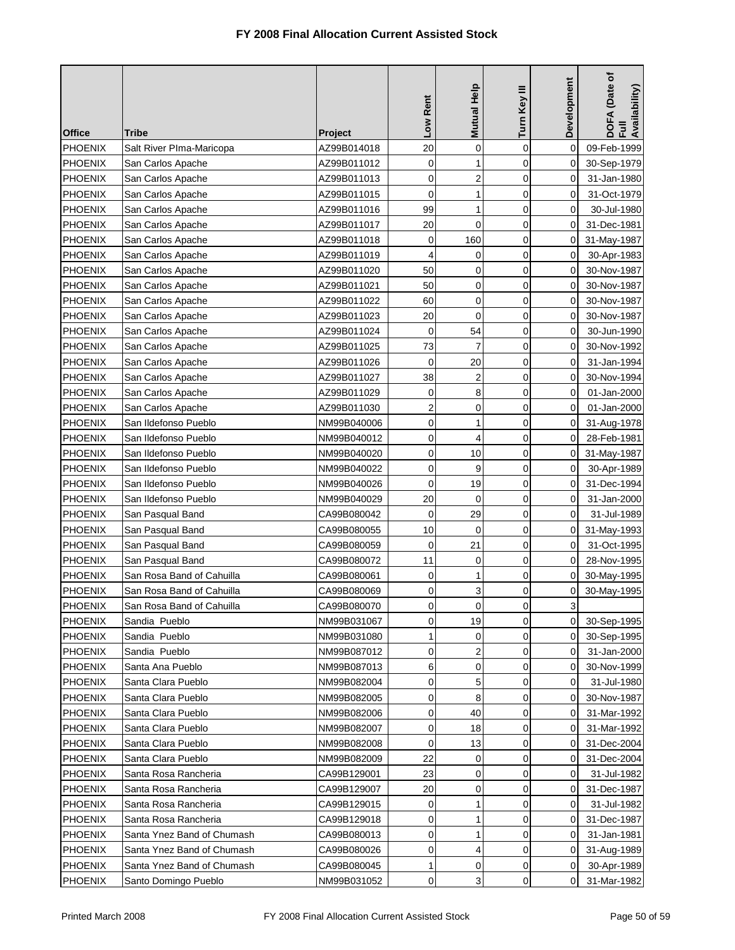| <b>Office</b>  | Tribe                      | <b>Project</b> | Low Rent       | Mutual Help         | Turn Key III | Development  | DOFA (Date of<br>Full<br>Availability) |
|----------------|----------------------------|----------------|----------------|---------------------|--------------|--------------|----------------------------------------|
| PHOENIX        | Salt River PIma-Maricopa   | AZ99B014018    | 20             | 0                   | $\mathbf 0$  | 0            | 09-Feb-1999                            |
| <b>PHOENIX</b> | San Carlos Apache          | AZ99B011012    | 0              | 1                   | 0            | 0            | 30-Sep-1979                            |
| <b>PHOENIX</b> | San Carlos Apache          | AZ99B011013    | 0              | $\overline{c}$      | 0            | 0            | 31-Jan-1980                            |
| <b>PHOENIX</b> | San Carlos Apache          | AZ99B011015    | $\mathbf 0$    | 1                   | 0            | 0            | 31-Oct-1979                            |
| <b>PHOENIX</b> | San Carlos Apache          | AZ99B011016    | 99             | 1                   | $\mathbf 0$  | 0            | 30-Jul-1980                            |
| <b>PHOENIX</b> | San Carlos Apache          | AZ99B011017    | 20             | $\mathbf 0$         | 0            | 0            | 31-Dec-1981                            |
| <b>PHOENIX</b> | San Carlos Apache          | AZ99B011018    | 0              | 160                 | 0            | 0            | 31-May-1987                            |
| <b>PHOENIX</b> | San Carlos Apache          | AZ99B011019    | 4              | 0                   | 0            | 0            | 30-Apr-1983                            |
| <b>PHOENIX</b> | San Carlos Apache          | AZ99B011020    | 50             | 0                   | $\mathbf 0$  | 0            | 30-Nov-1987                            |
| <b>PHOENIX</b> | San Carlos Apache          | AZ99B011021    | 50             | 0                   | 0            | 0            | 30-Nov-1987                            |
| <b>PHOENIX</b> | San Carlos Apache          | AZ99B011022    | 60             | 0                   | 0            | 0            | 30-Nov-1987                            |
| <b>PHOENIX</b> | San Carlos Apache          | AZ99B011023    | 20             | 0                   | 0            | 0            | 30-Nov-1987                            |
| <b>PHOENIX</b> | San Carlos Apache          | AZ99B011024    | 0              | 54                  | $\mathbf 0$  | 0            | 30-Jun-1990                            |
| <b>PHOENIX</b> | San Carlos Apache          | AZ99B011025    | 73             | $\overline{7}$      | 0            | 0            | 30-Nov-1992                            |
| PHOENIX        | San Carlos Apache          | AZ99B011026    | $\mathbf 0$    | 20                  | 0            | 0            | 31-Jan-1994                            |
| PHOENIX        | San Carlos Apache          | AZ99B011027    | 38             | 2                   | 0            | 0            | 30-Nov-1994                            |
| <b>PHOENIX</b> | San Carlos Apache          | AZ99B011029    | 0              | 8                   | 0            | 0            | 01-Jan-2000                            |
| <b>PHOENIX</b> | San Carlos Apache          | AZ99B011030    | 2              | 0                   | $\mathbf 0$  | 0            | 01-Jan-2000                            |
| <b>PHOENIX</b> | San Ildefonso Pueblo       | NM99B040006    | $\mathbf 0$    | $\mathbf{1}$        | $\mathbf 0$  | 0            | 31-Aug-1978                            |
| <b>PHOENIX</b> | San Ildefonso Pueblo       | NM99B040012    | 0              | 4                   | 0            | 0            | 28-Feb-1981                            |
| <b>PHOENIX</b> | San Ildefonso Pueblo       | NM99B040020    | 0              | 10                  | 0            | 0            | 31-May-1987                            |
| PHOENIX        | San Ildefonso Pueblo       | NM99B040022    | 0              | 9                   | 0            | 0            | 30-Apr-1989                            |
| PHOENIX        | San Ildefonso Pueblo       | NM99B040026    | $\mathbf 0$    | 19                  | 0            | 0            | 31-Dec-1994                            |
| PHOENIX        | San Ildefonso Pueblo       | NM99B040029    | 20             | 0                   | 0            | 0            | 31-Jan-2000                            |
| <b>PHOENIX</b> | San Pasqual Band           | CA99B080042    | $\mathbf 0$    | 29                  | 0            | 0            | 31-Jul-1989                            |
| <b>PHOENIX</b> | San Pasqual Band           | CA99B080055    | 10             | 0                   | 0            | 0            | 31-May-1993                            |
| <b>PHOENIX</b> | San Pasqual Band           | CA99B080059    | $\mathbf 0$    | 21                  | 0            | 0            | 31-Oct-1995                            |
| <b>PHOENIX</b> | San Pasqual Band           | CA99B080072    | 11             | 0                   | $\mathbf 0$  | 0            | 28-Nov-1995                            |
| <b>PHOENIX</b> | San Rosa Band of Cahuilla  | CA99B080061    | 0              | 1                   | 0            | 0            | 30-May-1995                            |
| <b>PHOENIX</b> | San Rosa Band of Cahuilla  | CA99B080069    | 0              | 3                   | 0            | 0            | 30-May-1995                            |
| PHOENIX        | San Rosa Band of Cahuilla  | CA99B080070    | $\overline{0}$ | $\mathsf{O}\xspace$ | 0            | $\mathbf{3}$ |                                        |
| <b>PHOENIX</b> | Sandia Pueblo              | NM99B031067    | 0              | 19                  | 0            | $\Omega$     | 30-Sep-1995                            |
| <b>PHOENIX</b> | Sandia Pueblo              | NM99B031080    | 1              | 0                   | 0            | 0            | 30-Sep-1995                            |
| <b>PHOENIX</b> | Sandia Pueblo              | NM99B087012    | 0              | 2                   | $\mathbf 0$  | 0            | 31-Jan-2000                            |
| <b>PHOENIX</b> | Santa Ana Pueblo           | NM99B087013    | 6              | 0                   | 0            | 0            | 30-Nov-1999                            |
| <b>PHOENIX</b> | Santa Clara Pueblo         | NM99B082004    | 0              | 5                   | 0            | 0            | 31-Jul-1980                            |
| <b>PHOENIX</b> | Santa Clara Pueblo         | NM99B082005    | 0              | 8                   | 0            | 0            | 30-Nov-1987                            |
| <b>PHOENIX</b> | Santa Clara Pueblo         | NM99B082006    | 0              | 40                  | $\mathbf 0$  | 0            | 31-Mar-1992                            |
| <b>PHOENIX</b> | Santa Clara Pueblo         | NM99B082007    | 0              | 18                  | 0            | 0            | 31-Mar-1992                            |
| <b>PHOENIX</b> | Santa Clara Pueblo         | NM99B082008    | $\mathbf 0$    | 13                  | 0            | 0            | 31-Dec-2004                            |
| <b>PHOENIX</b> | Santa Clara Pueblo         | NM99B082009    | 22             | 0                   | 0            | 0            | 31-Dec-2004                            |
| <b>PHOENIX</b> | Santa Rosa Rancheria       | CA99B129001    | 23             | 0                   | $\mathbf 0$  | 0            | 31-Jul-1982                            |
| <b>PHOENIX</b> | Santa Rosa Rancheria       | CA99B129007    | 20             | 0                   | $\mathbf 0$  | 0            | 31-Dec-1987                            |
| <b>PHOENIX</b> | Santa Rosa Rancheria       | CA99B129015    | 0              | 1                   | 0            | 0            | 31-Jul-1982                            |
| <b>PHOENIX</b> | Santa Rosa Rancheria       | CA99B129018    | 0              | 1                   | 0            | 0            | 31-Dec-1987                            |
| <b>PHOENIX</b> | Santa Ynez Band of Chumash | CA99B080013    | 0              | 1                   | 0            | 0            | 31-Jan-1981                            |
| <b>PHOENIX</b> | Santa Ynez Band of Chumash | CA99B080026    | 0              | 4                   | 0            | 0            | 31-Aug-1989                            |
| <b>PHOENIX</b> | Santa Ynez Band of Chumash | CA99B080045    | 1              | 0                   | 0            | 0            | 30-Apr-1989                            |
| <b>PHOENIX</b> | Santo Domingo Pueblo       | NM99B031052    | 0              | 3                   | 0            | 0            | 31-Mar-1982                            |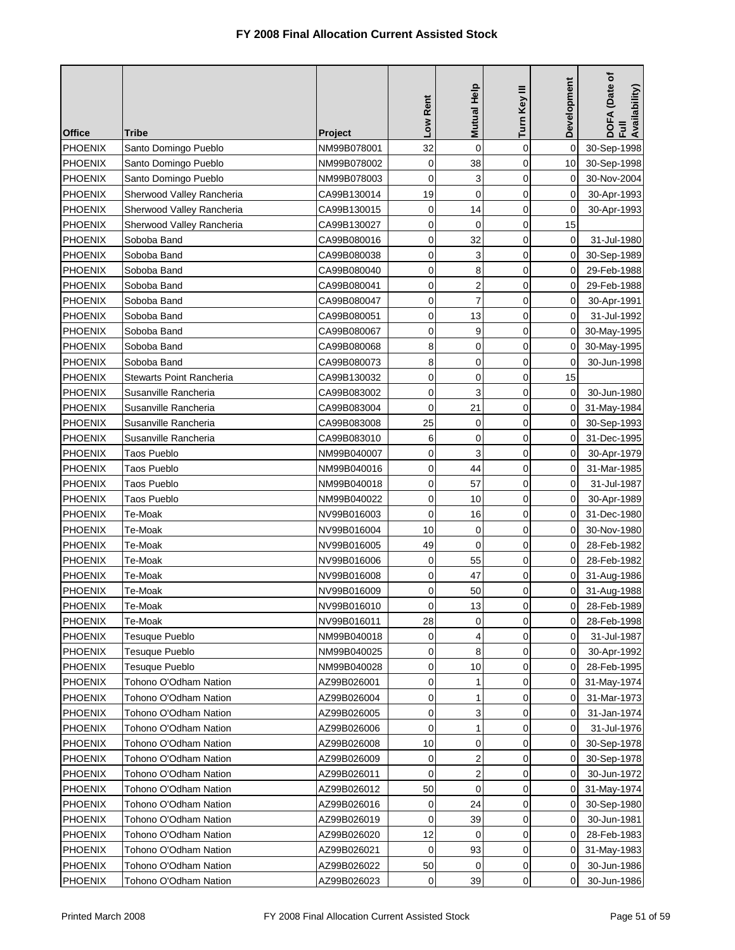|                |                                 |                | Low Rent    | <b>Mutual Help</b>      | Turn Key III        | Development | DOFA (Date of<br>Full<br>Availability) |
|----------------|---------------------------------|----------------|-------------|-------------------------|---------------------|-------------|----------------------------------------|
| <b>Office</b>  | Tribe                           | <b>Project</b> |             |                         |                     |             |                                        |
| PHOENIX        | Santo Domingo Pueblo            | NM99B078001    | 32          | $\mathbf 0$             | 0                   | $\mathbf 0$ | 30-Sep-1998                            |
| <b>PHOENIX</b> | Santo Domingo Pueblo            | NM99B078002    | 0           | 38                      | 0                   | 10          | 30-Sep-1998                            |
| <b>PHOENIX</b> | Santo Domingo Pueblo            | NM99B078003    | 0           | 3                       | 0                   | 0           | 30-Nov-2004                            |
| <b>PHOENIX</b> | Sherwood Valley Rancheria       | CA99B130014    | 19          | $\mathbf 0$             | 0                   | 0           | 30-Apr-1993                            |
| <b>PHOENIX</b> | Sherwood Valley Rancheria       | CA99B130015    | 0           | 14                      | 0                   | 0           | 30-Apr-1993                            |
| <b>PHOENIX</b> | Sherwood Valley Rancheria       | CA99B130027    | 0           | 0                       | 0                   | 15          |                                        |
| <b>PHOENIX</b> | Soboba Band                     | CA99B080016    | 0           | 32                      | 0                   | 0           | 31-Jul-1980                            |
| <b>PHOENIX</b> | Soboba Band                     | CA99B080038    | 0           | 3                       | 0                   | 0           | 30-Sep-1989                            |
| <b>PHOENIX</b> | Soboba Band                     | CA99B080040    | 0           | 8                       | 0                   | $\mathbf 0$ | 29-Feb-1988                            |
| <b>PHOENIX</b> | Soboba Band                     | CA99B080041    | 0           | 2                       | 0                   | 0           | 29-Feb-1988                            |
| <b>PHOENIX</b> | Soboba Band                     | CA99B080047    | 0           | 7                       | 0                   | $\mathbf 0$ | 30-Apr-1991                            |
| <b>PHOENIX</b> | Soboba Band                     | CA99B080051    | 0           | 13                      | 0                   | $\mathbf 0$ | 31-Jul-1992                            |
| <b>PHOENIX</b> | Soboba Band                     | CA99B080067    | 0           | 9                       | 0                   | $\mathbf 0$ | 30-May-1995                            |
| <b>PHOENIX</b> | Soboba Band                     | CA99B080068    | 8           | 0                       | 0                   | 0           | 30-May-1995                            |
| PHOENIX        | Soboba Band                     | CA99B080073    | 8           | $\mathbf 0$             | 0                   | 0           | 30-Jun-1998                            |
| <b>PHOENIX</b> | <b>Stewarts Point Rancheria</b> | CA99B130032    | 0           | 0                       | 0                   | 15          |                                        |
| <b>PHOENIX</b> | Susanville Rancheria            | CA99B083002    | 0           | 3                       | 0                   | $\mathbf 0$ | 30-Jun-1980                            |
| <b>PHOENIX</b> | Susanville Rancheria            | CA99B083004    | 0           | 21                      | 0                   | 0           | 31-May-1984                            |
| <b>PHOENIX</b> | Susanville Rancheria            | CA99B083008    | 25          | $\mathbf 0$             | 0                   | 0           | 30-Sep-1993                            |
| <b>PHOENIX</b> | Susanville Rancheria            | CA99B083010    | 6           | $\mathbf 0$             | 0                   | 0           | 31-Dec-1995                            |
| <b>PHOENIX</b> | Taos Pueblo                     | NM99B040007    | 0           | 3                       | 0                   | 0           | 30-Apr-1979                            |
| <b>PHOENIX</b> | Taos Pueblo                     | NM99B040016    | 0           | 44                      | 0                   | 0           | 31-Mar-1985                            |
| PHOENIX        | Taos Pueblo                     | NM99B040018    | 0           | 57                      | 0                   | 0           | 31-Jul-1987                            |
| <b>PHOENIX</b> | Taos Pueblo                     | NM99B040022    | 0           | 10                      | 0                   | 0           | 30-Apr-1989                            |
| <b>PHOENIX</b> | Te-Moak                         | NV99B016003    | 0           | 16                      | 0                   | 0           | 31-Dec-1980                            |
| <b>PHOENIX</b> | Te-Moak                         | NV99B016004    | 10          | 0                       | 0                   | 0           | 30-Nov-1980                            |
| <b>PHOENIX</b> | Te-Moak                         | NV99B016005    | 49          | 0                       | 0                   | 0           | 28-Feb-1982                            |
| <b>PHOENIX</b> | Te-Moak                         | NV99B016006    | 0           | 55                      | 0                   | $\mathbf 0$ | 28-Feb-1982                            |
| <b>PHOENIX</b> | Te-Moak                         | NV99B016008    | 0           | 47                      | 0                   | 0           | 31-Aug-1986                            |
| <b>PHOENIX</b> | Te-Moak                         | NV99B016009    | 0           | 50                      | 0                   | 0           | 31-Aug-1988                            |
| PHOENIX        | Te-Moak                         | NV99B016010    | 0           | 13                      | $\mathsf{O}\xspace$ | $\pmb{0}$   | 28-Feb-1989                            |
| <b>PHOENIX</b> | Te-Moak                         | NV99B016011    | 28          | $\mathbf 0$             | 0                   | 0           | 28-Feb-1998                            |
| <b>PHOENIX</b> | Tesuque Pueblo                  | NM99B040018    | 0           | 4                       | 0                   | 0           | 31-Jul-1987                            |
| <b>PHOENIX</b> | Tesuque Pueblo                  | NM99B040025    | 0           | 8                       | 0                   | 0           | 30-Apr-1992                            |
| <b>PHOENIX</b> | Tesuque Pueblo                  | NM99B040028    | 0           | 10                      | 0                   | $\mathbf 0$ | 28-Feb-1995                            |
| <b>PHOENIX</b> | Tohono O'Odham Nation           | AZ99B026001    | 0           | 1                       | 0                   | $\mathbf 0$ | 31-May-1974                            |
| PHOENIX        | Tohono O'Odham Nation           | AZ99B026004    | 0           | 1                       | 0                   | $\mathbf 0$ | 31-Mar-1973                            |
| PHOENIX        | Tohono O'Odham Nation           | AZ99B026005    | 0           | 3                       | 0                   | 0           | 31-Jan-1974                            |
| <b>PHOENIX</b> | Tohono O'Odham Nation           | AZ99B026006    | 0           | 1                       | 0                   | 0           | 31-Jul-1976                            |
| <b>PHOENIX</b> | Tohono O'Odham Nation           | AZ99B026008    | 10          | 0                       | 0                   | $\mathbf 0$ | 30-Sep-1978                            |
| <b>PHOENIX</b> | Tohono O'Odham Nation           | AZ99B026009    | 0           | 2                       | 0                   | 0           | 30-Sep-1978                            |
| <b>PHOENIX</b> | Tohono O'Odham Nation           | AZ99B026011    | 0           | $\overline{\mathbf{c}}$ | 0                   | 0           | 30-Jun-1972                            |
| <b>PHOENIX</b> | Tohono O'Odham Nation           | AZ99B026012    | 50          | 0                       | 0                   | 0           | 31-May-1974                            |
| <b>PHOENIX</b> | Tohono O'Odham Nation           | AZ99B026016    | $\mathbf 0$ | 24                      | 0                   | $\mathbf 0$ | 30-Sep-1980                            |
| <b>PHOENIX</b> | Tohono O'Odham Nation           | AZ99B026019    | 0           | 39                      | 0                   | $\mathbf 0$ | 30-Jun-1981                            |
| <b>PHOENIX</b> | Tohono O'Odham Nation           | AZ99B026020    | 12          | $\mathbf 0$             | 0                   | $\mathbf 0$ | 28-Feb-1983                            |
| <b>PHOENIX</b> | Tohono O'Odham Nation           | AZ99B026021    | $\mathbf 0$ | 93                      | 0                   | 0           | 31-May-1983                            |
| <b>PHOENIX</b> | Tohono O'Odham Nation           | AZ99B026022    | 50          | 0                       | 0                   | 0           | 30-Jun-1986                            |
| <b>PHOENIX</b> | Tohono O'Odham Nation           | AZ99B026023    | 0           | 39                      | 0                   | 0           | 30-Jun-1986                            |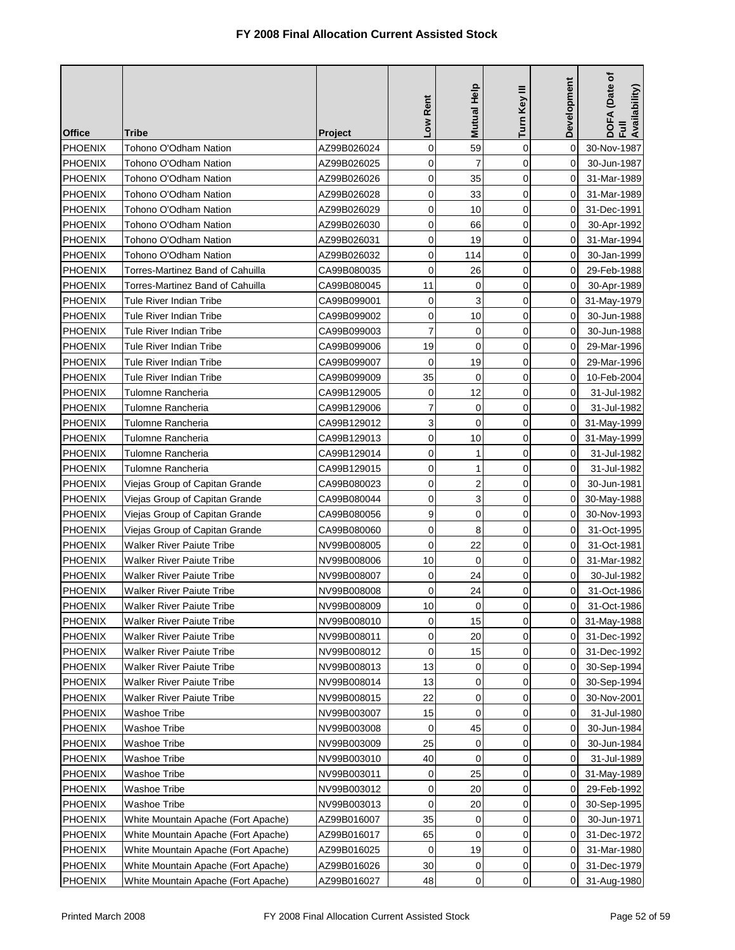| <b>Office</b>  | <b>Tribe</b>                        | <b>Project</b> | Low Rent       | Mutual Help         | Turn Key III | Development | DOFA (Date of<br>Full<br>Availability) |
|----------------|-------------------------------------|----------------|----------------|---------------------|--------------|-------------|----------------------------------------|
| PHOENIX        | Tohono O'Odham Nation               | AZ99B026024    | 0              | 59                  | $\mathbf 0$  | $\Omega$    | 30-Nov-1987                            |
| <b>PHOENIX</b> | Tohono O'Odham Nation               | AZ99B026025    | 0              | $\overline{7}$      | $\mathbf 0$  | $\Omega$    | 30-Jun-1987                            |
| <b>PHOENIX</b> | Tohono O'Odham Nation               | AZ99B026026    | 0              | 35                  | $\mathbf 0$  | 0           | 31-Mar-1989                            |
| <b>PHOENIX</b> | Tohono O'Odham Nation               | AZ99B026028    | 0              | 33                  | 0            | 0           | 31-Mar-1989                            |
| <b>PHOENIX</b> | Tohono O'Odham Nation               | AZ99B026029    | 0              | 10                  | $\mathbf 0$  | 0           | 31-Dec-1991                            |
| <b>PHOENIX</b> | Tohono O'Odham Nation               | AZ99B026030    | 0              | 66                  | 0            | 0           | 30-Apr-1992                            |
| <b>PHOENIX</b> | Tohono O'Odham Nation               | AZ99B026031    | 0              | 19                  | $\mathbf 0$  | 0           | 31-Mar-1994                            |
| <b>PHOENIX</b> | Tohono O'Odham Nation               | AZ99B026032    | 0              | 114                 | 0            | 0           | 30-Jan-1999                            |
| <b>PHOENIX</b> | Torres-Martinez Band of Cahuilla    | CA99B080035    | 0              | 26                  | $\mathbf 0$  | 0           | 29-Feb-1988                            |
| <b>PHOENIX</b> | Torres-Martinez Band of Cahuilla    | CA99B080045    | 11             | 0                   | 0            | 0           | 30-Apr-1989                            |
| <b>PHOENIX</b> | Tule River Indian Tribe             | CA99B099001    | 0              | 3                   | $\mathbf 0$  | 0           | 31-May-1979                            |
| <b>PHOENIX</b> | Tule River Indian Tribe             | CA99B099002    | 0              | 10                  | 0            | 0           | 30-Jun-1988                            |
| <b>PHOENIX</b> | Tule River Indian Tribe             | CA99B099003    | $\overline{7}$ | 0                   | $\mathbf 0$  | 0           | 30-Jun-1988                            |
| <b>PHOENIX</b> | Tule River Indian Tribe             | CA99B099006    | 19             | $\mathbf 0$         | 0            | 0           | 29-Mar-1996                            |
| <b>PHOENIX</b> | Tule River Indian Tribe             | CA99B099007    | $\overline{0}$ | 19                  | $\mathbf 0$  | 0           | 29-Mar-1996                            |
| <b>PHOENIX</b> | Tule River Indian Tribe             | CA99B099009    | 35             | 0                   | $\mathbf 0$  | 0           | 10-Feb-2004                            |
| <b>PHOENIX</b> | Tulomne Rancheria                   | CA99B129005    | 0              | 12                  | $\mathbf 0$  | 0           | 31-Jul-1982                            |
| <b>PHOENIX</b> | Tulomne Rancheria                   | CA99B129006    | 7              | 0                   | $\mathbf 0$  | 0           | 31-Jul-1982                            |
| <b>PHOENIX</b> | Tulomne Rancheria                   | CA99B129012    | 3              | $\mathbf 0$         | $\mathbf 0$  | 0           | 31-May-1999                            |
| <b>PHOENIX</b> | Tulomne Rancheria                   | CA99B129013    | 0              | 10                  | 0            | 0           | 31-May-1999                            |
| <b>PHOENIX</b> | Tulomne Rancheria                   | CA99B129014    | 0              | $\mathbf{1}$        | 0            | 0           | 31-Jul-1982                            |
| <b>PHOENIX</b> | Tulomne Rancheria                   | CA99B129015    | 0              | $\mathbf{1}$        | 0            | 0           | 31-Jul-1982                            |
| <b>PHOENIX</b> | Viejas Group of Capitan Grande      | CA99B080023    | 0              | $\overline{2}$      | $\mathbf 0$  | 0           | 30-Jun-1981                            |
| <b>PHOENIX</b> | Viejas Group of Capitan Grande      | CA99B080044    | 0              | 3                   | 0            | 0           | 30-May-1988                            |
| <b>PHOENIX</b> | Viejas Group of Capitan Grande      | CA99B080056    | 9              | 0                   | 0            | 0           | 30-Nov-1993                            |
| <b>PHOENIX</b> | Viejas Group of Capitan Grande      | CA99B080060    | 0              | 8                   | $\mathbf 0$  | 0           | 31-Oct-1995                            |
| <b>PHOENIX</b> | <b>Walker River Paiute Tribe</b>    | NV99B008005    | 0              | 22                  | $\mathbf 0$  | 0           | 31-Oct-1981                            |
| <b>PHOENIX</b> | Walker River Paiute Tribe           | NV99B008006    | 10             | 0                   | $\mathbf 0$  | 0           | 31-Mar-1982                            |
| <b>PHOENIX</b> | <b>Walker River Paiute Tribe</b>    | NV99B008007    | 0              | 24                  | 0            | 0           | 30-Jul-1982                            |
| <b>PHOENIX</b> | <b>Walker River Paiute Tribe</b>    | NV99B008008    | 0              | 24                  | 0            | 0           | 31-Oct-1986                            |
| PHOENIX        | <b>Walker River Paiute Tribe</b>    | NV99B008009    | $10$           | $\mathsf{O}\xspace$ | 0            | $\pmb{0}$   | 31-Oct-1986                            |
| <b>PHOENIX</b> | Walker River Paiute Tribe           | NV99B008010    | 0              | 15                  | $\Omega$     | 0           | 31-May-1988                            |
| <b>PHOENIX</b> | <b>Walker River Paiute Tribe</b>    | NV99B008011    | 0              | 20                  | 0            | 0           | 31-Dec-1992                            |
| <b>PHOENIX</b> | <b>Walker River Paiute Tribe</b>    | NV99B008012    | 0              | 15                  | $\mathbf 0$  | 0           | 31-Dec-1992                            |
| <b>PHOENIX</b> | <b>Walker River Paiute Tribe</b>    | NV99B008013    | 13             | 0                   | 0            | 0           | 30-Sep-1994                            |
| <b>PHOENIX</b> | <b>Walker River Paiute Tribe</b>    | NV99B008014    | 13             | 0                   | 0            | 0           | 30-Sep-1994                            |
| <b>PHOENIX</b> | Walker River Paiute Tribe           | NV99B008015    | 22             | 0                   | 0            | 0           | 30-Nov-2001                            |
| <b>PHOENIX</b> | Washoe Tribe                        | NV99B003007    | 15             | $\mathbf 0$         | $\mathbf 0$  | 0           | 31-Jul-1980                            |
| <b>PHOENIX</b> | Washoe Tribe                        | NV99B003008    | 0              | 45                  | 0            | 0           | 30-Jun-1984                            |
| <b>PHOENIX</b> | Washoe Tribe                        | NV99B003009    | 25             | 0                   | 0            | 0           | 30-Jun-1984                            |
| <b>PHOENIX</b> | Washoe Tribe                        | NV99B003010    | 40             | 0                   | 0            | 0           | 31-Jul-1989                            |
| <b>PHOENIX</b> | Washoe Tribe                        | NV99B003011    | 0              | 25                  | $\mathbf 0$  | 0           | 31-May-1989                            |
| <b>PHOENIX</b> | Washoe Tribe                        | NV99B003012    | 0              | 20                  | $\mathbf 0$  | 0           | 29-Feb-1992                            |
| <b>PHOENIX</b> | Washoe Tribe                        | NV99B003013    | 0              | 20                  | 0            | 0           | 30-Sep-1995                            |
| <b>PHOENIX</b> | White Mountain Apache (Fort Apache) | AZ99B016007    | 35             | 0                   | 0            | 0           | 30-Jun-1971                            |
| <b>PHOENIX</b> | White Mountain Apache (Fort Apache) | AZ99B016017    | 65             | 0                   | 0            | 0           | 31-Dec-1972                            |
| <b>PHOENIX</b> | White Mountain Apache (Fort Apache) | AZ99B016025    | 0              | 19                  | 0            | 0           | 31-Mar-1980                            |
| <b>PHOENIX</b> | White Mountain Apache (Fort Apache) | AZ99B016026    | 30             | 0                   | 0            | 0           | 31-Dec-1979                            |
| <b>PHOENIX</b> | White Mountain Apache (Fort Apache) | AZ99B016027    | 48             | 0                   | 0            | 0           | 31-Aug-1980                            |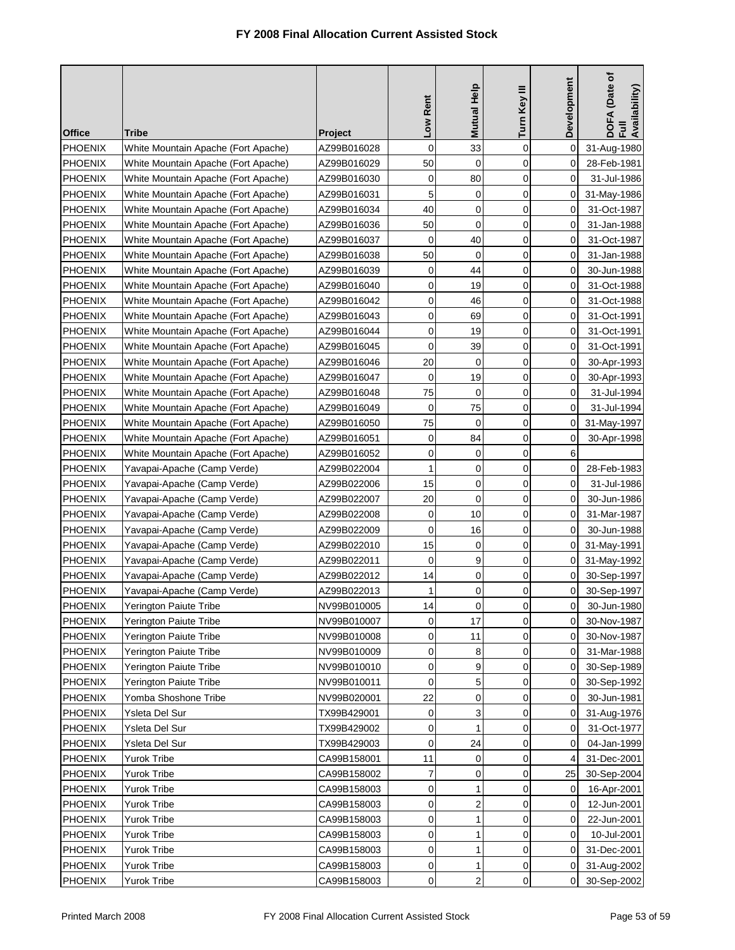|                |                                     |             | Low Rent     | <b>Mutual Help</b> | Turn Key III | Development | DOFA (Date of<br>Full<br>Availability) |
|----------------|-------------------------------------|-------------|--------------|--------------------|--------------|-------------|----------------------------------------|
| <b>Office</b>  | <b>Tribe</b>                        | Project     |              |                    |              |             |                                        |
| PHOENIX        | White Mountain Apache (Fort Apache) | AZ99B016028 | $\mathbf 0$  | 33                 | $\mathbf 0$  | $\mathbf 0$ | 31-Aug-1980                            |
| <b>PHOENIX</b> | White Mountain Apache (Fort Apache) | AZ99B016029 | 50           | 0                  | 0            | 0           | 28-Feb-1981                            |
| <b>PHOENIX</b> | White Mountain Apache (Fort Apache) | AZ99B016030 | $\mathbf 0$  | 80                 | 0            | $\Omega$    | 31-Jul-1986                            |
| <b>PHOENIX</b> | White Mountain Apache (Fort Apache) | AZ99B016031 | 5            | 0                  | $\mathbf 0$  | $\mathbf 0$ | 31-May-1986                            |
| <b>PHOENIX</b> | White Mountain Apache (Fort Apache) | AZ99B016034 | 40           | 0                  | 0            | 0           | 31-Oct-1987                            |
| <b>PHOENIX</b> | White Mountain Apache (Fort Apache) | AZ99B016036 | 50           | $\mathbf 0$        | $\mathbf 0$  | 0           | 31-Jan-1988                            |
| <b>PHOENIX</b> | White Mountain Apache (Fort Apache) | AZ99B016037 | 0            | 40                 | 0            | 0           | 31-Oct-1987                            |
| <b>PHOENIX</b> | White Mountain Apache (Fort Apache) | AZ99B016038 | 50           | 0                  | $\mathbf 0$  | 0           | 31-Jan-1988                            |
| <b>PHOENIX</b> | White Mountain Apache (Fort Apache) | AZ99B016039 | 0            | 44                 | 0            | 0           | 30-Jun-1988                            |
| <b>PHOENIX</b> | White Mountain Apache (Fort Apache) | AZ99B016040 | 0            | 19                 | $\mathbf 0$  | 0           | 31-Oct-1988                            |
| <b>PHOENIX</b> | White Mountain Apache (Fort Apache) | AZ99B016042 | 0            | 46                 | 0            | 0           | 31-Oct-1988                            |
| <b>PHOENIX</b> | White Mountain Apache (Fort Apache) | AZ99B016043 | 0            | 69                 | $\mathbf 0$  | 0           | 31-Oct-1991                            |
| <b>PHOENIX</b> | White Mountain Apache (Fort Apache) | AZ99B016044 | 0            | 19                 | 0            | 0           | 31-Oct-1991                            |
| <b>PHOENIX</b> | White Mountain Apache (Fort Apache) | AZ99B016045 | 0            | 39                 | $\mathbf 0$  | 0           | 31-Oct-1991                            |
| <b>PHOENIX</b> | White Mountain Apache (Fort Apache) | AZ99B016046 | 20           | 0                  | 0            | 0           | 30-Apr-1993                            |
| <b>PHOENIX</b> | White Mountain Apache (Fort Apache) | AZ99B016047 | $\mathbf 0$  | 19                 | 0            | 0           | 30-Apr-1993                            |
| <b>PHOENIX</b> | White Mountain Apache (Fort Apache) | AZ99B016048 | 75           | 0                  | $\mathbf 0$  | 0           | 31-Jul-1994                            |
| <b>PHOENIX</b> | White Mountain Apache (Fort Apache) | AZ99B016049 | $\mathbf 0$  | 75                 | 0            | $\mathbf 0$ | 31-Jul-1994                            |
| <b>PHOENIX</b> | White Mountain Apache (Fort Apache) | AZ99B016050 | 75           | 0                  | 0            | 0           | 31-May-1997                            |
| <b>PHOENIX</b> | White Mountain Apache (Fort Apache) | AZ99B016051 | $\mathbf 0$  | 84                 | $\mathbf 0$  | 0           | 30-Apr-1998                            |
| <b>PHOENIX</b> | White Mountain Apache (Fort Apache) | AZ99B016052 | 0            | 0                  | 0            | 6           |                                        |
| <b>PHOENIX</b> | Yavapai-Apache (Camp Verde)         | AZ99B022004 | $\mathbf{1}$ | 0                  | 0            | 0           | 28-Feb-1983                            |
| <b>PHOENIX</b> | Yavapai-Apache (Camp Verde)         | AZ99B022006 | 15           | 0                  | 0            | 0           | 31-Jul-1986                            |
| <b>PHOENIX</b> | Yavapai-Apache (Camp Verde)         | AZ99B022007 | 20           | 0                  | 0            | 0           | 30-Jun-1986                            |
| <b>PHOENIX</b> | Yavapai-Apache (Camp Verde)         | AZ99B022008 | 0            | 10                 | 0            | 0           | 31-Mar-1987                            |
| <b>PHOENIX</b> | Yavapai-Apache (Camp Verde)         | AZ99B022009 | 0            | 16                 | 0            | 0           | 30-Jun-1988                            |
| <b>PHOENIX</b> | Yavapai-Apache (Camp Verde)         | AZ99B022010 | 15           | 0                  | 0            | 0           | 31-May-1991                            |
| <b>PHOENIX</b> | Yavapai-Apache (Camp Verde)         | AZ99B022011 | 0            | 9                  | 0            | 0           | 31-May-1992                            |
| <b>PHOENIX</b> | Yavapai-Apache (Camp Verde)         | AZ99B022012 | 14           | 0                  | $\mathbf 0$  | $\mathbf 0$ | 30-Sep-1997                            |
| <b>PHOENIX</b> | Yavapai-Apache (Camp Verde)         | AZ99B022013 | 1            | 0                  | 0            | 0           | 30-Sep-1997                            |
| PHOENIX        | Yerington Paiute Tribe              | NV99B010005 | 14           | <sub>0</sub>       | <sub>0</sub> | 0           | 30-Jun-1980                            |
| <b>PHOENIX</b> | Yerington Paiute Tribe              | NV99B010007 | 0            | 17                 | $\mathbf 0$  | 0           | 30-Nov-1987                            |
| <b>PHOENIX</b> | Yerington Paiute Tribe              | NV99B010008 | 0            | 11                 | 0            | 0           | 30-Nov-1987                            |
| <b>PHOENIX</b> | Yerington Paiute Tribe              | NV99B010009 | 0            | 8                  | 0            | 0           | 31-Mar-1988                            |
| <b>PHOENIX</b> | Yerington Paiute Tribe              | NV99B010010 | 0            | 9                  | 0            | $\mathbf 0$ | 30-Sep-1989                            |
| <b>PHOENIX</b> | <b>Yerington Paiute Tribe</b>       | NV99B010011 | 0            | 5                  | 0            | 0           | 30-Sep-1992                            |
| <b>PHOENIX</b> | Yomba Shoshone Tribe                | NV99B020001 | 22           | 0                  | 0            | 0           | 30-Jun-1981                            |
| <b>PHOENIX</b> | Ysleta Del Sur                      | TX99B429001 | 0            | 3                  | 0            | 0           | 31-Aug-1976                            |
| <b>PHOENIX</b> | Ysleta Del Sur                      | TX99B429002 | 0            | 1                  | 0            | 0           | 31-Oct-1977                            |
| PHOENIX        | Ysleta Del Sur                      | TX99B429003 | 0            | 24                 | 0            | 0           | 04-Jan-1999                            |
| <b>PHOENIX</b> | <b>Yurok Tribe</b>                  | CA99B158001 | 11           | 0                  | 0            | 4           | 31-Dec-2001                            |
| <b>PHOENIX</b> | Yurok Tribe                         | CA99B158002 | 7            | 0                  | 0            | 25          | 30-Sep-2004                            |
| <b>PHOENIX</b> | Yurok Tribe                         | CA99B158003 | 0            | 1                  | 0            | 0           | 16-Apr-2001                            |
| <b>PHOENIX</b> | <b>Yurok Tribe</b>                  | CA99B158003 | 0            | $\overline{2}$     | 0            | 0           | 12-Jun-2001                            |
| <b>PHOENIX</b> | Yurok Tribe                         | CA99B158003 | 0            | 1                  | $\mathbf 0$  | 0           | 22-Jun-2001                            |
| PHOENIX        | <b>Yurok Tribe</b>                  | CA99B158003 | 0            | 1                  | $\mathbf 0$  | 0           | 10-Jul-2001                            |
| <b>PHOENIX</b> | Yurok Tribe                         | CA99B158003 | 0            | 1                  | 0            | 0           | 31-Dec-2001                            |
| PHOENIX        | <b>Yurok Tribe</b>                  | CA99B158003 | 0            | 1                  | 0            | 0           | 31-Aug-2002                            |
| <b>PHOENIX</b> | Yurok Tribe                         | CA99B158003 | 0            | $\overline{2}$     | 0            | 0           | 30-Sep-2002                            |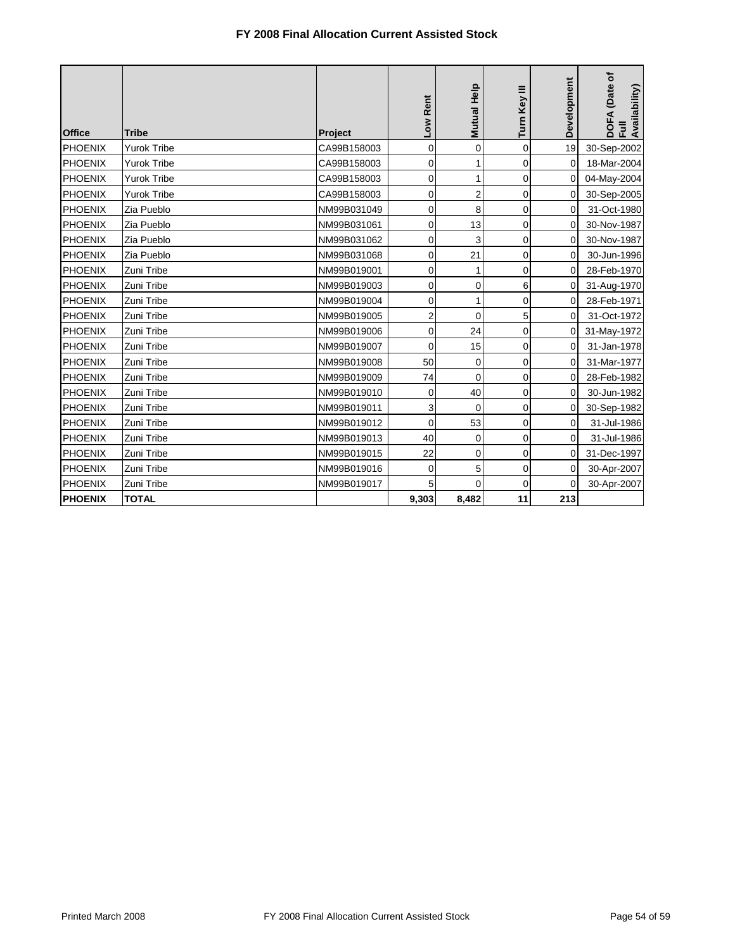|                |                    |             | Low Rent       | <b>Mutual Help</b> | Turn Key III | Development | A (Date of<br>Full<br>Availability)<br><b>DOF</b> |
|----------------|--------------------|-------------|----------------|--------------------|--------------|-------------|---------------------------------------------------|
| <b>Office</b>  | <b>Tribe</b>       | Project     |                |                    |              |             |                                                   |
| <b>PHOENIX</b> | <b>Yurok Tribe</b> | CA99B158003 | 0              | 0                  | $\mathbf 0$  | 19          | 30-Sep-2002                                       |
| <b>PHOENIX</b> | <b>Yurok Tribe</b> | CA99B158003 | 0              | 1                  | 0            | $\Omega$    | 18-Mar-2004                                       |
| <b>PHOENIX</b> | <b>Yurok Tribe</b> | CA99B158003 | 0              | 1                  | 0            | 0           | 04-May-2004                                       |
| <b>PHOENIX</b> | <b>Yurok Tribe</b> | CA99B158003 | 0              | 2                  | 0            | 0           | 30-Sep-2005                                       |
| <b>PHOENIX</b> | Zia Pueblo         | NM99B031049 | 0              | 8                  | $\mathbf 0$  | 0           | 31-Oct-1980                                       |
| <b>PHOENIX</b> | Zia Pueblo         | NM99B031061 | 0              | 13                 | 0            | 0           | 30-Nov-1987                                       |
| <b>PHOENIX</b> | Zia Pueblo         | NM99B031062 | 0              | 3                  | 0            | 0           | 30-Nov-1987                                       |
| <b>PHOENIX</b> | Zia Pueblo         | NM99B031068 | 0              | 21                 | $\mathbf 0$  | 0           | 30-Jun-1996                                       |
| <b>PHOENIX</b> | Zuni Tribe         | NM99B019001 | 0              | 1                  | $\mathbf 0$  | 0           | 28-Feb-1970                                       |
| <b>PHOENIX</b> | Zuni Tribe         | NM99B019003 | 0              | 0                  | 6            | 0           | 31-Aug-1970                                       |
| PHOENIX        | Zuni Tribe         | NM99B019004 | 0              | 1                  | $\mathbf 0$  | 0           | 28-Feb-1971                                       |
| <b>PHOENIX</b> | Zuni Tribe         | NM99B019005 | $\overline{2}$ | 0                  | 5            | 0           | 31-Oct-1972                                       |
| <b>PHOENIX</b> | Zuni Tribe         | NM99B019006 | 0              | 24                 | 0            | $\Omega$    | 31-May-1972                                       |
| <b>PHOENIX</b> | Zuni Tribe         | NM99B019007 | $\mathbf 0$    | 15                 | 0            | 0           | 31-Jan-1978                                       |
| <b>PHOENIX</b> | Zuni Tribe         | NM99B019008 | 50             | 0                  | 0            | 0           | 31-Mar-1977                                       |
| <b>PHOENIX</b> | Zuni Tribe         | NM99B019009 | 74             | 0                  | $\mathbf 0$  | 0           | 28-Feb-1982                                       |
| <b>PHOENIX</b> | Zuni Tribe         | NM99B019010 | 0              | 40                 | 0            | $\Omega$    | 30-Jun-1982                                       |
| PHOENIX        | Zuni Tribe         | NM99B019011 | 3              | $\mathbf 0$        | 0            | $\mathbf 0$ | 30-Sep-1982                                       |
| <b>PHOENIX</b> | Zuni Tribe         | NM99B019012 | 0              | 53                 | 0            | 0           | 31-Jul-1986                                       |
| <b>PHOENIX</b> | Zuni Tribe         | NM99B019013 | 40             | 0                  | 0            | 0           | 31-Jul-1986                                       |
| <b>PHOENIX</b> | Zuni Tribe         | NM99B019015 | 22             | $\mathbf 0$        | $\mathbf 0$  | 0           | 31-Dec-1997                                       |
| <b>PHOENIX</b> | Zuni Tribe         | NM99B019016 | 0              | 5                  | $\mathbf 0$  | 0           | 30-Apr-2007                                       |
| <b>PHOENIX</b> | Zuni Tribe         | NM99B019017 | 5              | $\Omega$           | 0            | $\Omega$    | 30-Apr-2007                                       |
| <b>PHOENIX</b> | <b>TOTAL</b>       |             | 9,303          | 8,482              | 11           | 213         |                                                   |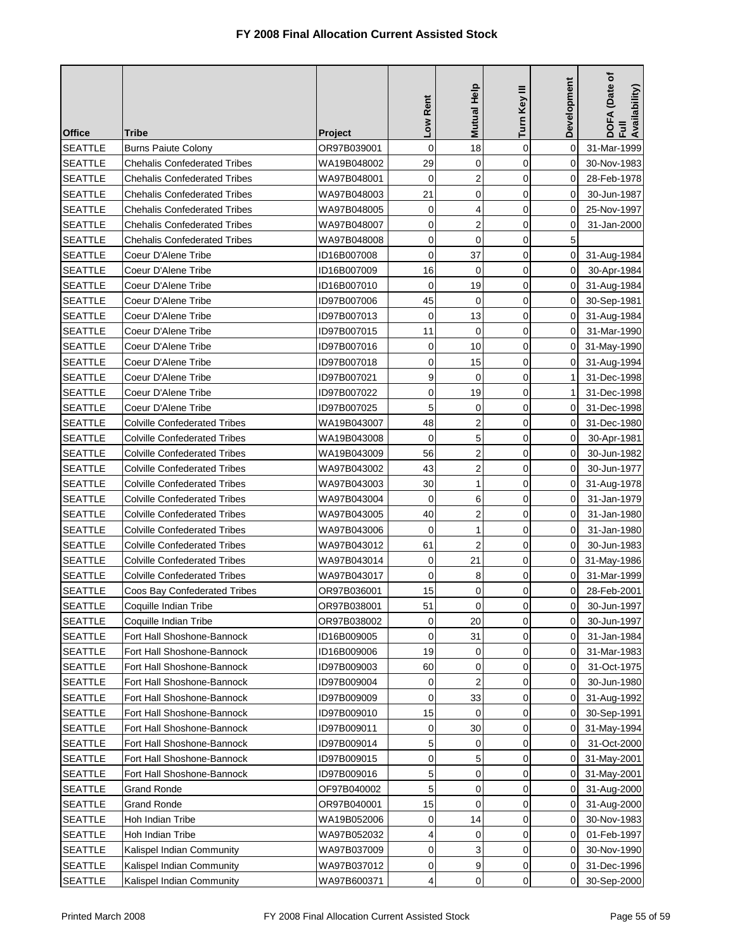| <b>Office</b>  | Tribe                               | <b>Project</b> | Low Rent    | <b>Mutual Help</b>  | Turn Key III | Development | (Date of<br>DOFA (Date<br>Full<br>Availability) |
|----------------|-------------------------------------|----------------|-------------|---------------------|--------------|-------------|-------------------------------------------------|
| <b>SEATTLE</b> | <b>Burns Paiute Colony</b>          | OR97B039001    | $\mathbf 0$ | 18                  | $\mathbf 0$  | 0           | 31-Mar-1999                                     |
| <b>SEATTLE</b> | <b>Chehalis Confederated Tribes</b> | WA19B048002    | 29          | 0                   | 0            | 0           | 30-Nov-1983                                     |
| <b>SEATTLE</b> | <b>Chehalis Confederated Tribes</b> | WA97B048001    | $\mathbf 0$ | $\overline{2}$      | 0            | 0           | 28-Feb-1978                                     |
| <b>SEATTLE</b> | <b>Chehalis Confederated Tribes</b> | WA97B048003    | 21          | 0                   | $\mathbf 0$  | 0           | 30-Jun-1987                                     |
| <b>SEATTLE</b> | <b>Chehalis Confederated Tribes</b> | WA97B048005    | 0           | 4                   | $\mathbf 0$  | 0           | 25-Nov-1997                                     |
| <b>SEATTLE</b> | <b>Chehalis Confederated Tribes</b> | WA97B048007    | 0           | 2                   | $\mathbf 0$  | 0           | 31-Jan-2000                                     |
| <b>SEATTLE</b> | <b>Chehalis Confederated Tribes</b> | WA97B048008    | 0           | 0                   | 0            | 5           |                                                 |
| <b>SEATTLE</b> | Coeur D'Alene Tribe                 | ID16B007008    | $\mathbf 0$ | 37                  | 0            | 0           | 31-Aug-1984                                     |
| <b>SEATTLE</b> | Coeur D'Alene Tribe                 | ID16B007009    | 16          | 0                   | $\mathbf 0$  | 0           | 30-Apr-1984                                     |
| <b>SEATTLE</b> | Coeur D'Alene Tribe                 | ID16B007010    | $\mathbf 0$ | 19                  | 0            | 0           | 31-Aug-1984                                     |
| <b>SEATTLE</b> | Coeur D'Alene Tribe                 | ID97B007006    | 45          | $\mathbf 0$         | 0            | 0           | 30-Sep-1981                                     |
| <b>SEATTLE</b> | Coeur D'Alene Tribe                 | ID97B007013    | $\mathbf 0$ | 13                  | 0            | 0           | 31-Aug-1984                                     |
| <b>SEATTLE</b> | Coeur D'Alene Tribe                 | ID97B007015    | 11          | 0                   | 0            | 0           | 31-Mar-1990                                     |
| <b>SEATTLE</b> | Coeur D'Alene Tribe                 | ID97B007016    | $\mathbf 0$ | 10                  | 0            | 0           | 31-May-1990                                     |
| <b>SEATTLE</b> | Coeur D'Alene Tribe                 | ID97B007018    | $\mathbf 0$ | 15                  | $\mathbf 0$  | 0           | 31-Aug-1994                                     |
| <b>SEATTLE</b> | Coeur D'Alene Tribe                 | ID97B007021    | 9           | 0                   | 0            | 1           | 31-Dec-1998                                     |
| <b>SEATTLE</b> | Coeur D'Alene Tribe                 | ID97B007022    | $\mathbf 0$ | 19                  | $\mathbf 0$  | 1           | 31-Dec-1998                                     |
| <b>SEATTLE</b> | Coeur D'Alene Tribe                 | ID97B007025    | 5           | 0                   | $\mathbf 0$  | 0           | 31-Dec-1998                                     |
| <b>SEATTLE</b> | <b>Colville Confederated Tribes</b> | WA19B043007    | 48          | $\overline{c}$      | $\mathbf 0$  | 0           | 31-Dec-1980                                     |
| <b>SEATTLE</b> | <b>Colville Confederated Tribes</b> | WA19B043008    | 0           | 5                   | 0            | 0           | 30-Apr-1981                                     |
| <b>SEATTLE</b> | <b>Colville Confederated Tribes</b> | WA19B043009    | 56          | 2                   | $\mathbf 0$  | 0           | 30-Jun-1982                                     |
| <b>SEATTLE</b> | <b>Colville Confederated Tribes</b> | WA97B043002    | 43          | $\overline{2}$      | 0            | 0           | 30-Jun-1977                                     |
| <b>SEATTLE</b> | <b>Colville Confederated Tribes</b> | WA97B043003    | 30          | 1                   | $\mathbf 0$  | 0           | 31-Aug-1978                                     |
| <b>SEATTLE</b> | <b>Colville Confederated Tribes</b> | WA97B043004    | 0           | 6                   | 0            | 0           | 31-Jan-1979                                     |
| <b>SEATTLE</b> | <b>Colville Confederated Tribes</b> | WA97B043005    | 40          | 2                   | $\mathbf 0$  | 0           | 31-Jan-1980                                     |
| <b>SEATTLE</b> | <b>Colville Confederated Tribes</b> | WA97B043006    | 0           | 1                   | 0            | 0           | 31-Jan-1980                                     |
| <b>SEATTLE</b> | <b>Colville Confederated Tribes</b> | WA97B043012    | 61          | $\overline{2}$      | $\mathbf 0$  | $\Omega$    | 30-Jun-1983                                     |
| <b>SEATTLE</b> | <b>Colville Confederated Tribes</b> | WA97B043014    | 0           | 21                  | 0            | 0           | 31-May-1986                                     |
| <b>SEATTLE</b> | <b>Colville Confederated Tribes</b> | WA97B043017    | 0           | 8                   | $\mathbf 0$  | 0           | 31-Mar-1999                                     |
| <b>SEATTLE</b> | Coos Bay Confederated Tribes        | OR97B036001    | 15          | 0                   | 0            | 0           | 28-Feb-2001                                     |
| <b>SEATTLE</b> | Coquille Indian Tribe               | OR97B038001    | 51          | $\mathsf{O}\xspace$ | 0            | $\mathbf 0$ | 30-Jun-1997                                     |
| <b>SEATTLE</b> | Coquille Indian Tribe               | OR97B038002    | 0           | 20                  | 0            | 0           | 30-Jun-1997                                     |
| <b>SEATTLE</b> | Fort Hall Shoshone-Bannock          | ID16B009005    | 0           | 31                  | 0            | 0           | 31-Jan-1984                                     |
| <b>SEATTLE</b> | Fort Hall Shoshone-Bannock          | ID16B009006    | 19          | 0                   | 0            | 0           | 31-Mar-1983                                     |
| <b>SEATTLE</b> | Fort Hall Shoshone-Bannock          | ID97B009003    | 60          | 0                   | 0            | 0           | 31-Oct-1975                                     |
| <b>SEATTLE</b> | Fort Hall Shoshone-Bannock          | ID97B009004    | 0           | $\overline{2}$      | 0            | 0           | 30-Jun-1980                                     |
| <b>SEATTLE</b> | Fort Hall Shoshone-Bannock          | ID97B009009    | 0           | 33                  | 0            | 0           | 31-Aug-1992                                     |
| <b>SEATTLE</b> | Fort Hall Shoshone-Bannock          | ID97B009010    | 15          | 0                   | 0            | 0           | 30-Sep-1991                                     |
| <b>SEATTLE</b> | Fort Hall Shoshone-Bannock          | ID97B009011    | 0           | 30                  | 0            | 0           | 31-May-1994                                     |
| <b>SEATTLE</b> | Fort Hall Shoshone-Bannock          | ID97B009014    | 5           | 0                   | 0            | 0           | 31-Oct-2000                                     |
| <b>SEATTLE</b> | Fort Hall Shoshone-Bannock          | ID97B009015    | 0           | 5                   | 0            | 0           | 31-May-2001                                     |
| <b>SEATTLE</b> | Fort Hall Shoshone-Bannock          | ID97B009016    | 5           | 0                   | $\mathbf 0$  | 0           | 31-May-2001                                     |
| <b>SEATTLE</b> | <b>Grand Ronde</b>                  | OF97B040002    | 5           | 0                   | 0            | 0           | 31-Aug-2000                                     |
| <b>SEATTLE</b> | <b>Grand Ronde</b>                  | OR97B040001    | 15          | 0                   | $\mathbf 0$  | 0           | 31-Aug-2000                                     |
| <b>SEATTLE</b> | Hoh Indian Tribe                    | WA19B052006    | 0           | 14                  | 0            | $\mathbf 0$ | 30-Nov-1983                                     |
| <b>SEATTLE</b> | Hoh Indian Tribe                    | WA97B052032    | 4           | 0                   | $\mathbf 0$  | 0           | 01-Feb-1997                                     |
| <b>SEATTLE</b> | Kalispel Indian Community           | WA97B037009    | 0           | 3                   | 0            | 0           | 30-Nov-1990                                     |
| <b>SEATTLE</b> | Kalispel Indian Community           | WA97B037012    | 0           | 9                   | 0            | 0           | 31-Dec-1996                                     |
| <b>SEATTLE</b> | Kalispel Indian Community           | WA97B600371    | 4           | 0                   | 0            | 0           | 30-Sep-2000                                     |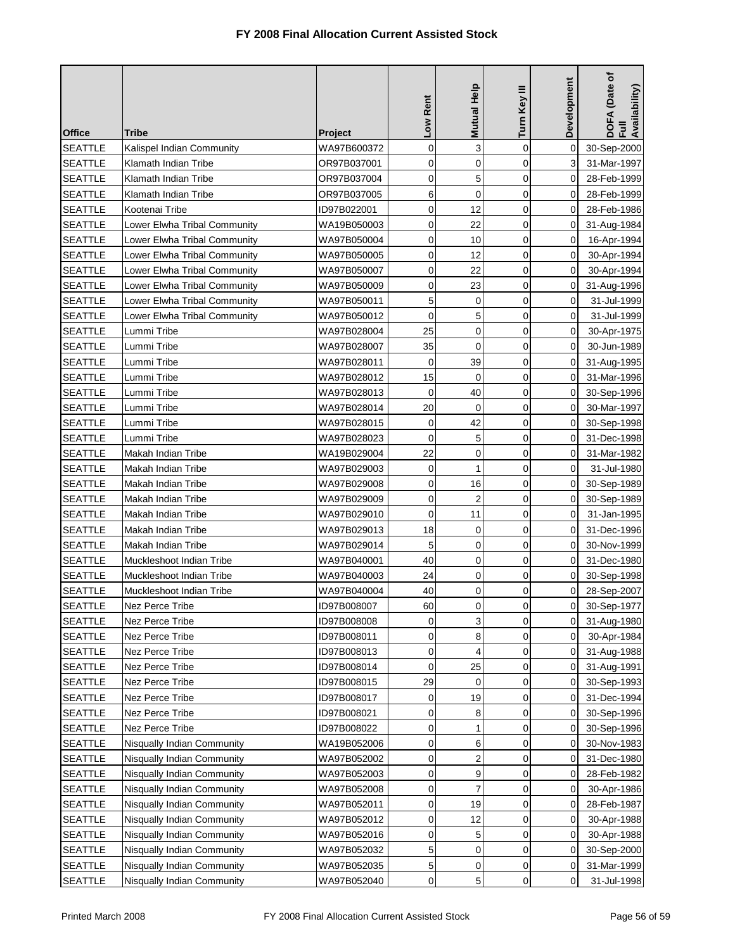| <b>Office</b>  | Tribe                        | <b>Project</b> | Low Rent    | <b>Mutual Help</b>  | Turn Key III   | Development         | DOFA (Date of<br>Full<br>Availability) |
|----------------|------------------------------|----------------|-------------|---------------------|----------------|---------------------|----------------------------------------|
| <b>SEATTLE</b> | Kalispel Indian Community    | WA97B600372    | 0           | 3                   | $\mathbf 0$    | 0                   | 30-Sep-2000                            |
| <b>SEATTLE</b> | Klamath Indian Tribe         | OR97B037001    | 0           | 0                   | 0              | 3                   | 31-Mar-1997                            |
| <b>SEATTLE</b> | Klamath Indian Tribe         | OR97B037004    | 0           | 5                   | 0              | 0                   | 28-Feb-1999                            |
| <b>SEATTLE</b> | Klamath Indian Tribe         | OR97B037005    | 6           | $\mathbf 0$         | $\overline{0}$ | 0                   | 28-Feb-1999                            |
| <b>SEATTLE</b> | Kootenai Tribe               | ID97B022001    | 0           | 12                  | $\mathbf 0$    | 0                   | 28-Feb-1986                            |
| <b>SEATTLE</b> | Lower Elwha Tribal Community | WA19B050003    | $\mathbf 0$ | 22                  | 0              | 0                   | 31-Aug-1984                            |
| <b>SEATTLE</b> | Lower Elwha Tribal Community | WA97B050004    | 0           | 10                  | 0              | 0                   | 16-Apr-1994                            |
| <b>SEATTLE</b> | Lower Elwha Tribal Community | WA97B050005    | $\mathbf 0$ | 12                  | 0              | 0                   | 30-Apr-1994                            |
| <b>SEATTLE</b> | Lower Elwha Tribal Community | WA97B050007    | 0           | 22                  | $\mathbf 0$    | 0                   | 30-Apr-1994                            |
| <b>SEATTLE</b> | Lower Elwha Tribal Community | WA97B050009    | 0           | 23                  | 0              | 0                   | 31-Aug-1996                            |
| <b>SEATTLE</b> | Lower Elwha Tribal Community | WA97B050011    | 5           | 0                   | 0              | 0                   | 31-Jul-1999                            |
| <b>SEATTLE</b> | Lower Elwha Tribal Community | WA97B050012    | 0           | 5                   | 0              | 0                   | 31-Jul-1999                            |
| <b>SEATTLE</b> | Lummi Tribe                  | WA97B028004    | 25          | 0                   | 0              | 0                   | 30-Apr-1975                            |
| <b>SEATTLE</b> | Lummi Tribe                  | WA97B028007    | 35          | $\mathbf 0$         | 0              | 0                   | 30-Jun-1989                            |
| <b>SEATTLE</b> | Lummi Tribe                  | WA97B028011    | $\mathbf 0$ | 39                  | $\mathbf 0$    | 0                   | 31-Aug-1995                            |
| <b>SEATTLE</b> | Lummi Tribe                  | WA97B028012    | 15          | 0                   | 0              | 0                   | 31-Mar-1996                            |
| <b>SEATTLE</b> | Lummi Tribe                  | WA97B028013    | $\mathbf 0$ | 40                  | $\mathbf 0$    | 0                   | 30-Sep-1996                            |
| <b>SEATTLE</b> | Lummi Tribe                  | WA97B028014    | 20          | $\mathbf 0$         | $\mathbf 0$    | 0                   | 30-Mar-1997                            |
| <b>SEATTLE</b> | Lummi Tribe                  | WA97B028015    | $\mathbf 0$ | 42                  | $\mathbf 0$    | $\Omega$            | 30-Sep-1998                            |
| <b>SEATTLE</b> | Lummi Tribe                  | WA97B028023    | 0           | 5                   | 0              | 0                   | 31-Dec-1998                            |
| <b>SEATTLE</b> | Makah Indian Tribe           | WA19B029004    | 22          | 0                   | $\mathbf 0$    | 0                   | 31-Mar-1982                            |
| <b>SEATTLE</b> | Makah Indian Tribe           | WA97B029003    | 0           | 1                   | 0              | 0                   | 31-Jul-1980                            |
| <b>SEATTLE</b> | Makah Indian Tribe           | WA97B029008    | $\mathbf 0$ | 16                  | 0              | 0                   | 30-Sep-1989                            |
| <b>SEATTLE</b> | Makah Indian Tribe           | WA97B029009    | 0           | $\overline{2}$      | 0              | 0                   | 30-Sep-1989                            |
| <b>SEATTLE</b> | Makah Indian Tribe           | WA97B029010    | $\mathbf 0$ | 11                  | $\mathbf 0$    | 0                   | 31-Jan-1995                            |
| <b>SEATTLE</b> | Makah Indian Tribe           | WA97B029013    | 18          | 0                   | 0              | 0                   | 31-Dec-1996                            |
| <b>SEATTLE</b> | Makah Indian Tribe           | WA97B029014    | 5           | 0                   | $\mathbf 0$    | 0                   | 30-Nov-1999                            |
| <b>SEATTLE</b> | Muckleshoot Indian Tribe     | WA97B040001    | 40          | 0                   | 0              | 0                   | 31-Dec-1980                            |
| <b>SEATTLE</b> | Muckleshoot Indian Tribe     | WA97B040003    | 24          | 0                   | $\mathbf 0$    | 0                   | 30-Sep-1998                            |
| <b>SEATTLE</b> | Muckleshoot Indian Tribe     | WA97B040004    | 40          | 0                   | 0              | 0                   | 28-Sep-2007                            |
| <b>SEATTLE</b> | Nez Perce Tribe              | ID97B008007    | 60          | $\mathsf{O}\xspace$ | 0              | $\mathsf{O}\xspace$ | 30-Sep-1977                            |
| <b>SEATTLE</b> | Nez Perce Tribe              | ID97B008008    | 0           | 3                   | $\Omega$       | 0                   | 31-Aug-1980                            |
| <b>SEATTLE</b> | Nez Perce Tribe              | ID97B008011    | 0           | 8                   | 0              | 0                   | 30-Apr-1984                            |
| <b>SEATTLE</b> | Nez Perce Tribe              | ID97B008013    | 0           | 4                   | 0              | 0                   | 31-Aug-1988                            |
| <b>SEATTLE</b> | Nez Perce Tribe              | ID97B008014    | 0           | 25                  | 0              | 0                   | 31-Aug-1991                            |
| <b>SEATTLE</b> | Nez Perce Tribe              | ID97B008015    | 29          | 0                   | 0              | 0                   | 30-Sep-1993                            |
| <b>SEATTLE</b> | Nez Perce Tribe              | ID97B008017    | 0           | 19                  | 0              | 0                   | 31-Dec-1994                            |
| <b>SEATTLE</b> | Nez Perce Tribe              | ID97B008021    | 0           | 8                   | 0              | 0                   | 30-Sep-1996                            |
| <b>SEATTLE</b> | Nez Perce Tribe              | ID97B008022    | 0           | 1                   | 0              | 0                   | 30-Sep-1996                            |
| <b>SEATTLE</b> | Nisqually Indian Community   | WA19B052006    | 0           | 6                   | 0              | 0                   | 30-Nov-1983                            |
| <b>SEATTLE</b> | Nisqually Indian Community   | WA97B052002    | 0           | 2                   | 0              | 0                   | 31-Dec-1980                            |
| <b>SEATTLE</b> | Nisqually Indian Community   | WA97B052003    | 0           | 9                   | 0              | 0                   | 28-Feb-1982                            |
| <b>SEATTLE</b> | Nisqually Indian Community   | WA97B052008    | 0           | $\overline{7}$      | 0              | 0                   | 30-Apr-1986                            |
| <b>SEATTLE</b> | Nisqually Indian Community   | WA97B052011    | 0           | 19                  | 0              | 0                   | 28-Feb-1987                            |
| <b>SEATTLE</b> | Nisqually Indian Community   | WA97B052012    | 0           | 12                  | 0              | 0                   | 30-Apr-1988                            |
| <b>SEATTLE</b> | Nisqually Indian Community   | WA97B052016    | 0           | 5                   | $\mathbf 0$    | 0                   | 30-Apr-1988                            |
| <b>SEATTLE</b> | Nisqually Indian Community   | WA97B052032    | 5           | 0                   | 0              | 0                   | 30-Sep-2000                            |
| SEATTLE        | Nisqually Indian Community   | WA97B052035    | 5           | 0                   | 0              | 0                   | 31-Mar-1999                            |
| <b>SEATTLE</b> | Nisqually Indian Community   | WA97B052040    | 0           | 5                   | 0              | 0                   | 31-Jul-1998                            |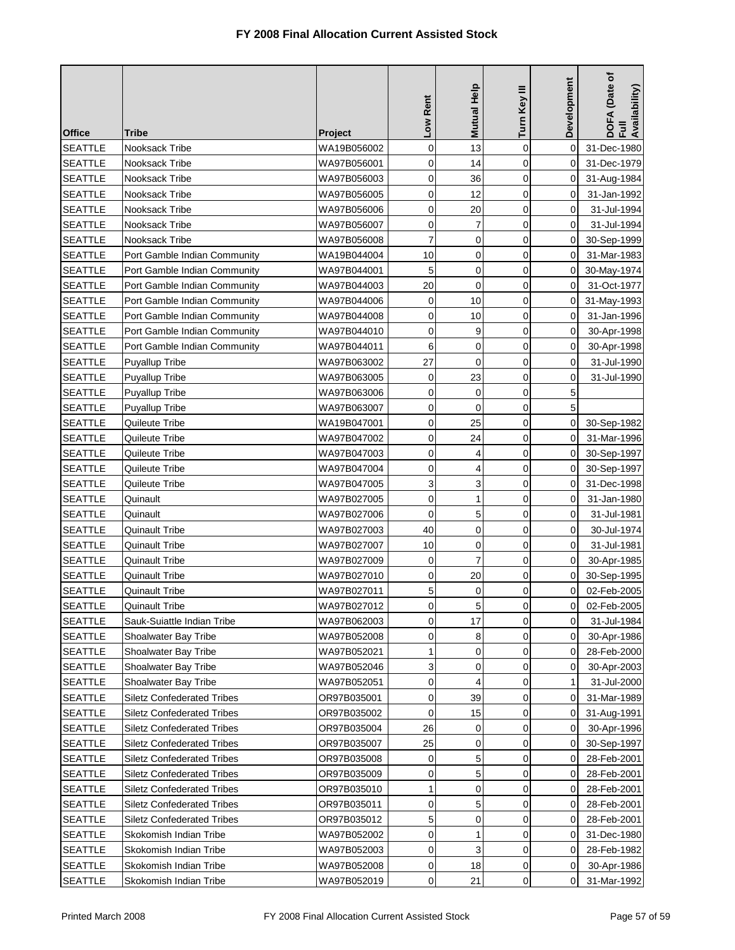| <b>Office</b>  | Tribe                             | Project     | Low Rent    | <b>Mutual Help</b> | Turn Key III   | <b>Development</b> | DOFA (Date of<br>Full<br>Availability) |
|----------------|-----------------------------------|-------------|-------------|--------------------|----------------|--------------------|----------------------------------------|
| <b>SEATTLE</b> | Nooksack Tribe                    | WA19B056002 | 0           | 13                 | $\mathbf 0$    | 0                  | 31-Dec-1980                            |
| <b>SEATTLE</b> | Nooksack Tribe                    | WA97B056001 | 0           | 14                 | $\mathbf 0$    | $\Omega$           | 31-Dec-1979                            |
| <b>SEATTLE</b> | Nooksack Tribe                    | WA97B056003 | 0           | 36                 | $\mathbf 0$    | 0                  | 31-Aug-1984                            |
| <b>SEATTLE</b> | Nooksack Tribe                    | WA97B056005 | $\mathbf 0$ | 12                 | $\mathbf 0$    | 0                  | 31-Jan-1992                            |
| <b>SEATTLE</b> | Nooksack Tribe                    | WA97B056006 | 0           | 20                 | $\mathbf 0$    | 0                  | 31-Jul-1994                            |
| <b>SEATTLE</b> | Nooksack Tribe                    | WA97B056007 | $\mathbf 0$ | 7                  | $\mathbf 0$    | 0                  | 31-Jul-1994                            |
| <b>SEATTLE</b> | Nooksack Tribe                    | WA97B056008 | 7           | 0                  | 0              | 0                  | 30-Sep-1999                            |
| <b>SEATTLE</b> | Port Gamble Indian Community      | WA19B044004 | 10          | $\mathbf 0$        | $\mathbf 0$    | 0                  | 31-Mar-1983                            |
| <b>SEATTLE</b> | Port Gamble Indian Community      | WA97B044001 | 5           | 0                  | $\mathbf 0$    | 0                  | 30-May-1974                            |
| <b>SEATTLE</b> | Port Gamble Indian Community      | WA97B044003 | 20          | 0                  | $\mathbf 0$    | 0                  | 31-Oct-1977                            |
| <b>SEATTLE</b> | Port Gamble Indian Community      | WA97B044006 | 0           | 10                 | $\mathbf 0$    | 0                  | 31-May-1993                            |
| <b>SEATTLE</b> | Port Gamble Indian Community      | WA97B044008 | 0           | 10                 | $\mathbf 0$    | 0                  | 31-Jan-1996                            |
| <b>SEATTLE</b> | Port Gamble Indian Community      | WA97B044010 | 0           | 9                  | $\mathbf 0$    | 0                  | 30-Apr-1998                            |
| <b>SEATTLE</b> | Port Gamble Indian Community      | WA97B044011 | 6           | 0                  | $\overline{0}$ | 0                  | 30-Apr-1998                            |
| <b>SEATTLE</b> | Puyallup Tribe                    | WA97B063002 | 27          | $\mathbf 0$        | $\mathbf 0$    | 0                  | 31-Jul-1990                            |
| <b>SEATTLE</b> | <b>Puyallup Tribe</b>             | WA97B063005 | 0           | 23                 | $\mathbf 0$    | 0                  | 31-Jul-1990                            |
| <b>SEATTLE</b> | <b>Puyallup Tribe</b>             | WA97B063006 | 0           | $\mathbf 0$        | $\mathbf 0$    | 5                  |                                        |
| <b>SEATTLE</b> | <b>Puyallup Tribe</b>             | WA97B063007 | 0           | 0                  | $\mathbf 0$    | 5                  |                                        |
| <b>SEATTLE</b> | Quileute Tribe                    | WA19B047001 | $\mathbf 0$ | 25                 | $\mathbf 0$    | 0                  | 30-Sep-1982                            |
| <b>SEATTLE</b> | Quileute Tribe                    | WA97B047002 | 0           | 24                 | $\mathbf 0$    | $\Omega$           | 31-Mar-1996                            |
| <b>SEATTLE</b> | Quileute Tribe                    | WA97B047003 | 0           | 4                  | $\mathbf 0$    | $\Omega$           | 30-Sep-1997                            |
| <b>SEATTLE</b> | Quileute Tribe                    | WA97B047004 | 0           | 4                  | $\mathbf 0$    | 0                  | 30-Sep-1997                            |
| <b>SEATTLE</b> | Quileute Tribe                    | WA97B047005 | 3           | 3                  | 0              | 0                  | 31-Dec-1998                            |
| <b>SEATTLE</b> | Quinault                          | WA97B027005 | 0           | 1                  | 0              | 0                  | 31-Jan-1980                            |
| <b>SEATTLE</b> | Quinault                          | WA97B027006 | 0           | 5                  | 0              | 0                  | 31-Jul-1981                            |
| <b>SEATTLE</b> | Quinault Tribe                    | WA97B027003 | 40          | 0                  | $\mathbf 0$    | 0                  | 30-Jul-1974                            |
| <b>SEATTLE</b> | <b>Quinault Tribe</b>             | WA97B027007 | 10          | 0                  | $\mathbf 0$    | 0                  | 31-Jul-1981                            |
| <b>SEATTLE</b> | Quinault Tribe                    | WA97B027009 | 0           | 7                  | 0              | 0                  | 30-Apr-1985                            |
| <b>SEATTLE</b> | Quinault Tribe                    | WA97B027010 | 0           | 20                 | $\mathbf 0$    | 0                  | 30-Sep-1995                            |
| <b>SEATTLE</b> | <b>Quinault Tribe</b>             | WA97B027011 | 5           | 0                  | 0              | 0                  | 02-Feb-2005                            |
| <b>SEATTLE</b> | <b>Quinault Tribe</b>             | WA97B027012 | 0           | 5                  | 0              | $\pmb{0}$          | 02-Feb-2005                            |
| <b>SEATTLE</b> | Sauk-Suiattle Indian Tribe        | WA97B062003 | 0           | 17                 | $\Omega$       | 0                  | 31-Jul-1984                            |
| <b>SEATTLE</b> | Shoalwater Bay Tribe              | WA97B052008 | 0           | 8                  | 0              | 0                  | 30-Apr-1986                            |
| <b>SEATTLE</b> | Shoalwater Bay Tribe              | WA97B052021 | 1           | 0                  | $\mathbf 0$    | 0                  | 28-Feb-2000                            |
| <b>SEATTLE</b> | Shoalwater Bay Tribe              | WA97B052046 | 3           | 0                  | $\mathbf 0$    | 0                  | 30-Apr-2003                            |
| <b>SEATTLE</b> | Shoalwater Bay Tribe              | WA97B052051 | 0           | 4                  | $\mathbf 0$    | 1                  | 31-Jul-2000                            |
| <b>SEATTLE</b> | <b>Siletz Confederated Tribes</b> | OR97B035001 | 0           | 39                 | $\mathbf 0$    | 0                  | 31-Mar-1989                            |
| <b>SEATTLE</b> | Siletz Confederated Tribes        | OR97B035002 | 0           | 15                 | $\mathbf 0$    | 0                  | 31-Aug-1991                            |
| <b>SEATTLE</b> | <b>Siletz Confederated Tribes</b> | OR97B035004 | 26          | 0                  | $\mathbf 0$    | 0                  | 30-Apr-1996                            |
| <b>SEATTLE</b> | <b>Siletz Confederated Tribes</b> | OR97B035007 | 25          | 0                  | 0              | 0                  | 30-Sep-1997                            |
| <b>SEATTLE</b> | <b>Siletz Confederated Tribes</b> | OR97B035008 | 0           | 5                  | 0              | 0                  | 28-Feb-2001                            |
| <b>SEATTLE</b> | <b>Siletz Confederated Tribes</b> | OR97B035009 | 0           | 5                  | 0              | 0                  | 28-Feb-2001                            |
| <b>SEATTLE</b> | <b>Siletz Confederated Tribes</b> | OR97B035010 | 1           | 0                  | $\mathbf 0$    | 0                  | 28-Feb-2001                            |
| <b>SEATTLE</b> | <b>Siletz Confederated Tribes</b> | OR97B035011 | 0           | 5                  | $\mathbf 0$    | 0                  | 28-Feb-2001                            |
| <b>SEATTLE</b> | <b>Siletz Confederated Tribes</b> | OR97B035012 | 5           | 0                  | $\mathbf 0$    | 0                  | 28-Feb-2001                            |
| <b>SEATTLE</b> | Skokomish Indian Tribe            | WA97B052002 | 0           | 1                  | 0              | 0                  | 31-Dec-1980                            |
| <b>SEATTLE</b> | Skokomish Indian Tribe            | WA97B052003 | 0           | 3                  | $\mathbf 0$    | 0                  | 28-Feb-1982                            |
| <b>SEATTLE</b> | Skokomish Indian Tribe            | WA97B052008 | 0           | 18                 | 0              | 0                  | 30-Apr-1986                            |
| <b>SEATTLE</b> | Skokomish Indian Tribe            | WA97B052019 | 0           | 21                 | 0              | 0                  | 31-Mar-1992                            |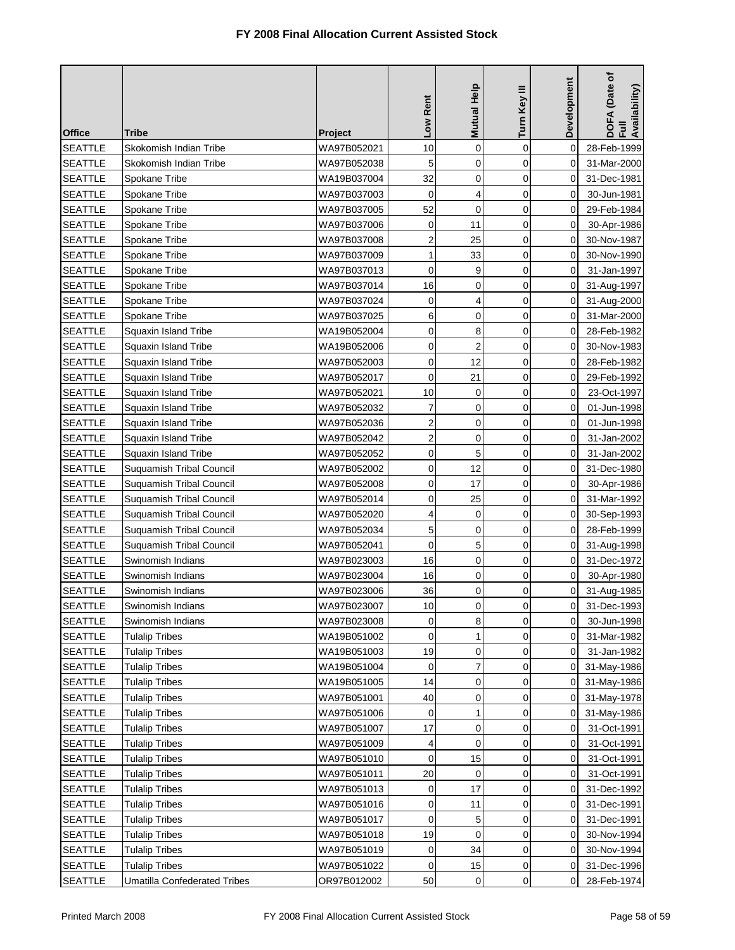| <b>Office</b>  | <b>Tribe</b>                        | Project     | Low Rent       | Mutual Help    | Turn Key III | Development | DOFA (Date of<br>Full<br>Availability) |
|----------------|-------------------------------------|-------------|----------------|----------------|--------------|-------------|----------------------------------------|
| <b>SEATTLE</b> | Skokomish Indian Tribe              | WA97B052021 | 10             | $\mathbf 0$    | $\mathbf 0$  | 0           | 28-Feb-1999                            |
| <b>SEATTLE</b> | Skokomish Indian Tribe              | WA97B052038 | 5              | $\mathbf 0$    | $\mathbf 0$  | 0           | 31-Mar-2000                            |
| <b>SEATTLE</b> | Spokane Tribe                       | WA19B037004 | 32             | $\mathbf 0$    | $\mathbf 0$  | $\Omega$    | 31-Dec-1981                            |
| <b>SEATTLE</b> | Spokane Tribe                       | WA97B037003 | 0              | 4              | 0            | 0           | 30-Jun-1981                            |
| <b>SEATTLE</b> | Spokane Tribe                       | WA97B037005 | 52             | 0              | $\mathbf 0$  | 0           | 29-Feb-1984                            |
| <b>SEATTLE</b> | Spokane Tribe                       | WA97B037006 | 0              | 11             | 0            | 0           | 30-Apr-1986                            |
| <b>SEATTLE</b> | Spokane Tribe                       | WA97B037008 | $\overline{c}$ | 25             | $\mathbf 0$  | 0           | 30-Nov-1987                            |
| <b>SEATTLE</b> | Spokane Tribe                       | WA97B037009 | 1              | 33             | 0            | 0           | 30-Nov-1990                            |
| <b>SEATTLE</b> | Spokane Tribe                       | WA97B037013 | 0              | 9              | $\mathbf 0$  | 0           | 31-Jan-1997                            |
| <b>SEATTLE</b> | Spokane Tribe                       | WA97B037014 | 16             | 0              | 0            | 0           | 31-Aug-1997                            |
| <b>SEATTLE</b> | Spokane Tribe                       | WA97B037024 | 0              | 4              | $\mathbf 0$  | 0           | 31-Aug-2000                            |
| <b>SEATTLE</b> | Spokane Tribe                       | WA97B037025 | 6              | 0              | 0            | 0           | 31-Mar-2000                            |
| <b>SEATTLE</b> | Squaxin Island Tribe                | WA19B052004 | 0              | 8              | $\mathbf 0$  | 0           | 28-Feb-1982                            |
| <b>SEATTLE</b> | Squaxin Island Tribe                | WA19B052006 | 0              | $\overline{2}$ | 0            | 0           | 30-Nov-1983                            |
| <b>SEATTLE</b> | Squaxin Island Tribe                | WA97B052003 | $\mathbf 0$    | 12             | $\mathbf 0$  | 0           | 28-Feb-1982                            |
| <b>SEATTLE</b> | Squaxin Island Tribe                | WA97B052017 | 0              | 21             | $\mathbf 0$  | 0           | 29-Feb-1992                            |
| <b>SEATTLE</b> | Squaxin Island Tribe                | WA97B052021 | 10             | 0              | $\mathbf 0$  | 0           | 23-Oct-1997                            |
| <b>SEATTLE</b> | Squaxin Island Tribe                | WA97B052032 | 7              | $\mathbf 0$    | $\mathbf 0$  | 0           | 01-Jun-1998                            |
| <b>SEATTLE</b> | Squaxin Island Tribe                | WA97B052036 | $\overline{2}$ | $\mathbf 0$    | $\mathbf 0$  | 0           | 01-Jun-1998                            |
| <b>SEATTLE</b> | Squaxin Island Tribe                | WA97B052042 | $\overline{2}$ | 0              | 0            | 0           | 31-Jan-2002                            |
| <b>SEATTLE</b> | Squaxin Island Tribe                | WA97B052052 | 0              | 5              | 0            | 0           | 31-Jan-2002                            |
| <b>SEATTLE</b> | Suquamish Tribal Council            | WA97B052002 | 0              | 12             | 0            | 0           | 31-Dec-1980                            |
| <b>SEATTLE</b> | Suquamish Tribal Council            | WA97B052008 | 0              | 17             | $\mathbf 0$  | 0           | 30-Apr-1986                            |
| <b>SEATTLE</b> | Suquamish Tribal Council            | WA97B052014 | 0              | 25             | 0            | 0           | 31-Mar-1992                            |
| <b>SEATTLE</b> | Suquamish Tribal Council            | WA97B052020 | 4              | 0              | 0            | 0           | 30-Sep-1993                            |
| <b>SEATTLE</b> | Suquamish Tribal Council            | WA97B052034 | 5              | 0              | $\mathbf 0$  | 0           | 28-Feb-1999                            |
| <b>SEATTLE</b> | Suquamish Tribal Council            | WA97B052041 | $\mathbf 0$    | 5              | $\mathbf 0$  | 0           | 31-Aug-1998                            |
| <b>SEATTLE</b> | Swinomish Indians                   | WA97B023003 | 16             | $\mathbf 0$    | $\mathbf 0$  | 0           | 31-Dec-1972                            |
| <b>SEATTLE</b> | Swinomish Indians                   | WA97B023004 | 16             | 0              | 0            | 0           | 30-Apr-1980                            |
| <b>SEATTLE</b> | Swinomish Indians                   | WA97B023006 | 36             | 0              | 0            | 0           | 31-Aug-1985                            |
| <b>SEATTLE</b> | Swinomish Indians                   | WA97B023007 | 10             | 0              | 0            | $\pmb{0}$   | 31-Dec-1993                            |
| <b>SEATTLE</b> | Swinomish Indians                   | WA97B023008 | 0              | 8              | $\Omega$     | 0           | 30-Jun-1998                            |
| <b>SEATTLE</b> | Tulalip Tribes                      | WA19B051002 | 0              | 1              | 0            | 0           | 31-Mar-1982                            |
| <b>SEATTLE</b> | <b>Tulalip Tribes</b>               | WA19B051003 | 19             | 0              | $\mathbf 0$  | 0           | 31-Jan-1982                            |
| <b>SEATTLE</b> | Tulalip Tribes                      | WA19B051004 | 0              | 7              | 0            | 0           | 31-May-1986                            |
| <b>SEATTLE</b> | <b>Tulalip Tribes</b>               | WA19B051005 | 14             | 0              | 0            | 0           | 31-May-1986                            |
| <b>SEATTLE</b> | Tulalip Tribes                      | WA97B051001 | 40             | 0              | 0            | 0           | 31-May-1978                            |
| <b>SEATTLE</b> | <b>Tulalip Tribes</b>               | WA97B051006 | 0              | 1              | $\mathbf 0$  | 0           | 31-May-1986                            |
| <b>SEATTLE</b> | <b>Tulalip Tribes</b>               | WA97B051007 | 17             | 0              | 0            | 0           | 31-Oct-1991                            |
| <b>SEATTLE</b> | <b>Tulalip Tribes</b>               | WA97B051009 | 4              | $\mathbf 0$    | 0            | 0           | 31-Oct-1991                            |
| <b>SEATTLE</b> | Tulalip Tribes                      | WA97B051010 | 0              | 15             | 0            | 0           | 31-Oct-1991                            |
| <b>SEATTLE</b> | Tulalip Tribes                      | WA97B051011 | 20             | 0              | $\mathbf 0$  | 0           | 31-Oct-1991                            |
| <b>SEATTLE</b> | Tulalip Tribes                      | WA97B051013 | 0              | 17             | $\mathbf 0$  | 0           | 31-Dec-1992                            |
| <b>SEATTLE</b> | <b>Tulalip Tribes</b>               | WA97B051016 | 0              | 11             | 0            | 0           | 31-Dec-1991                            |
| <b>SEATTLE</b> | Tulalip Tribes                      | WA97B051017 | 0              | 5              | 0            | 0           | 31-Dec-1991                            |
| <b>SEATTLE</b> | Tulalip Tribes                      | WA97B051018 | 19             | 0              | 0            | 0           | 30-Nov-1994                            |
| <b>SEATTLE</b> | Tulalip Tribes                      | WA97B051019 | 0              | 34             | 0            | 0           | 30-Nov-1994                            |
| <b>SEATTLE</b> | <b>Tulalip Tribes</b>               | WA97B051022 | 0              | 15             | 0            | 0           | 31-Dec-1996                            |
| <b>SEATTLE</b> | <b>Umatilla Confederated Tribes</b> | OR97B012002 | 50             | 0              | 0            | 0           | 28-Feb-1974                            |